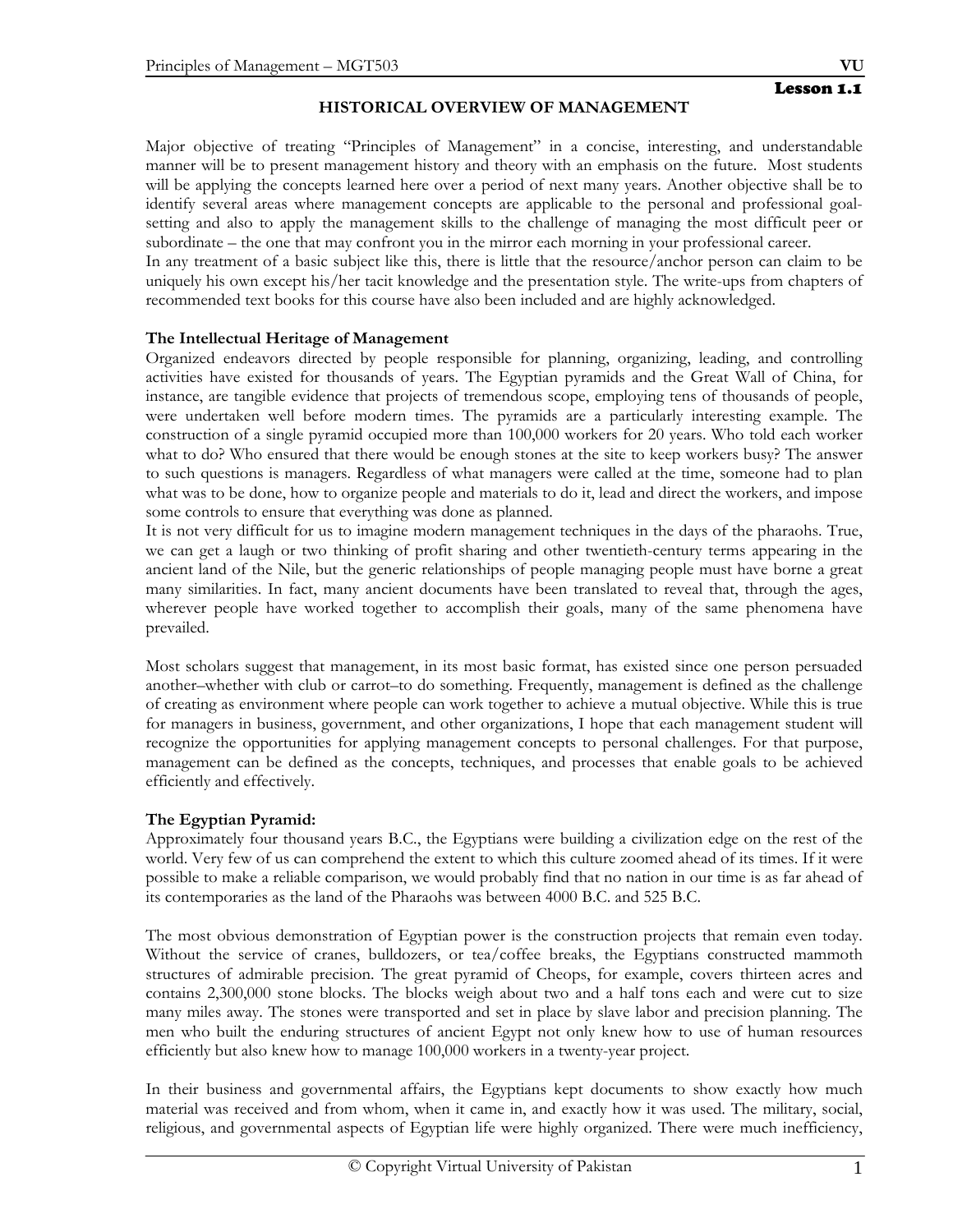Major objective of treating "Principles of Management" in a concise, interesting, and understandable manner will be to present management history and theory with an emphasis on the future. Most students will be applying the concepts learned here over a period of next many years. Another objective shall be to identify several areas where management concepts are applicable to the personal and professional goalsetting and also to apply the management skills to the challenge of managing the most difficult peer or subordinate – the one that may confront you in the mirror each morning in your professional career.

In any treatment of a basic subject like this, there is little that the resource/anchor person can claim to be uniquely his own except his/her tacit knowledge and the presentation style. The write-ups from chapters of recommended text books for this course have also been included and are highly acknowledged.

## **The Intellectual Heritage of Management**

Organized endeavors directed by people responsible for planning, organizing, leading, and controlling activities have existed for thousands of years. The Egyptian pyramids and the Great Wall of China, for instance, are tangible evidence that projects of tremendous scope, employing tens of thousands of people, were undertaken well before modern times. The pyramids are a particularly interesting example. The construction of a single pyramid occupied more than 100,000 workers for 20 years. Who told each worker what to do? Who ensured that there would be enough stones at the site to keep workers busy? The answer to such questions is managers. Regardless of what managers were called at the time, someone had to plan what was to be done, how to organize people and materials to do it, lead and direct the workers, and impose some controls to ensure that everything was done as planned.

It is not very difficult for us to imagine modern management techniques in the days of the pharaohs. True, we can get a laugh or two thinking of profit sharing and other twentieth-century terms appearing in the ancient land of the Nile, but the generic relationships of people managing people must have borne a great many similarities. In fact, many ancient documents have been translated to reveal that, through the ages, wherever people have worked together to accomplish their goals, many of the same phenomena have prevailed.

Most scholars suggest that management, in its most basic format, has existed since one person persuaded another–whether with club or carrot–to do something. Frequently, management is defined as the challenge of creating as environment where people can work together to achieve a mutual objective. While this is true for managers in business, government, and other organizations, I hope that each management student will recognize the opportunities for applying management concepts to personal challenges. For that purpose, management can be defined as the concepts, techniques, and processes that enable goals to be achieved efficiently and effectively.

## **The Egyptian Pyramid:**

Approximately four thousand years B.C., the Egyptians were building a civilization edge on the rest of the world. Very few of us can comprehend the extent to which this culture zoomed ahead of its times. If it were possible to make a reliable comparison, we would probably find that no nation in our time is as far ahead of its contemporaries as the land of the Pharaohs was between 4000 B.C. and 525 B.C.

The most obvious demonstration of Egyptian power is the construction projects that remain even today. Without the service of cranes, bulldozers, or tea/coffee breaks, the Egyptians constructed mammoth structures of admirable precision. The great pyramid of Cheops, for example, covers thirteen acres and contains 2,300,000 stone blocks. The blocks weigh about two and a half tons each and were cut to size many miles away. The stones were transported and set in place by slave labor and precision planning. The men who built the enduring structures of ancient Egypt not only knew how to use of human resources efficiently but also knew how to manage 100,000 workers in a twenty-year project.

In their business and governmental affairs, the Egyptians kept documents to show exactly how much material was received and from whom, when it came in, and exactly how it was used. The military, social, religious, and governmental aspects of Egyptian life were highly organized. There were much inefficiency,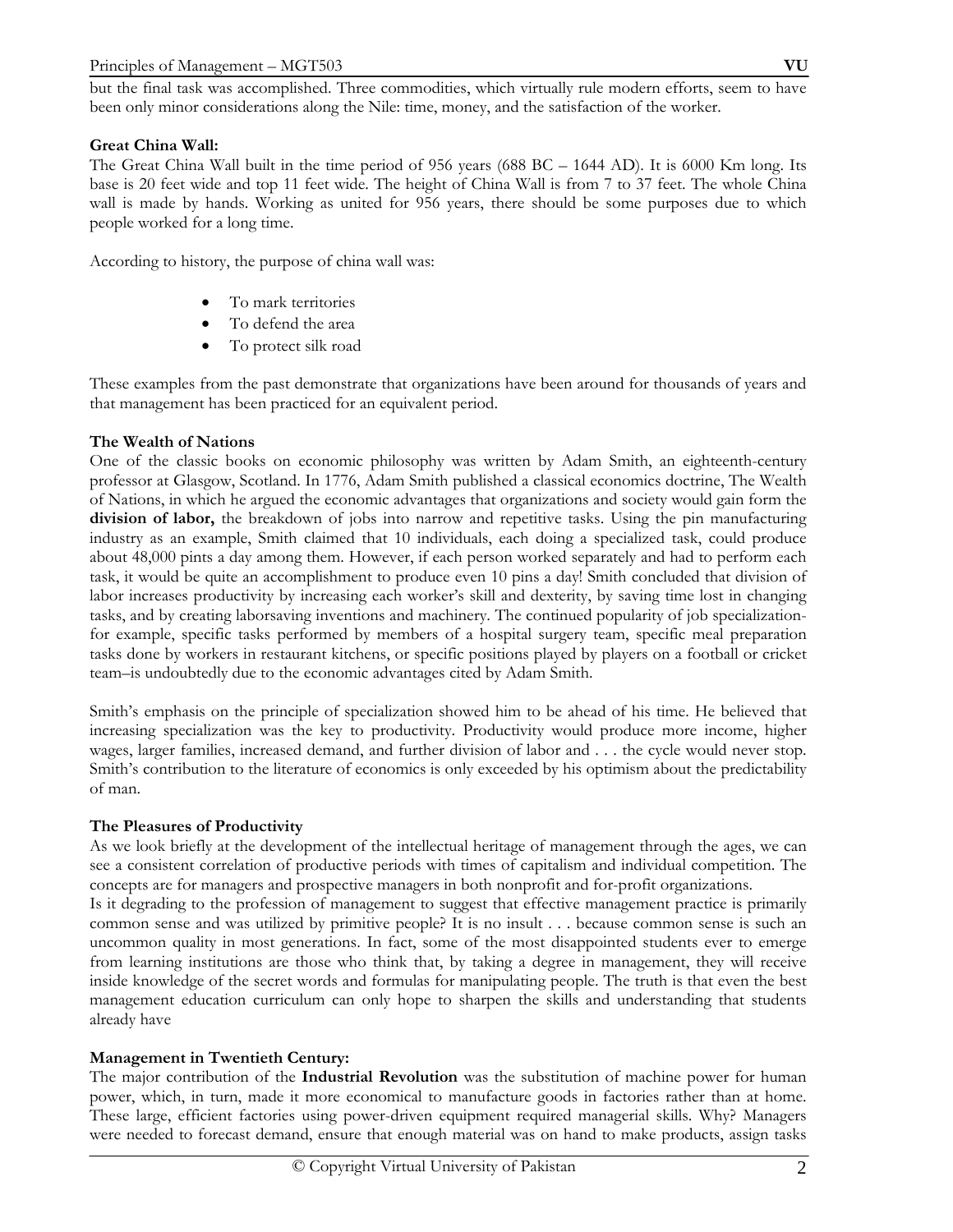but the final task was accomplished. Three commodities, which virtually rule modern efforts, seem to have been only minor considerations along the Nile: time, money, and the satisfaction of the worker.

## **Great China Wall:**

The Great China Wall built in the time period of 956 years (688 BC – 1644 AD). It is 6000 Km long. Its base is 20 feet wide and top 11 feet wide. The height of China Wall is from 7 to 37 feet. The whole China wall is made by hands. Working as united for 956 years, there should be some purposes due to which people worked for a long time.

According to history, the purpose of china wall was:

- To mark territories
- To defend the area
- To protect silk road

These examples from the past demonstrate that organizations have been around for thousands of years and that management has been practiced for an equivalent period.

## **The Wealth of Nations**

One of the classic books on economic philosophy was written by Adam Smith, an eighteenth-century professor at Glasgow, Scotland. In 1776, Adam Smith published a classical economics doctrine, The Wealth of Nations, in which he argued the economic advantages that organizations and society would gain form the **division of labor,** the breakdown of jobs into narrow and repetitive tasks. Using the pin manufacturing industry as an example, Smith claimed that 10 individuals, each doing a specialized task, could produce about 48,000 pints a day among them. However, if each person worked separately and had to perform each task, it would be quite an accomplishment to produce even 10 pins a day! Smith concluded that division of labor increases productivity by increasing each worker's skill and dexterity, by saving time lost in changing tasks, and by creating laborsaving inventions and machinery. The continued popularity of job specializationfor example, specific tasks performed by members of a hospital surgery team, specific meal preparation tasks done by workers in restaurant kitchens, or specific positions played by players on a football or cricket team–is undoubtedly due to the economic advantages cited by Adam Smith.

Smith's emphasis on the principle of specialization showed him to be ahead of his time. He believed that increasing specialization was the key to productivity. Productivity would produce more income, higher wages, larger families, increased demand, and further division of labor and . . . the cycle would never stop. Smith's contribution to the literature of economics is only exceeded by his optimism about the predictability of man.

## **The Pleasures of Productivity**

As we look briefly at the development of the intellectual heritage of management through the ages, we can see a consistent correlation of productive periods with times of capitalism and individual competition. The concepts are for managers and prospective managers in both nonprofit and for-profit organizations.

Is it degrading to the profession of management to suggest that effective management practice is primarily common sense and was utilized by primitive people? It is no insult . . . because common sense is such an uncommon quality in most generations. In fact, some of the most disappointed students ever to emerge from learning institutions are those who think that, by taking a degree in management, they will receive inside knowledge of the secret words and formulas for manipulating people. The truth is that even the best management education curriculum can only hope to sharpen the skills and understanding that students already have

## **Management in Twentieth Century:**

The major contribution of the **Industrial Revolution** was the substitution of machine power for human power, which, in turn, made it more economical to manufacture goods in factories rather than at home. These large, efficient factories using power-driven equipment required managerial skills. Why? Managers were needed to forecast demand, ensure that enough material was on hand to make products, assign tasks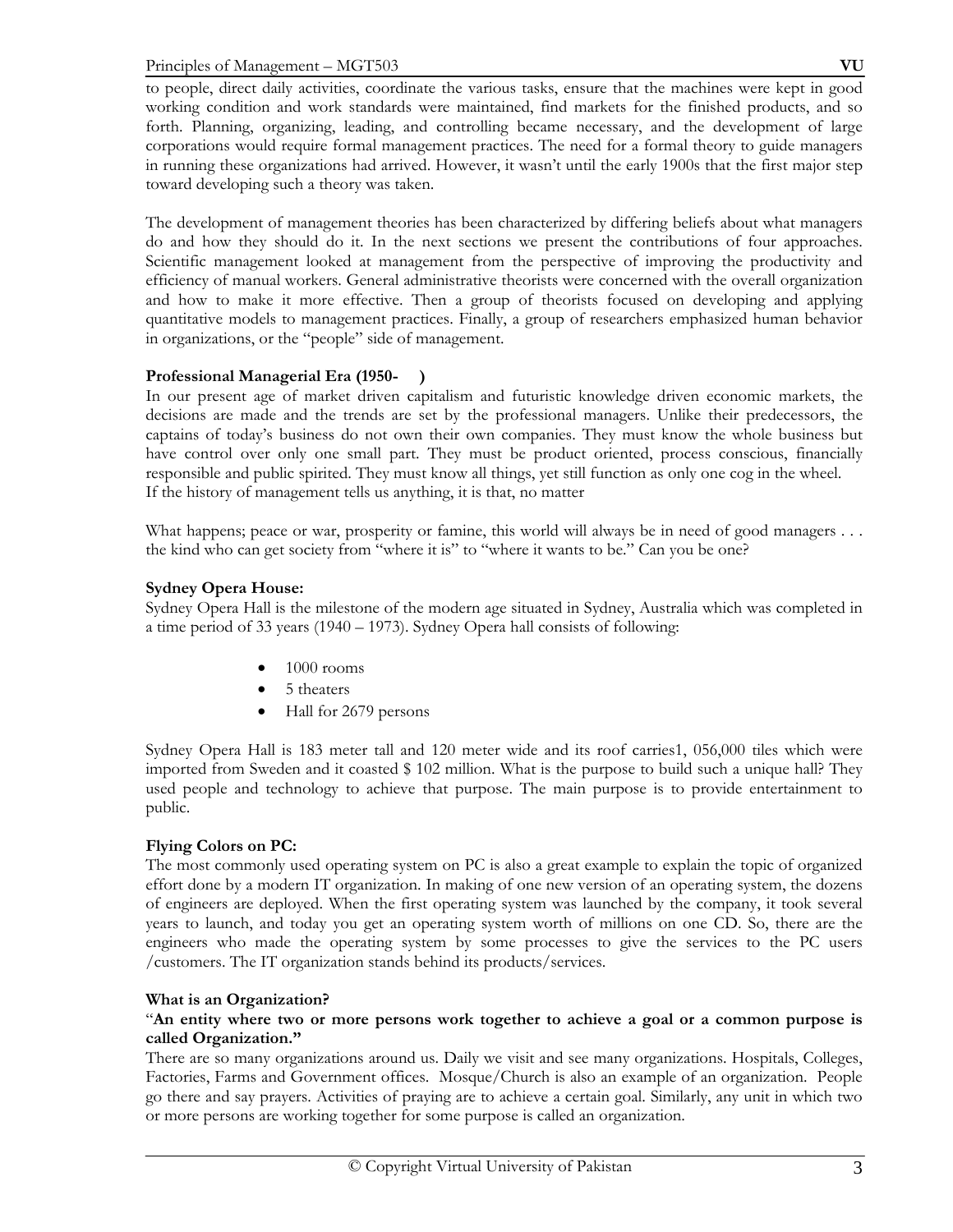to people, direct daily activities, coordinate the various tasks, ensure that the machines were kept in good working condition and work standards were maintained, find markets for the finished products, and so forth. Planning, organizing, leading, and controlling became necessary, and the development of large corporations would require formal management practices. The need for a formal theory to guide managers in running these organizations had arrived. However, it wasn't until the early 1900s that the first major step toward developing such a theory was taken.

The development of management theories has been characterized by differing beliefs about what managers do and how they should do it. In the next sections we present the contributions of four approaches. Scientific management looked at management from the perspective of improving the productivity and efficiency of manual workers. General administrative theorists were concerned with the overall organization and how to make it more effective. Then a group of theorists focused on developing and applying quantitative models to management practices. Finally, a group of researchers emphasized human behavior in organizations, or the "people" side of management.

## **Professional Managerial Era (1950- )**

In our present age of market driven capitalism and futuristic knowledge driven economic markets, the decisions are made and the trends are set by the professional managers. Unlike their predecessors, the captains of today's business do not own their own companies. They must know the whole business but have control over only one small part. They must be product oriented, process conscious, financially responsible and public spirited. They must know all things, yet still function as only one cog in the wheel. If the history of management tells us anything, it is that, no matter

What happens; peace or war, prosperity or famine, this world will always be in need of good managers . . . the kind who can get society from "where it is" to "where it wants to be." Can you be one?

## **Sydney Opera House:**

Sydney Opera Hall is the milestone of the modern age situated in Sydney, Australia which was completed in a time period of 33 years (1940 – 1973). Sydney Opera hall consists of following:

- $\bullet$  1000 rooms
- 5 theaters
- Hall for 2679 persons

Sydney Opera Hall is 183 meter tall and 120 meter wide and its roof carries1, 056,000 tiles which were imported from Sweden and it coasted \$ 102 million. What is the purpose to build such a unique hall? They used people and technology to achieve that purpose. The main purpose is to provide entertainment to public.

## **Flying Colors on PC:**

The most commonly used operating system on PC is also a great example to explain the topic of organized effort done by a modern IT organization. In making of one new version of an operating system, the dozens of engineers are deployed. When the first operating system was launched by the company, it took several years to launch, and today you get an operating system worth of millions on one CD. So, there are the engineers who made the operating system by some processes to give the services to the PC users /customers. The IT organization stands behind its products/services.

## **What is an Organization?**

## "**An entity where two or more persons work together to achieve a goal or a common purpose is called Organization."**

There are so many organizations around us. Daily we visit and see many organizations. Hospitals, Colleges, Factories, Farms and Government offices. Mosque/Church is also an example of an organization. People go there and say prayers. Activities of praying are to achieve a certain goal. Similarly, any unit in which two or more persons are working together for some purpose is called an organization.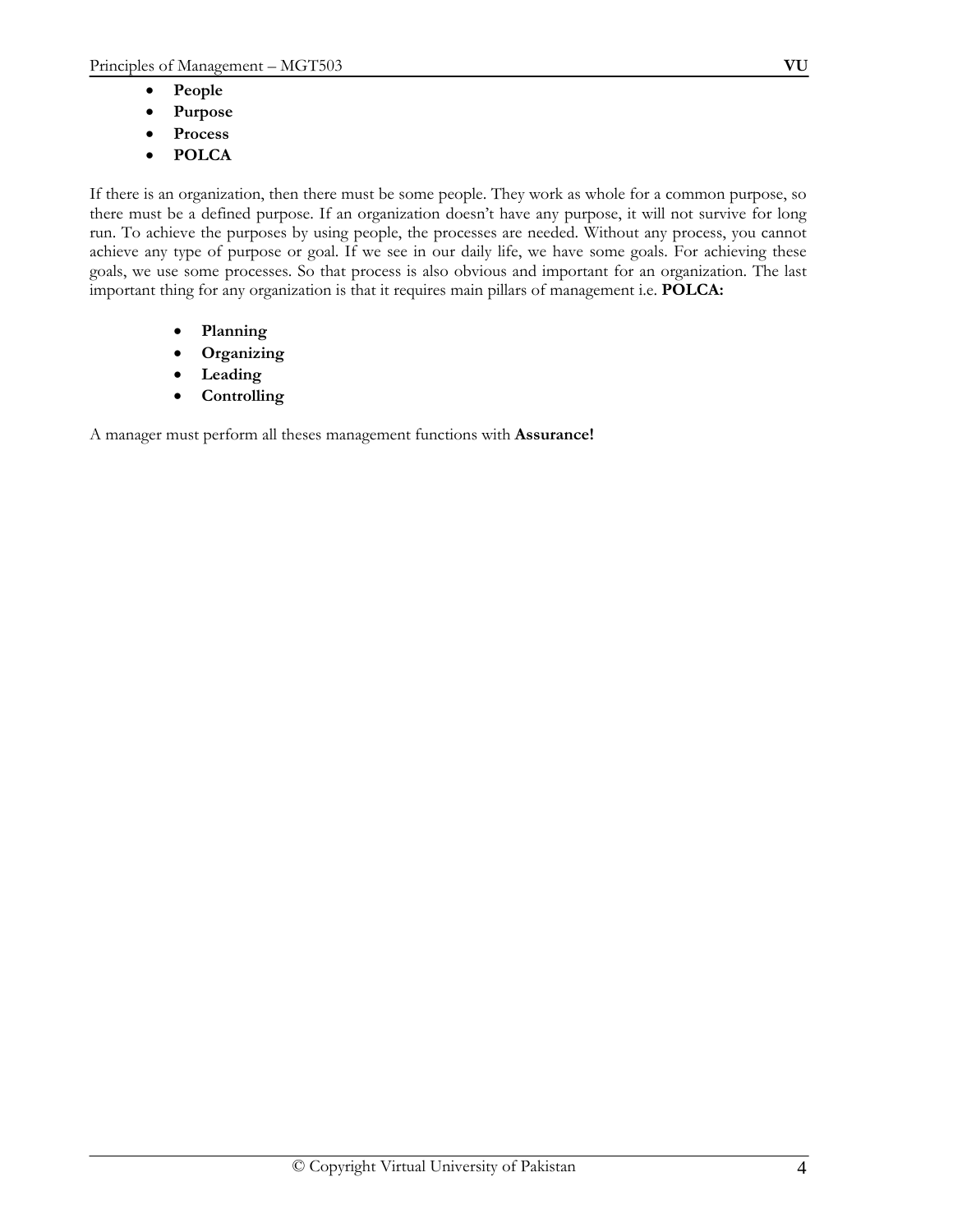- **People**
- **Purpose**
- **Process**
- **POLCA**

If there is an organization, then there must be some people. They work as whole for a common purpose, so there must be a defined purpose. If an organization doesn't have any purpose, it will not survive for long run. To achieve the purposes by using people, the processes are needed. Without any process, you cannot achieve any type of purpose or goal. If we see in our daily life, we have some goals. For achieving these goals, we use some processes. So that process is also obvious and important for an organization. The last important thing for any organization is that it requires main pillars of management i.e. **POLCA:** 

- **Planning**
- **Organizing**
- **Leading**
- **Controlling**

A manager must perform all theses management functions with **Assurance!**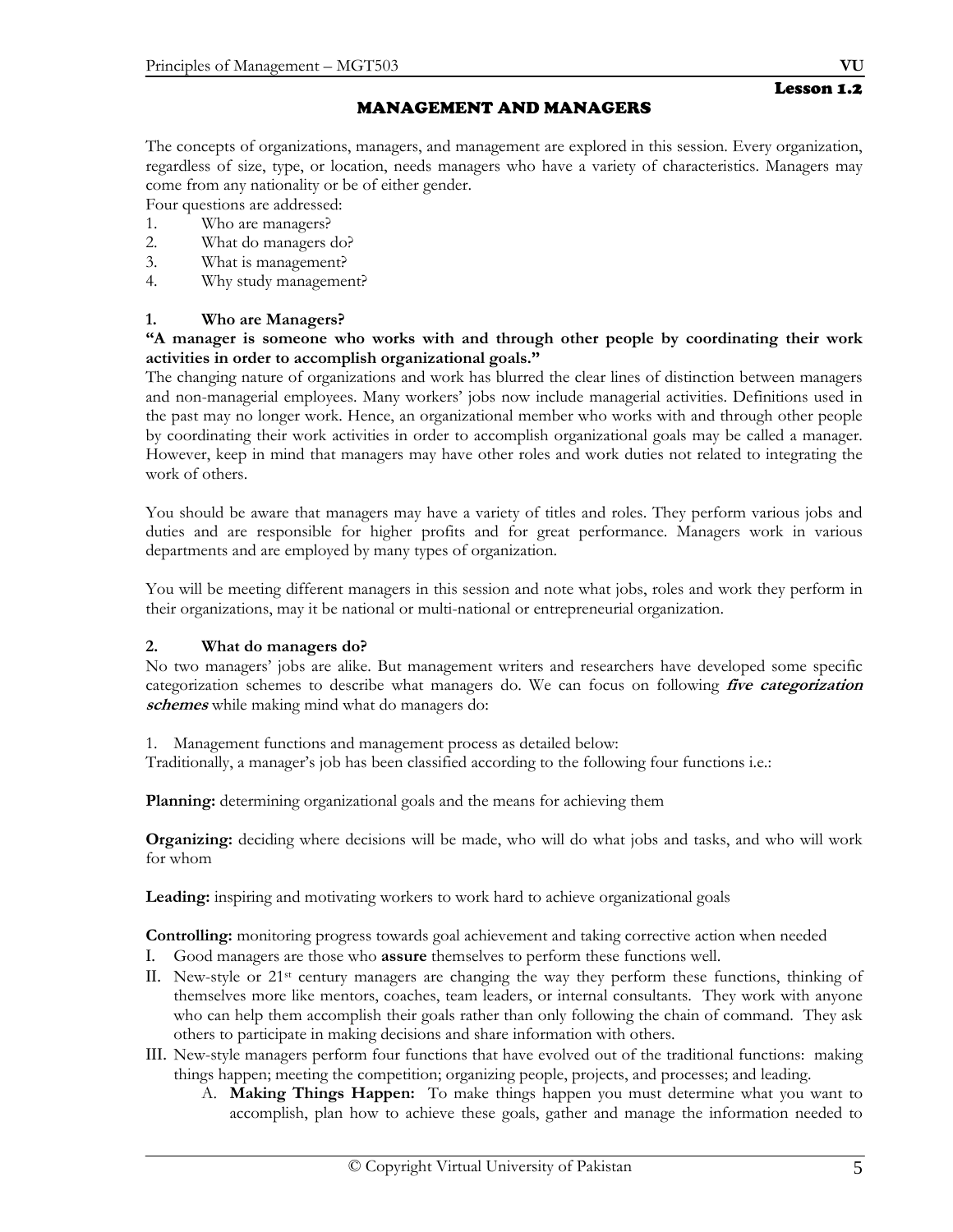## MANAGEMENT AND MANAGERS

The concepts of organizations, managers, and management are explored in this session. Every organization, regardless of size, type, or location, needs managers who have a variety of characteristics. Managers may come from any nationality or be of either gender.

Four questions are addressed:

- 1. Who are managers?
- 2. What do managers do?
- 3. What is management?
- 4. Why study management?

## **1. Who are Managers?**

## **"A manager is someone who works with and through other people by coordinating their work activities in order to accomplish organizational goals."**

The changing nature of organizations and work has blurred the clear lines of distinction between managers and non-managerial employees. Many workers' jobs now include managerial activities. Definitions used in the past may no longer work. Hence, an organizational member who works with and through other people by coordinating their work activities in order to accomplish organizational goals may be called a manager. However, keep in mind that managers may have other roles and work duties not related to integrating the work of others.

You should be aware that managers may have a variety of titles and roles. They perform various jobs and duties and are responsible for higher profits and for great performance. Managers work in various departments and are employed by many types of organization.

You will be meeting different managers in this session and note what jobs, roles and work they perform in their organizations, may it be national or multi-national or entrepreneurial organization.

## **2. What do managers do?**

No two managers' jobs are alike. But management writers and researchers have developed some specific categorization schemes to describe what managers do. We can focus on following **five categorization schemes** while making mind what do managers do:

1. Management functions and management process as detailed below:

Traditionally, a manager's job has been classified according to the following four functions i.e.:

**Planning:** determining organizational goals and the means for achieving them

**Organizing:** deciding where decisions will be made, who will do what jobs and tasks, and who will work for whom

**Leading:** inspiring and motivating workers to work hard to achieve organizational goals

**Controlling:** monitoring progress towards goal achievement and taking corrective action when needed

- I. Good managers are those who **assure** themselves to perform these functions well.
- II. New-style or 21st century managers are changing the way they perform these functions, thinking of themselves more like mentors, coaches, team leaders, or internal consultants. They work with anyone who can help them accomplish their goals rather than only following the chain of command. They ask others to participate in making decisions and share information with others.
- III. New-style managers perform four functions that have evolved out of the traditional functions: making things happen; meeting the competition; organizing people, projects, and processes; and leading.
	- A. **Making Things Happen:** To make things happen you must determine what you want to accomplish, plan how to achieve these goals, gather and manage the information needed to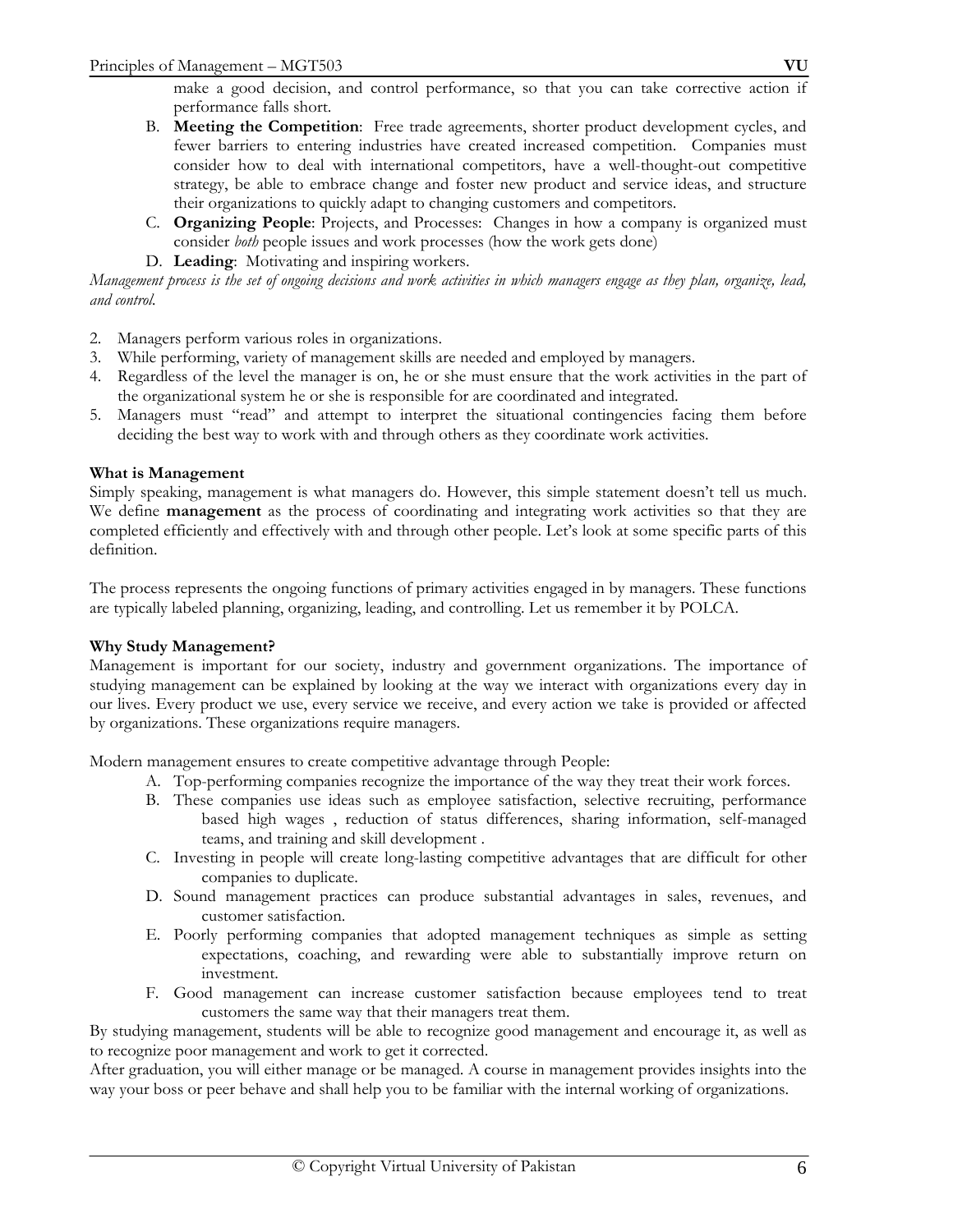- B. **Meeting the Competition**: Free trade agreements, shorter product development cycles, and fewer barriers to entering industries have created increased competition. Companies must consider how to deal with international competitors, have a well-thought-out competitive strategy, be able to embrace change and foster new product and service ideas, and structure their organizations to quickly adapt to changing customers and competitors.
- C. **Organizing People**: Projects, and Processes: Changes in how a company is organized must consider *both* people issues and work processes (how the work gets done)
- D. **Leading**: Motivating and inspiring workers.

*Management process is the set of ongoing decisions and work activities in which managers engage as they plan, organize, lead, and control.* 

- 2. Managers perform various roles in organizations.
- 3. While performing, variety of management skills are needed and employed by managers.
- 4. Regardless of the level the manager is on, he or she must ensure that the work activities in the part of the organizational system he or she is responsible for are coordinated and integrated.
- 5. Managers must "read" and attempt to interpret the situational contingencies facing them before deciding the best way to work with and through others as they coordinate work activities.

## **What is Management**

Simply speaking, management is what managers do. However, this simple statement doesn't tell us much. We define **management** as the process of coordinating and integrating work activities so that they are completed efficiently and effectively with and through other people. Let's look at some specific parts of this definition.

The process represents the ongoing functions of primary activities engaged in by managers. These functions are typically labeled planning, organizing, leading, and controlling. Let us remember it by POLCA.

## **Why Study Management?**

Management is important for our society, industry and government organizations. The importance of studying management can be explained by looking at the way we interact with organizations every day in our lives. Every product we use, every service we receive, and every action we take is provided or affected by organizations. These organizations require managers.

Modern management ensures to create competitive advantage through People:

- A. Top-performing companies recognize the importance of the way they treat their work forces.
- B. These companies use ideas such as employee satisfaction, selective recruiting, performance based high wages , reduction of status differences, sharing information, self-managed teams, and training and skill development .
- C. Investing in people will create long-lasting competitive advantages that are difficult for other companies to duplicate.
- D. Sound management practices can produce substantial advantages in sales, revenues, and customer satisfaction.
- E. Poorly performing companies that adopted management techniques as simple as setting expectations, coaching, and rewarding were able to substantially improve return on investment.
- F. Good management can increase customer satisfaction because employees tend to treat customers the same way that their managers treat them.

By studying management, students will be able to recognize good management and encourage it, as well as to recognize poor management and work to get it corrected.

After graduation, you will either manage or be managed. A course in management provides insights into the way your boss or peer behave and shall help you to be familiar with the internal working of organizations.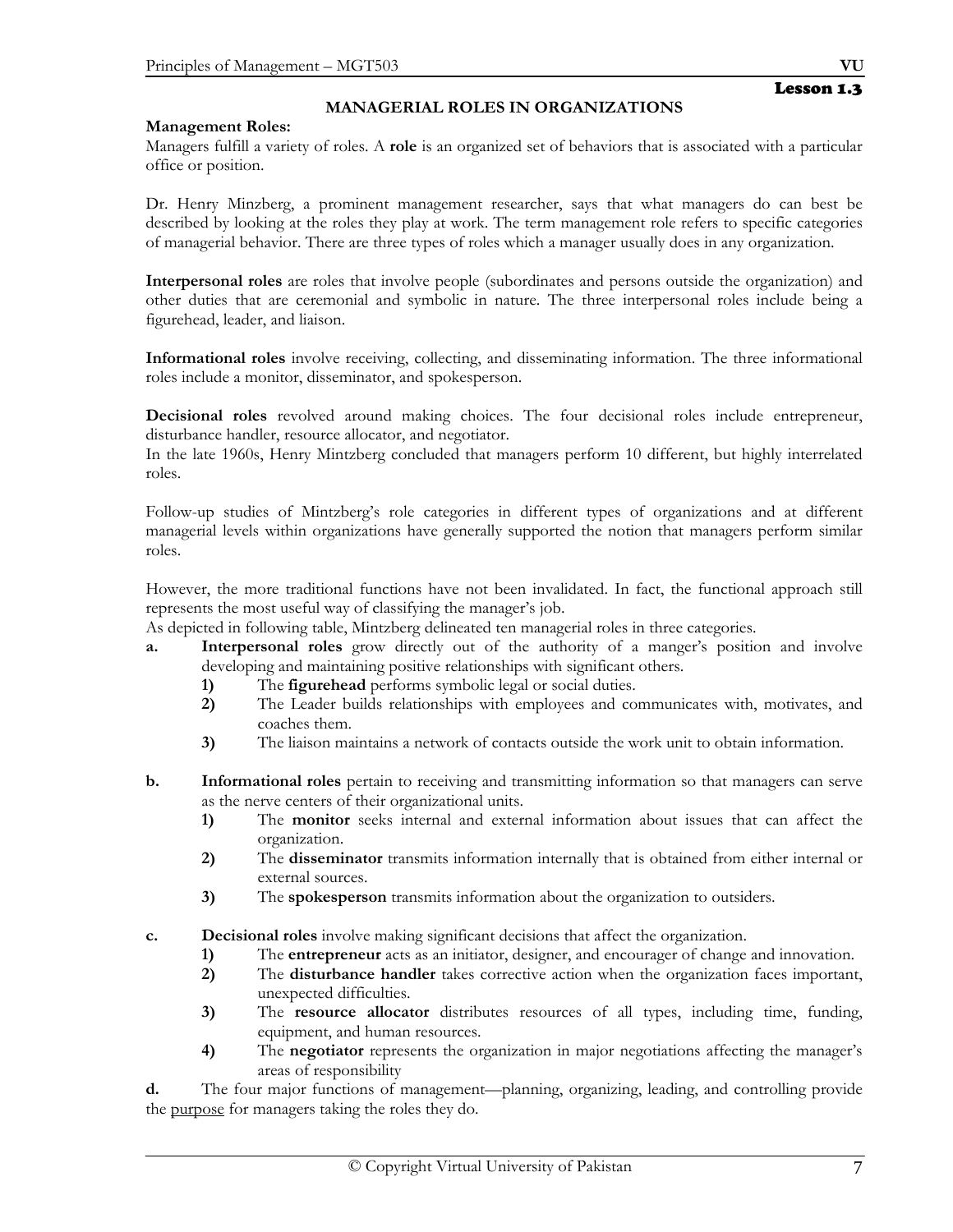## Lesson 1.3

## **Management Roles:**

Managers fulfill a variety of roles. A **role** is an organized set of behaviors that is associated with a particular office or position.

**MANAGERIAL ROLES IN ORGANIZATIONS** 

Dr. Henry Minzberg, a prominent management researcher, says that what managers do can best be described by looking at the roles they play at work. The term management role refers to specific categories of managerial behavior. There are three types of roles which a manager usually does in any organization.

**Interpersonal roles** are roles that involve people (subordinates and persons outside the organization) and other duties that are ceremonial and symbolic in nature. The three interpersonal roles include being a figurehead, leader, and liaison.

**Informational roles** involve receiving, collecting, and disseminating information. The three informational roles include a monitor, disseminator, and spokesperson.

**Decisional roles** revolved around making choices. The four decisional roles include entrepreneur, disturbance handler, resource allocator, and negotiator.

In the late 1960s, Henry Mintzberg concluded that managers perform 10 different, but highly interrelated roles.

Follow-up studies of Mintzberg's role categories in different types of organizations and at different managerial levels within organizations have generally supported the notion that managers perform similar roles.

However, the more traditional functions have not been invalidated. In fact, the functional approach still represents the most useful way of classifying the manager's job.

As depicted in following table, Mintzberg delineated ten managerial roles in three categories.

- **a. Interpersonal roles** grow directly out of the authority of a manger's position and involve developing and maintaining positive relationships with significant others.
	- **1)** The **figurehead** performs symbolic legal or social duties.
	- **2)** The Leader builds relationships with employees and communicates with, motivates, and coaches them.
	- **3)** The liaison maintains a network of contacts outside the work unit to obtain information.
- **b. Informational roles** pertain to receiving and transmitting information so that managers can serve as the nerve centers of their organizational units.
	- **1)** The **monitor** seeks internal and external information about issues that can affect the organization.
	- **2)** The **disseminator** transmits information internally that is obtained from either internal or external sources.
	- **3)** The **spokesperson** transmits information about the organization to outsiders.
- **c. Decisional roles** involve making significant decisions that affect the organization.
	- **1)** The **entrepreneur** acts as an initiator, designer, and encourager of change and innovation.
	- **2)** The **disturbance handler** takes corrective action when the organization faces important, unexpected difficulties.
	- **3)** The **resource allocator** distributes resources of all types, including time, funding, equipment, and human resources.
	- **4)** The **negotiator** represents the organization in major negotiations affecting the manager's areas of responsibility

**d.** The four major functions of management—planning, organizing, leading, and controlling provide the purpose for managers taking the roles they do.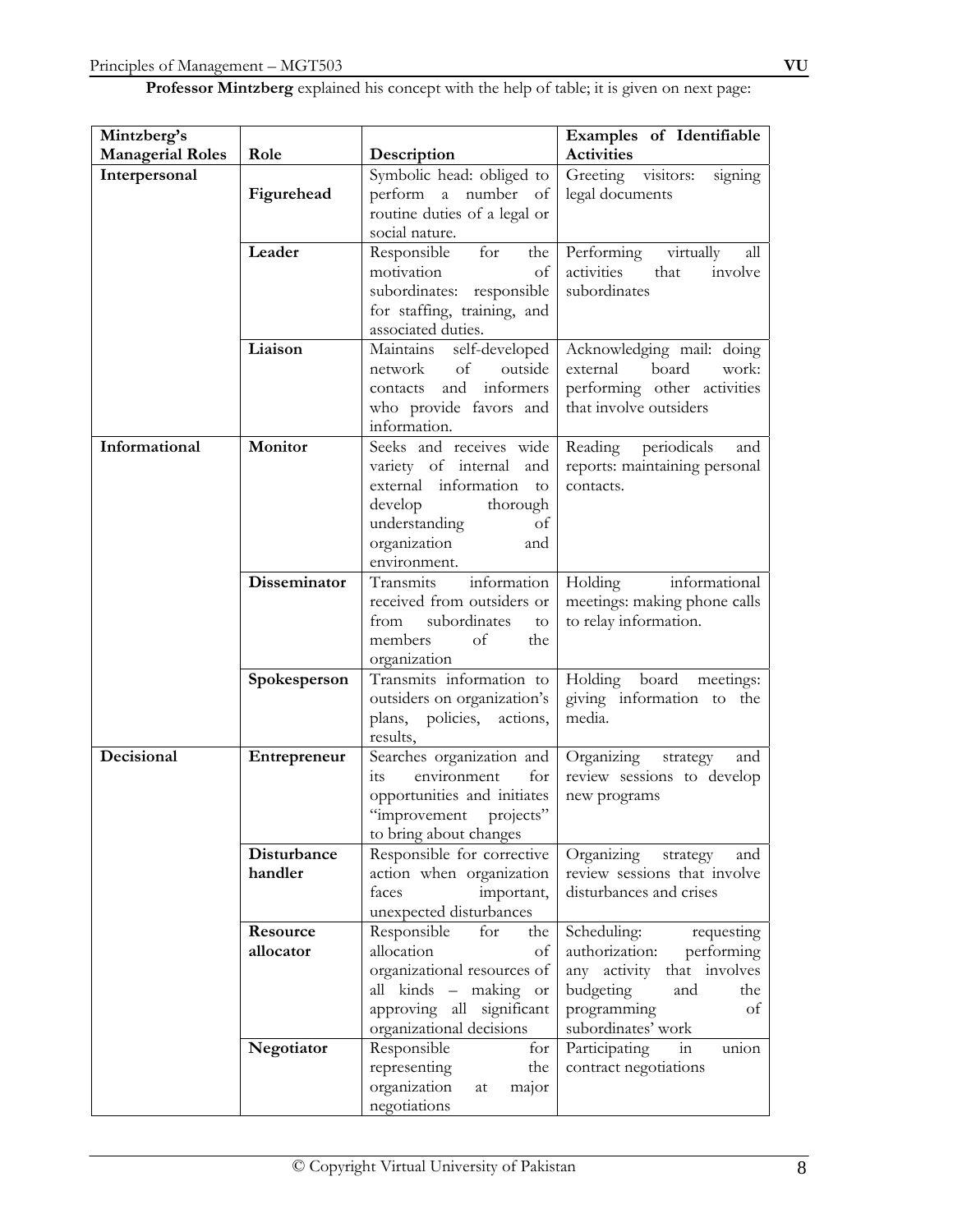| Professor Mintzberg explained his concept with the help of table; it is given on next page: |  |  |  |
|---------------------------------------------------------------------------------------------|--|--|--|
|---------------------------------------------------------------------------------------------|--|--|--|

| Mintzberg's             |                     |                                                      | Examples of Identifiable                     |
|-------------------------|---------------------|------------------------------------------------------|----------------------------------------------|
| <b>Managerial Roles</b> | Role                | Description                                          | <b>Activities</b>                            |
| Interpersonal           |                     | Symbolic head: obliged to                            | visitors:<br>Greeting<br>signing             |
|                         | Figurehead          | perform a number<br>– of                             | legal documents                              |
|                         |                     | routine duties of a legal or                         |                                              |
|                         |                     | social nature.                                       |                                              |
|                         | Leader              | Responsible<br>for<br>the                            | Performing<br>virtually<br>all<br>activities |
|                         |                     | motivation<br>of<br>subordinates: responsible        | that<br>involve<br>subordinates              |
|                         |                     | for staffing, training, and                          |                                              |
|                         |                     | associated duties.                                   |                                              |
|                         | Liaison             | Maintains self-developed                             | Acknowledging mail: doing                    |
|                         |                     | of<br>outside<br>network                             | external<br>board<br>work:                   |
|                         |                     | and informers<br>contacts                            | performing other activities                  |
|                         |                     | who provide favors and                               | that involve outsiders                       |
|                         |                     | information.                                         |                                              |
| Informational           | Monitor             | Seeks and receives wide                              | Reading periodicals<br>and                   |
|                         |                     | variety of internal and                              | reports: maintaining personal                |
|                         |                     | external information<br>to                           | contacts.                                    |
|                         |                     | develop<br>thorough<br>understanding<br>of           |                                              |
|                         |                     | organization<br>and                                  |                                              |
|                         |                     | environment.                                         |                                              |
|                         | <b>Disseminator</b> | Transmits<br>information                             | Holding<br>informational                     |
|                         |                     | received from outsiders or                           | meetings: making phone calls                 |
|                         |                     | subordinates<br>from<br>to                           | to relay information.                        |
|                         |                     | of<br>members<br>the                                 |                                              |
|                         |                     | organization                                         |                                              |
|                         | Spokesperson        | Transmits information to                             | Holding board meetings:                      |
|                         |                     | outsiders on organization's                          | giving information to the<br>media.          |
|                         |                     | plans, policies, actions,<br>results,                |                                              |
| Decisional              | Entrepreneur        | Searches organization and                            | Organizing<br>strategy<br>and                |
|                         |                     | environment<br>for<br>1ts                            | review sessions to develop                   |
|                         |                     | opportunities and initiates                          | new programs                                 |
|                         |                     | "improvement projects"                               |                                              |
|                         |                     | to bring about changes                               |                                              |
|                         | Disturbance         | Responsible for corrective                           | Organizing<br>strategy<br>and                |
|                         | handler             | action when organization                             | review sessions that involve                 |
|                         |                     | faces<br>important,                                  | disturbances and crises                      |
|                         | Resource            | unexpected disturbances<br>Responsible<br>for<br>the | Scheduling:<br>requesting                    |
|                         | allocator           | allocation<br>of                                     | authorization:<br>performing                 |
|                         |                     | organizational resources of                          | any activity that involves                   |
|                         |                     | all kinds - making or                                | budgeting<br>and<br>the                      |
|                         |                     | approving all significant                            | programming<br>of                            |
|                         |                     | organizational decisions                             | subordinates' work                           |
|                         | Negotiator          | Responsible<br>for                                   | Participating<br>in<br>union                 |
|                         |                     | representing<br>the                                  | contract negotiations                        |
|                         |                     | organization<br>major<br>at                          |                                              |
|                         |                     | negotiations                                         |                                              |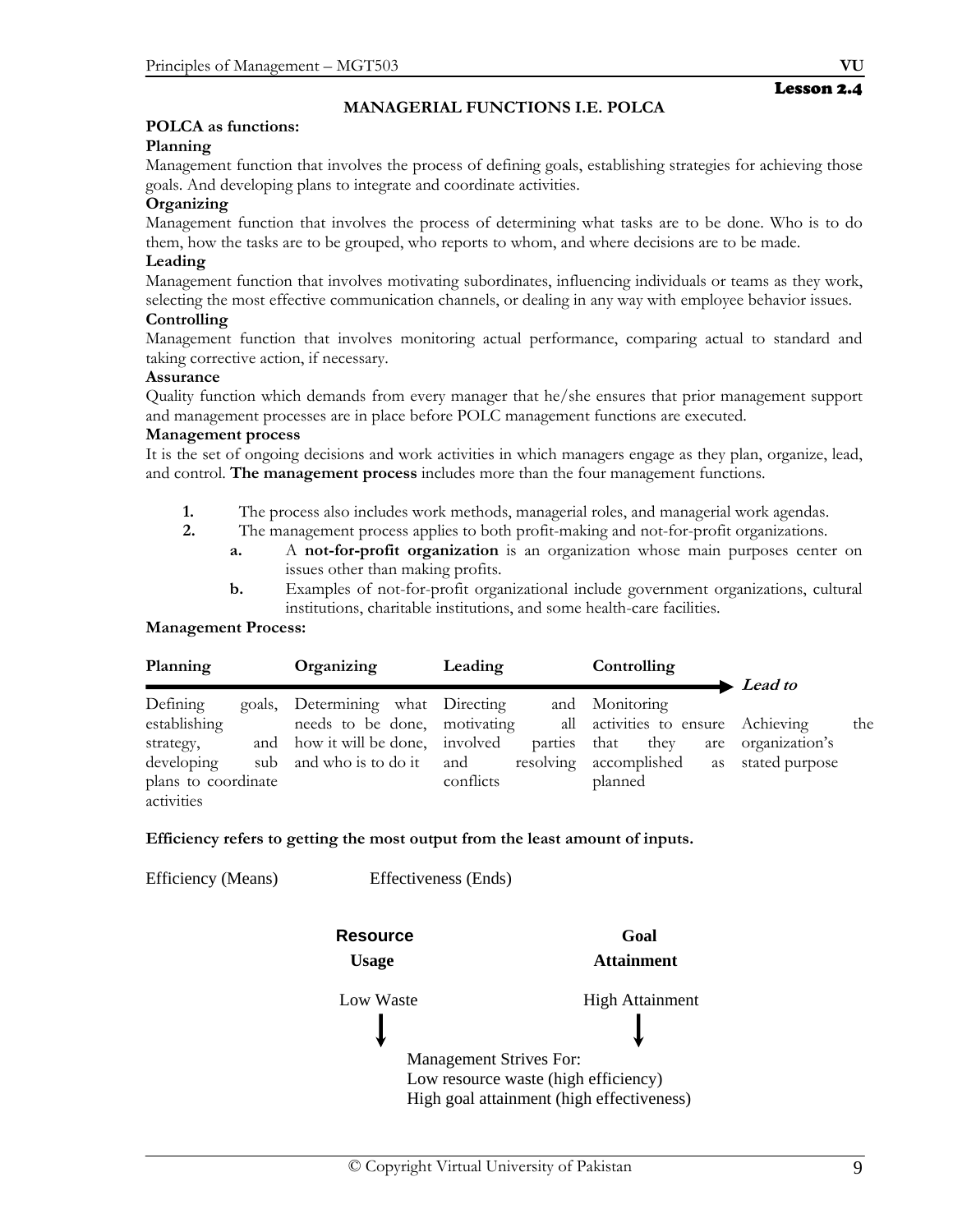## **MANAGERIAL FUNCTIONS I.E. POLCA**

## **POLCA as functions:**

## **Planning**

Management function that involves the process of defining goals, establishing strategies for achieving those goals. And developing plans to integrate and coordinate activities.

## **Organizing**

Management function that involves the process of determining what tasks are to be done. Who is to do them, how the tasks are to be grouped, who reports to whom, and where decisions are to be made.

#### **Leading**

Management function that involves motivating subordinates, influencing individuals or teams as they work, selecting the most effective communication channels, or dealing in any way with employee behavior issues.

#### **Controlling**

Management function that involves monitoring actual performance, comparing actual to standard and taking corrective action, if necessary.

#### **Assurance**

Quality function which demands from every manager that he/she ensures that prior management support and management processes are in place before POLC management functions are executed.

#### **Management process**

It is the set of ongoing decisions and work activities in which managers engage as they plan, organize, lead, and control. **The management process** includes more than the four management functions.

- **1.** The process also includes work methods, managerial roles, and managerial work agendas.
- **2.** The management process applies to both profit-making and not-for-profit organizations.
	- **a.** A **not-for-profit organization** is an organization whose main purposes center on issues other than making profits.
	- **b.** Examples of not-for-profit organizational include government organizations, cultural institutions, charitable institutions, and some health-care facilities.

#### **Management Process:**

| Planning                                                     | Organizing                                                        | Leading                   | Controlling                                            | $\blacktriangleright$ Lead to    |     |
|--------------------------------------------------------------|-------------------------------------------------------------------|---------------------------|--------------------------------------------------------|----------------------------------|-----|
| Defining<br>establishing                                     | goals, Determining what Directing<br>needs to be done, motivating |                           | and Monitoring<br>all activities to ensure Achieving   |                                  | the |
| strategy,<br>developing<br>plans to coordinate<br>activities | and how it will be done, involved<br>sub and who is to do it and  | parties that<br>conflicts | they<br>are<br>resolving accomplished<br>as<br>planned | organization's<br>stated purpose |     |

#### **Efficiency refers to getting the most output from the least amount of inputs.**

| Efficiency (Means) | Effectiveness (Ends)           |                                           |
|--------------------|--------------------------------|-------------------------------------------|
|                    | <b>Resource</b>                | Goal                                      |
|                    | <b>Usage</b>                   | <b>Attainment</b>                         |
|                    | Low Waste                      | <b>High Attainment</b>                    |
|                    |                                |                                           |
|                    | <b>Management Strives For:</b> |                                           |
|                    |                                | Low resource waste (high efficiency)      |
|                    |                                | High goal attainment (high effectiveness) |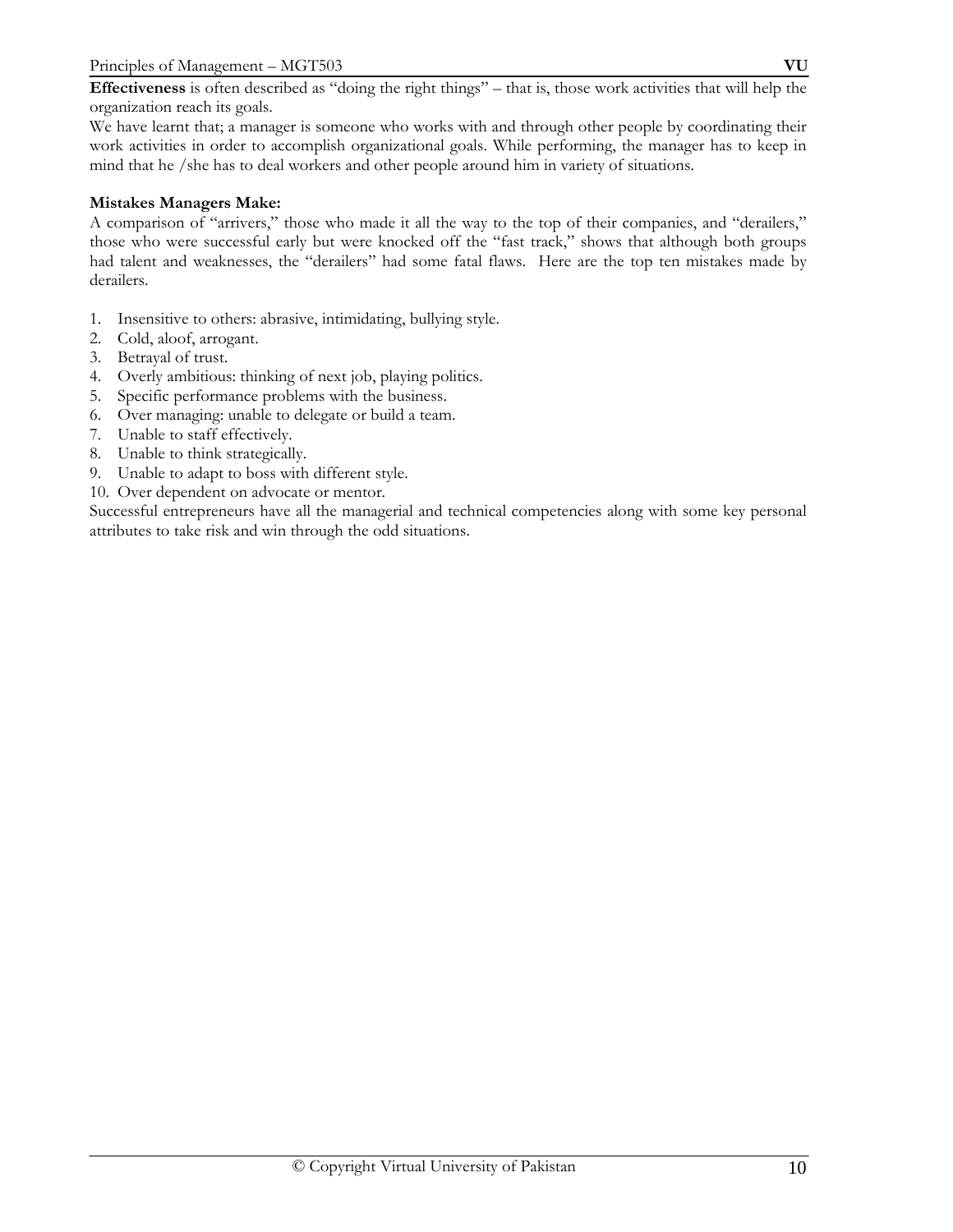**Effectiveness** is often described as "doing the right things" – that is, those work activities that will help the organization reach its goals.

We have learnt that; a manager is someone who works with and through other people by coordinating their work activities in order to accomplish organizational goals. While performing, the manager has to keep in mind that he /she has to deal workers and other people around him in variety of situations.

## **Mistakes Managers Make:**

A comparison of "arrivers," those who made it all the way to the top of their companies, and "derailers," those who were successful early but were knocked off the "fast track," shows that although both groups had talent and weaknesses, the "derailers" had some fatal flaws. Here are the top ten mistakes made by derailers.

- 1. Insensitive to others: abrasive, intimidating, bullying style.
- 2. Cold, aloof, arrogant.
- 3. Betrayal of trust.
- 4. Overly ambitious: thinking of next job, playing politics.
- 5. Specific performance problems with the business.
- 6. Over managing: unable to delegate or build a team.
- 7. Unable to staff effectively.
- 8. Unable to think strategically.
- 9. Unable to adapt to boss with different style.
- 10. Over dependent on advocate or mentor.

Successful entrepreneurs have all the managerial and technical competencies along with some key personal attributes to take risk and win through the odd situations.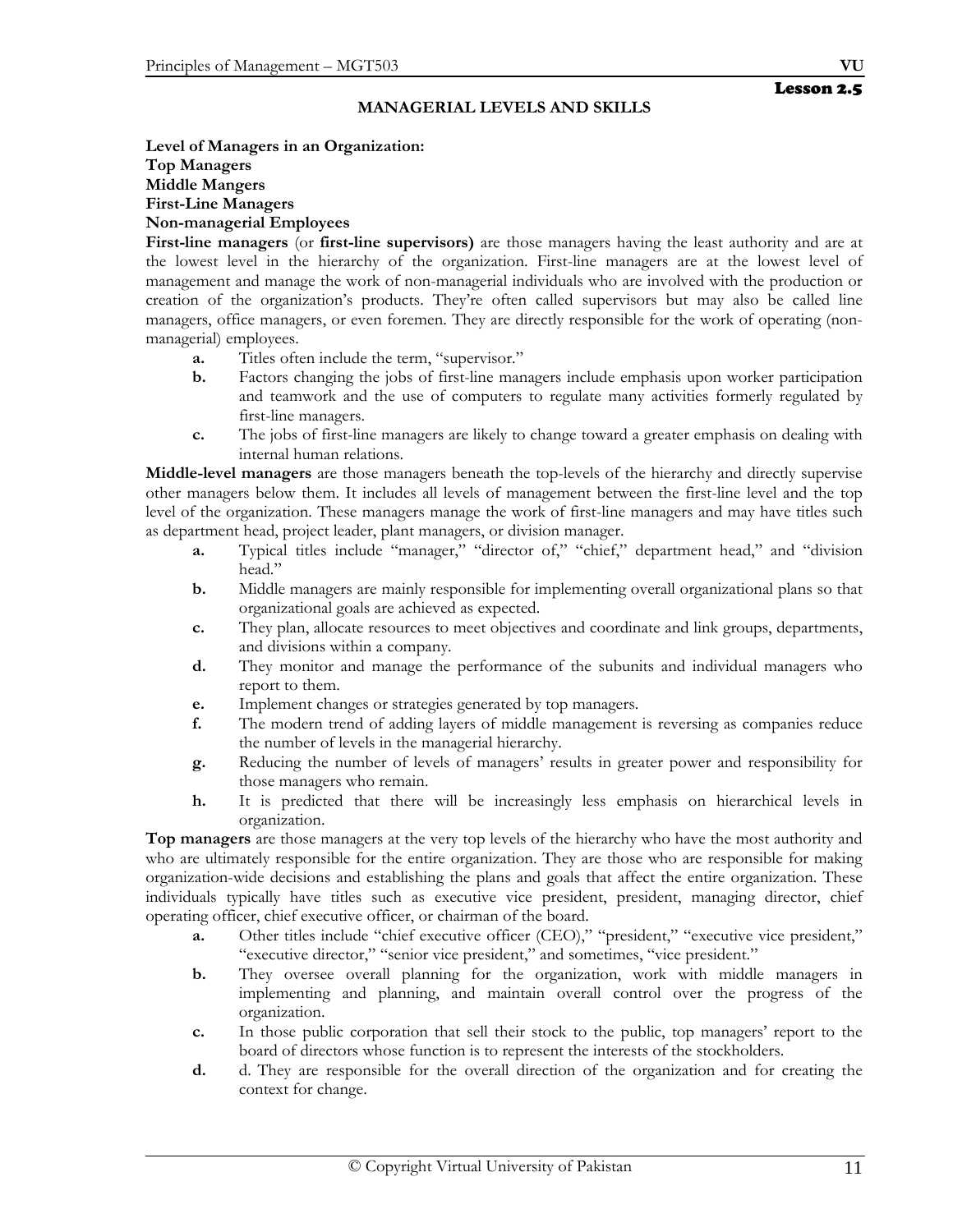#### **MANAGERIAL LEVELS AND SKILLS**

#### **Level of Managers in an Organization: Top Managers Middle Mangers First-Line Managers Non-managerial Employees**

**First-line managers** (or **first-line supervisors)** are those managers having the least authority and are at the lowest level in the hierarchy of the organization. First-line managers are at the lowest level of management and manage the work of non-managerial individuals who are involved with the production or creation of the organization's products. They're often called supervisors but may also be called line managers, office managers, or even foremen. They are directly responsible for the work of operating (nonmanagerial) employees.

- **a.** Titles often include the term, "supervisor."
- **b.** Factors changing the jobs of first-line managers include emphasis upon worker participation and teamwork and the use of computers to regulate many activities formerly regulated by first-line managers.
- **c.** The jobs of first-line managers are likely to change toward a greater emphasis on dealing with internal human relations.

**Middle-level managers** are those managers beneath the top-levels of the hierarchy and directly supervise other managers below them. It includes all levels of management between the first-line level and the top level of the organization. These managers manage the work of first-line managers and may have titles such as department head, project leader, plant managers, or division manager.

- **a.** Typical titles include "manager," "director of," "chief," department head," and "division head."
- **b.** Middle managers are mainly responsible for implementing overall organizational plans so that organizational goals are achieved as expected.
- **c.** They plan, allocate resources to meet objectives and coordinate and link groups, departments, and divisions within a company.
- **d.** They monitor and manage the performance of the subunits and individual managers who report to them.
- **e.** Implement changes or strategies generated by top managers.
- **f.** The modern trend of adding layers of middle management is reversing as companies reduce the number of levels in the managerial hierarchy.
- **g.** Reducing the number of levels of managers' results in greater power and responsibility for those managers who remain.
- **h.** It is predicted that there will be increasingly less emphasis on hierarchical levels in organization.

**Top managers** are those managers at the very top levels of the hierarchy who have the most authority and who are ultimately responsible for the entire organization. They are those who are responsible for making organization-wide decisions and establishing the plans and goals that affect the entire organization. These individuals typically have titles such as executive vice president, president, managing director, chief operating officer, chief executive officer, or chairman of the board.

- **a.** Other titles include "chief executive officer (CEO)," "president," "executive vice president," "executive director," "senior vice president," and sometimes, "vice president."
- **b.** They oversee overall planning for the organization, work with middle managers in implementing and planning, and maintain overall control over the progress of the organization.
- **c.** In those public corporation that sell their stock to the public, top managers' report to the board of directors whose function is to represent the interests of the stockholders.
- **d.** d. They are responsible for the overall direction of the organization and for creating the context for change.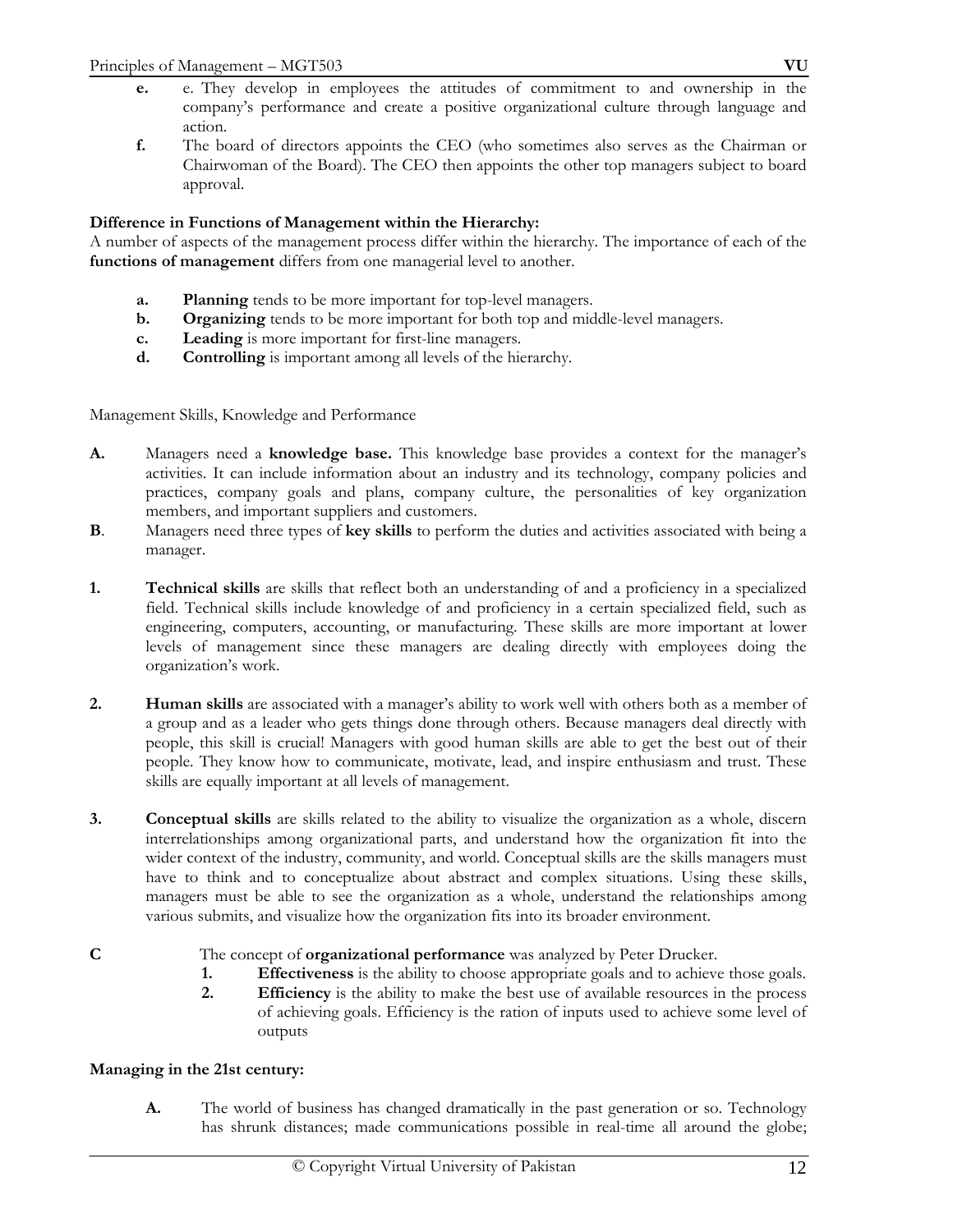- **e.** e. They develop in employees the attitudes of commitment to and ownership in the company's performance and create a positive organizational culture through language and action.
- **f.** The board of directors appoints the CEO (who sometimes also serves as the Chairman or Chairwoman of the Board). The CEO then appoints the other top managers subject to board approval.

## **Difference in Functions of Management within the Hierarchy:**

A number of aspects of the management process differ within the hierarchy. The importance of each of the **functions of management** differs from one managerial level to another.

- **a. Planning** tends to be more important for top-level managers.
- **b. Organizing** tends to be more important for both top and middle-level managers.
- **c. Leading** is more important for first-line managers.
- **d. Controlling** is important among all levels of the hierarchy.

Management Skills, Knowledge and Performance

- **A.** Managers need a **knowledge base.** This knowledge base provides a context for the manager's activities. It can include information about an industry and its technology, company policies and practices, company goals and plans, company culture, the personalities of key organization members, and important suppliers and customers.
- **B**. Managers need three types of **key skills** to perform the duties and activities associated with being a manager.
- **1. Technical skills** are skills that reflect both an understanding of and a proficiency in a specialized field. Technical skills include knowledge of and proficiency in a certain specialized field, such as engineering, computers, accounting, or manufacturing. These skills are more important at lower levels of management since these managers are dealing directly with employees doing the organization's work.
- **2. Human skills** are associated with a manager's ability to work well with others both as a member of a group and as a leader who gets things done through others. Because managers deal directly with people, this skill is crucial! Managers with good human skills are able to get the best out of their people. They know how to communicate, motivate, lead, and inspire enthusiasm and trust. These skills are equally important at all levels of management.
- **3. Conceptual skills** are skills related to the ability to visualize the organization as a whole, discern interrelationships among organizational parts, and understand how the organization fit into the wider context of the industry, community, and world. Conceptual skills are the skills managers must have to think and to conceptualize about abstract and complex situations. Using these skills, managers must be able to see the organization as a whole, understand the relationships among various submits, and visualize how the organization fits into its broader environment.
- 

**C** The concept of **organizational performance** was analyzed by Peter Drucker.

- **1. Effectiveness** is the ability to choose appropriate goals and to achieve those goals.<br>**2. Efficiency** is the ability to make the best use of available resources in the process
- **2. Efficiency** is the ability to make the best use of available resources in the process of achieving goals. Efficiency is the ration of inputs used to achieve some level of outputs

## **Managing in the 21st century:**

**A.** The world of business has changed dramatically in the past generation or so. Technology has shrunk distances; made communications possible in real-time all around the globe;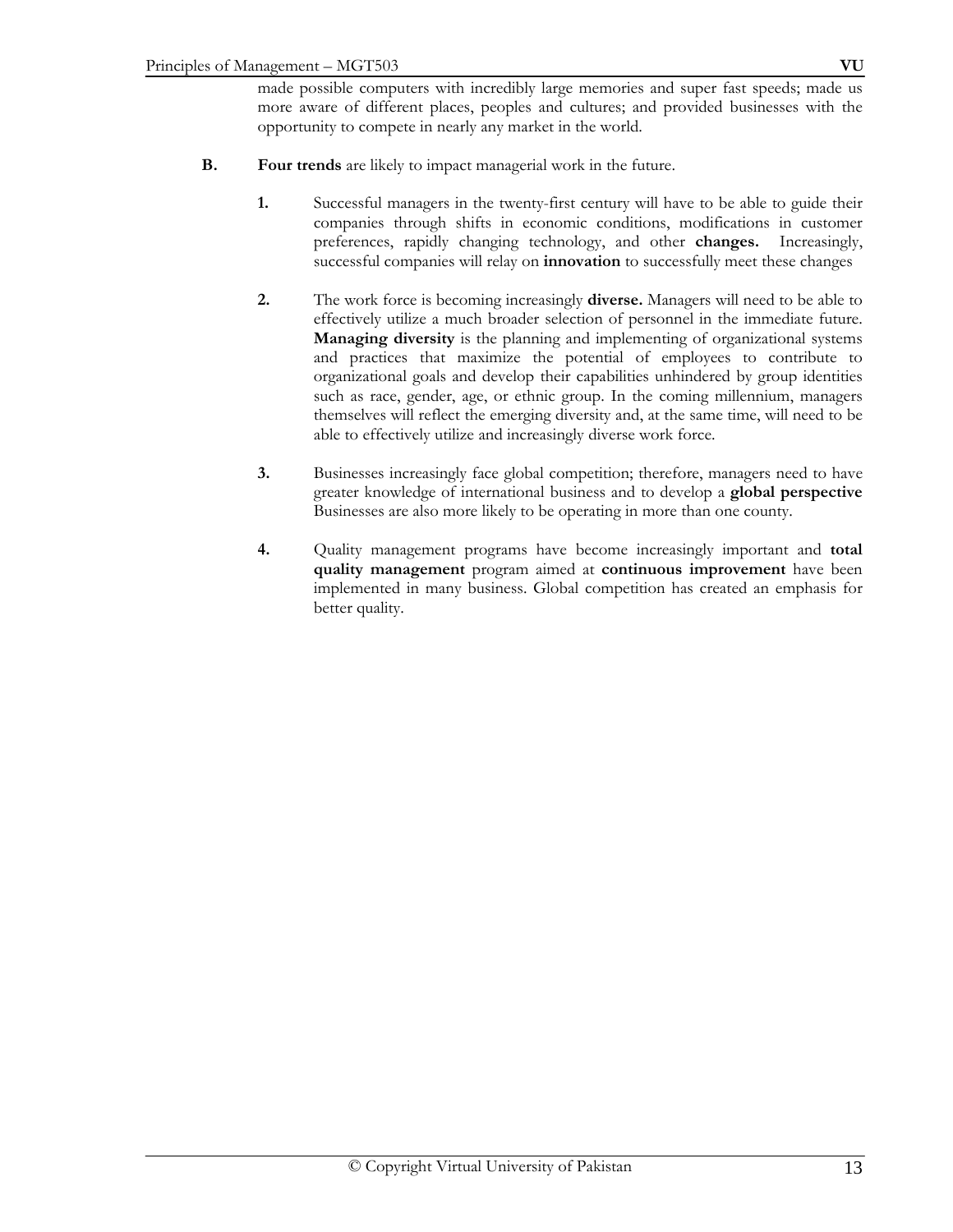made possible computers with incredibly large memories and super fast speeds; made us more aware of different places, peoples and cultures; and provided businesses with the opportunity to compete in nearly any market in the world.

- **B. Four trends** are likely to impact managerial work in the future.
	- **1.** Successful managers in the twenty-first century will have to be able to guide their companies through shifts in economic conditions, modifications in customer preferences, rapidly changing technology, and other **changes.** Increasingly, successful companies will relay on **innovation** to successfully meet these changes
	- **2.** The work force is becoming increasingly **diverse.** Managers will need to be able to effectively utilize a much broader selection of personnel in the immediate future. **Managing diversity** is the planning and implementing of organizational systems and practices that maximize the potential of employees to contribute to organizational goals and develop their capabilities unhindered by group identities such as race, gender, age, or ethnic group. In the coming millennium, managers themselves will reflect the emerging diversity and, at the same time, will need to be able to effectively utilize and increasingly diverse work force.
	- **3.** Businesses increasingly face global competition; therefore, managers need to have greater knowledge of international business and to develop a **global perspective** Businesses are also more likely to be operating in more than one county.
	- **4.** Quality management programs have become increasingly important and **total quality management** program aimed at **continuous improvement** have been implemented in many business. Global competition has created an emphasis for better quality.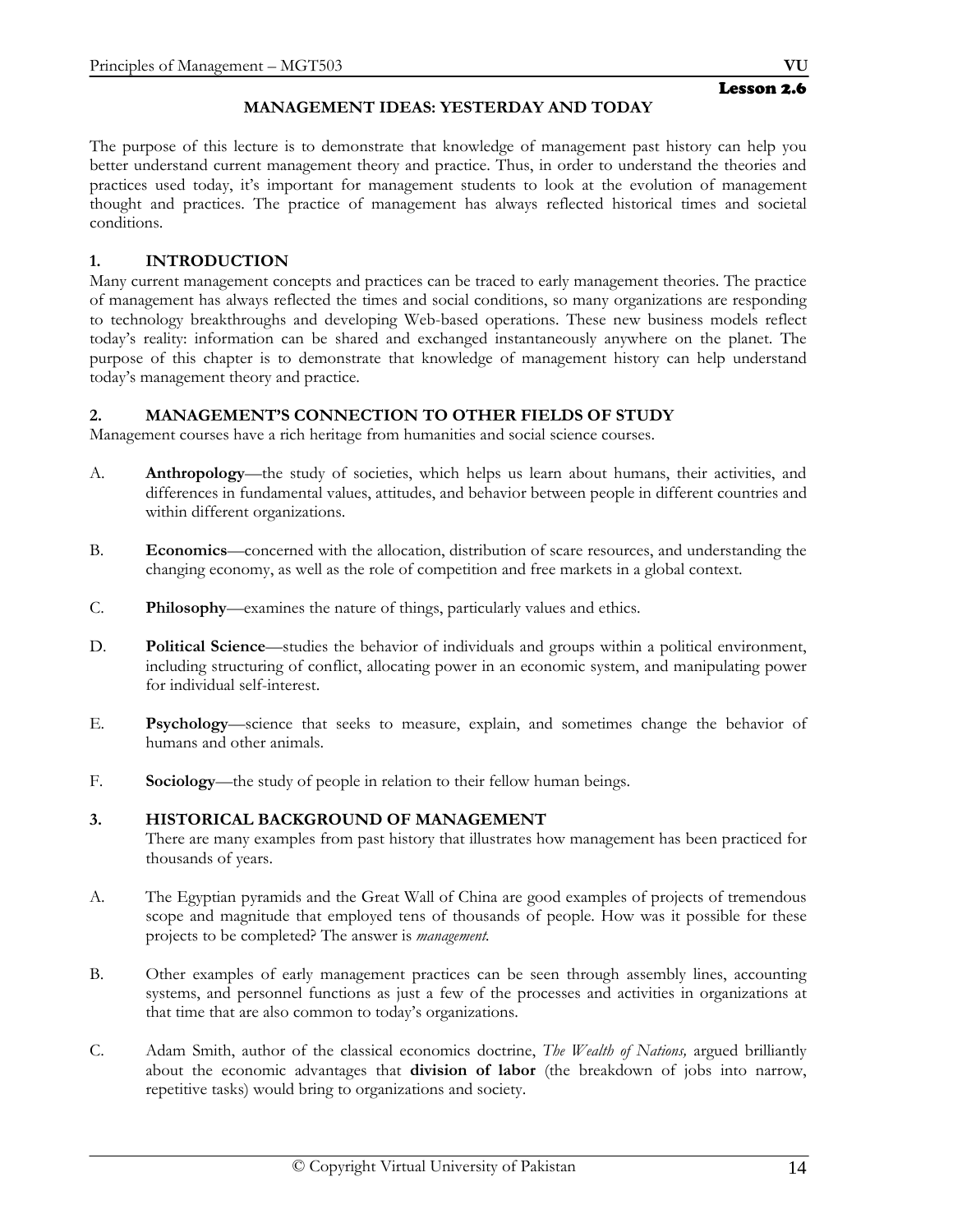## **MANAGEMENT IDEAS: YESTERDAY AND TODAY**

The purpose of this lecture is to demonstrate that knowledge of management past history can help you better understand current management theory and practice. Thus, in order to understand the theories and practices used today, it's important for management students to look at the evolution of management thought and practices. The practice of management has always reflected historical times and societal conditions.

## **1. INTRODUCTION**

Many current management concepts and practices can be traced to early management theories. The practice of management has always reflected the times and social conditions, so many organizations are responding to technology breakthroughs and developing Web-based operations. These new business models reflect today's reality: information can be shared and exchanged instantaneously anywhere on the planet. The purpose of this chapter is to demonstrate that knowledge of management history can help understand today's management theory and practice.

## **2. MANAGEMENT'S CONNECTION TO OTHER FIELDS OF STUDY**

Management courses have a rich heritage from humanities and social science courses.

- A. **Anthropology**—the study of societies, which helps us learn about humans, their activities, and differences in fundamental values, attitudes, and behavior between people in different countries and within different organizations.
- B. **Economics**—concerned with the allocation, distribution of scare resources, and understanding the changing economy, as well as the role of competition and free markets in a global context.
- C. **Philosophy**—examines the nature of things, particularly values and ethics.
- D. **Political Science**—studies the behavior of individuals and groups within a political environment, including structuring of conflict, allocating power in an economic system, and manipulating power for individual self-interest.
- E. **Psychology**—science that seeks to measure, explain, and sometimes change the behavior of humans and other animals.
- F. **Sociology**—the study of people in relation to their fellow human beings.

#### **3. HISTORICAL BACKGROUND OF MANAGEMENT**

There are many examples from past history that illustrates how management has been practiced for thousands of years.

- A. The Egyptian pyramids and the Great Wall of China are good examples of projects of tremendous scope and magnitude that employed tens of thousands of people. How was it possible for these projects to be completed? The answer is *management.*
- B. Other examples of early management practices can be seen through assembly lines, accounting systems, and personnel functions as just a few of the processes and activities in organizations at that time that are also common to today's organizations.
- C. Adam Smith, author of the classical economics doctrine, *The Wealth of Nations,* argued brilliantly about the economic advantages that **division of labor** (the breakdown of jobs into narrow, repetitive tasks) would bring to organizations and society.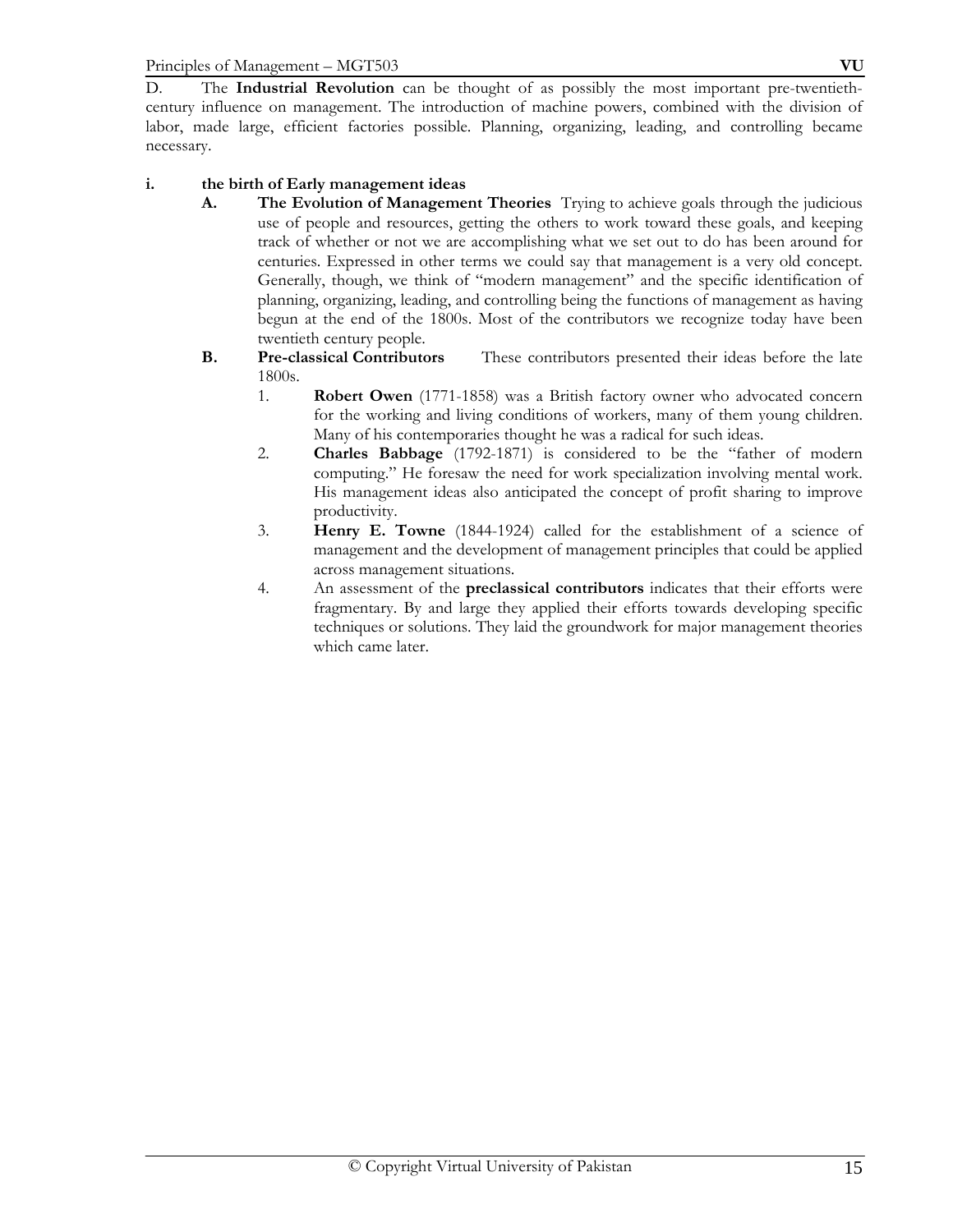D. The **Industrial Revolution** can be thought of as possibly the most important pre-twentiethcentury influence on management. The introduction of machine powers, combined with the division of labor, made large, efficient factories possible. Planning, organizing, leading, and controlling became necessary.

## **i. the birth of Early management ideas**

- **A. The Evolution of Management Theories** Trying to achieve goals through the judicious use of people and resources, getting the others to work toward these goals, and keeping track of whether or not we are accomplishing what we set out to do has been around for centuries. Expressed in other terms we could say that management is a very old concept. Generally, though, we think of "modern management" and the specific identification of planning, organizing, leading, and controlling being the functions of management as having begun at the end of the 1800s. Most of the contributors we recognize today have been twentieth century people.
- **B. Pre-classical Contributors** These contributors presented their ideas before the late 1800s.
	- 1. **Robert Owen** (1771-1858) was a British factory owner who advocated concern for the working and living conditions of workers, many of them young children. Many of his contemporaries thought he was a radical for such ideas.
	- 2. **Charles Babbage** (1792-1871) is considered to be the "father of modern computing." He foresaw the need for work specialization involving mental work. His management ideas also anticipated the concept of profit sharing to improve productivity.
	- 3. **Henry E. Towne** (1844-1924) called for the establishment of a science of management and the development of management principles that could be applied across management situations.
	- 4. An assessment of the **preclassical contributors** indicates that their efforts were fragmentary. By and large they applied their efforts towards developing specific techniques or solutions. They laid the groundwork for major management theories which came later.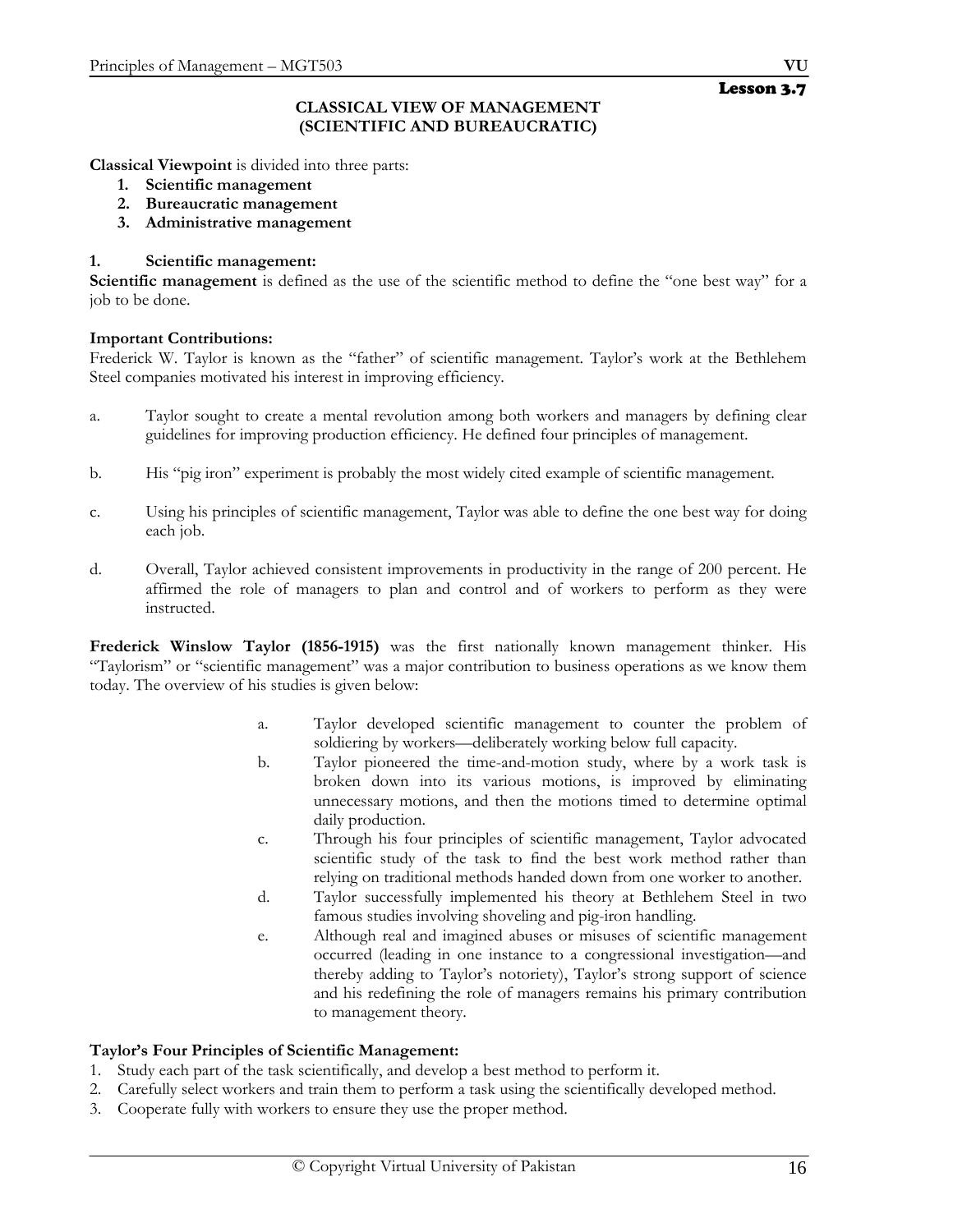#### **CLASSICAL VIEW OF MANAGEMENT (SCIENTIFIC AND BUREAUCRATIC)**

**Classical Viewpoint** is divided into three parts:

- **1. Scientific management**
- **2. Bureaucratic management**
- **3. Administrative management**

#### **1. Scientific management:**

**Scientific management** is defined as the use of the scientific method to define the "one best way" for a job to be done.

#### **Important Contributions:**

Frederick W. Taylor is known as the "father" of scientific management. Taylor's work at the Bethlehem Steel companies motivated his interest in improving efficiency.

- a. Taylor sought to create a mental revolution among both workers and managers by defining clear guidelines for improving production efficiency. He defined four principles of management.
- b. His "pig iron" experiment is probably the most widely cited example of scientific management.
- c. Using his principles of scientific management, Taylor was able to define the one best way for doing each job.
- d. Overall, Taylor achieved consistent improvements in productivity in the range of 200 percent. He affirmed the role of managers to plan and control and of workers to perform as they were instructed.

**Frederick Winslow Taylor (1856-1915)** was the first nationally known management thinker. His "Taylorism" or "scientific management" was a major contribution to business operations as we know them today. The overview of his studies is given below:

- a. Taylor developed scientific management to counter the problem of soldiering by workers—deliberately working below full capacity.
- b. Taylor pioneered the time-and-motion study, where by a work task is broken down into its various motions, is improved by eliminating unnecessary motions, and then the motions timed to determine optimal daily production.
- c. Through his four principles of scientific management, Taylor advocated scientific study of the task to find the best work method rather than relying on traditional methods handed down from one worker to another.
- d. Taylor successfully implemented his theory at Bethlehem Steel in two famous studies involving shoveling and pig-iron handling.
- e. Although real and imagined abuses or misuses of scientific management occurred (leading in one instance to a congressional investigation—and thereby adding to Taylor's notoriety), Taylor's strong support of science and his redefining the role of managers remains his primary contribution to management theory.

#### **Taylor's Four Principles of Scientific Management:**

- 1. Study each part of the task scientifically, and develop a best method to perform it.
- 2. Carefully select workers and train them to perform a task using the scientifically developed method.
- 3. Cooperate fully with workers to ensure they use the proper method.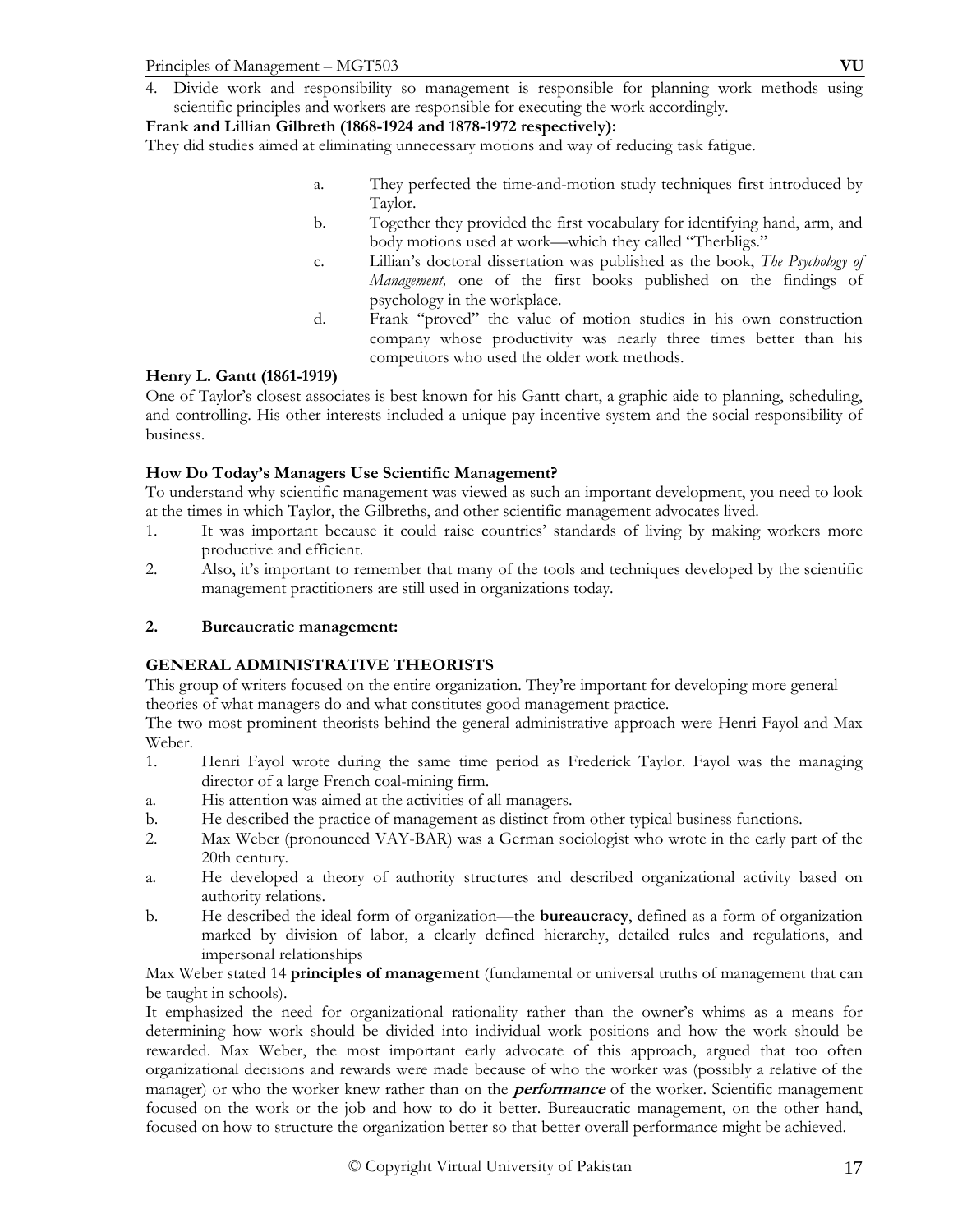## **Frank and Lillian Gilbreth (1868-1924 and 1878-1972 respectively):**

They did studies aimed at eliminating unnecessary motions and way of reducing task fatigue.

- a. They perfected the time-and-motion study techniques first introduced by Taylor.
- b. Together they provided the first vocabulary for identifying hand, arm, and body motions used at work—which they called "Therbligs."
- c. Lillian's doctoral dissertation was published as the book, *The Psychology of Management,* one of the first books published on the findings of psychology in the workplace.
- d. Frank "proved" the value of motion studies in his own construction company whose productivity was nearly three times better than his competitors who used the older work methods.

## **Henry L. Gantt (1861-1919)**

One of Taylor's closest associates is best known for his Gantt chart, a graphic aide to planning, scheduling, and controlling. His other interests included a unique pay incentive system and the social responsibility of business.

## **How Do Today's Managers Use Scientific Management?**

To understand why scientific management was viewed as such an important development, you need to look at the times in which Taylor, the Gilbreths, and other scientific management advocates lived.

- 1. It was important because it could raise countries' standards of living by making workers more productive and efficient.
- 2. Also, it's important to remember that many of the tools and techniques developed by the scientific management practitioners are still used in organizations today.

## **2. Bureaucratic management:**

## **GENERAL ADMINISTRATIVE THEORISTS**

This group of writers focused on the entire organization. They're important for developing more general theories of what managers do and what constitutes good management practice.

The two most prominent theorists behind the general administrative approach were Henri Fayol and Max Weber.

- 1. Henri Fayol wrote during the same time period as Frederick Taylor. Fayol was the managing director of a large French coal-mining firm.
- a. His attention was aimed at the activities of all managers.
- b. He described the practice of management as distinct from other typical business functions.
- 2. Max Weber (pronounced VAY-BAR) was a German sociologist who wrote in the early part of the 20th century.
- a. He developed a theory of authority structures and described organizational activity based on authority relations.
- b. He described the ideal form of organization—the **bureaucracy**, defined as a form of organization marked by division of labor, a clearly defined hierarchy, detailed rules and regulations, and impersonal relationships

Max Weber stated 14 **principles of management** (fundamental or universal truths of management that can be taught in schools).

It emphasized the need for organizational rationality rather than the owner's whims as a means for determining how work should be divided into individual work positions and how the work should be rewarded. Max Weber, the most important early advocate of this approach, argued that too often organizational decisions and rewards were made because of who the worker was (possibly a relative of the manager) or who the worker knew rather than on the **performance** of the worker. Scientific management focused on the work or the job and how to do it better. Bureaucratic management, on the other hand, focused on how to structure the organization better so that better overall performance might be achieved.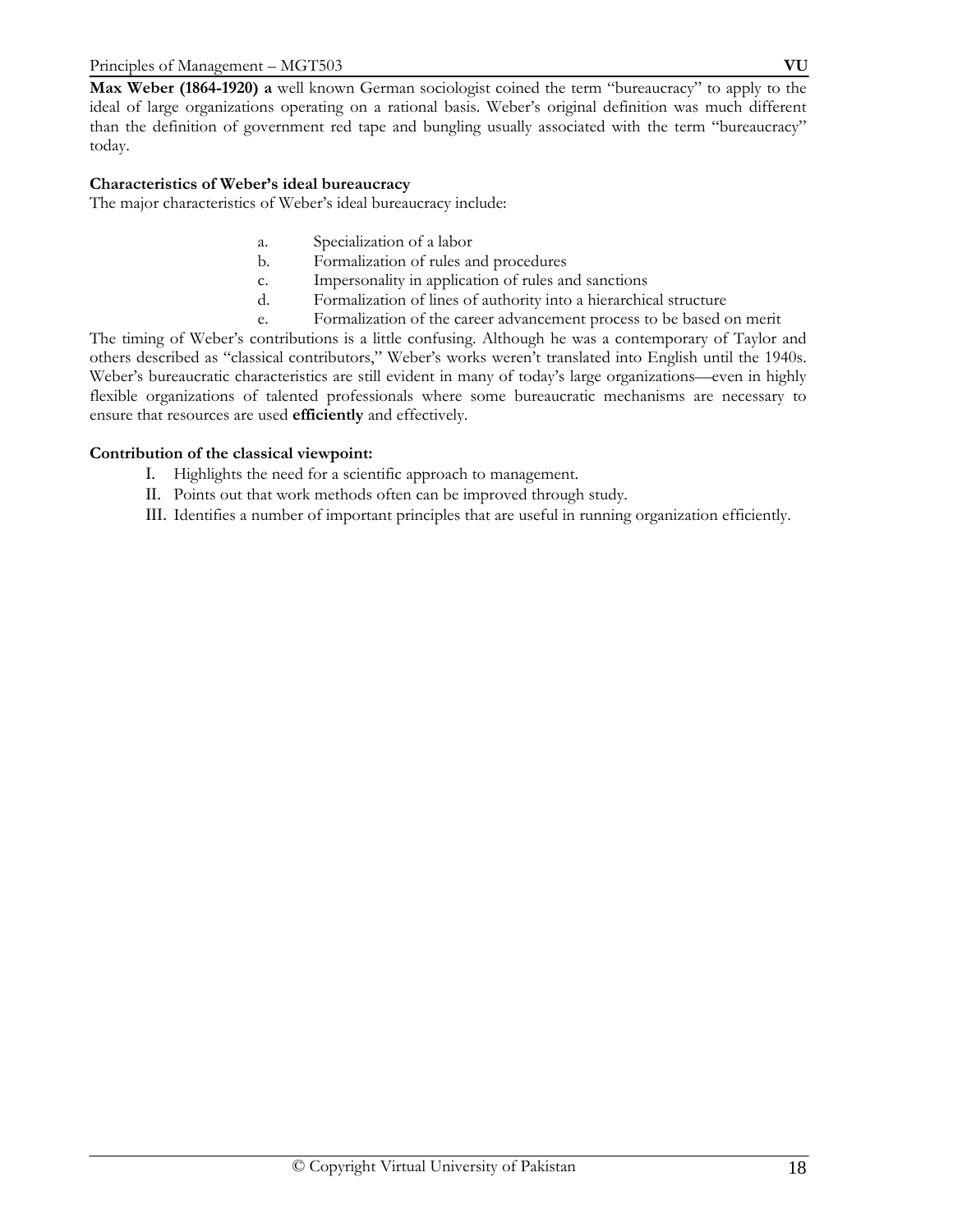**Max Weber (1864-1920) a** well known German sociologist coined the term "bureaucracy" to apply to the ideal of large organizations operating on a rational basis. Weber's original definition was much different than the definition of government red tape and bungling usually associated with the term "bureaucracy" today.

## **Characteristics of Weber's ideal bureaucracy**

The major characteristics of Weber's ideal bureaucracy include:

- a. Specialization of a labor
- b. Formalization of rules and procedures
- c. Impersonality in application of rules and sanctions
- d. Formalization of lines of authority into a hierarchical structure
- e. Formalization of the career advancement process to be based on merit

The timing of Weber's contributions is a little confusing. Although he was a contemporary of Taylor and others described as "classical contributors," Weber's works weren't translated into English until the 1940s. Weber's bureaucratic characteristics are still evident in many of today's large organizations—even in highly flexible organizations of talented professionals where some bureaucratic mechanisms are necessary to ensure that resources are used **efficiently** and effectively.

## **Contribution of the classical viewpoint:**

- I. Highlights the need for a scientific approach to management.
- II. Points out that work methods often can be improved through study.

III. Identifies a number of important principles that are useful in running organization efficiently.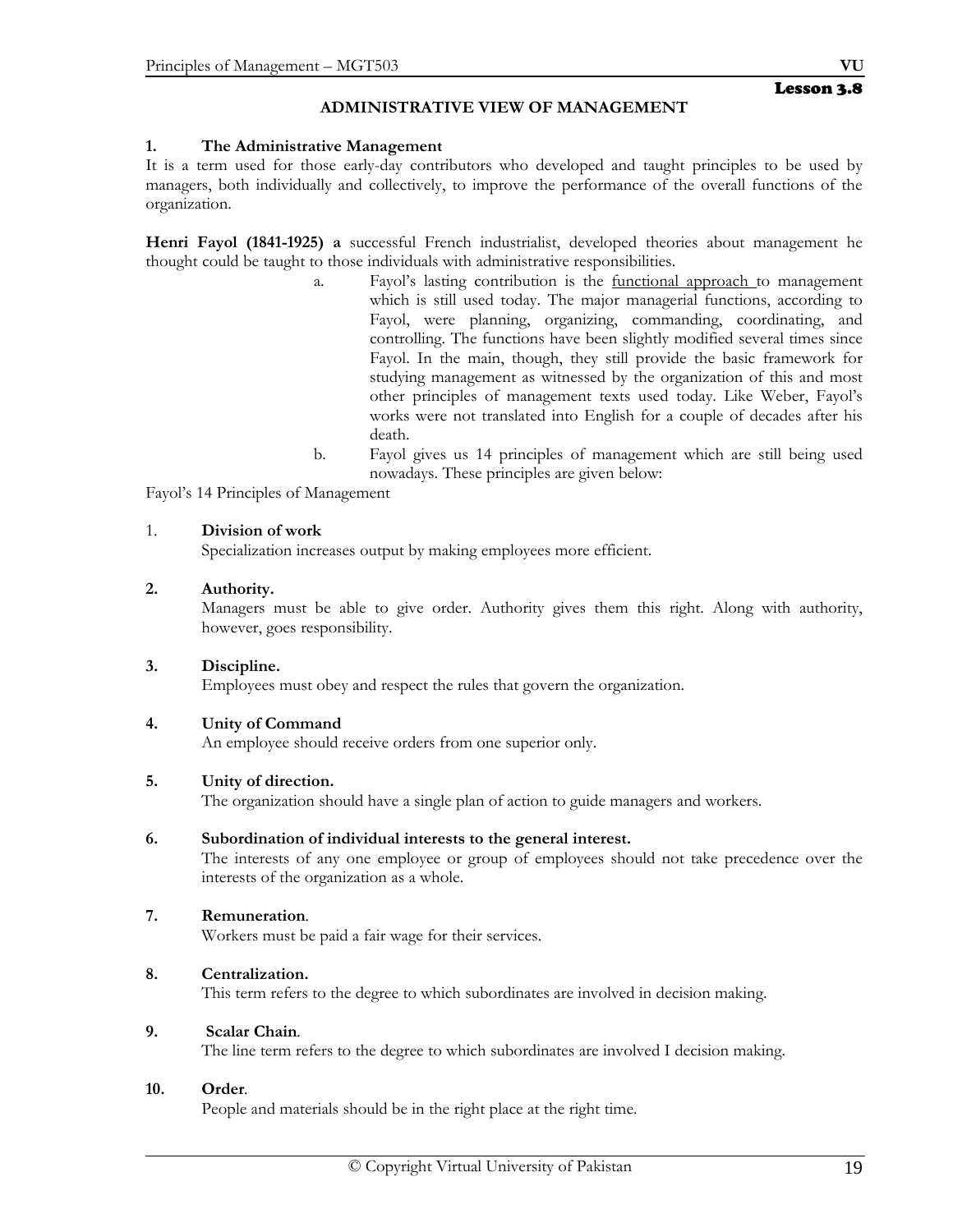## **ADMINISTRATIVE VIEW OF MANAGEMENT**

#### **1. The Administrative Management**

It is a term used for those early-day contributors who developed and taught principles to be used by managers, both individually and collectively, to improve the performance of the overall functions of the organization.

**Henri Fayol (1841-1925) a** successful French industrialist, developed theories about management he thought could be taught to those individuals with administrative responsibilities.

- a. Fayol's lasting contribution is the functional approach to management which is still used today. The major managerial functions, according to Fayol, were planning, organizing, commanding, coordinating, and controlling. The functions have been slightly modified several times since Fayol. In the main, though, they still provide the basic framework for studying management as witnessed by the organization of this and most other principles of management texts used today. Like Weber, Fayol's works were not translated into English for a couple of decades after his death.
- b. Fayol gives us 14 principles of management which are still being used nowadays. These principles are given below:

Fayol's 14 Principles of Management

#### 1. **Division of work**

Specialization increases output by making employees more efficient.

## **2. Authority.**

 Managers must be able to give order. Authority gives them this right. Along with authority, however, goes responsibility.

#### **3. Discipline.**

Employees must obey and respect the rules that govern the organization.

## **4. Unity of Command**

An employee should receive orders from one superior only.

#### **5. Unity of direction.**

The organization should have a single plan of action to guide managers and workers.

#### **6. Subordination of individual interests to the general interest.**

The interests of any one employee or group of employees should not take precedence over the interests of the organization as a whole.

## **7. Remuneration***.*

Workers must be paid a fair wage for their services.

#### **8. Centralization.**

This term refers to the degree to which subordinates are involved in decision making.

#### **9. Scalar Chain***.*

The line term refers to the degree to which subordinates are involved I decision making.

#### **10. Order***.*

People and materials should be in the right place at the right time.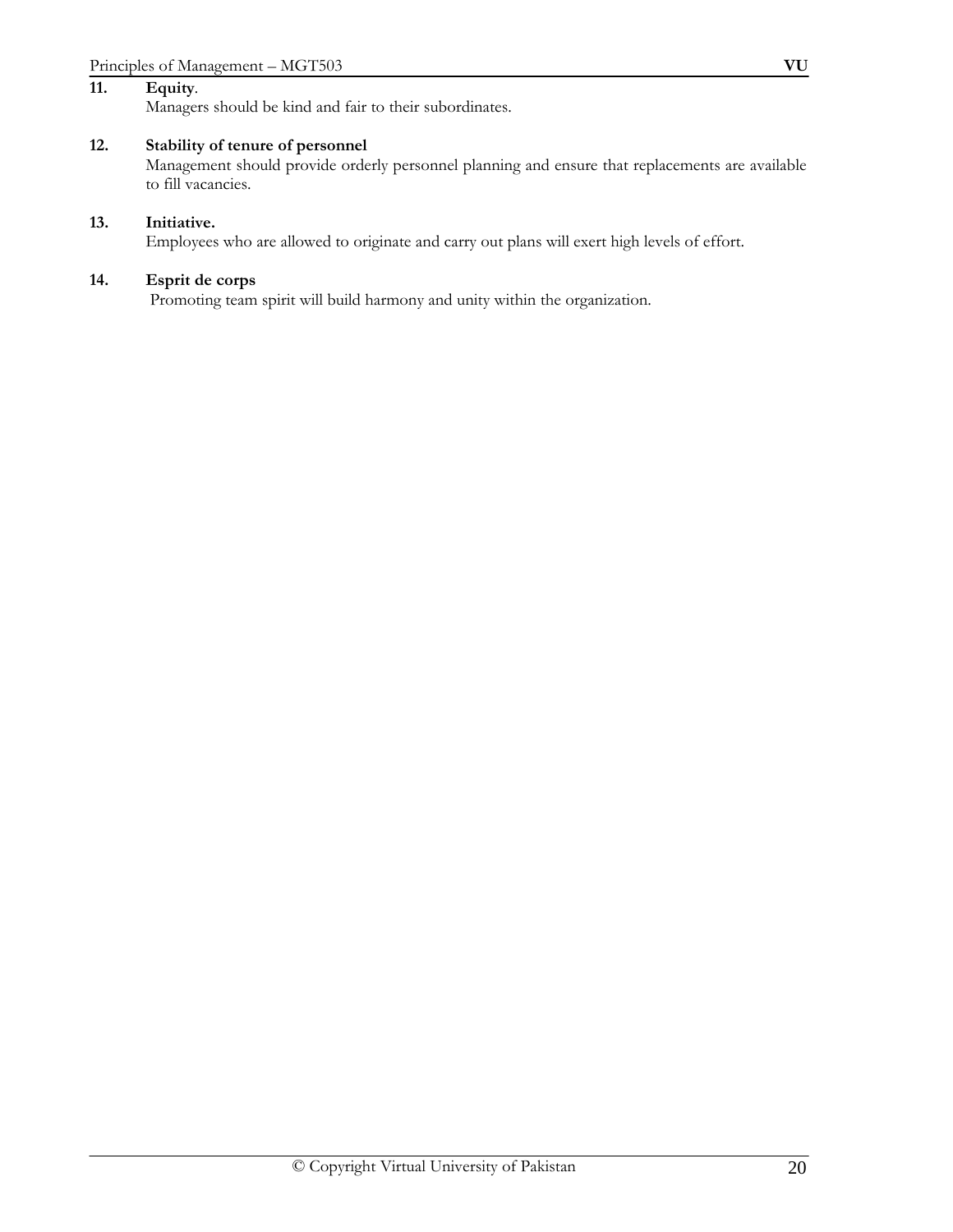#### **11. Equity***.*

Managers should be kind and fair to their subordinates.

## **12. Stability of tenure of personnel**

Management should provide orderly personnel planning and ensure that replacements are available to fill vacancies.

#### **13. Initiative.**

Employees who are allowed to originate and carry out plans will exert high levels of effort.

#### **14. Esprit de corps**

Promoting team spirit will build harmony and unity within the organization.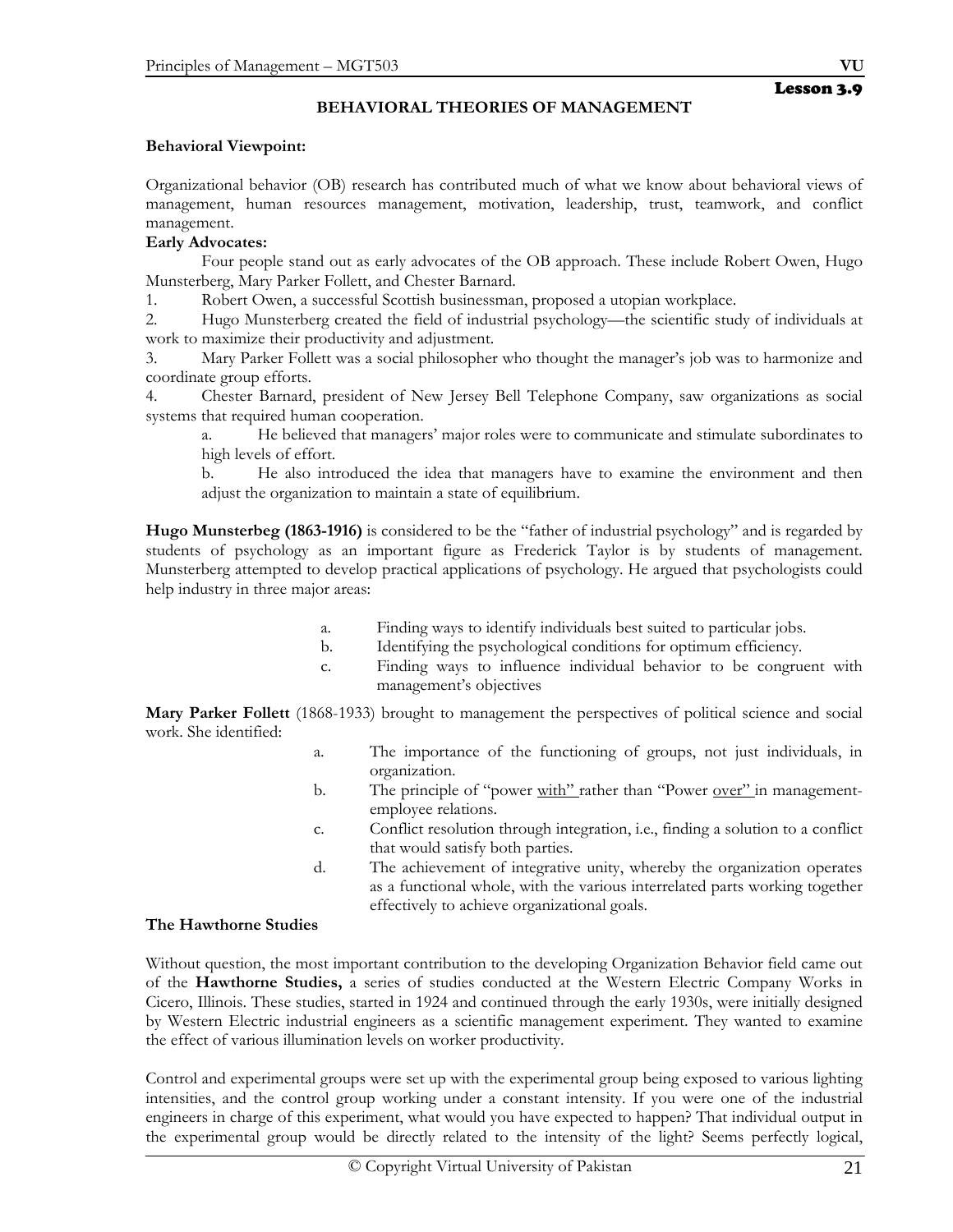## **BEHAVIORAL THEORIES OF MANAGEMENT**

## **Behavioral Viewpoint:**

Organizational behavior (OB) research has contributed much of what we know about behavioral views of management, human resources management, motivation, leadership, trust, teamwork, and conflict management.

## **Early Advocates:**

 Four people stand out as early advocates of the OB approach. These include Robert Owen, Hugo Munsterberg, Mary Parker Follett, and Chester Barnard.

1. Robert Owen, a successful Scottish businessman, proposed a utopian workplace.

2. Hugo Munsterberg created the field of industrial psychology—the scientific study of individuals at work to maximize their productivity and adjustment.

3. Mary Parker Follett was a social philosopher who thought the manager's job was to harmonize and coordinate group efforts.

4. Chester Barnard, president of New Jersey Bell Telephone Company, saw organizations as social systems that required human cooperation.

a. He believed that managers' major roles were to communicate and stimulate subordinates to high levels of effort.

b. He also introduced the idea that managers have to examine the environment and then adjust the organization to maintain a state of equilibrium.

**Hugo Munsterbeg (1863-1916)** is considered to be the "father of industrial psychology" and is regarded by students of psychology as an important figure as Frederick Taylor is by students of management. Munsterberg attempted to develop practical applications of psychology. He argued that psychologists could help industry in three major areas:

- a. Finding ways to identify individuals best suited to particular jobs.
- b. Identifying the psychological conditions for optimum efficiency.
- c. Finding ways to influence individual behavior to be congruent with management's objectives

**Mary Parker Follett** (1868-1933) brought to management the perspectives of political science and social work. She identified:

- a. The importance of the functioning of groups, not just individuals, in organization.
- b. The principle of "power with" rather than "Power over" in managementemployee relations.
- c. Conflict resolution through integration, i.e., finding a solution to a conflict that would satisfy both parties.
- d. The achievement of integrative unity, whereby the organization operates as a functional whole, with the various interrelated parts working together effectively to achieve organizational goals.

## **The Hawthorne Studies**

Without question, the most important contribution to the developing Organization Behavior field came out of the **Hawthorne Studies,** a series of studies conducted at the Western Electric Company Works in Cicero, Illinois. These studies, started in 1924 and continued through the early 1930s, were initially designed by Western Electric industrial engineers as a scientific management experiment. They wanted to examine the effect of various illumination levels on worker productivity.

Control and experimental groups were set up with the experimental group being exposed to various lighting intensities, and the control group working under a constant intensity. If you were one of the industrial engineers in charge of this experiment, what would you have expected to happen? That individual output in the experimental group would be directly related to the intensity of the light? Seems perfectly logical,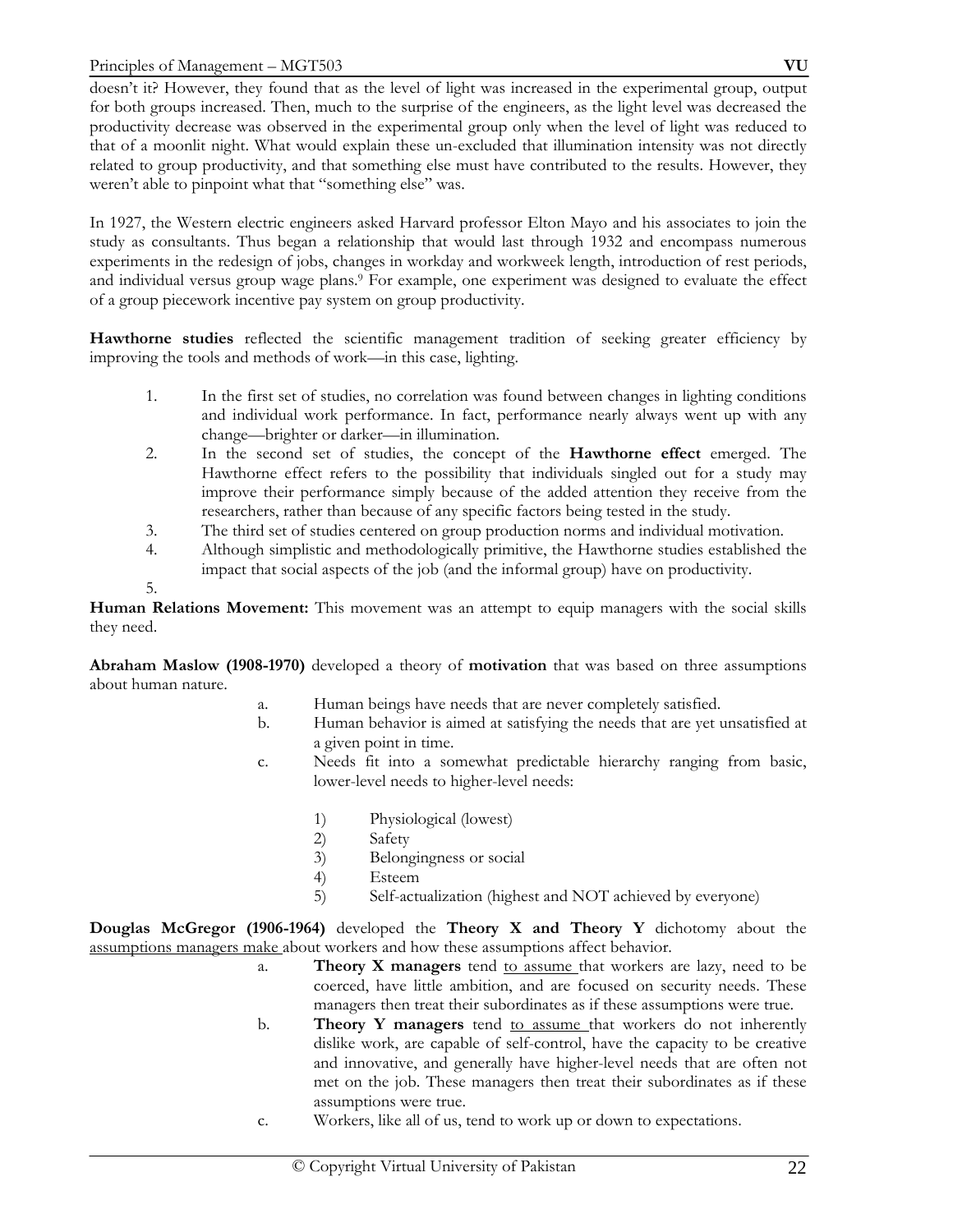doesn't it? However, they found that as the level of light was increased in the experimental group, output for both groups increased. Then, much to the surprise of the engineers, as the light level was decreased the productivity decrease was observed in the experimental group only when the level of light was reduced to that of a moonlit night. What would explain these un-excluded that illumination intensity was not directly related to group productivity, and that something else must have contributed to the results. However, they weren't able to pinpoint what that "something else" was.

In 1927, the Western electric engineers asked Harvard professor Elton Mayo and his associates to join the study as consultants. Thus began a relationship that would last through 1932 and encompass numerous experiments in the redesign of jobs, changes in workday and workweek length, introduction of rest periods, and individual versus group wage plans.9 For example, one experiment was designed to evaluate the effect of a group piecework incentive pay system on group productivity.

**Hawthorne studies** reflected the scientific management tradition of seeking greater efficiency by improving the tools and methods of work—in this case, lighting.

- 1. In the first set of studies, no correlation was found between changes in lighting conditions and individual work performance. In fact, performance nearly always went up with any change—brighter or darker—in illumination.
- 2. In the second set of studies, the concept of the **Hawthorne effect** emerged. The Hawthorne effect refers to the possibility that individuals singled out for a study may improve their performance simply because of the added attention they receive from the researchers, rather than because of any specific factors being tested in the study.
- 3. The third set of studies centered on group production norms and individual motivation.
- 4. Although simplistic and methodologically primitive, the Hawthorne studies established the impact that social aspects of the job (and the informal group) have on productivity.

**Human Relations Movement:** This movement was an attempt to equip managers with the social skills they need.

**Abraham Maslow (1908-1970)** developed a theory of **motivation** that was based on three assumptions about human nature.

- a. Human beings have needs that are never completely satisfied.
- b. Human behavior is aimed at satisfying the needs that are yet unsatisfied at a given point in time.
- c. Needs fit into a somewhat predictable hierarchy ranging from basic, lower-level needs to higher-level needs:
	- 1) Physiological (lowest)<br>2) Safety
	- Safety
	- 3) Belongingness or social
	- 4) Esteem
	- 5) Self-actualization (highest and NOT achieved by everyone)

**Douglas McGregor (1906-1964)** developed the **Theory X and Theory Y** dichotomy about the assumptions managers make about workers and how these assumptions affect behavior.

- a. **Theory X managers** tend to assume that workers are lazy, need to be coerced, have little ambition, and are focused on security needs. These managers then treat their subordinates as if these assumptions were true.
- b. **Theory Y managers** tend to assume that workers do not inherently dislike work, are capable of self-control, have the capacity to be creative and innovative, and generally have higher-level needs that are often not met on the job. These managers then treat their subordinates as if these assumptions were true.
- c. Workers, like all of us, tend to work up or down to expectations.

<sup>5.</sup>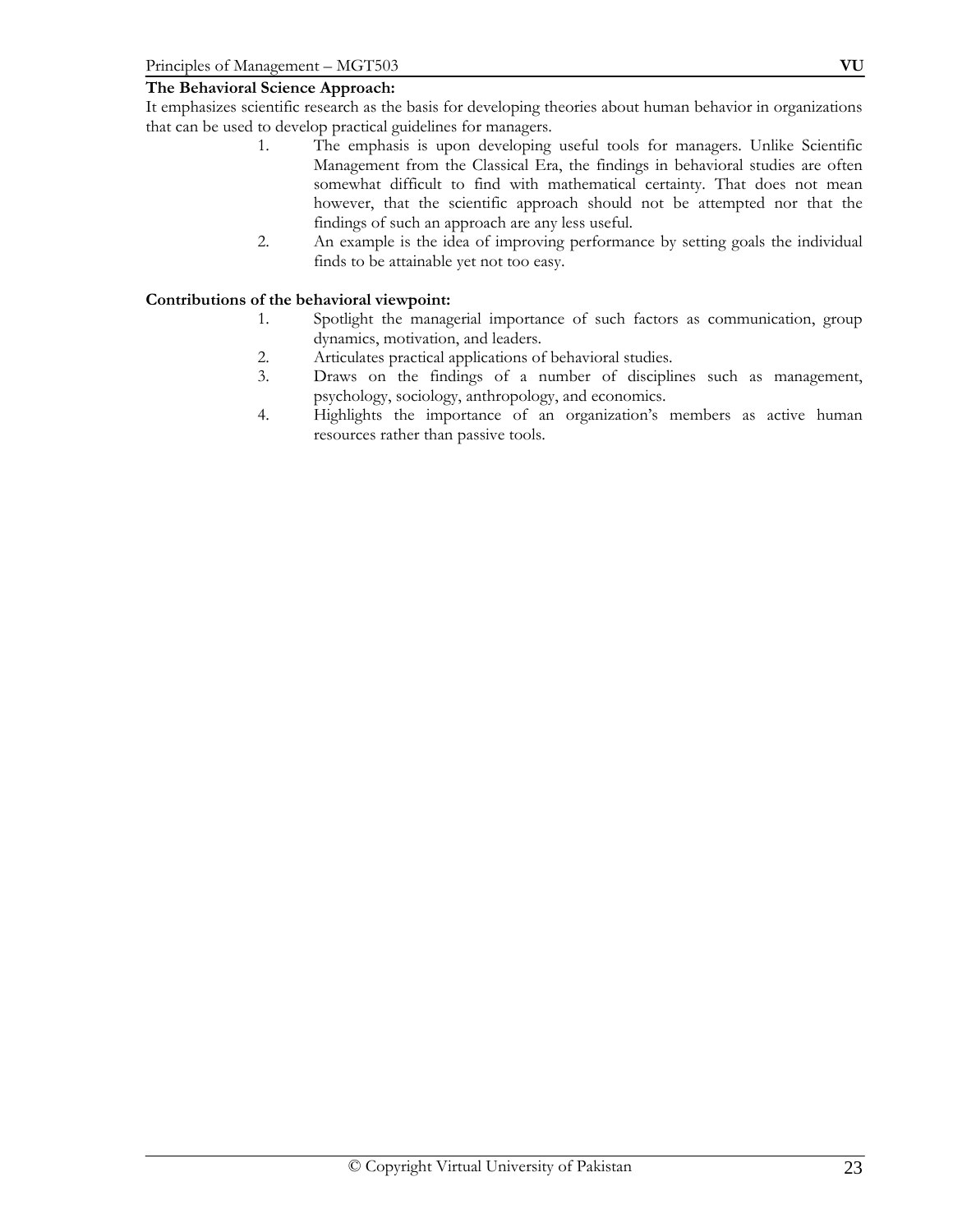## **The Behavioral Science Approach:**

It emphasizes scientific research as the basis for developing theories about human behavior in organizations that can be used to develop practical guidelines for managers.

- 1. The emphasis is upon developing useful tools for managers. Unlike Scientific Management from the Classical Era, the findings in behavioral studies are often somewhat difficult to find with mathematical certainty. That does not mean however, that the scientific approach should not be attempted nor that the findings of such an approach are any less useful.
- 2. An example is the idea of improving performance by setting goals the individual finds to be attainable yet not too easy.

## **Contributions of the behavioral viewpoint:**

- 1. Spotlight the managerial importance of such factors as communication, group dynamics, motivation, and leaders.
- 2. Articulates practical applications of behavioral studies.
- 3. Draws on the findings of a number of disciplines such as management, psychology, sociology, anthropology, and economics.
- 4. Highlights the importance of an organization's members as active human resources rather than passive tools.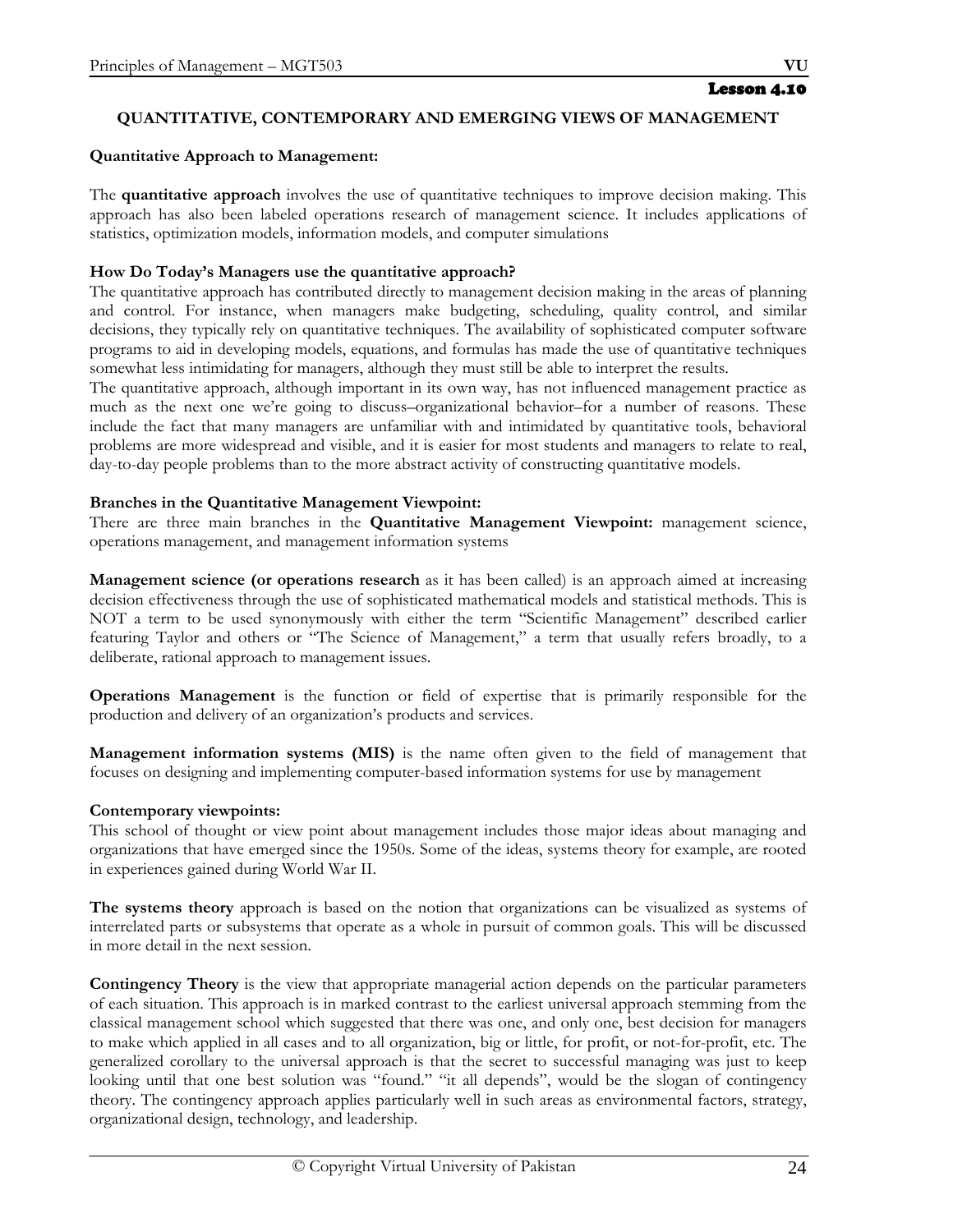#### Lesson 4.10

## **QUANTITATIVE, CONTEMPORARY AND EMERGING VIEWS OF MANAGEMENT**

#### **Quantitative Approach to Management:**

The **quantitative approach** involves the use of quantitative techniques to improve decision making. This approach has also been labeled operations research of management science. It includes applications of statistics, optimization models, information models, and computer simulations

#### **How Do Today's Managers use the quantitative approach?**

The quantitative approach has contributed directly to management decision making in the areas of planning and control. For instance, when managers make budgeting, scheduling, quality control, and similar decisions, they typically rely on quantitative techniques. The availability of sophisticated computer software programs to aid in developing models, equations, and formulas has made the use of quantitative techniques somewhat less intimidating for managers, although they must still be able to interpret the results.

The quantitative approach, although important in its own way, has not influenced management practice as much as the next one we're going to discuss–organizational behavior–for a number of reasons. These include the fact that many managers are unfamiliar with and intimidated by quantitative tools, behavioral problems are more widespread and visible, and it is easier for most students and managers to relate to real, day-to-day people problems than to the more abstract activity of constructing quantitative models.

#### **Branches in the Quantitative Management Viewpoint:**

There are three main branches in the **Quantitative Management Viewpoint:** management science, operations management, and management information systems

**Management science (or operations research** as it has been called) is an approach aimed at increasing decision effectiveness through the use of sophisticated mathematical models and statistical methods. This is NOT a term to be used synonymously with either the term "Scientific Management" described earlier featuring Taylor and others or "The Science of Management," a term that usually refers broadly, to a deliberate, rational approach to management issues.

**Operations Management** is the function or field of expertise that is primarily responsible for the production and delivery of an organization's products and services.

**Management information systems (MIS)** is the name often given to the field of management that focuses on designing and implementing computer-based information systems for use by management

#### **Contemporary viewpoints:**

This school of thought or view point about management includes those major ideas about managing and organizations that have emerged since the 1950s. Some of the ideas, systems theory for example, are rooted in experiences gained during World War II.

**The systems theory** approach is based on the notion that organizations can be visualized as systems of interrelated parts or subsystems that operate as a whole in pursuit of common goals. This will be discussed in more detail in the next session.

**Contingency Theory** is the view that appropriate managerial action depends on the particular parameters of each situation. This approach is in marked contrast to the earliest universal approach stemming from the classical management school which suggested that there was one, and only one, best decision for managers to make which applied in all cases and to all organization, big or little, for profit, or not-for-profit, etc. The generalized corollary to the universal approach is that the secret to successful managing was just to keep looking until that one best solution was "found." "it all depends", would be the slogan of contingency theory. The contingency approach applies particularly well in such areas as environmental factors, strategy, organizational design, technology, and leadership.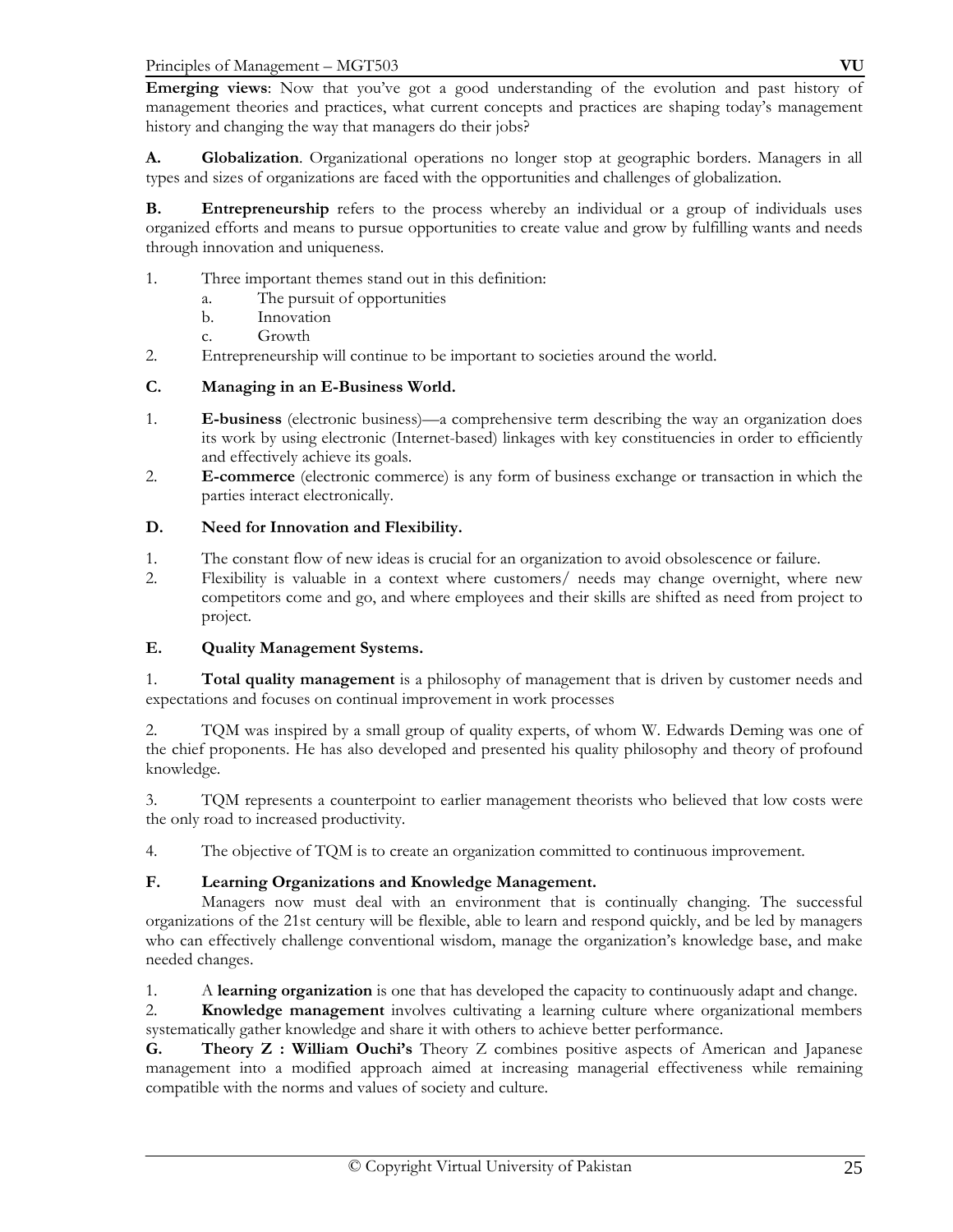Principles of Management – MGT503 **VU**

**Emerging views**: Now that you've got a good understanding of the evolution and past history of management theories and practices, what current concepts and practices are shaping today's management history and changing the way that managers do their jobs?

**A. Globalization**. Organizational operations no longer stop at geographic borders. Managers in all types and sizes of organizations are faced with the opportunities and challenges of globalization.

**B.** Entrepreneurship refers to the process whereby an individual or a group of individuals uses organized efforts and means to pursue opportunities to create value and grow by fulfilling wants and needs through innovation and uniqueness.

- 1. Three important themes stand out in this definition:
	- a. The pursuit of opportunities
	- b. Innovation
	- c. Growth
- 2. Entrepreneurship will continue to be important to societies around the world.

## **C. Managing in an E-Business World.**

- 1. **E-business** (electronic business)—a comprehensive term describing the way an organization does its work by using electronic (Internet-based) linkages with key constituencies in order to efficiently and effectively achieve its goals.
- 2. **E-commerce** (electronic commerce) is any form of business exchange or transaction in which the parties interact electronically.

## **D. Need for Innovation and Flexibility.**

- 1. The constant flow of new ideas is crucial for an organization to avoid obsolescence or failure.
- 2. Flexibility is valuable in a context where customers/ needs may change overnight, where new competitors come and go, and where employees and their skills are shifted as need from project to project.

## **E. Quality Management Systems.**

1. **Total quality management** is a philosophy of management that is driven by customer needs and expectations and focuses on continual improvement in work processes

2. TQM was inspired by a small group of quality experts, of whom W. Edwards Deming was one of the chief proponents. He has also developed and presented his quality philosophy and theory of profound knowledge.

3. TQM represents a counterpoint to earlier management theorists who believed that low costs were the only road to increased productivity.

4. The objective of TQM is to create an organization committed to continuous improvement.

## **F. Learning Organizations and Knowledge Management.**

 Managers now must deal with an environment that is continually changing. The successful organizations of the 21st century will be flexible, able to learn and respond quickly, and be led by managers who can effectively challenge conventional wisdom, manage the organization's knowledge base, and make needed changes.

1. A **learning organization** is one that has developed the capacity to continuously adapt and change.

2. **Knowledge management** involves cultivating a learning culture where organizational members systematically gather knowledge and share it with others to achieve better performance.

**G. Theory Z : William Ouchi's** Theory Z combines positive aspects of American and Japanese management into a modified approach aimed at increasing managerial effectiveness while remaining compatible with the norms and values of society and culture.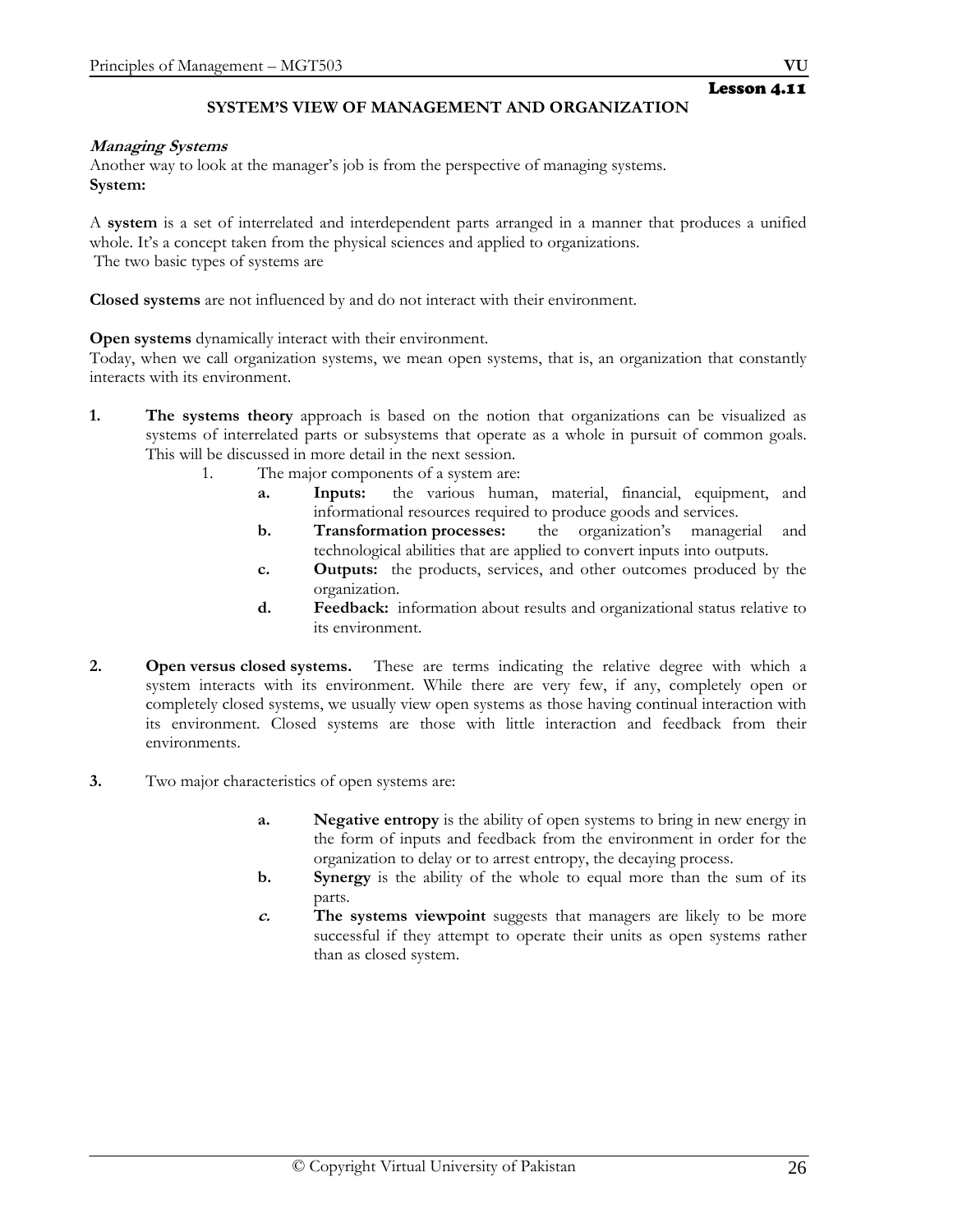## **SYSTEM'S VIEW OF MANAGEMENT AND ORGANIZATION**

#### **Managing Systems**

Another way to look at the manager's job is from the perspective of managing systems. **System:** 

A **system** is a set of interrelated and interdependent parts arranged in a manner that produces a unified whole. It's a concept taken from the physical sciences and applied to organizations. The two basic types of systems are

**Closed systems** are not influenced by and do not interact with their environment.

**Open systems** dynamically interact with their environment.

Today, when we call organization systems, we mean open systems, that is, an organization that constantly interacts with its environment.

- **1. The systems theory** approach is based on the notion that organizations can be visualized as systems of interrelated parts or subsystems that operate as a whole in pursuit of common goals. This will be discussed in more detail in the next session.
	- 1. The major components of a system are:
		- **a. Inputs:** the various human, material, financial, equipment, and informational resources required to produce goods and services.
		- **b. Transformation processes:** the organization's managerial and technological abilities that are applied to convert inputs into outputs.
		- **c. Outputs:** the products, services, and other outcomes produced by the organization.
		- **d. Feedback:** information about results and organizational status relative to its environment.
- **2. Open versus closed systems.** These are terms indicating the relative degree with which a system interacts with its environment. While there are very few, if any, completely open or completely closed systems, we usually view open systems as those having continual interaction with its environment. Closed systems are those with little interaction and feedback from their environments.
- **3.** Two major characteristics of open systems are:
	- **a. Negative entropy** is the ability of open systems to bring in new energy in the form of inputs and feedback from the environment in order for the organization to delay or to arrest entropy, the decaying process.
	- **b. Synergy** is the ability of the whole to equal more than the sum of its parts.
	- **c. The systems viewpoint** suggests that managers are likely to be more successful if they attempt to operate their units as open systems rather than as closed system.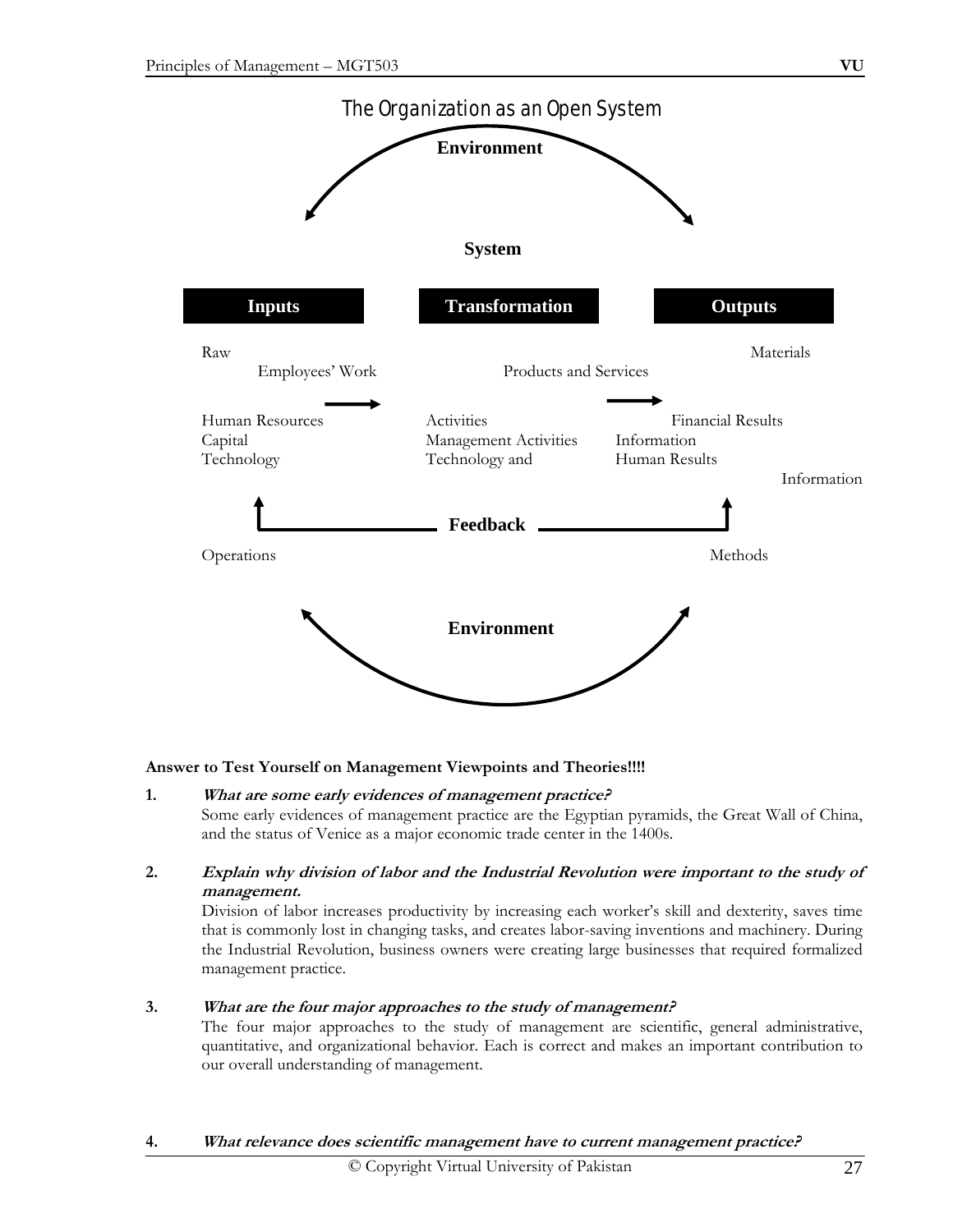

## **Answer to Test Yourself on Management Viewpoints and Theories!!!!**

- **1. What are some early evidences of management practice?** Some early evidences of management practice are the Egyptian pyramids, the Great Wall of China, and the status of Venice as a major economic trade center in the 1400s.
- **2. Explain why division of labor and the Industrial Revolution were important to the study of management.**

 Division of labor increases productivity by increasing each worker's skill and dexterity, saves time that is commonly lost in changing tasks, and creates labor-saving inventions and machinery. During the Industrial Revolution, business owners were creating large businesses that required formalized management practice.

#### **3. What are the four major approaches to the study of management?**

 The four major approaches to the study of management are scientific, general administrative, quantitative, and organizational behavior. Each is correct and makes an important contribution to our overall understanding of management.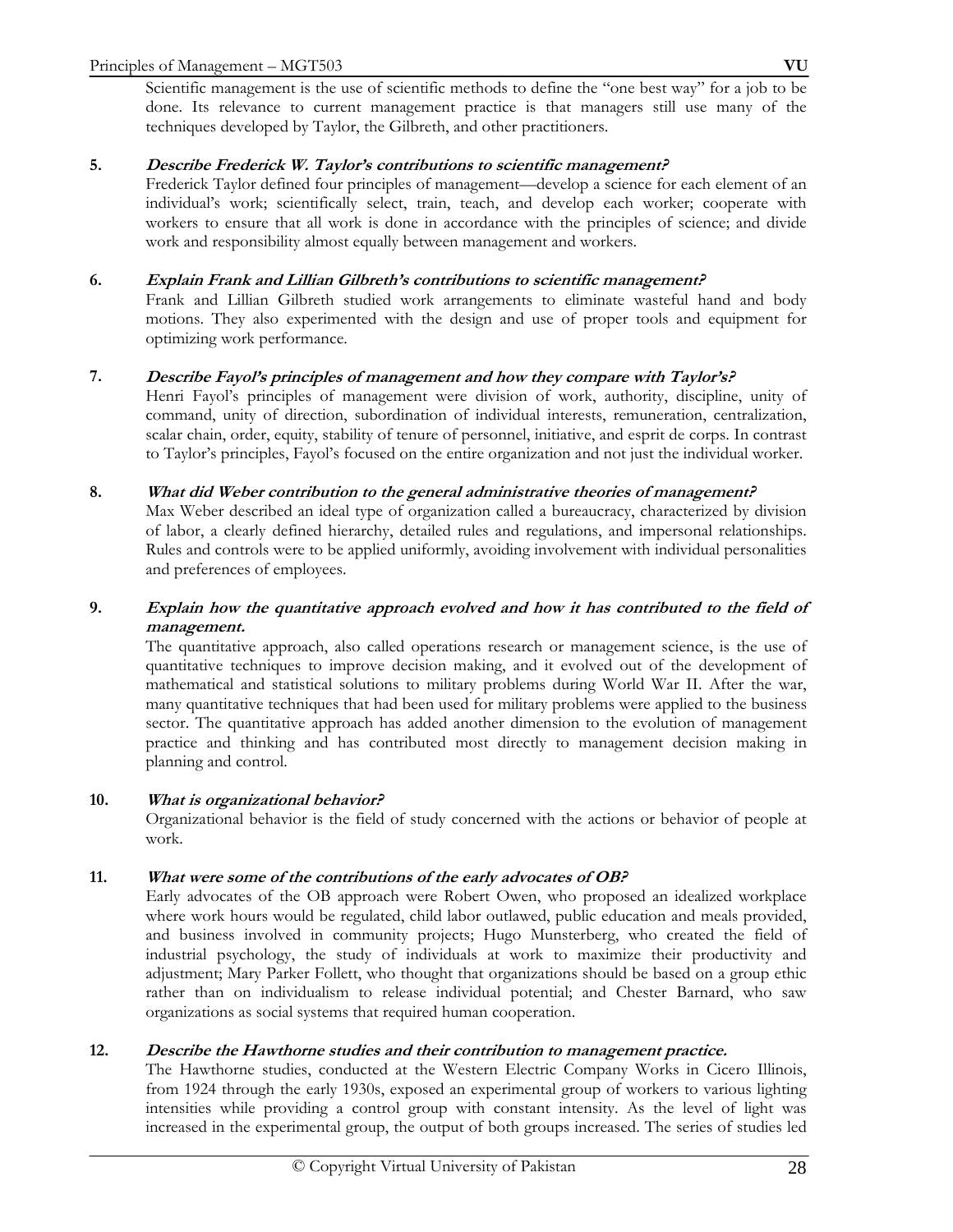Scientific management is the use of scientific methods to define the "one best way" for a job to be done. Its relevance to current management practice is that managers still use many of the techniques developed by Taylor, the Gilbreth, and other practitioners.

## **5. Describe Frederick W. Taylor's contributions to scientific management?**

 Frederick Taylor defined four principles of management—develop a science for each element of an individual's work; scientifically select, train, teach, and develop each worker; cooperate with workers to ensure that all work is done in accordance with the principles of science; and divide work and responsibility almost equally between management and workers.

## **6. Explain Frank and Lillian Gilbreth's contributions to scientific management?**

 Frank and Lillian Gilbreth studied work arrangements to eliminate wasteful hand and body motions. They also experimented with the design and use of proper tools and equipment for optimizing work performance.

## **7. Describe Fayol's principles of management and how they compare with Taylor's?**

 Henri Fayol's principles of management were division of work, authority, discipline, unity of command, unity of direction, subordination of individual interests, remuneration, centralization, scalar chain, order, equity, stability of tenure of personnel, initiative, and esprit de corps. In contrast to Taylor's principles, Fayol's focused on the entire organization and not just the individual worker.

## **8. What did Weber contribution to the general administrative theories of management?**

 Max Weber described an ideal type of organization called a bureaucracy, characterized by division of labor, a clearly defined hierarchy, detailed rules and regulations, and impersonal relationships. Rules and controls were to be applied uniformly, avoiding involvement with individual personalities and preferences of employees.

## **9. Explain how the quantitative approach evolved and how it has contributed to the field of management.**

 The quantitative approach, also called operations research or management science, is the use of quantitative techniques to improve decision making, and it evolved out of the development of mathematical and statistical solutions to military problems during World War II. After the war, many quantitative techniques that had been used for military problems were applied to the business sector. The quantitative approach has added another dimension to the evolution of management practice and thinking and has contributed most directly to management decision making in planning and control.

## **10. What is organizational behavior?**

 Organizational behavior is the field of study concerned with the actions or behavior of people at work.

## **11. What were some of the contributions of the early advocates of OB?**

 Early advocates of the OB approach were Robert Owen, who proposed an idealized workplace where work hours would be regulated, child labor outlawed, public education and meals provided, and business involved in community projects; Hugo Munsterberg, who created the field of industrial psychology, the study of individuals at work to maximize their productivity and adjustment; Mary Parker Follett, who thought that organizations should be based on a group ethic rather than on individualism to release individual potential; and Chester Barnard, who saw organizations as social systems that required human cooperation.

## **12. Describe the Hawthorne studies and their contribution to management practice.**

 The Hawthorne studies, conducted at the Western Electric Company Works in Cicero Illinois, from 1924 through the early 1930s, exposed an experimental group of workers to various lighting intensities while providing a control group with constant intensity. As the level of light was increased in the experimental group, the output of both groups increased. The series of studies led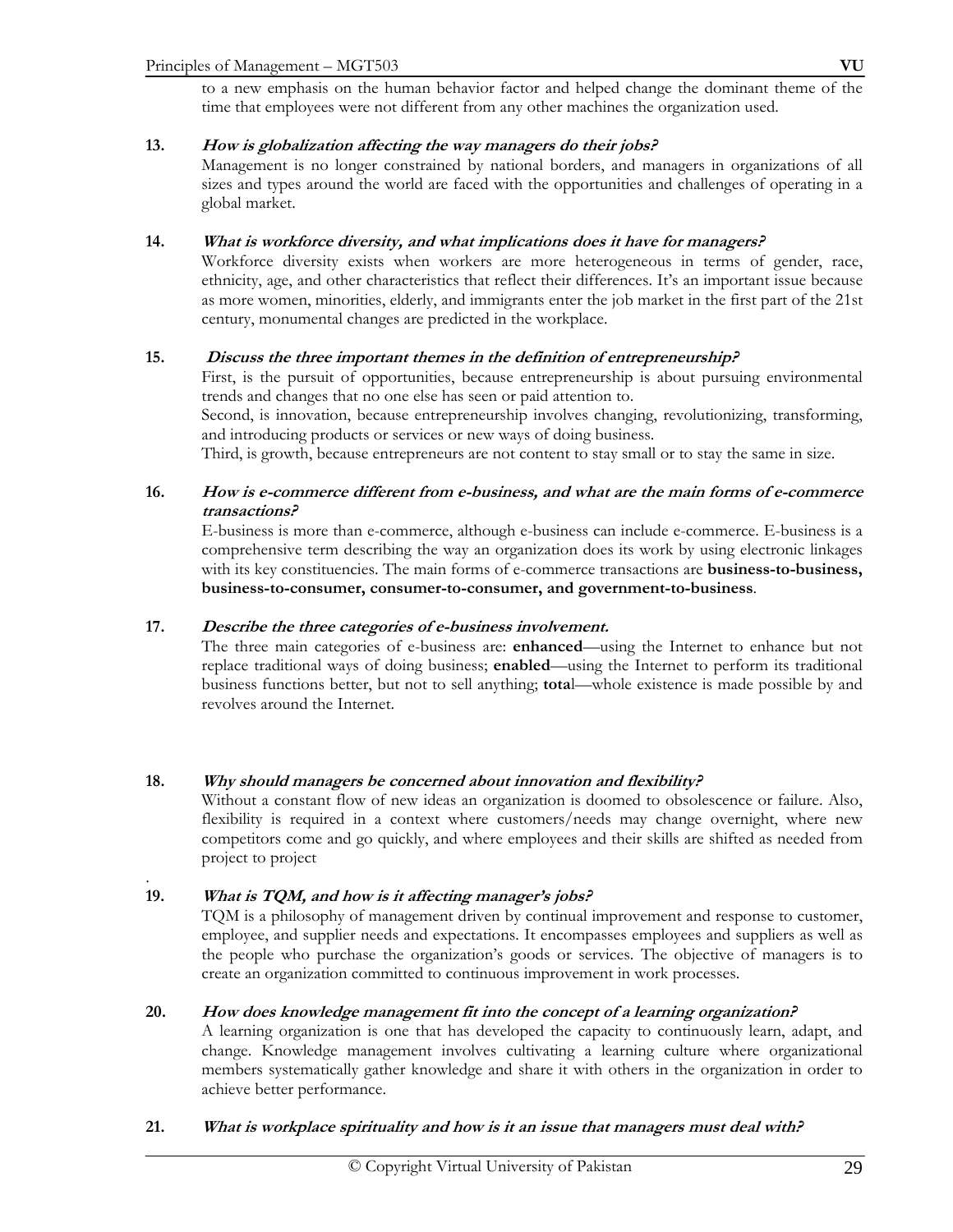to a new emphasis on the human behavior factor and helped change the dominant theme of the time that employees were not different from any other machines the organization used.

## **13. How is globalization affecting the way managers do their jobs?**

 Management is no longer constrained by national borders, and managers in organizations of all sizes and types around the world are faced with the opportunities and challenges of operating in a global market.

## **14. What is workforce diversity, and what implications does it have for managers?**

 Workforce diversity exists when workers are more heterogeneous in terms of gender, race, ethnicity, age, and other characteristics that reflect their differences. It's an important issue because as more women, minorities, elderly, and immigrants enter the job market in the first part of the 21st century, monumental changes are predicted in the workplace.

## **15. Discuss the three important themes in the definition of entrepreneurship?**

First, is the pursuit of opportunities, because entrepreneurship is about pursuing environmental trends and changes that no one else has seen or paid attention to.

 Second, is innovation, because entrepreneurship involves changing, revolutionizing, transforming, and introducing products or services or new ways of doing business.

Third, is growth, because entrepreneurs are not content to stay small or to stay the same in size.

## **16. How is e-commerce different from e-business, and what are the main forms of e-commerce transactions?**

 E-business is more than e-commerce, although e-business can include e-commerce. E-business is a comprehensive term describing the way an organization does its work by using electronic linkages with its key constituencies. The main forms of e-commerce transactions are **business-to-business, business-to-consumer, consumer-to-consumer, and government-to-business**.

#### **17. Describe the three categories of e-business involvement.**

 The three main categories of e-business are: **enhanced**—using the Internet to enhance but not replace traditional ways of doing business; **enabled**—using the Internet to perform its traditional business functions better, but not to sell anything; **tota**l—whole existence is made possible by and revolves around the Internet.

#### **18. Why should managers be concerned about innovation and flexibility?**

 Without a constant flow of new ideas an organization is doomed to obsolescence or failure. Also, flexibility is required in a context where customers/needs may change overnight, where new competitors come and go quickly, and where employees and their skills are shifted as needed from project to project

#### **19. What is TQM, and how is it affecting manager's jobs?**

.

 TQM is a philosophy of management driven by continual improvement and response to customer, employee, and supplier needs and expectations. It encompasses employees and suppliers as well as the people who purchase the organization's goods or services. The objective of managers is to create an organization committed to continuous improvement in work processes.

#### **20. How does knowledge management fit into the concept of a learning organization?**

 A learning organization is one that has developed the capacity to continuously learn, adapt, and change. Knowledge management involves cultivating a learning culture where organizational members systematically gather knowledge and share it with others in the organization in order to achieve better performance.

## **21. What is workplace spirituality and how is it an issue that managers must deal with?**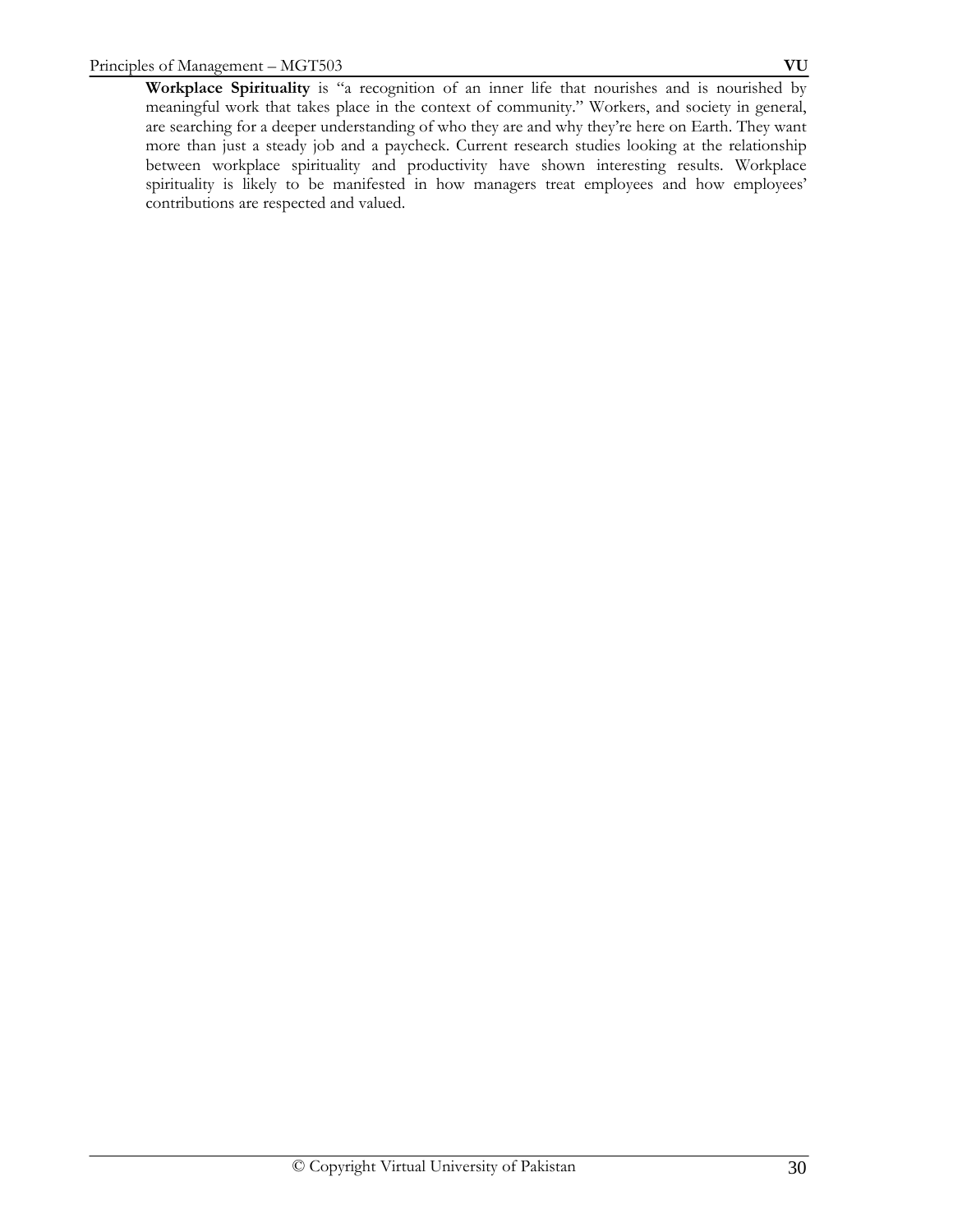**Workplace Spirituality** is "a recognition of an inner life that nourishes and is nourished by meaningful work that takes place in the context of community." Workers, and society in general, are searching for a deeper understanding of who they are and why they're here on Earth. They want more than just a steady job and a paycheck. Current research studies looking at the relationship between workplace spirituality and productivity have shown interesting results. Workplace spirituality is likely to be manifested in how managers treat employees and how employees' contributions are respected and valued.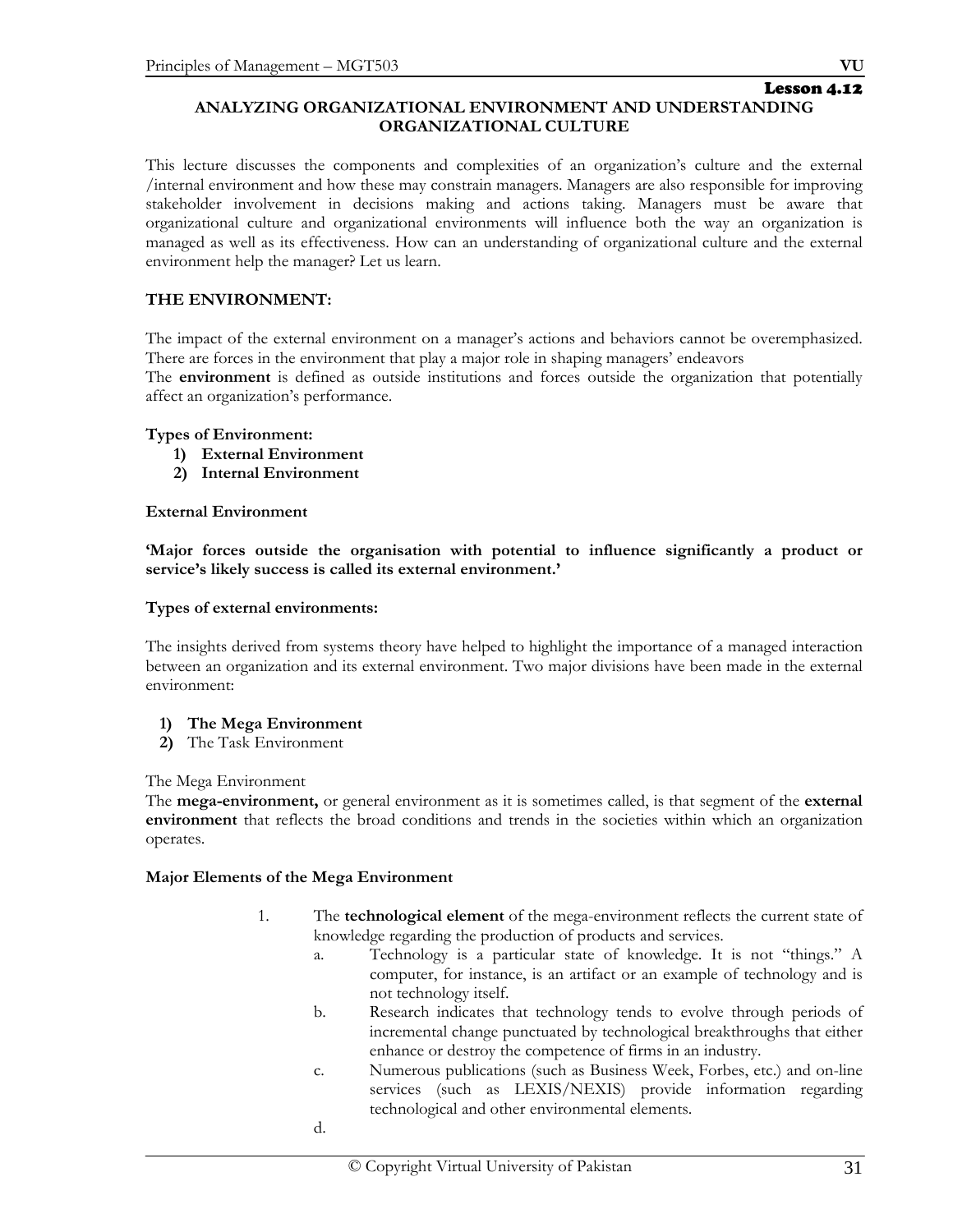# Lesson 4.12

## **ANALYZING ORGANIZATIONAL ENVIRONMENT AND UNDERSTANDING ORGANIZATIONAL CULTURE**

This lecture discusses the components and complexities of an organization's culture and the external /internal environment and how these may constrain managers. Managers are also responsible for improving stakeholder involvement in decisions making and actions taking. Managers must be aware that organizational culture and organizational environments will influence both the way an organization is managed as well as its effectiveness. How can an understanding of organizational culture and the external environment help the manager? Let us learn.

## **THE ENVIRONMENT:**

The impact of the external environment on a manager's actions and behaviors cannot be overemphasized. There are forces in the environment that play a major role in shaping managers' endeavors

The **environment** is defined as outside institutions and forces outside the organization that potentially affect an organization's performance.

#### **Types of Environment:**

- **1) External Environment**
- **2) Internal Environment**

#### **External Environment**

**'Major forces outside the organisation with potential to influence significantly a product or service's likely success is called its external environment.'** 

#### **Types of external environments:**

The insights derived from systems theory have helped to highlight the importance of a managed interaction between an organization and its external environment. Two major divisions have been made in the external environment:

#### **1) The Mega Environment**

**2)** The Task Environment

#### The Mega Environment

The **mega-environment,** or general environment as it is sometimes called, is that segment of the **external environment** that reflects the broad conditions and trends in the societies within which an organization operates.

#### **Major Elements of the Mega Environment**

d.

- 1. The **technological element** of the mega-environment reflects the current state of knowledge regarding the production of products and services.
	- a. Technology is a particular state of knowledge. It is not "things." A computer, for instance, is an artifact or an example of technology and is not technology itself.
	- b. Research indicates that technology tends to evolve through periods of incremental change punctuated by technological breakthroughs that either enhance or destroy the competence of firms in an industry.
	- c. Numerous publications (such as Business Week, Forbes, etc.) and on-line services (such as LEXIS/NEXIS) provide information regarding technological and other environmental elements.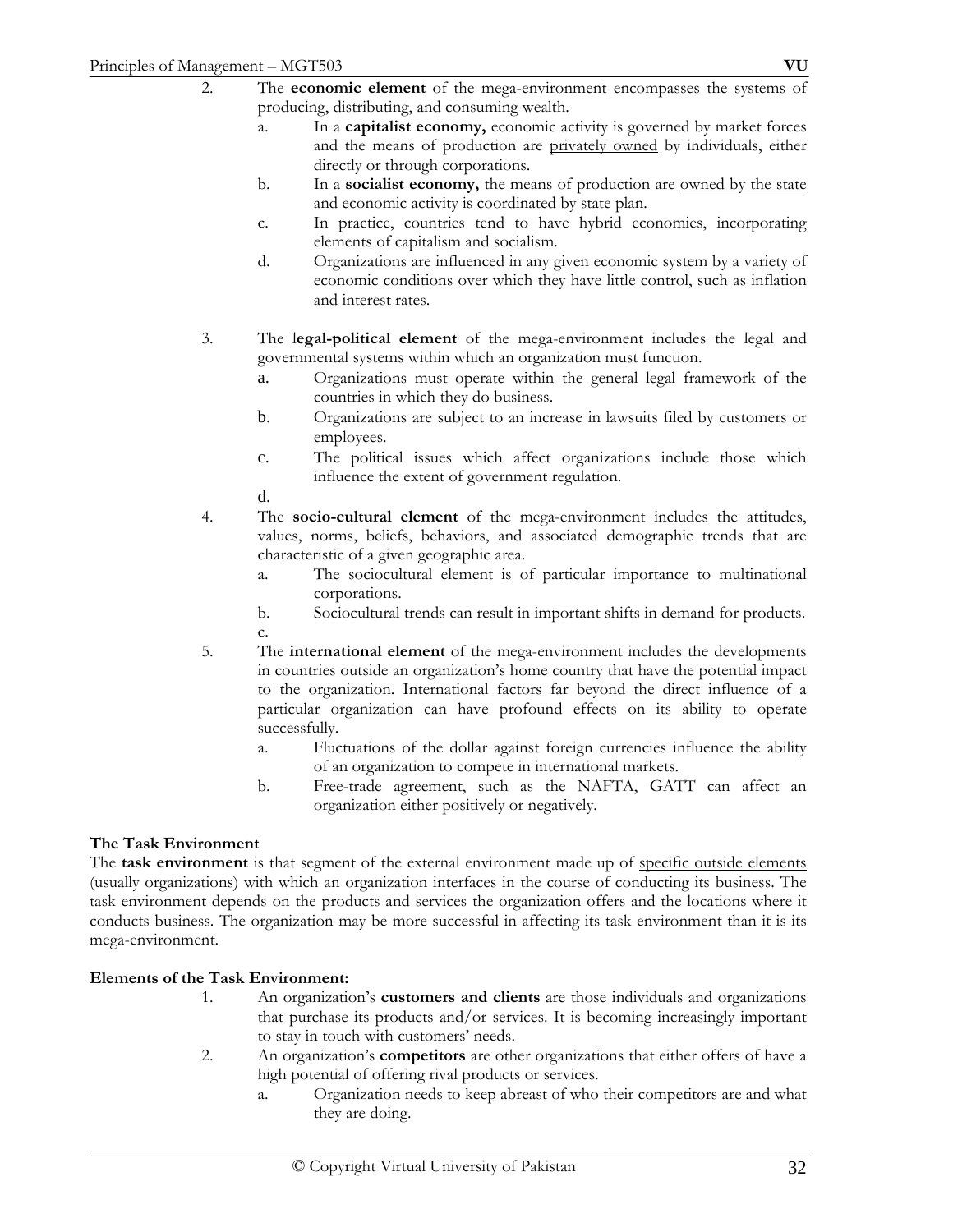- a. In a **capitalist economy,** economic activity is governed by market forces and the means of production are privately owned by individuals, either directly or through corporations.
- b. In a **socialist economy,** the means of production are owned by the state and economic activity is coordinated by state plan.
- c. In practice, countries tend to have hybrid economies, incorporating elements of capitalism and socialism.
- d. Organizations are influenced in any given economic system by a variety of economic conditions over which they have little control, such as inflation and interest rates.
- 3. The l**egal-political element** of the mega-environment includes the legal and governmental systems within which an organization must function.
	- a. Organizations must operate within the general legal framework of the countries in which they do business.
	- b. Organizations are subject to an increase in lawsuits filed by customers or employees.
	- c. The political issues which affect organizations include those which influence the extent of government regulation.
	- d.
- 4. The **socio-cultural element** of the mega-environment includes the attitudes, values, norms, beliefs, behaviors, and associated demographic trends that are characteristic of a given geographic area.
	- a. The sociocultural element is of particular importance to multinational corporations.
	- b. Sociocultural trends can result in important shifts in demand for products. c.
- 5. The **international element** of the mega-environment includes the developments in countries outside an organization's home country that have the potential impact to the organization. International factors far beyond the direct influence of a particular organization can have profound effects on its ability to operate successfully.
	- a. Fluctuations of the dollar against foreign currencies influence the ability of an organization to compete in international markets.
	- b. Free-trade agreement, such as the NAFTA, GATT can affect an organization either positively or negatively.

## **The Task Environment**

The **task environment** is that segment of the external environment made up of specific outside elements (usually organizations) with which an organization interfaces in the course of conducting its business. The task environment depends on the products and services the organization offers and the locations where it conducts business. The organization may be more successful in affecting its task environment than it is its mega-environment.

## **Elements of the Task Environment:**

- 1. An organization's **customers and clients** are those individuals and organizations that purchase its products and/or services. It is becoming increasingly important to stay in touch with customers' needs.
- 2. An organization's **competitors** are other organizations that either offers of have a high potential of offering rival products or services.
	- a. Organization needs to keep abreast of who their competitors are and what they are doing.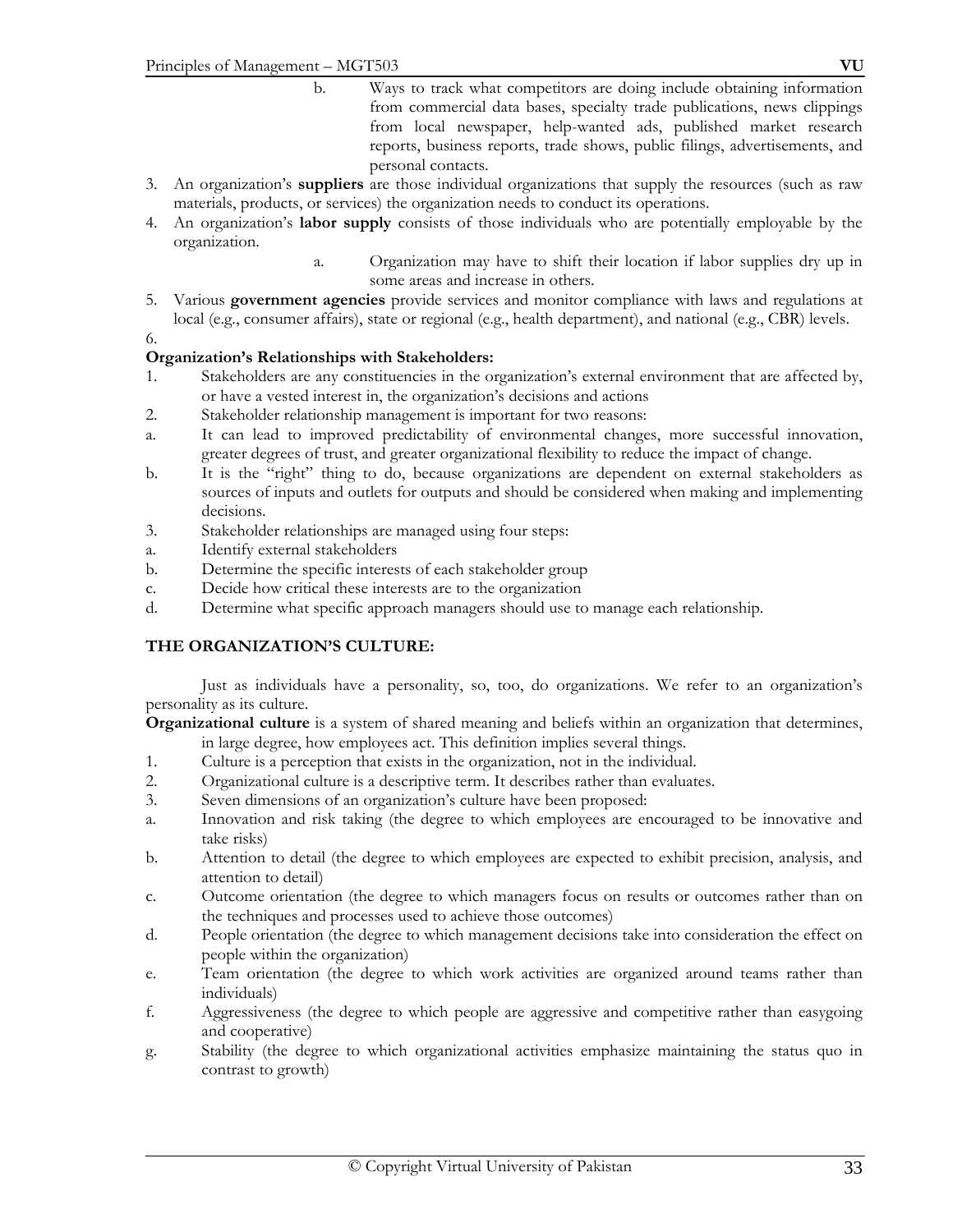- b. Ways to track what competitors are doing include obtaining information from commercial data bases, specialty trade publications, news clippings from local newspaper, help-wanted ads, published market research reports, business reports, trade shows, public filings, advertisements, and personal contacts.
- 3. An organization's **suppliers** are those individual organizations that supply the resources (such as raw materials, products, or services) the organization needs to conduct its operations.
- 4. An organization's **labor supply** consists of those individuals who are potentially employable by the organization.
	- a. Organization may have to shift their location if labor supplies dry up in some areas and increase in others.
- 5. Various **government agencies** provide services and monitor compliance with laws and regulations at local (e.g., consumer affairs), state or regional (e.g., health department), and national (e.g., CBR) levels.

6.

#### **Organization's Relationships with Stakeholders:**

- 1. Stakeholders are any constituencies in the organization's external environment that are affected by, or have a vested interest in, the organization's decisions and actions
- 2. Stakeholder relationship management is important for two reasons:
- a. It can lead to improved predictability of environmental changes, more successful innovation, greater degrees of trust, and greater organizational flexibility to reduce the impact of change.
- b. It is the "right" thing to do, because organizations are dependent on external stakeholders as sources of inputs and outlets for outputs and should be considered when making and implementing decisions.
- 3. Stakeholder relationships are managed using four steps:
- a. Identify external stakeholders
- b. Determine the specific interests of each stakeholder group
- c. Decide how critical these interests are to the organization
- d. Determine what specific approach managers should use to manage each relationship.

#### **THE ORGANIZATION'S CULTURE:**

 Just as individuals have a personality, so, too, do organizations. We refer to an organization's personality as its culture.

**Organizational culture** is a system of shared meaning and beliefs within an organization that determines, in large degree, how employees act. This definition implies several things.

- 1. Culture is a perception that exists in the organization, not in the individual.
- 2. Organizational culture is a descriptive term. It describes rather than evaluates.
- 3. Seven dimensions of an organization's culture have been proposed:
- a. Innovation and risk taking (the degree to which employees are encouraged to be innovative and take risks)
- b. Attention to detail (the degree to which employees are expected to exhibit precision, analysis, and attention to detail)
- c. Outcome orientation (the degree to which managers focus on results or outcomes rather than on the techniques and processes used to achieve those outcomes)
- d. People orientation (the degree to which management decisions take into consideration the effect on people within the organization)
- e. Team orientation (the degree to which work activities are organized around teams rather than individuals)
- f. Aggressiveness (the degree to which people are aggressive and competitive rather than easygoing and cooperative)
- g. Stability (the degree to which organizational activities emphasize maintaining the status quo in contrast to growth)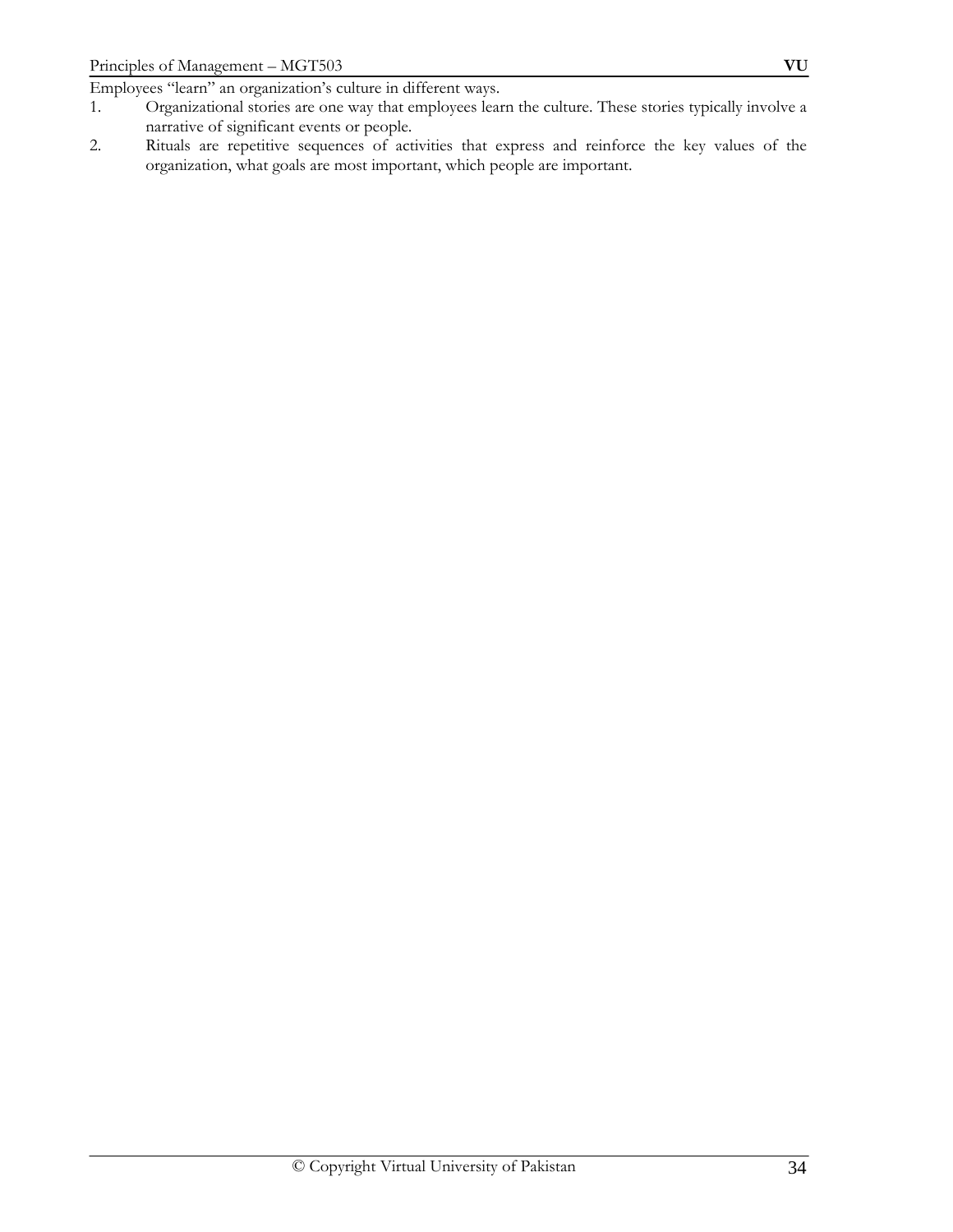Employees "learn" an organization's culture in different ways.

- 1. Organizational stories are one way that employees learn the culture. These stories typically involve a narrative of significant events or people.
- 2. Rituals are repetitive sequences of activities that express and reinforce the key values of the organization, what goals are most important, which people are important.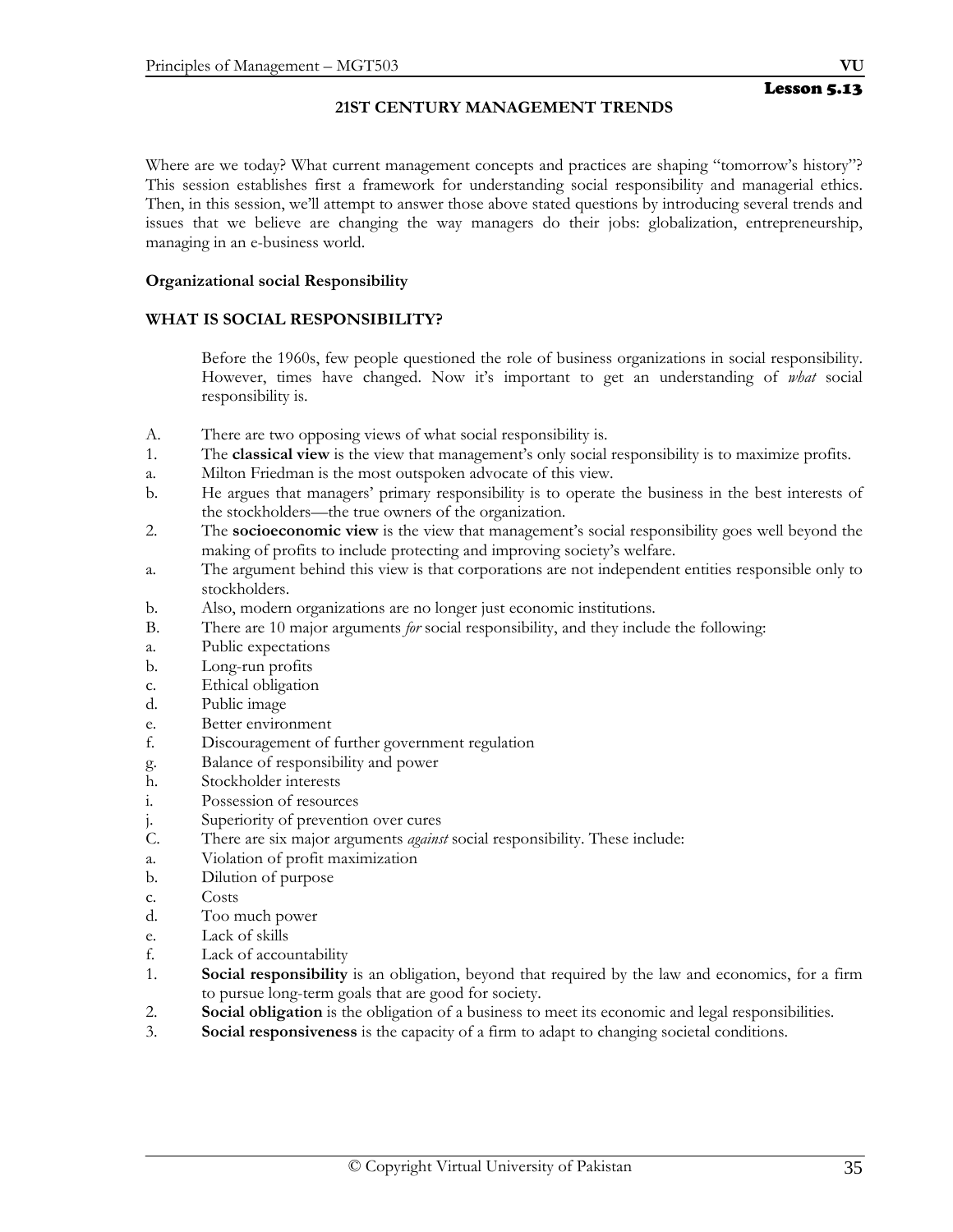## **21ST CENTURY MANAGEMENT TRENDS**

Where are we today? What current management concepts and practices are shaping "tomorrow's history"? This session establishes first a framework for understanding social responsibility and managerial ethics. Then, in this session, we'll attempt to answer those above stated questions by introducing several trends and issues that we believe are changing the way managers do their jobs: globalization, entrepreneurship, managing in an e-business world.

#### **Organizational social Responsibility**

#### **WHAT IS SOCIAL RESPONSIBILITY?**

 Before the 1960s, few people questioned the role of business organizations in social responsibility. However, times have changed. Now it's important to get an understanding of *what* social responsibility is.

- A. There are two opposing views of what social responsibility is.
- 1. The **classical view** is the view that management's only social responsibility is to maximize profits.
- a. Milton Friedman is the most outspoken advocate of this view.
- b. He argues that managers' primary responsibility is to operate the business in the best interests of the stockholders—the true owners of the organization.
- 2. The **socioeconomic view** is the view that management's social responsibility goes well beyond the making of profits to include protecting and improving society's welfare.
- a. The argument behind this view is that corporations are not independent entities responsible only to stockholders.
- b. Also, modern organizations are no longer just economic institutions.
- B. There are 10 major arguments *for* social responsibility, and they include the following:
- a. Public expectations
- b. Long-run profits
- c. Ethical obligation
- d. Public image
- e. Better environment
- f. Discouragement of further government regulation
- g. Balance of responsibility and power
- h. Stockholder interests
- i. Possession of resources
- j. Superiority of prevention over cures
- C. There are six major arguments *against* social responsibility. These include:
- a. Violation of profit maximization
- b. Dilution of purpose
- c. Costs
- d. Too much power
- e. Lack of skills
- f. Lack of accountability
- 1. **Social responsibility** is an obligation, beyond that required by the law and economics, for a firm to pursue long-term goals that are good for society.
- 2. **Social obligation** is the obligation of a business to meet its economic and legal responsibilities.
- 3. **Social responsiveness** is the capacity of a firm to adapt to changing societal conditions.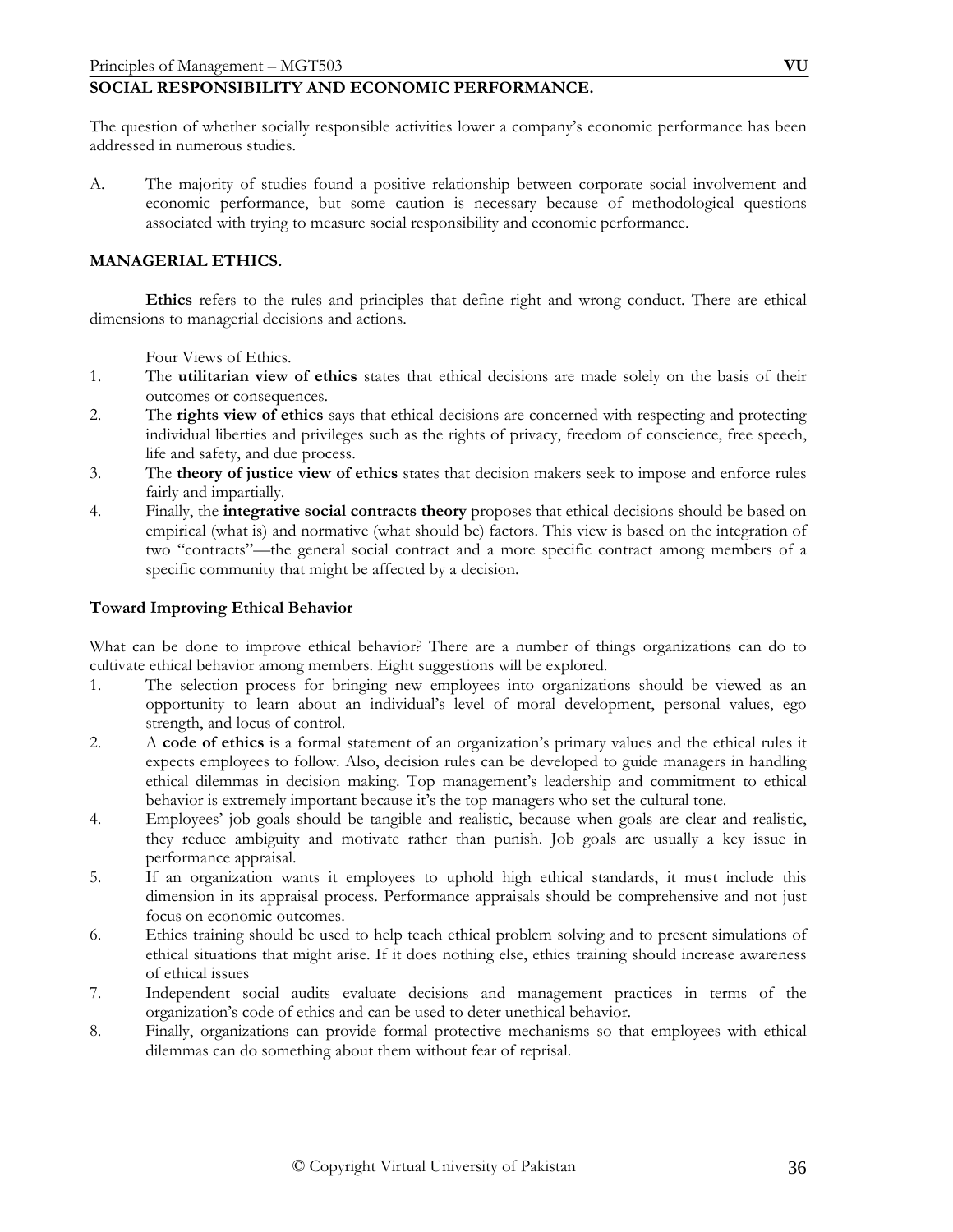## **SOCIAL RESPONSIBILITY AND ECONOMIC PERFORMANCE.**

The question of whether socially responsible activities lower a company's economic performance has been addressed in numerous studies.

A. The majority of studies found a positive relationship between corporate social involvement and economic performance, but some caution is necessary because of methodological questions associated with trying to measure social responsibility and economic performance.

#### **MANAGERIAL ETHICS.**

 **Ethics** refers to the rules and principles that define right and wrong conduct. There are ethical dimensions to managerial decisions and actions.

- Four Views of Ethics.<br>1. The **utilitarian view** The **utilitarian view of ethics** states that ethical decisions are made solely on the basis of their outcomes or consequences.
- 2. The **rights view of ethics** says that ethical decisions are concerned with respecting and protecting individual liberties and privileges such as the rights of privacy, freedom of conscience, free speech, life and safety, and due process.
- 3. The **theory of justice view of ethics** states that decision makers seek to impose and enforce rules fairly and impartially.
- 4. Finally, the **integrative social contracts theory** proposes that ethical decisions should be based on empirical (what is) and normative (what should be) factors. This view is based on the integration of two "contracts"—the general social contract and a more specific contract among members of a specific community that might be affected by a decision.

#### **Toward Improving Ethical Behavior**

What can be done to improve ethical behavior? There are a number of things organizations can do to cultivate ethical behavior among members. Eight suggestions will be explored.

- 1. The selection process for bringing new employees into organizations should be viewed as an opportunity to learn about an individual's level of moral development, personal values, ego strength, and locus of control.
- 2. A **code of ethics** is a formal statement of an organization's primary values and the ethical rules it expects employees to follow. Also, decision rules can be developed to guide managers in handling ethical dilemmas in decision making. Top management's leadership and commitment to ethical behavior is extremely important because it's the top managers who set the cultural tone.
- 4. Employees' job goals should be tangible and realistic, because when goals are clear and realistic, they reduce ambiguity and motivate rather than punish. Job goals are usually a key issue in performance appraisal.
- 5. If an organization wants it employees to uphold high ethical standards, it must include this dimension in its appraisal process. Performance appraisals should be comprehensive and not just focus on economic outcomes.
- 6. Ethics training should be used to help teach ethical problem solving and to present simulations of ethical situations that might arise. If it does nothing else, ethics training should increase awareness of ethical issues
- 7. Independent social audits evaluate decisions and management practices in terms of the organization's code of ethics and can be used to deter unethical behavior.
- 8. Finally, organizations can provide formal protective mechanisms so that employees with ethical dilemmas can do something about them without fear of reprisal.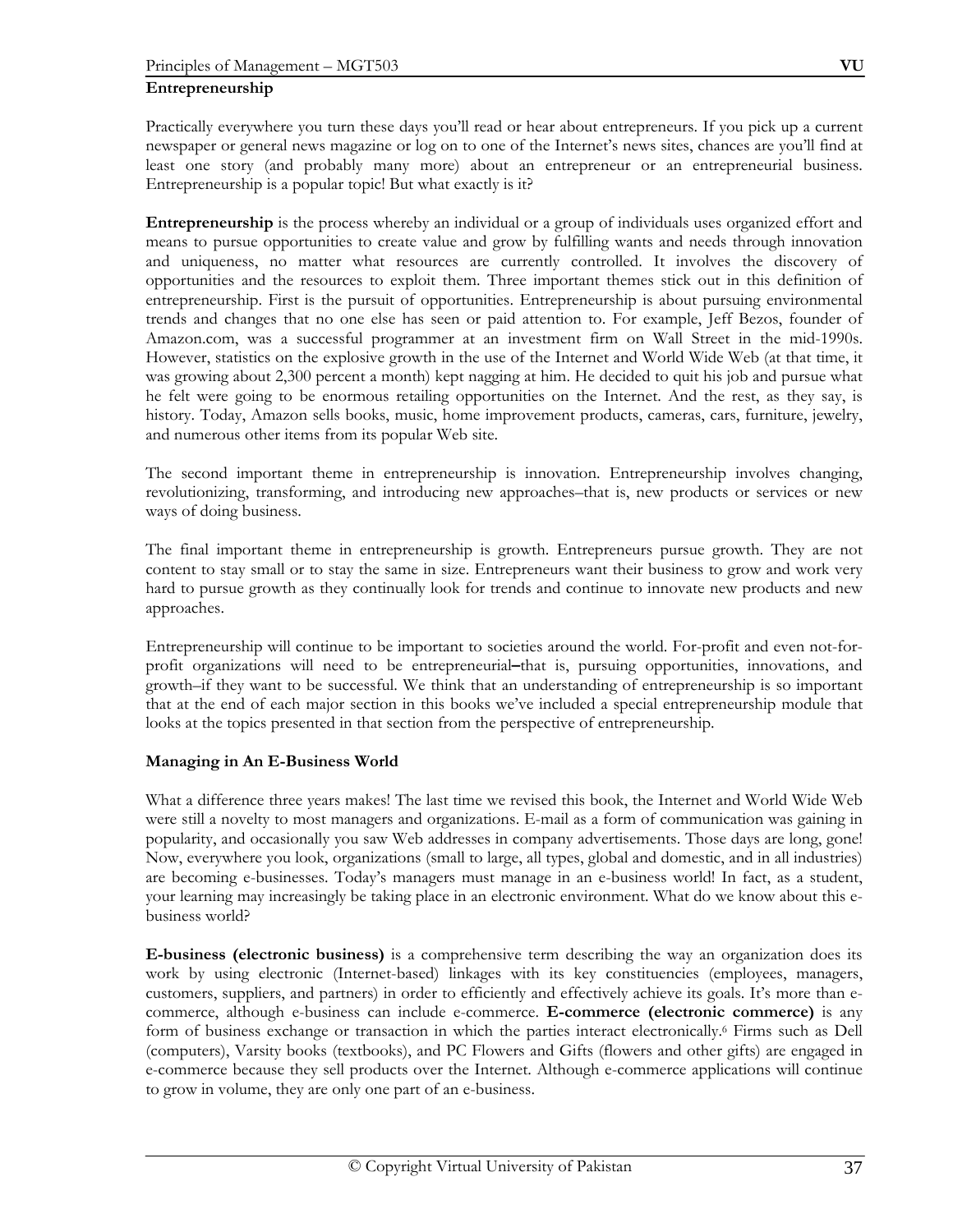Practically everywhere you turn these days you'll read or hear about entrepreneurs. If you pick up a current newspaper or general news magazine or log on to one of the Internet's news sites, chances are you'll find at least one story (and probably many more) about an entrepreneur or an entrepreneurial business. Entrepreneurship is a popular topic! But what exactly is it?

**Entrepreneurship** is the process whereby an individual or a group of individuals uses organized effort and means to pursue opportunities to create value and grow by fulfilling wants and needs through innovation and uniqueness, no matter what resources are currently controlled. It involves the discovery of opportunities and the resources to exploit them. Three important themes stick out in this definition of entrepreneurship. First is the pursuit of opportunities. Entrepreneurship is about pursuing environmental trends and changes that no one else has seen or paid attention to. For example, Jeff Bezos, founder of Amazon.com, was a successful programmer at an investment firm on Wall Street in the mid-1990s. However, statistics on the explosive growth in the use of the Internet and World Wide Web (at that time, it was growing about 2,300 percent a month) kept nagging at him. He decided to quit his job and pursue what he felt were going to be enormous retailing opportunities on the Internet. And the rest, as they say, is history. Today, Amazon sells books, music, home improvement products, cameras, cars, furniture, jewelry, and numerous other items from its popular Web site.

The second important theme in entrepreneurship is innovation. Entrepreneurship involves changing, revolutionizing, transforming, and introducing new approaches–that is, new products or services or new ways of doing business.

The final important theme in entrepreneurship is growth. Entrepreneurs pursue growth. They are not content to stay small or to stay the same in size. Entrepreneurs want their business to grow and work very hard to pursue growth as they continually look for trends and continue to innovate new products and new approaches.

Entrepreneurship will continue to be important to societies around the world. For-profit and even not-forprofit organizations will need to be entrepreneurial**–**that is, pursuing opportunities, innovations, and growth–if they want to be successful. We think that an understanding of entrepreneurship is so important that at the end of each major section in this books we've included a special entrepreneurship module that looks at the topics presented in that section from the perspective of entrepreneurship.

## **Managing in An E-Business World**

What a difference three years makes! The last time we revised this book, the Internet and World Wide Web were still a novelty to most managers and organizations. E-mail as a form of communication was gaining in popularity, and occasionally you saw Web addresses in company advertisements. Those days are long, gone! Now, everywhere you look, organizations (small to large, all types, global and domestic, and in all industries) are becoming e-businesses. Today's managers must manage in an e-business world! In fact, as a student, your learning may increasingly be taking place in an electronic environment. What do we know about this ebusiness world?

**E-business (electronic business)** is a comprehensive term describing the way an organization does its work by using electronic (Internet-based) linkages with its key constituencies (employees, managers, customers, suppliers, and partners) in order to efficiently and effectively achieve its goals. It's more than ecommerce, although e-business can include e-commerce. **E-commerce (electronic commerce)** is any form of business exchange or transaction in which the parties interact electronically.6 Firms such as Dell (computers), Varsity books (textbooks), and PC Flowers and Gifts (flowers and other gifts) are engaged in e-commerce because they sell products over the Internet. Although e-commerce applications will continue to grow in volume, they are only one part of an e-business.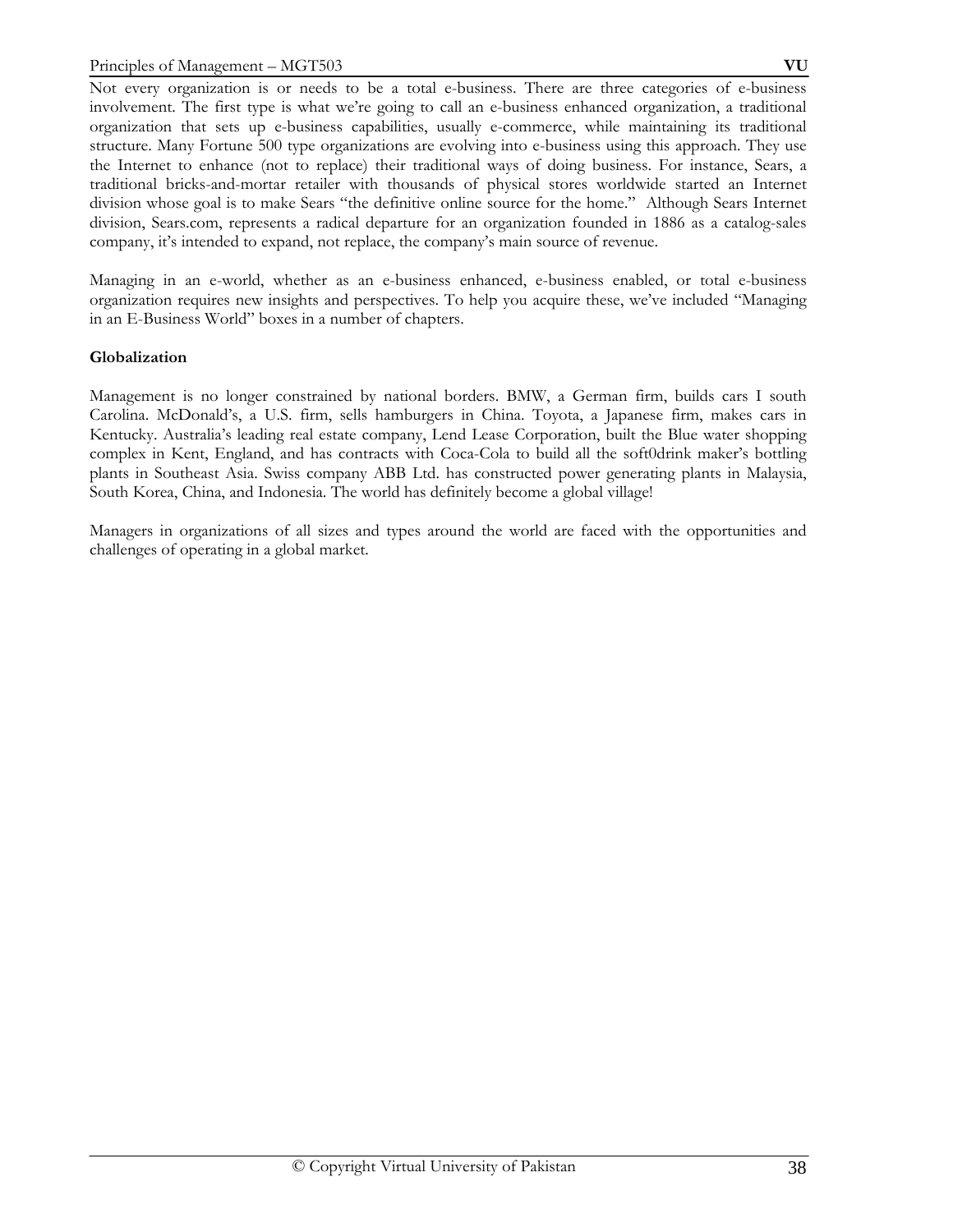Not every organization is or needs to be a total e-business. There are three categories of e-business involvement. The first type is what we're going to call an e-business enhanced organization, a traditional organization that sets up e-business capabilities, usually e-commerce, while maintaining its traditional structure. Many Fortune 500 type organizations are evolving into e-business using this approach. They use the Internet to enhance (not to replace) their traditional ways of doing business. For instance, Sears, a traditional bricks-and-mortar retailer with thousands of physical stores worldwide started an Internet division whose goal is to make Sears "the definitive online source for the home." Although Sears Internet division, Sears.com, represents a radical departure for an organization founded in 1886 as a catalog-sales company, it's intended to expand, not replace, the company's main source of revenue.

Managing in an e-world, whether as an e-business enhanced, e-business enabled, or total e-business organization requires new insights and perspectives. To help you acquire these, we've included "Managing in an E-Business World" boxes in a number of chapters.

## **Globalization**

Management is no longer constrained by national borders. BMW, a German firm, builds cars I south Carolina. McDonald's, a U.S. firm, sells hamburgers in China. Toyota, a Japanese firm, makes cars in Kentucky. Australia's leading real estate company, Lend Lease Corporation, built the Blue water shopping complex in Kent, England, and has contracts with Coca-Cola to build all the soft0drink maker's bottling plants in Southeast Asia. Swiss company ABB Ltd. has constructed power generating plants in Malaysia, South Korea, China, and Indonesia. The world has definitely become a global village!

Managers in organizations of all sizes and types around the world are faced with the opportunities and challenges of operating in a global market.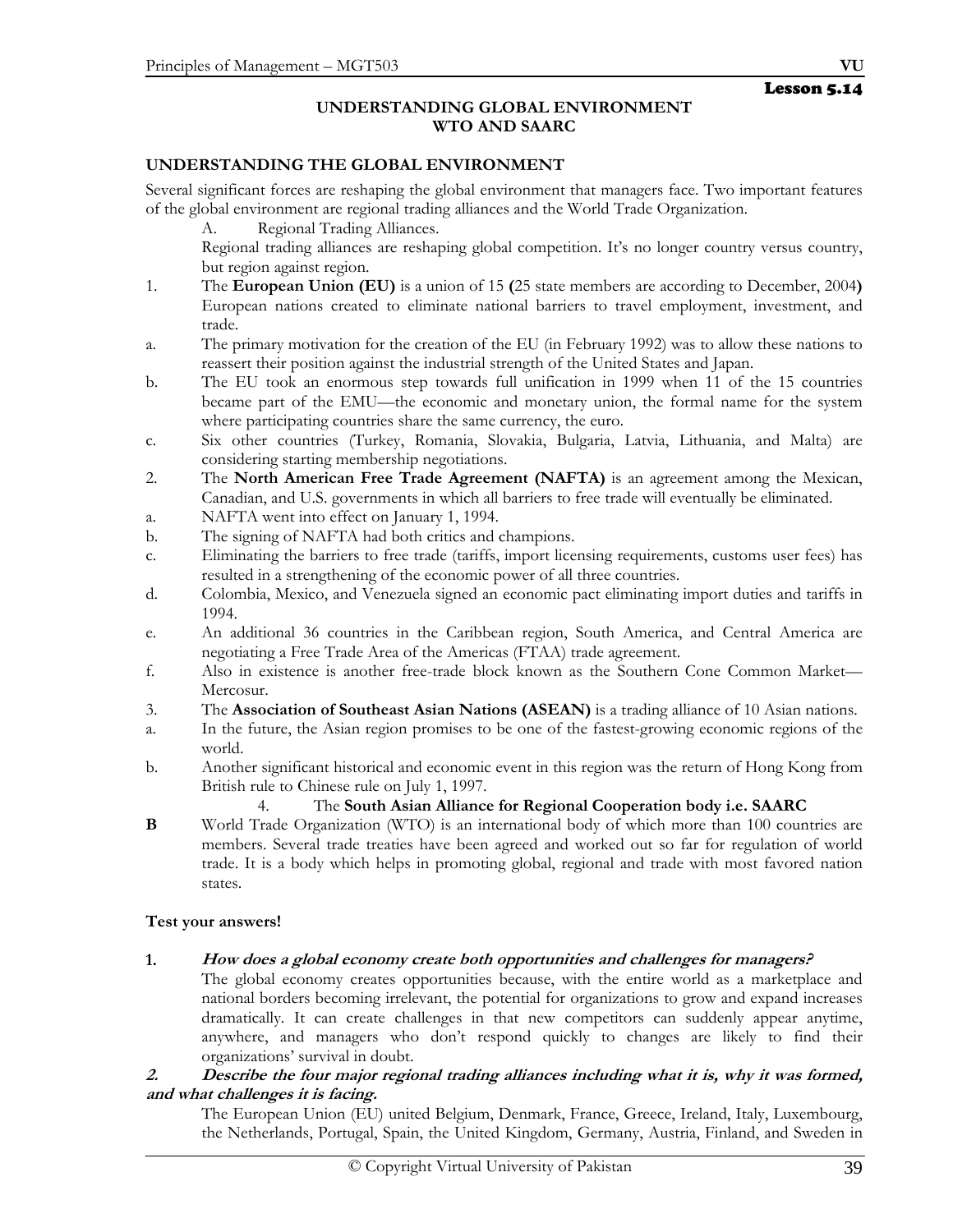## **UNDERSTANDING GLOBAL ENVIRONMENT WTO AND SAARC**

## **UNDERSTANDING THE GLOBAL ENVIRONMENT**

Several significant forces are reshaping the global environment that managers face. Two important features of the global environment are regional trading alliances and the World Trade Organization.

A. Regional Trading Alliances.

 Regional trading alliances are reshaping global competition. It's no longer country versus country, but region against region.

- 1. The **European Union (EU)** is a union of 15 **(**25 state members are according to December, 2004**)** European nations created to eliminate national barriers to travel employment, investment, and trade.
- a. The primary motivation for the creation of the EU (in February 1992) was to allow these nations to reassert their position against the industrial strength of the United States and Japan.
- b. The EU took an enormous step towards full unification in 1999 when 11 of the 15 countries became part of the EMU—the economic and monetary union, the formal name for the system where participating countries share the same currency, the euro.
- c. Six other countries (Turkey, Romania, Slovakia, Bulgaria, Latvia, Lithuania, and Malta) are considering starting membership negotiations.
- 2. The **North American Free Trade Agreement (NAFTA)** is an agreement among the Mexican, Canadian, and U.S. governments in which all barriers to free trade will eventually be eliminated.
- a. NAFTA went into effect on January 1, 1994.
- b. The signing of NAFTA had both critics and champions.
- c. Eliminating the barriers to free trade (tariffs, import licensing requirements, customs user fees) has resulted in a strengthening of the economic power of all three countries.
- d. Colombia, Mexico, and Venezuela signed an economic pact eliminating import duties and tariffs in 1994.
- e. An additional 36 countries in the Caribbean region, South America, and Central America are negotiating a Free Trade Area of the Americas (FTAA) trade agreement.
- f. Also in existence is another free-trade block known as the Southern Cone Common Market— Mercosur.
- 3. The **Association of Southeast Asian Nations (ASEAN)** is a trading alliance of 10 Asian nations.
- a. In the future, the Asian region promises to be one of the fastest-growing economic regions of the world.
- b. Another significant historical and economic event in this region was the return of Hong Kong from British rule to Chinese rule on July 1, 1997.

## 4. The **South Asian Alliance for Regional Cooperation body i.e. SAARC**

**B** World Trade Organization (WTO) is an international body of which more than 100 countries are members. Several trade treaties have been agreed and worked out so far for regulation of world trade. It is a body which helps in promoting global, regional and trade with most favored nation states.

## **Test your answers!**

**1. How does a global economy create both opportunities and challenges for managers?**

 The global economy creates opportunities because, with the entire world as a marketplace and national borders becoming irrelevant, the potential for organizations to grow and expand increases dramatically. It can create challenges in that new competitors can suddenly appear anytime, anywhere, and managers who don't respond quickly to changes are likely to find their organizations' survival in doubt.

## **2. Describe the four major regional trading alliances including what it is, why it was formed, and what challenges it is facing.**

 The European Union (EU) united Belgium, Denmark, France, Greece, Ireland, Italy, Luxembourg, the Netherlands, Portugal, Spain, the United Kingdom, Germany, Austria, Finland, and Sweden in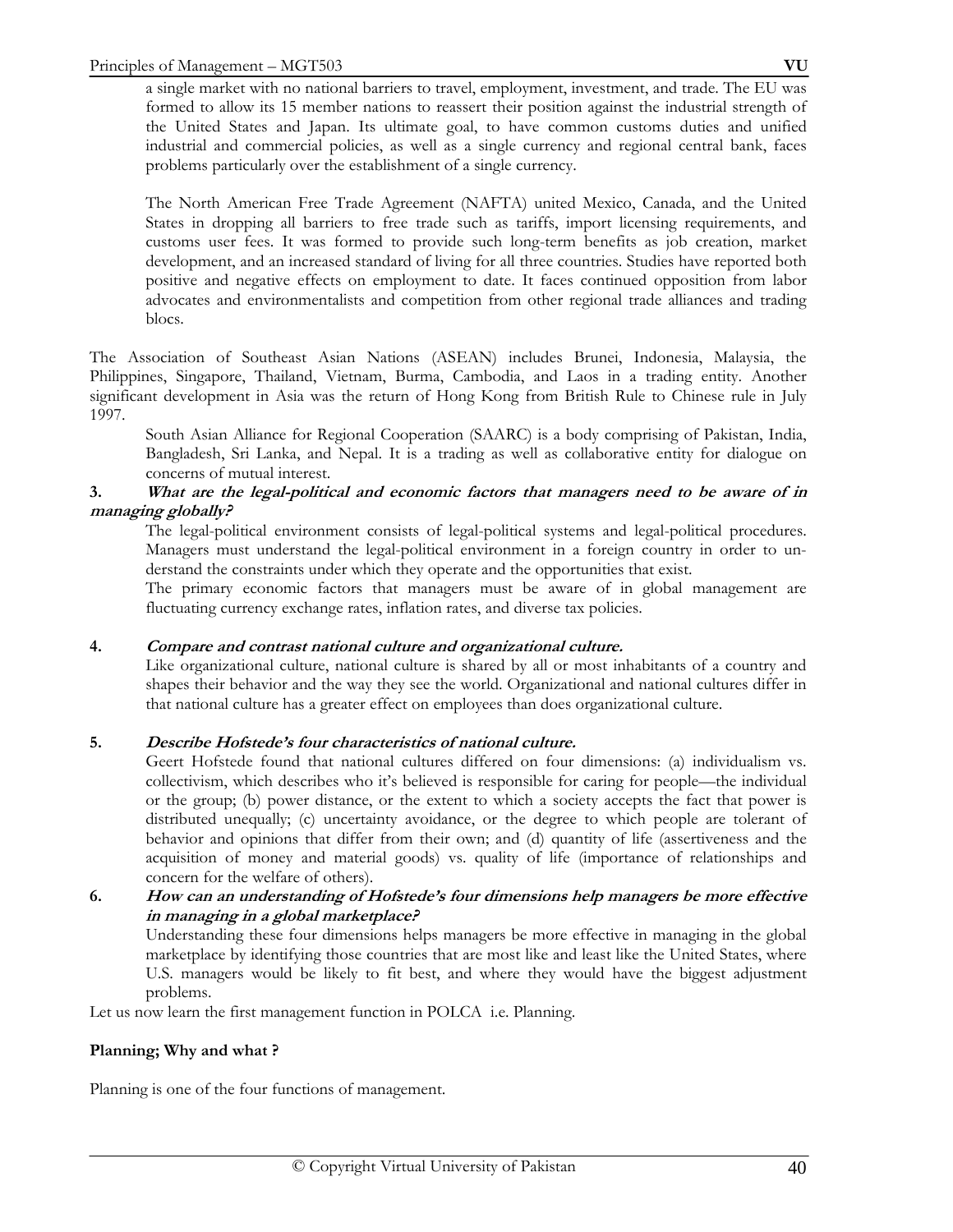a single market with no national barriers to travel, employment, investment, and trade. The EU was formed to allow its 15 member nations to reassert their position against the industrial strength of the United States and Japan. Its ultimate goal, to have common customs duties and unified industrial and commercial policies, as well as a single currency and regional central bank, faces problems particularly over the establishment of a single currency.

The North American Free Trade Agreement (NAFTA) united Mexico, Canada, and the United States in dropping all barriers to free trade such as tariffs, import licensing requirements, and customs user fees. It was formed to provide such long-term benefits as job creation, market development, and an increased standard of living for all three countries. Studies have reported both positive and negative effects on employment to date. It faces continued opposition from labor advocates and environmentalists and competition from other regional trade alliances and trading blocs.

The Association of Southeast Asian Nations (ASEAN) includes Brunei, Indonesia, Malaysia, the Philippines, Singapore, Thailand, Vietnam, Burma, Cambodia, and Laos in a trading entity. Another significant development in Asia was the return of Hong Kong from British Rule to Chinese rule in July 1997.

 South Asian Alliance for Regional Cooperation (SAARC) is a body comprising of Pakistan, India, Bangladesh, Sri Lanka, and Nepal. It is a trading as well as collaborative entity for dialogue on concerns of mutual interest.

## **3. What are the legal-political and economic factors that managers need to be aware of in managing globally?**

 The legal-political environment consists of legal-political systems and legal-political procedures. Managers must understand the legal-political environment in a foreign country in order to understand the constraints under which they operate and the opportunities that exist.

The primary economic factors that managers must be aware of in global management are fluctuating currency exchange rates, inflation rates, and diverse tax policies.

## **4. Compare and contrast national culture and organizational culture.**

 Like organizational culture, national culture is shared by all or most inhabitants of a country and shapes their behavior and the way they see the world. Organizational and national cultures differ in that national culture has a greater effect on employees than does organizational culture.

## **5. Describe Hofstede's four characteristics of national culture.**

 Geert Hofstede found that national cultures differed on four dimensions: (a) individualism vs. collectivism, which describes who it's believed is responsible for caring for people—the individual or the group; (b) power distance, or the extent to which a society accepts the fact that power is distributed unequally; (c) uncertainty avoidance, or the degree to which people are tolerant of behavior and opinions that differ from their own; and (d) quantity of life (assertiveness and the acquisition of money and material goods) vs. quality of life (importance of relationships and concern for the welfare of others).

## **6. How can an understanding of Hofstede's four dimensions help managers be more effective in managing in a global marketplace?**

 Understanding these four dimensions helps managers be more effective in managing in the global marketplace by identifying those countries that are most like and least like the United States, where U.S. managers would be likely to fit best, and where they would have the biggest adjustment problems.

Let us now learn the first management function in POLCA i.e. Planning.

## **Planning; Why and what ?**

Planning is one of the four functions of management.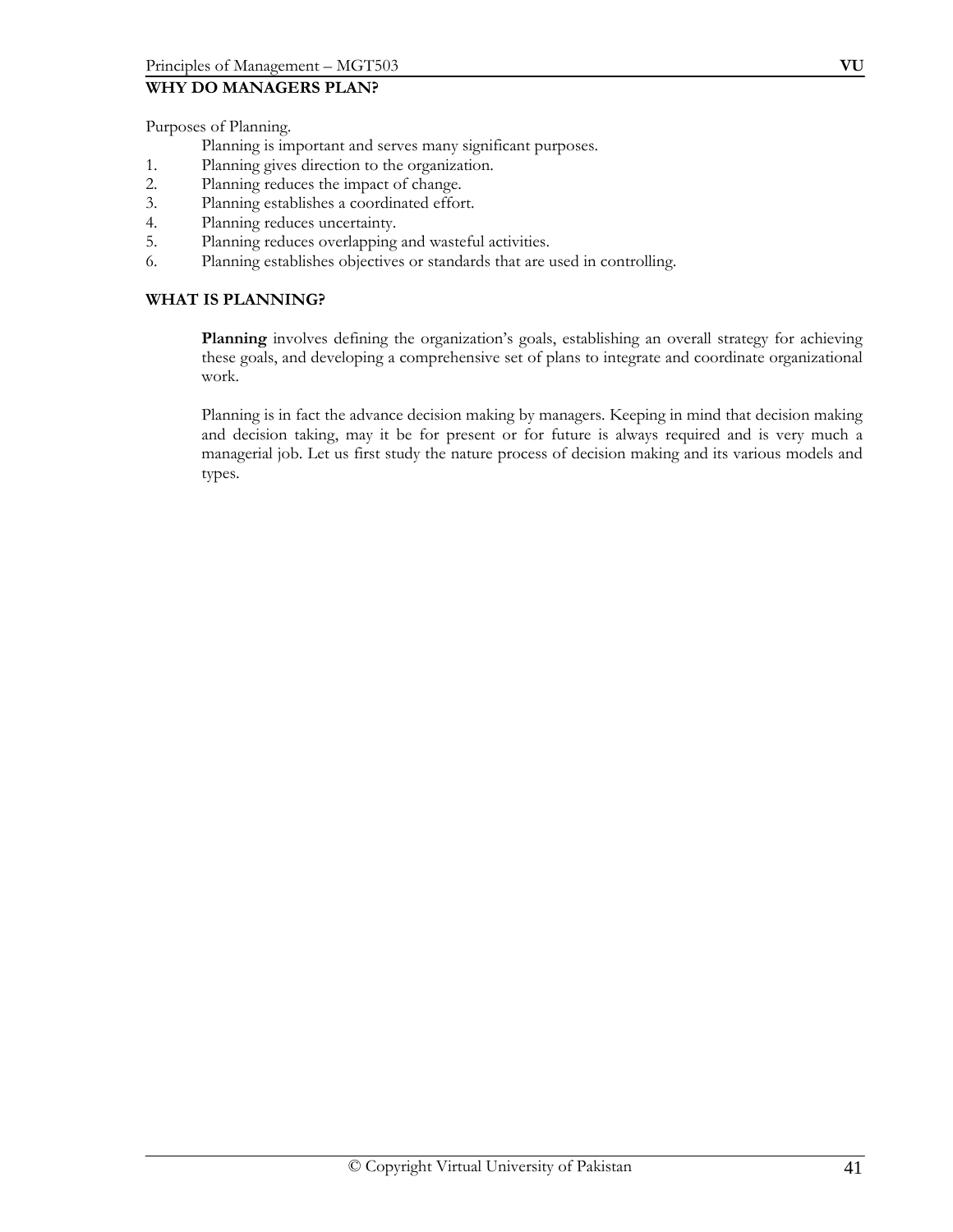## **WHY DO MANAGERS PLAN?**

Purposes of Planning.

- Planning is important and serves many significant purposes.
- 1. Planning gives direction to the organization.
- 2. Planning reduces the impact of change.
- 3. Planning establishes a coordinated effort.
- 4. Planning reduces uncertainty.
- 5. Planning reduces overlapping and wasteful activities.
- 6. Planning establishes objectives or standards that are used in controlling.

## **WHAT IS PLANNING?**

 **Planning** involves defining the organization's goals, establishing an overall strategy for achieving these goals, and developing a comprehensive set of plans to integrate and coordinate organizational work.

Planning is in fact the advance decision making by managers. Keeping in mind that decision making and decision taking, may it be for present or for future is always required and is very much a managerial job. Let us first study the nature process of decision making and its various models and types.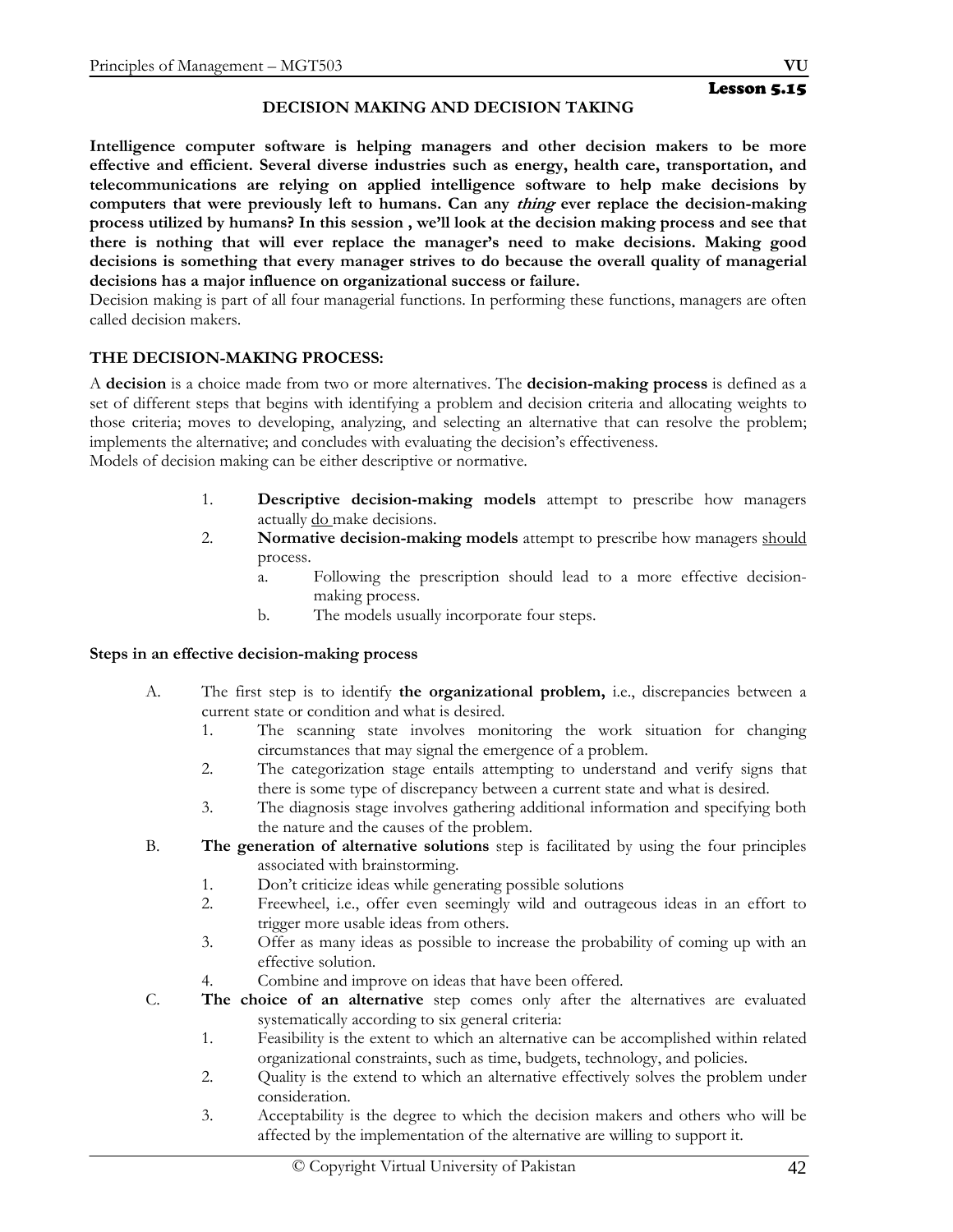## **DECISION MAKING AND DECISION TAKING**

**Intelligence computer software is helping managers and other decision makers to be more effective and efficient. Several diverse industries such as energy, health care, transportation, and telecommunications are relying on applied intelligence software to help make decisions by computers that were previously left to humans. Can any thing ever replace the decision-making process utilized by humans? In this session , we'll look at the decision making process and see that there is nothing that will ever replace the manager's need to make decisions. Making good decisions is something that every manager strives to do because the overall quality of managerial decisions has a major influence on organizational success or failure.**

Decision making is part of all four managerial functions. In performing these functions, managers are often called decision makers.

## **THE DECISION-MAKING PROCESS:**

A **decision** is a choice made from two or more alternatives. The **decision-making process** is defined as a set of different steps that begins with identifying a problem and decision criteria and allocating weights to those criteria; moves to developing, analyzing, and selecting an alternative that can resolve the problem; implements the alternative; and concludes with evaluating the decision's effectiveness.

Models of decision making can be either descriptive or normative.

- 1. **Descriptive decision-making models** attempt to prescribe how managers actually do make decisions.
- 2. **Normative decision-making models** attempt to prescribe how managers should process.
	- a. Following the prescription should lead to a more effective decisionmaking process.
	- b. The models usually incorporate four steps.

## **Steps in an effective decision-making process**

- A. The first step is to identify **the organizational problem,** i.e., discrepancies between a current state or condition and what is desired.
	- 1. The scanning state involves monitoring the work situation for changing circumstances that may signal the emergence of a problem.
	- 2. The categorization stage entails attempting to understand and verify signs that there is some type of discrepancy between a current state and what is desired.
	- 3. The diagnosis stage involves gathering additional information and specifying both the nature and the causes of the problem.
- B. **The generation of alternative solutions** step is facilitated by using the four principles associated with brainstorming.
	- 1. Don't criticize ideas while generating possible solutions
	- 2. Freewheel, i.e., offer even seemingly wild and outrageous ideas in an effort to trigger more usable ideas from others.
	- 3. Offer as many ideas as possible to increase the probability of coming up with an effective solution.
	- 4. Combine and improve on ideas that have been offered.
- C. **The choice of an alternative** step comes only after the alternatives are evaluated systematically according to six general criteria:
	- 1. Feasibility is the extent to which an alternative can be accomplished within related organizational constraints, such as time, budgets, technology, and policies.
	- 2. Quality is the extend to which an alternative effectively solves the problem under consideration.
	- 3. Acceptability is the degree to which the decision makers and others who will be affected by the implementation of the alternative are willing to support it.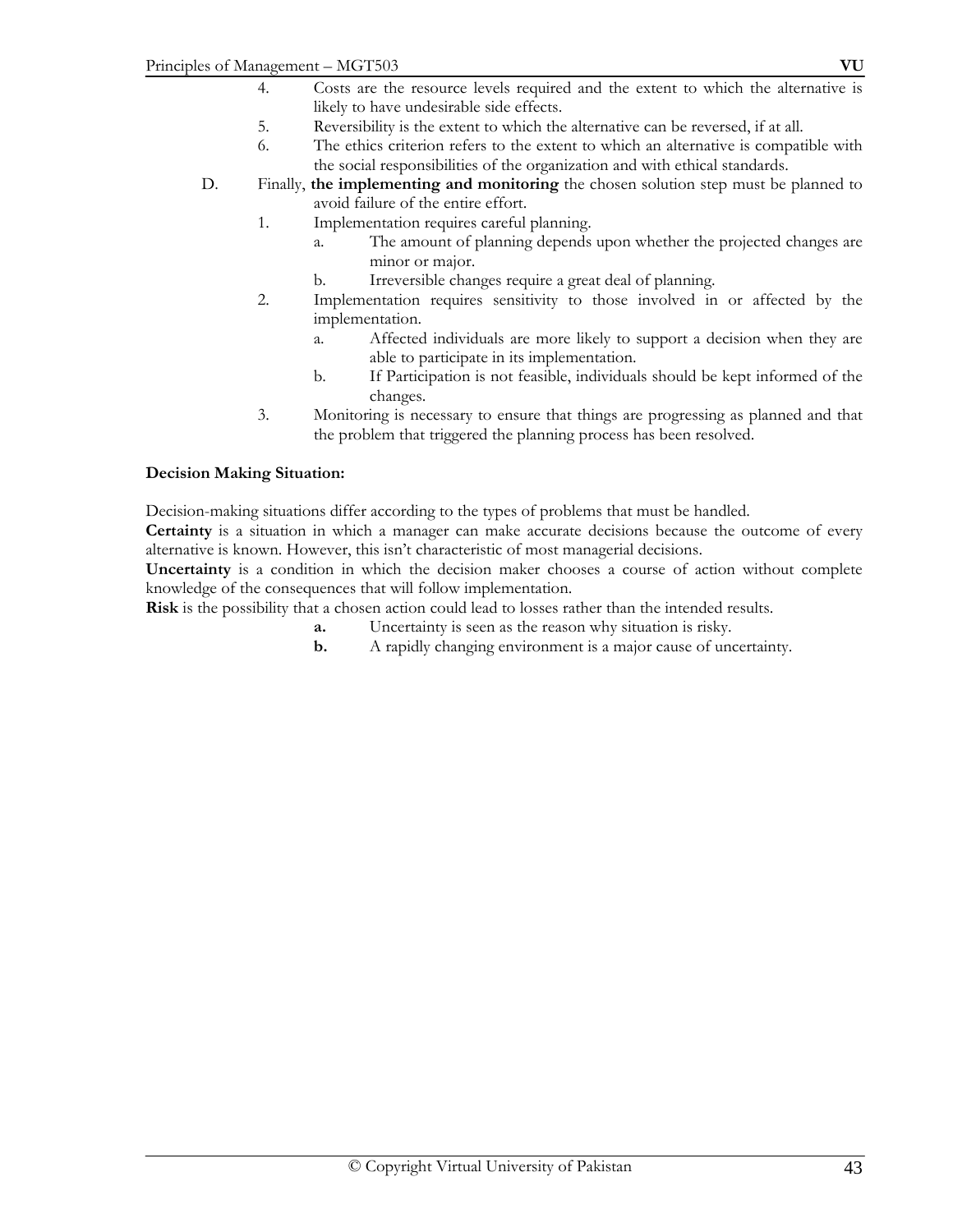- 4. Costs are the resource levels required and the extent to which the alternative is likely to have undesirable side effects.
- 5. Reversibility is the extent to which the alternative can be reversed, if at all.
- 6. The ethics criterion refers to the extent to which an alternative is compatible with the social responsibilities of the organization and with ethical standards.
- D. Finally, **the implementing and monitoring** the chosen solution step must be planned to avoid failure of the entire effort.
	- 1. Implementation requires careful planning.
		- a. The amount of planning depends upon whether the projected changes are minor or major.
		- b. Irreversible changes require a great deal of planning.
	- 2. Implementation requires sensitivity to those involved in or affected by the implementation.
		- a. Affected individuals are more likely to support a decision when they are able to participate in its implementation.
		- b. If Participation is not feasible, individuals should be kept informed of the changes.
	- 3. Monitoring is necessary to ensure that things are progressing as planned and that the problem that triggered the planning process has been resolved.

## **Decision Making Situation:**

Decision-making situations differ according to the types of problems that must be handled.

**Certainty** is a situation in which a manager can make accurate decisions because the outcome of every alternative is known. However, this isn't characteristic of most managerial decisions.

**Uncertainty** is a condition in which the decision maker chooses a course of action without complete knowledge of the consequences that will follow implementation.

**Risk** is the possibility that a chosen action could lead to losses rather than the intended results.

- **a.** Uncertainty is seen as the reason why situation is risky.
- **b.** A rapidly changing environment is a major cause of uncertainty.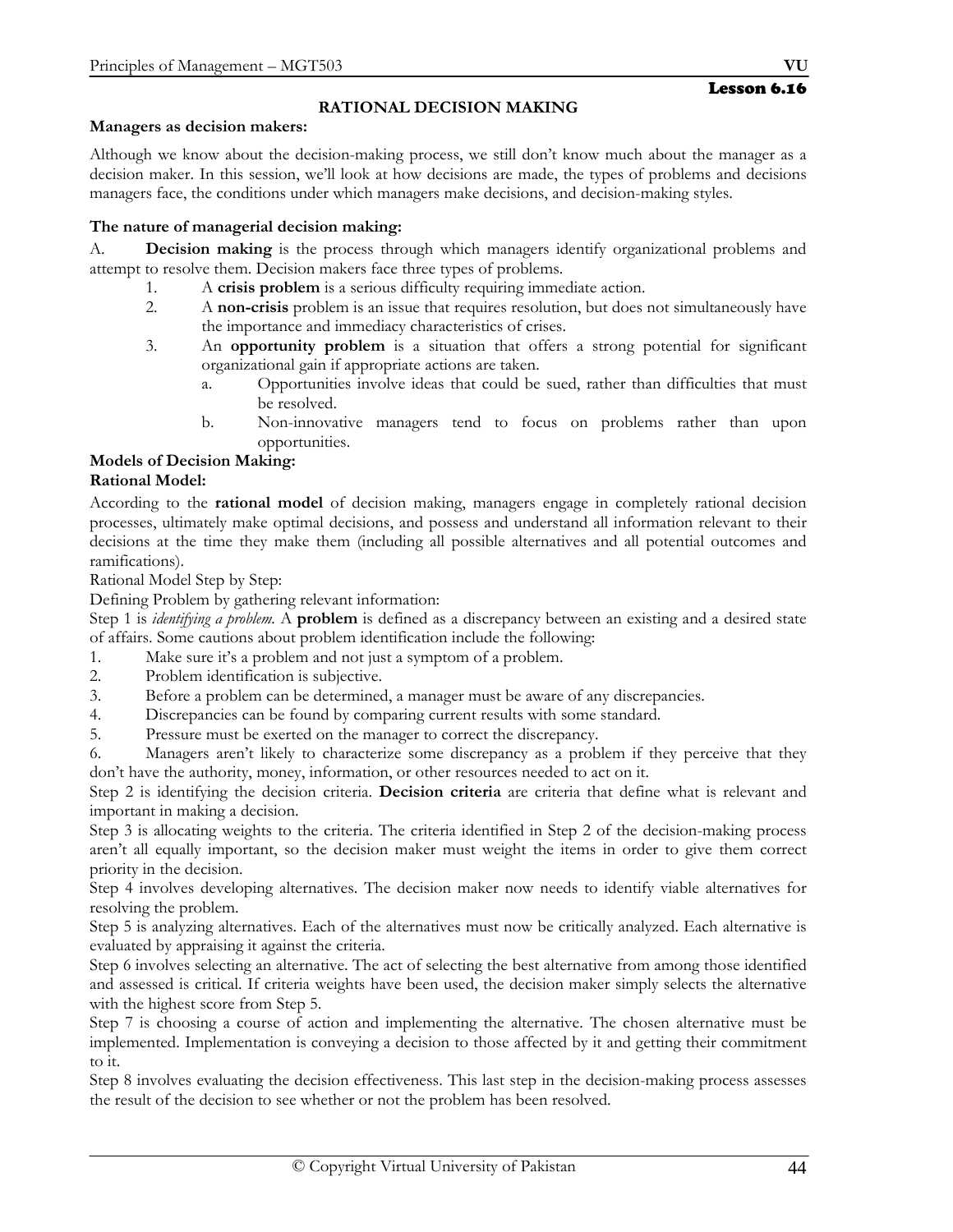# **RATIONAL DECISION MAKING**

#### **Managers as decision makers:**

Although we know about the decision-making process, we still don't know much about the manager as a decision maker. In this session, we'll look at how decisions are made, the types of problems and decisions managers face, the conditions under which managers make decisions, and decision-making styles.

## **The nature of managerial decision making:**

A. **Decision making** is the process through which managers identify organizational problems and attempt to resolve them. Decision makers face three types of problems.

- 1. A **crisis problem** is a serious difficulty requiring immediate action.
- 2. A **non-crisis** problem is an issue that requires resolution, but does not simultaneously have the importance and immediacy characteristics of crises.
- 3. An **opportunity problem** is a situation that offers a strong potential for significant organizational gain if appropriate actions are taken.
	- a. Opportunities involve ideas that could be sued, rather than difficulties that must be resolved.
	- b. Non-innovative managers tend to focus on problems rather than upon opportunities.

# **Models of Decision Making:**

## **Rational Model:**

According to the **rational model** of decision making, managers engage in completely rational decision processes, ultimately make optimal decisions, and possess and understand all information relevant to their decisions at the time they make them (including all possible alternatives and all potential outcomes and ramifications).

Rational Model Step by Step:

Defining Problem by gathering relevant information:

Step 1 is *identifying a problem.* A **problem** is defined as a discrepancy between an existing and a desired state of affairs. Some cautions about problem identification include the following:

- 1. Make sure it's a problem and not just a symptom of a problem.
- 2. Problem identification is subjective.
- 3. Before a problem can be determined, a manager must be aware of any discrepancies.
- 4. Discrepancies can be found by comparing current results with some standard.
- 5. Pressure must be exerted on the manager to correct the discrepancy.

6. Managers aren't likely to characterize some discrepancy as a problem if they perceive that they don't have the authority, money, information, or other resources needed to act on it.

Step 2 is identifying the decision criteria. **Decision criteria** are criteria that define what is relevant and important in making a decision.

Step 3 is allocating weights to the criteria. The criteria identified in Step 2 of the decision-making process aren't all equally important, so the decision maker must weight the items in order to give them correct priority in the decision.

Step 4 involves developing alternatives. The decision maker now needs to identify viable alternatives for resolving the problem.

Step 5 is analyzing alternatives. Each of the alternatives must now be critically analyzed. Each alternative is evaluated by appraising it against the criteria.

Step 6 involves selecting an alternative. The act of selecting the best alternative from among those identified and assessed is critical. If criteria weights have been used, the decision maker simply selects the alternative with the highest score from Step 5.

Step 7 is choosing a course of action and implementing the alternative. The chosen alternative must be implemented. Implementation is conveying a decision to those affected by it and getting their commitment to it.

Step 8 involves evaluating the decision effectiveness. This last step in the decision-making process assesses the result of the decision to see whether or not the problem has been resolved.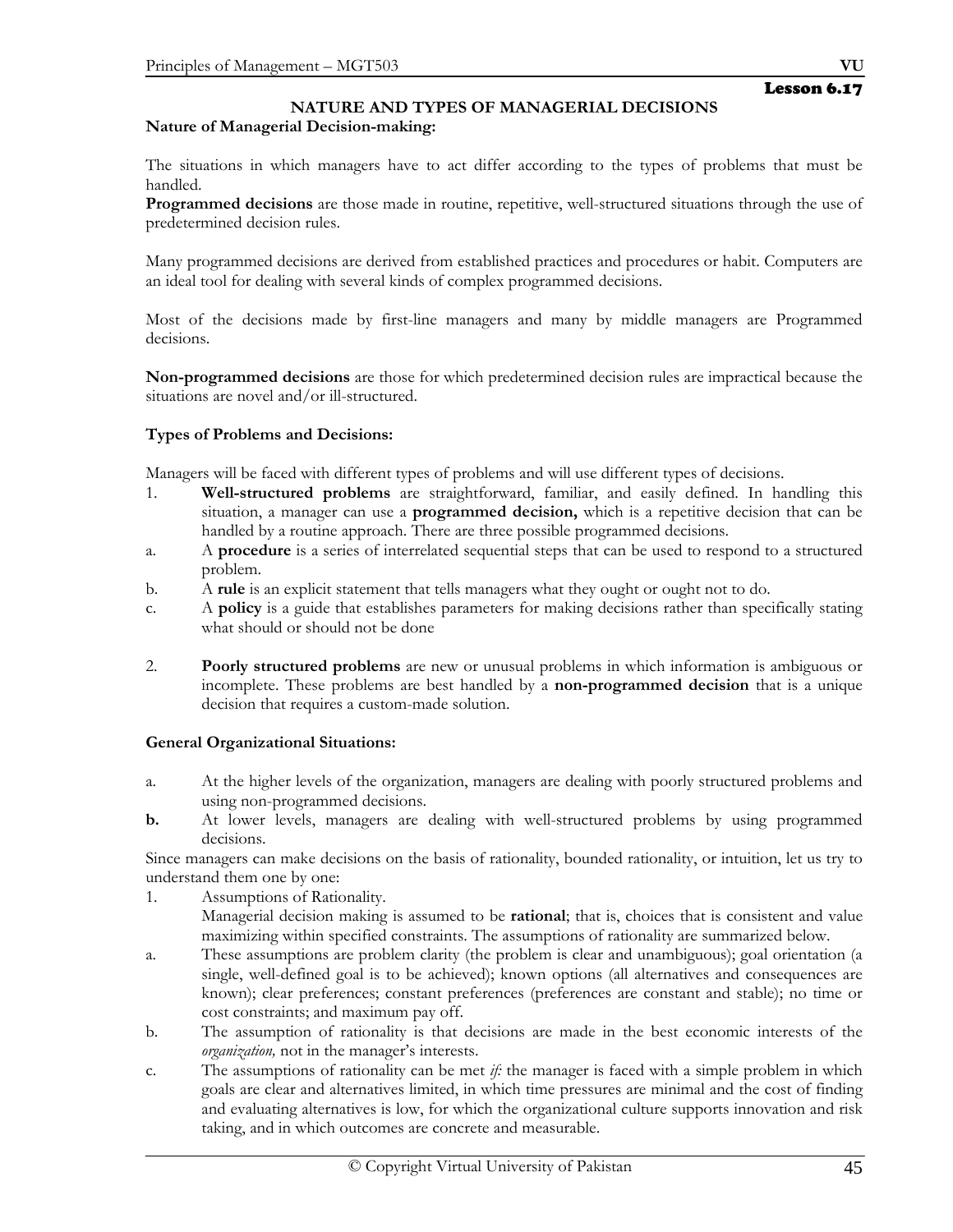## **NATURE AND TYPES OF MANAGERIAL DECISIONS Nature of Managerial Decision-making:**

The situations in which managers have to act differ according to the types of problems that must be handled.

**Programmed decisions** are those made in routine, repetitive, well-structured situations through the use of predetermined decision rules.

Many programmed decisions are derived from established practices and procedures or habit. Computers are an ideal tool for dealing with several kinds of complex programmed decisions.

Most of the decisions made by first-line managers and many by middle managers are Programmed decisions.

**Non-programmed decisions** are those for which predetermined decision rules are impractical because the situations are novel and/or ill-structured.

## **Types of Problems and Decisions:**

Managers will be faced with different types of problems and will use different types of decisions.

- 1. **Well-structured problems** are straightforward, familiar, and easily defined. In handling this situation, a manager can use a **programmed decision,** which is a repetitive decision that can be handled by a routine approach. There are three possible programmed decisions.
- a. A **procedure** is a series of interrelated sequential steps that can be used to respond to a structured problem.
- b. A **rule** is an explicit statement that tells managers what they ought or ought not to do.
- c. A **policy** is a guide that establishes parameters for making decisions rather than specifically stating what should or should not be done
- 2. **Poorly structured problems** are new or unusual problems in which information is ambiguous or incomplete. These problems are best handled by a **non-programmed decision** that is a unique decision that requires a custom-made solution.

## **General Organizational Situations:**

- a. At the higher levels of the organization, managers are dealing with poorly structured problems and using non-programmed decisions.
- **b.** At lower levels, managers are dealing with well-structured problems by using programmed decisions.

Since managers can make decisions on the basis of rationality, bounded rationality, or intuition, let us try to understand them one by one:

- 1. Assumptions of Rationality.
	- Managerial decision making is assumed to be **rational**; that is, choices that is consistent and value maximizing within specified constraints. The assumptions of rationality are summarized below.
- a. These assumptions are problem clarity (the problem is clear and unambiguous); goal orientation (a single, well-defined goal is to be achieved); known options (all alternatives and consequences are known); clear preferences; constant preferences (preferences are constant and stable); no time or cost constraints; and maximum pay off.
- b. The assumption of rationality is that decisions are made in the best economic interests of the *organization,* not in the manager's interests.
- c. The assumptions of rationality can be met *if:* the manager is faced with a simple problem in which goals are clear and alternatives limited, in which time pressures are minimal and the cost of finding and evaluating alternatives is low, for which the organizational culture supports innovation and risk taking, and in which outcomes are concrete and measurable.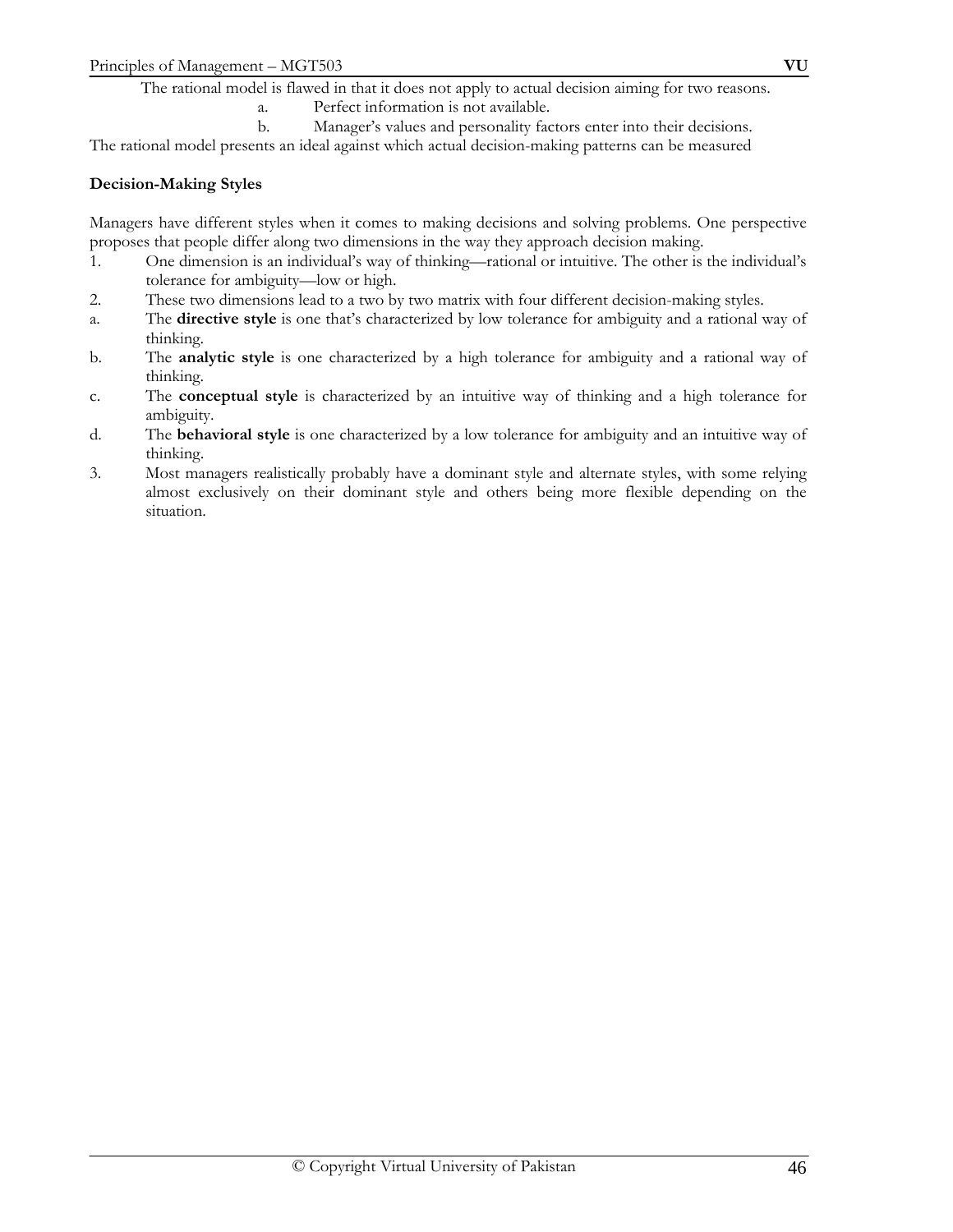The rational model is flawed in that it does not apply to actual decision aiming for two reasons.

a. Perfect information is not available.

b. Manager's values and personality factors enter into their decisions. The rational model presents an ideal against which actual decision-making patterns can be measured

## **Decision-Making Styles**

Managers have different styles when it comes to making decisions and solving problems. One perspective proposes that people differ along two dimensions in the way they approach decision making.

- 1. One dimension is an individual's way of thinking—rational or intuitive. The other is the individual's tolerance for ambiguity—low or high.
- 2. These two dimensions lead to a two by two matrix with four different decision-making styles.
- a. The **directive style** is one that's characterized by low tolerance for ambiguity and a rational way of thinking.
- b. The **analytic style** is one characterized by a high tolerance for ambiguity and a rational way of thinking.
- c. The **conceptual style** is characterized by an intuitive way of thinking and a high tolerance for ambiguity.
- d. The **behavioral style** is one characterized by a low tolerance for ambiguity and an intuitive way of thinking.
- 3. Most managers realistically probably have a dominant style and alternate styles, with some relying almost exclusively on their dominant style and others being more flexible depending on the situation.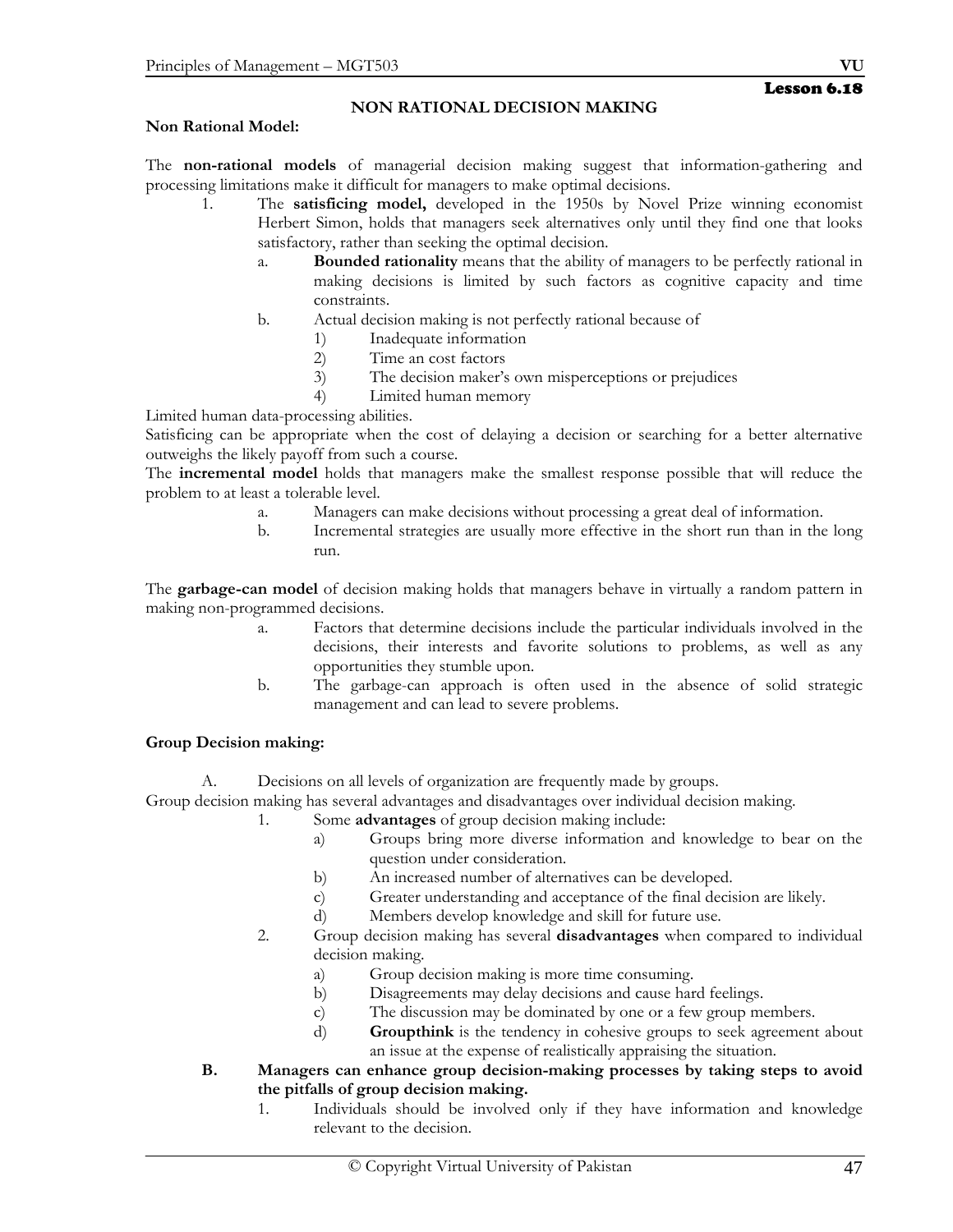## **NON RATIONAL DECISION MAKING**

#### **Non Rational Model:**

The **non-rational models** of managerial decision making suggest that information-gathering and processing limitations make it difficult for managers to make optimal decisions.

- 1. The **satisficing model,** developed in the 1950s by Novel Prize winning economist Herbert Simon, holds that managers seek alternatives only until they find one that looks satisfactory, rather than seeking the optimal decision.
	- a. **Bounded rationality** means that the ability of managers to be perfectly rational in making decisions is limited by such factors as cognitive capacity and time constraints.
	- b. Actual decision making is not perfectly rational because of
		- 1) Inadequate information
		- 2) Time an cost factors
		- 3) The decision maker's own misperceptions or prejudices
		- 4) Limited human memory

Limited human data-processing abilities.

Satisficing can be appropriate when the cost of delaying a decision or searching for a better alternative outweighs the likely payoff from such a course.

The **incremental model** holds that managers make the smallest response possible that will reduce the problem to at least a tolerable level.

- a. Managers can make decisions without processing a great deal of information.
- b. Incremental strategies are usually more effective in the short run than in the long run.

The **garbage-can model** of decision making holds that managers behave in virtually a random pattern in making non-programmed decisions.

- a. Factors that determine decisions include the particular individuals involved in the decisions, their interests and favorite solutions to problems, as well as any opportunities they stumble upon.
- b. The garbage-can approach is often used in the absence of solid strategic management and can lead to severe problems.

## **Group Decision making:**

A. Decisions on all levels of organization are frequently made by groups.

Group decision making has several advantages and disadvantages over individual decision making.

- 1. Some **advantages** of group decision making include:
	- a) Groups bring more diverse information and knowledge to bear on the question under consideration.
	- b) An increased number of alternatives can be developed.
	- c) Greater understanding and acceptance of the final decision are likely.
	- d) Members develop knowledge and skill for future use.
- 2. Group decision making has several **disadvantages** when compared to individual decision making.
	- a) Group decision making is more time consuming.
	- b) Disagreements may delay decisions and cause hard feelings.
	- c) The discussion may be dominated by one or a few group members.
	- d) **Groupthink** is the tendency in cohesive groups to seek agreement about an issue at the expense of realistically appraising the situation.
- **B. Managers can enhance group decision-making processes by taking steps to avoid the pitfalls of group decision making.** 
	- 1. Individuals should be involved only if they have information and knowledge relevant to the decision.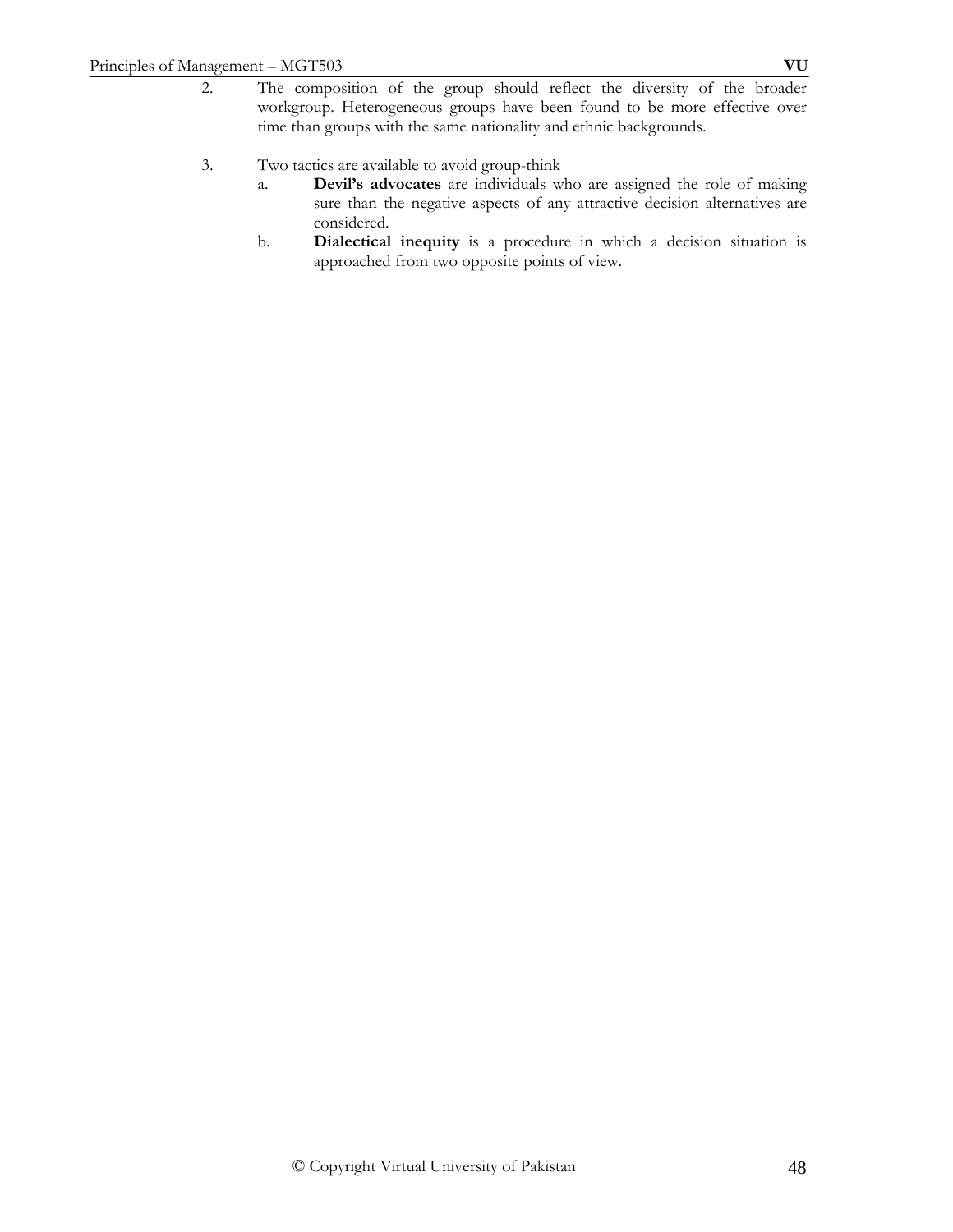- 2. The composition of the group should reflect the diversity of the broader workgroup. Heterogeneous groups have been found to be more effective over time than groups with the same nationality and ethnic backgrounds.
- 3. Two tactics are available to avoid group-think
	- a. **Devil's advocates** are individuals who are assigned the role of making sure than the negative aspects of any attractive decision alternatives are considered.
	- b. **Dialectical inequity** is a procedure in which a decision situation is approached from two opposite points of view.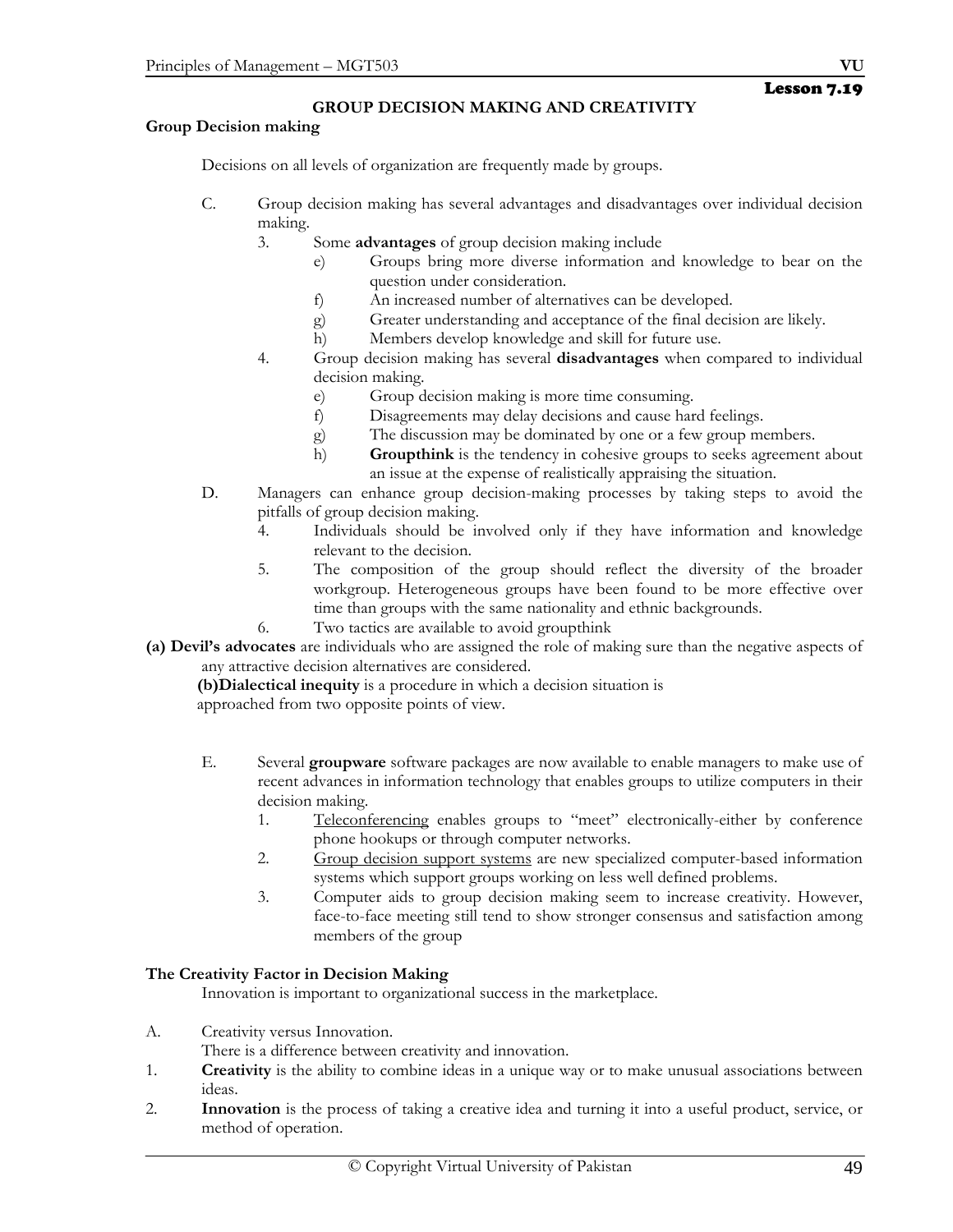# Lesson 7.19

## **GROUP DECISION MAKING AND CREATIVITY**

#### **Group Decision making**

Decisions on all levels of organization are frequently made by groups.

- C. Group decision making has several advantages and disadvantages over individual decision making.
	- 3. Some **advantages** of group decision making include
		- e) Groups bring more diverse information and knowledge to bear on the question under consideration.
		- f) An increased number of alternatives can be developed.
		- g) Greater understanding and acceptance of the final decision are likely.
		- h) Members develop knowledge and skill for future use.
	- 4. Group decision making has several **disadvantages** when compared to individual decision making.
		- e) Group decision making is more time consuming.
		- f) Disagreements may delay decisions and cause hard feelings.
		- g) The discussion may be dominated by one or a few group members.
		- h) **Groupthink** is the tendency in cohesive groups to seeks agreement about an issue at the expense of realistically appraising the situation.
- D. Managers can enhance group decision-making processes by taking steps to avoid the pitfalls of group decision making.
	- 4. Individuals should be involved only if they have information and knowledge relevant to the decision.
	- 5. The composition of the group should reflect the diversity of the broader workgroup. Heterogeneous groups have been found to be more effective over time than groups with the same nationality and ethnic backgrounds.
	- 6. Two tactics are available to avoid groupthink
- **(a) Devil's advocates** are individuals who are assigned the role of making sure than the negative aspects of any attractive decision alternatives are considered.

 **(b)Dialectical inequity** is a procedure in which a decision situation is approached from two opposite points of view.

- E. Several **groupware** software packages are now available to enable managers to make use of recent advances in information technology that enables groups to utilize computers in their decision making.
	- 1. Teleconferencing enables groups to "meet" electronically-either by conference phone hookups or through computer networks.
	- 2. Group decision support systems are new specialized computer-based information systems which support groups working on less well defined problems.
	- 3. Computer aids to group decision making seem to increase creativity. However, face-to-face meeting still tend to show stronger consensus and satisfaction among members of the group

## **The Creativity Factor in Decision Making**

Innovation is important to organizational success in the marketplace.

A. Creativity versus Innovation.

There is a difference between creativity and innovation.

- 1. **Creativity** is the ability to combine ideas in a unique way or to make unusual associations between ideas.
- 2. **Innovation** is the process of taking a creative idea and turning it into a useful product, service, or method of operation.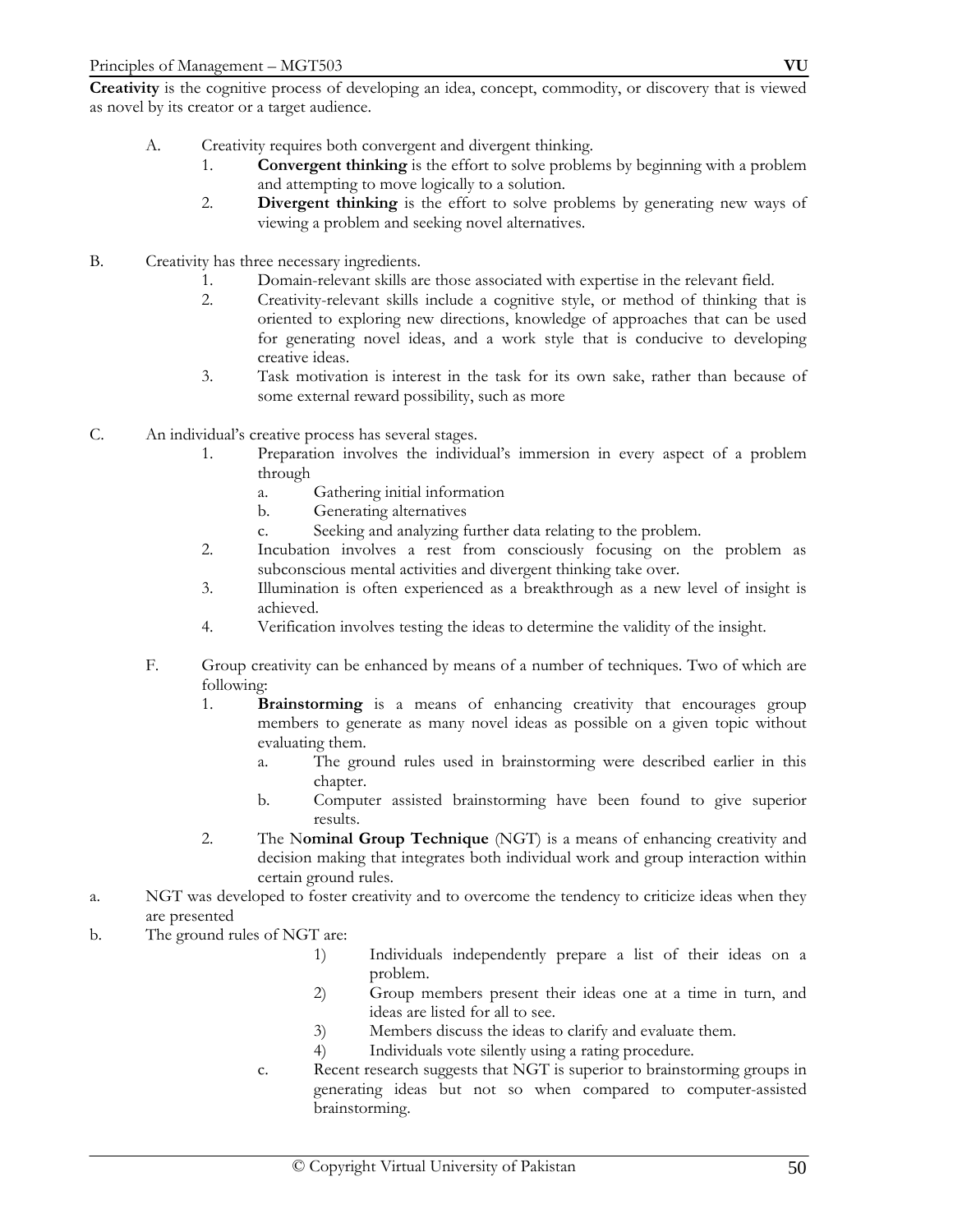**Creativity** is the cognitive process of developing an idea, concept, commodity, or discovery that is viewed as novel by its creator or a target audience.

- A. Creativity requires both convergent and divergent thinking.
	- 1. **Convergent thinking** is the effort to solve problems by beginning with a problem and attempting to move logically to a solution.
	- 2. **Divergent thinking** is the effort to solve problems by generating new ways of viewing a problem and seeking novel alternatives.
- B. Creativity has three necessary ingredients.
	- 1. Domain-relevant skills are those associated with expertise in the relevant field.<br>2. Creativity-relevant skills include a cognitive style, or method of thinking the
	- 2. Creativity-relevant skills include a cognitive style, or method of thinking that is oriented to exploring new directions, knowledge of approaches that can be used for generating novel ideas, and a work style that is conducive to developing creative ideas.
	- 3. Task motivation is interest in the task for its own sake, rather than because of some external reward possibility, such as more
- C. An individual's creative process has several stages.
	- 1. Preparation involves the individual's immersion in every aspect of a problem through
		- a. Gathering initial information
		- b. Generating alternatives
		- c. Seeking and analyzing further data relating to the problem.
	- 2. Incubation involves a rest from consciously focusing on the problem as subconscious mental activities and divergent thinking take over.
	- 3. Illumination is often experienced as a breakthrough as a new level of insight is achieved.
	- 4. Verification involves testing the ideas to determine the validity of the insight.
	- F. Group creativity can be enhanced by means of a number of techniques. Two of which are following:
		- 1. **Brainstorming** is a means of enhancing creativity that encourages group members to generate as many novel ideas as possible on a given topic without evaluating them.
			- a. The ground rules used in brainstorming were described earlier in this chapter.
			- b. Computer assisted brainstorming have been found to give superior results.
		- 2. The N**ominal Group Technique** (NGT) is a means of enhancing creativity and decision making that integrates both individual work and group interaction within certain ground rules.
- a. NGT was developed to foster creativity and to overcome the tendency to criticize ideas when they are presented
- b. The ground rules of NGT are:
	- 1) Individuals independently prepare a list of their ideas on a problem.
	- 2) Group members present their ideas one at a time in turn, and ideas are listed for all to see.
	- 3) Members discuss the ideas to clarify and evaluate them.
	- 4) Individuals vote silently using a rating procedure.
	- c. Recent research suggests that NGT is superior to brainstorming groups in generating ideas but not so when compared to computer-assisted brainstorming.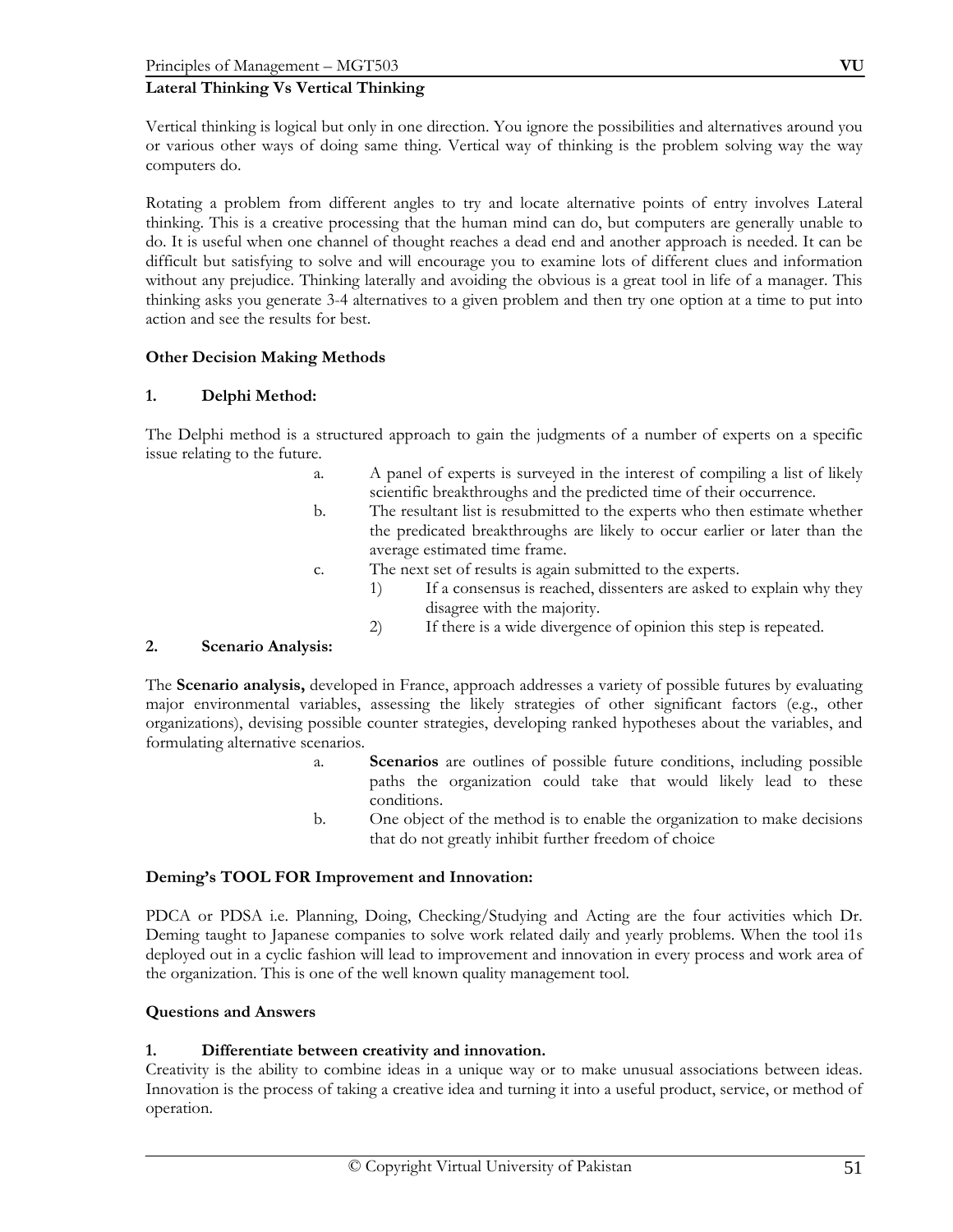## **Lateral Thinking Vs Vertical Thinking**

Vertical thinking is logical but only in one direction. You ignore the possibilities and alternatives around you or various other ways of doing same thing. Vertical way of thinking is the problem solving way the way computers do.

Rotating a problem from different angles to try and locate alternative points of entry involves Lateral thinking. This is a creative processing that the human mind can do, but computers are generally unable to do. It is useful when one channel of thought reaches a dead end and another approach is needed. It can be difficult but satisfying to solve and will encourage you to examine lots of different clues and information without any prejudice. Thinking laterally and avoiding the obvious is a great tool in life of a manager. This thinking asks you generate 3-4 alternatives to a given problem and then try one option at a time to put into action and see the results for best.

## **Other Decision Making Methods**

## **1. Delphi Method:**

The Delphi method is a structured approach to gain the judgments of a number of experts on a specific issue relating to the future.

- a. A panel of experts is surveyed in the interest of compiling a list of likely scientific breakthroughs and the predicted time of their occurrence.
- b. The resultant list is resubmitted to the experts who then estimate whether the predicated breakthroughs are likely to occur earlier or later than the average estimated time frame.
- c. The next set of results is again submitted to the experts.
	- 1) If a consensus is reached, dissenters are asked to explain why they disagree with the majority.
	- 2) If there is a wide divergence of opinion this step is repeated.

## **2. Scenario Analysis:**

The **Scenario analysis,** developed in France, approach addresses a variety of possible futures by evaluating major environmental variables, assessing the likely strategies of other significant factors (e.g., other organizations), devising possible counter strategies, developing ranked hypotheses about the variables, and formulating alternative scenarios.

- a. **Scenarios** are outlines of possible future conditions, including possible paths the organization could take that would likely lead to these conditions.
- b. One object of the method is to enable the organization to make decisions that do not greatly inhibit further freedom of choice

## **Deming's TOOL FOR Improvement and Innovation:**

PDCA or PDSA i.e. Planning, Doing, Checking/Studying and Acting are the four activities which Dr. Deming taught to Japanese companies to solve work related daily and yearly problems. When the tool i1s deployed out in a cyclic fashion will lead to improvement and innovation in every process and work area of the organization. This is one of the well known quality management tool.

## **Questions and Answers**

## **1. Differentiate between creativity and innovation.**

Creativity is the ability to combine ideas in a unique way or to make unusual associations between ideas. Innovation is the process of taking a creative idea and turning it into a useful product, service, or method of operation.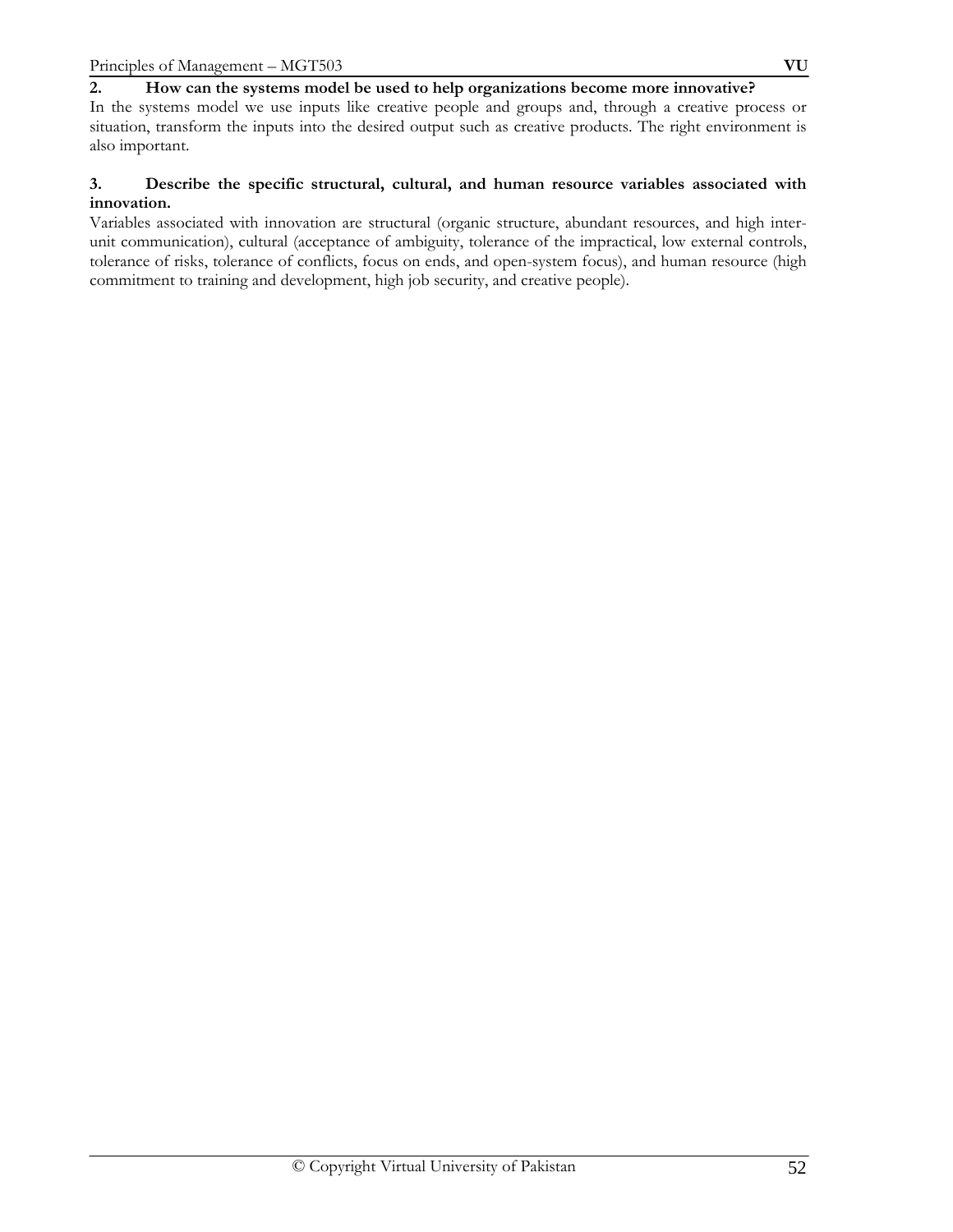## **2. How can the systems model be used to help organizations become more innovative?**

In the systems model we use inputs like creative people and groups and, through a creative process or situation, transform the inputs into the desired output such as creative products. The right environment is also important.

## **3. Describe the specific structural, cultural, and human resource variables associated with innovation.**

Variables associated with innovation are structural (organic structure, abundant resources, and high interunit communication), cultural (acceptance of ambiguity, tolerance of the impractical, low external controls, tolerance of risks, tolerance of conflicts, focus on ends, and open-system focus), and human resource (high commitment to training and development, high job security, and creative people).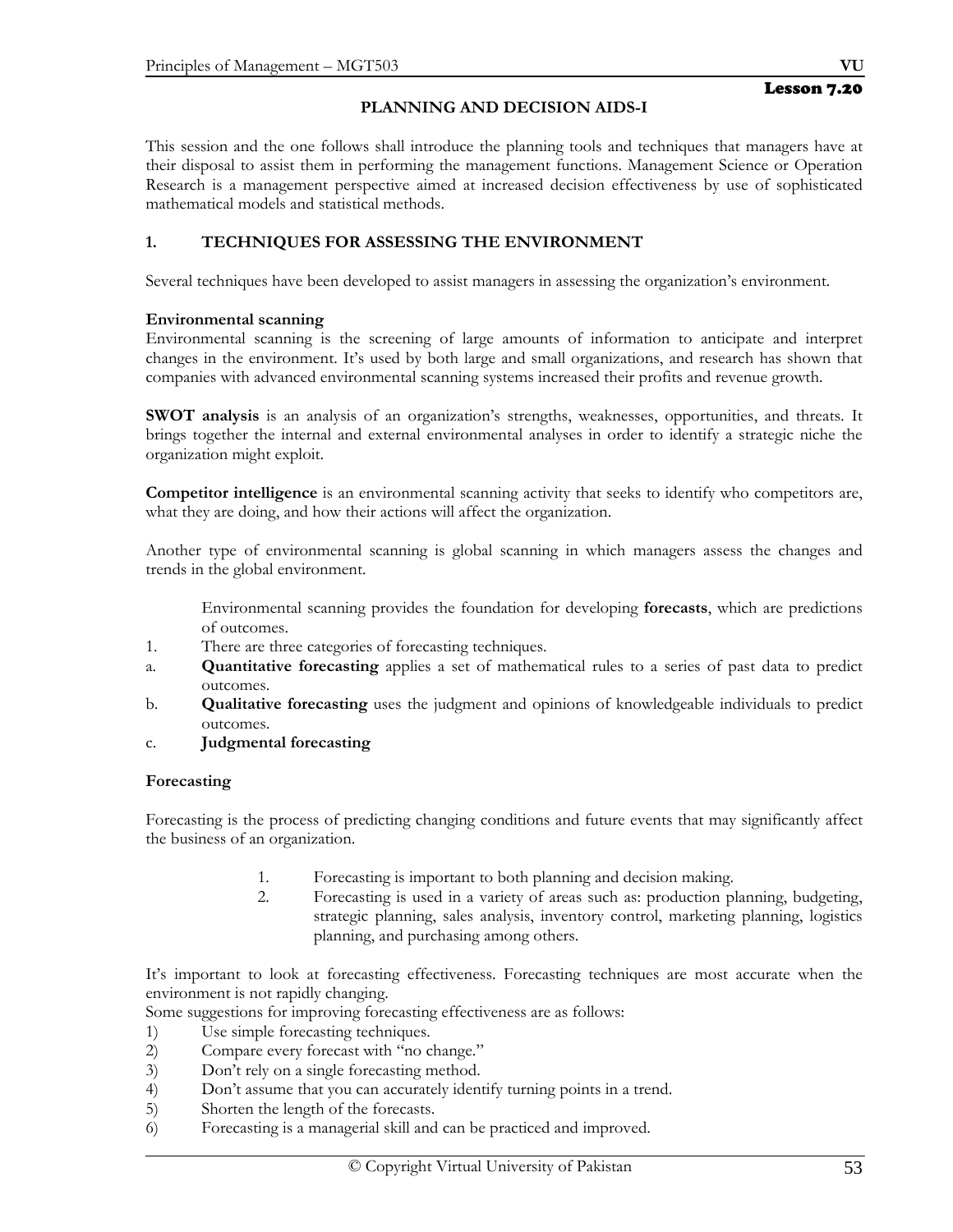# **PLANNING AND DECISION AIDS-I**

This session and the one follows shall introduce the planning tools and techniques that managers have at their disposal to assist them in performing the management functions. Management Science or Operation Research is a management perspective aimed at increased decision effectiveness by use of sophisticated mathematical models and statistical methods.

## **1. TECHNIQUES FOR ASSESSING THE ENVIRONMENT**

Several techniques have been developed to assist managers in assessing the organization's environment.

## **Environmental scanning**

Environmental scanning is the screening of large amounts of information to anticipate and interpret changes in the environment. It's used by both large and small organizations, and research has shown that companies with advanced environmental scanning systems increased their profits and revenue growth.

**SWOT analysis** is an analysis of an organization's strengths, weaknesses, opportunities, and threats. It brings together the internal and external environmental analyses in order to identify a strategic niche the organization might exploit.

**Competitor intelligence** is an environmental scanning activity that seeks to identify who competitors are, what they are doing, and how their actions will affect the organization.

Another type of environmental scanning is global scanning in which managers assess the changes and trends in the global environment.

 Environmental scanning provides the foundation for developing **forecasts**, which are predictions of outcomes.

- 1. There are three categories of forecasting techniques.
- a. **Quantitative forecasting** applies a set of mathematical rules to a series of past data to predict outcomes.
- b. **Qualitative forecasting** uses the judgment and opinions of knowledgeable individuals to predict outcomes.
- c. **Judgmental forecasting**

## **Forecasting**

Forecasting is the process of predicting changing conditions and future events that may significantly affect the business of an organization.

- 1. Forecasting is important to both planning and decision making.
- 2. Forecasting is used in a variety of areas such as: production planning, budgeting, strategic planning, sales analysis, inventory control, marketing planning, logistics planning, and purchasing among others.

It's important to look at forecasting effectiveness. Forecasting techniques are most accurate when the environment is not rapidly changing.

Some suggestions for improving forecasting effectiveness are as follows:

- 1) Use simple forecasting techniques.
- 2) Compare every forecast with "no change."
- 3) Don't rely on a single forecasting method.
- 4) Don't assume that you can accurately identify turning points in a trend.
- 5) Shorten the length of the forecasts.
- 6) Forecasting is a managerial skill and can be practiced and improved.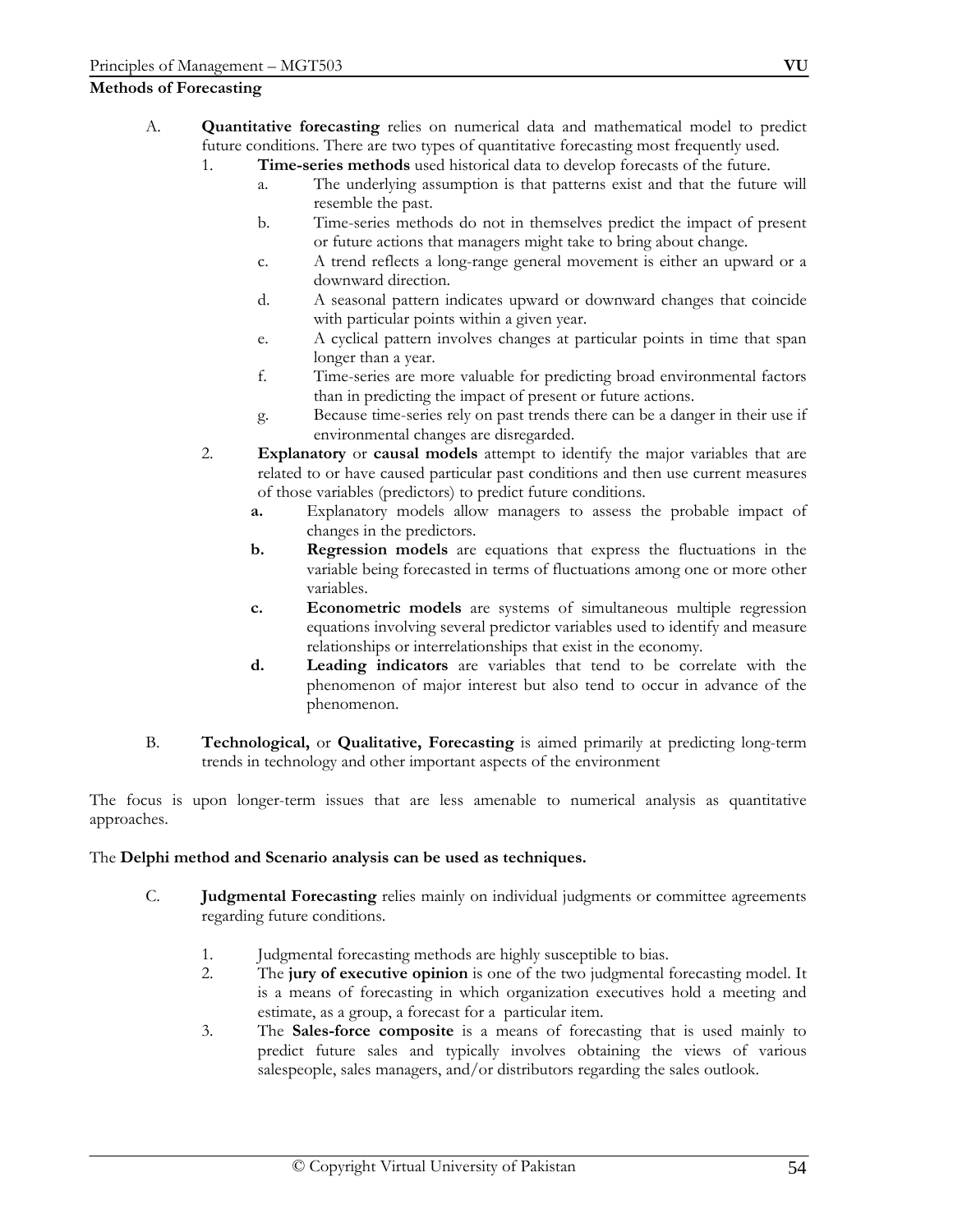## **Methods of Forecasting**

- A. **Quantitative forecasting** relies on numerical data and mathematical model to predict future conditions. There are two types of quantitative forecasting most frequently used.
	- 1. **Time-series methods** used historical data to develop forecasts of the future.
		- a. The underlying assumption is that patterns exist and that the future will resemble the past.
		- b. Time-series methods do not in themselves predict the impact of present or future actions that managers might take to bring about change.
		- c. A trend reflects a long-range general movement is either an upward or a downward direction.
		- d. A seasonal pattern indicates upward or downward changes that coincide with particular points within a given year.
		- e. A cyclical pattern involves changes at particular points in time that span longer than a year.
		- f. Time-series are more valuable for predicting broad environmental factors than in predicting the impact of present or future actions.
		- g. Because time-series rely on past trends there can be a danger in their use if environmental changes are disregarded.
	- 2. **Explanatory** or **causal models** attempt to identify the major variables that are related to or have caused particular past conditions and then use current measures of those variables (predictors) to predict future conditions.
		- **a.** Explanatory models allow managers to assess the probable impact of changes in the predictors.
		- **b. Regression models** are equations that express the fluctuations in the variable being forecasted in terms of fluctuations among one or more other variables.
		- **c. Econometric models** are systems of simultaneous multiple regression equations involving several predictor variables used to identify and measure relationships or interrelationships that exist in the economy.
		- **d. Leading indicators** are variables that tend to be correlate with the phenomenon of major interest but also tend to occur in advance of the phenomenon.
- B. **Technological,** or **Qualitative, Forecasting** is aimed primarily at predicting long-term trends in technology and other important aspects of the environment

The focus is upon longer-term issues that are less amenable to numerical analysis as quantitative approaches.

## The **Delphi method and Scenario analysis can be used as techniques.**

- C. **Judgmental Forecasting** relies mainly on individual judgments or committee agreements regarding future conditions.
	- 1. Judgmental forecasting methods are highly susceptible to bias.
	- 2. The **jury of executive opinion** is one of the two judgmental forecasting model. It is a means of forecasting in which organization executives hold a meeting and estimate, as a group, a forecast for a particular item.
	- 3. The **Sales-force composite** is a means of forecasting that is used mainly to predict future sales and typically involves obtaining the views of various salespeople, sales managers, and/or distributors regarding the sales outlook.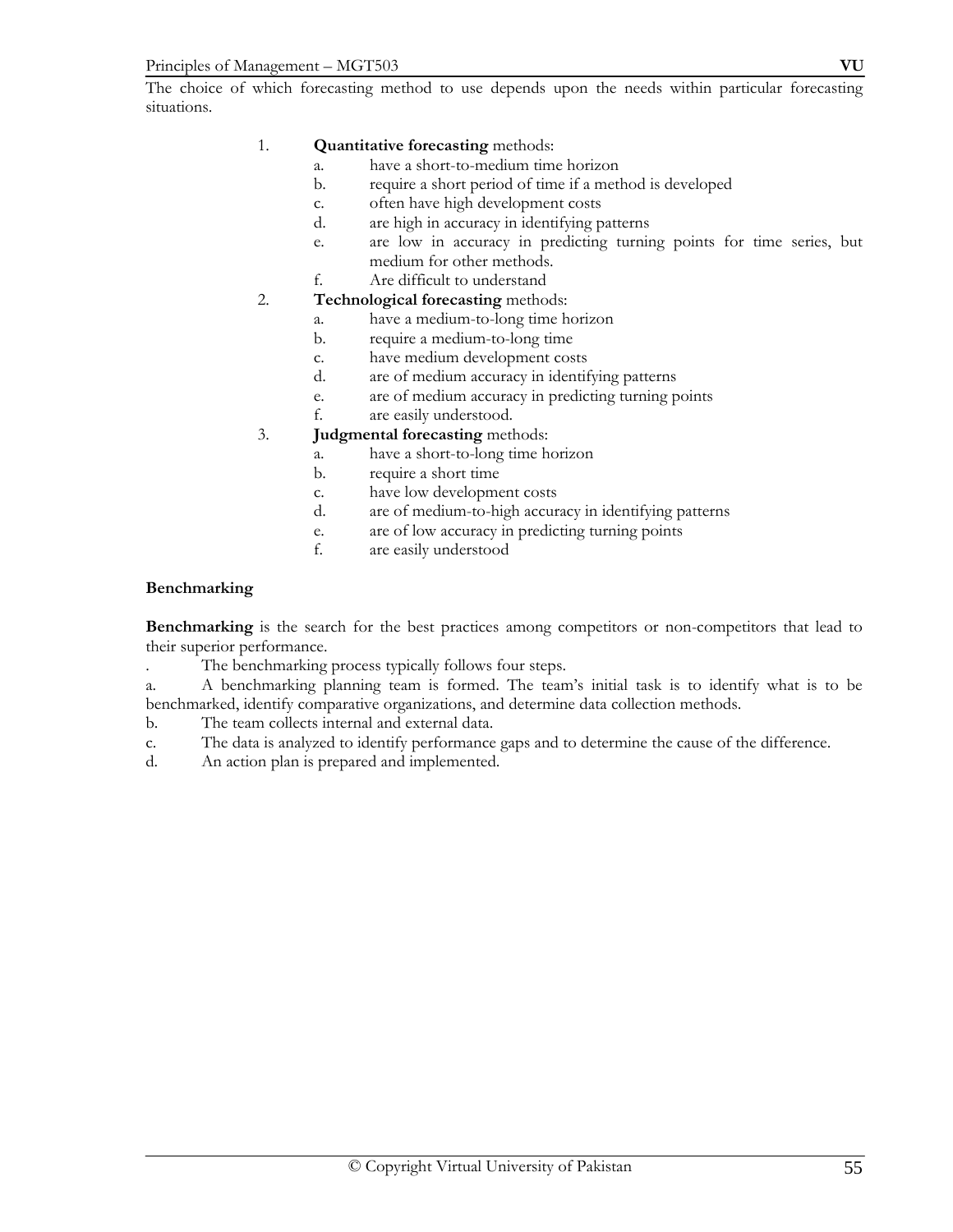The choice of which forecasting method to use depends upon the needs within particular forecasting situations.

## 1. **Quantitative forecasting** methods:

- a. have a short-to-medium time horizon
- b. require a short period of time if a method is developed
- c. often have high development costs
- d. are high in accuracy in identifying patterns
- e. are low in accuracy in predicting turning points for time series, but medium for other methods.
- f. Are difficult to understand

## 2. **Technological forecasting** methods:

- a. have a medium-to-long time horizon
- b. require a medium-to-long time
- c. have medium development costs
- d. are of medium accuracy in identifying patterns
- e. are of medium accuracy in predicting turning points
- f. are easily understood.

## 3. **Judgmental forecasting** methods:

- a. have a short-to-long time horizon
- b. require a short time
- c. have low development costs
- d. are of medium-to-high accuracy in identifying patterns
- e. are of low accuracy in predicting turning points
- f. are easily understood

## **Benchmarking**

**Benchmarking** is the search for the best practices among competitors or non-competitors that lead to their superior performance.

- . The benchmarking process typically follows four steps.
- a. A benchmarking planning team is formed. The team's initial task is to identify what is to be benchmarked, identify comparative organizations, and determine data collection methods.
- b. The team collects internal and external data.
- c. The data is analyzed to identify performance gaps and to determine the cause of the difference.
- d. An action plan is prepared and implemented.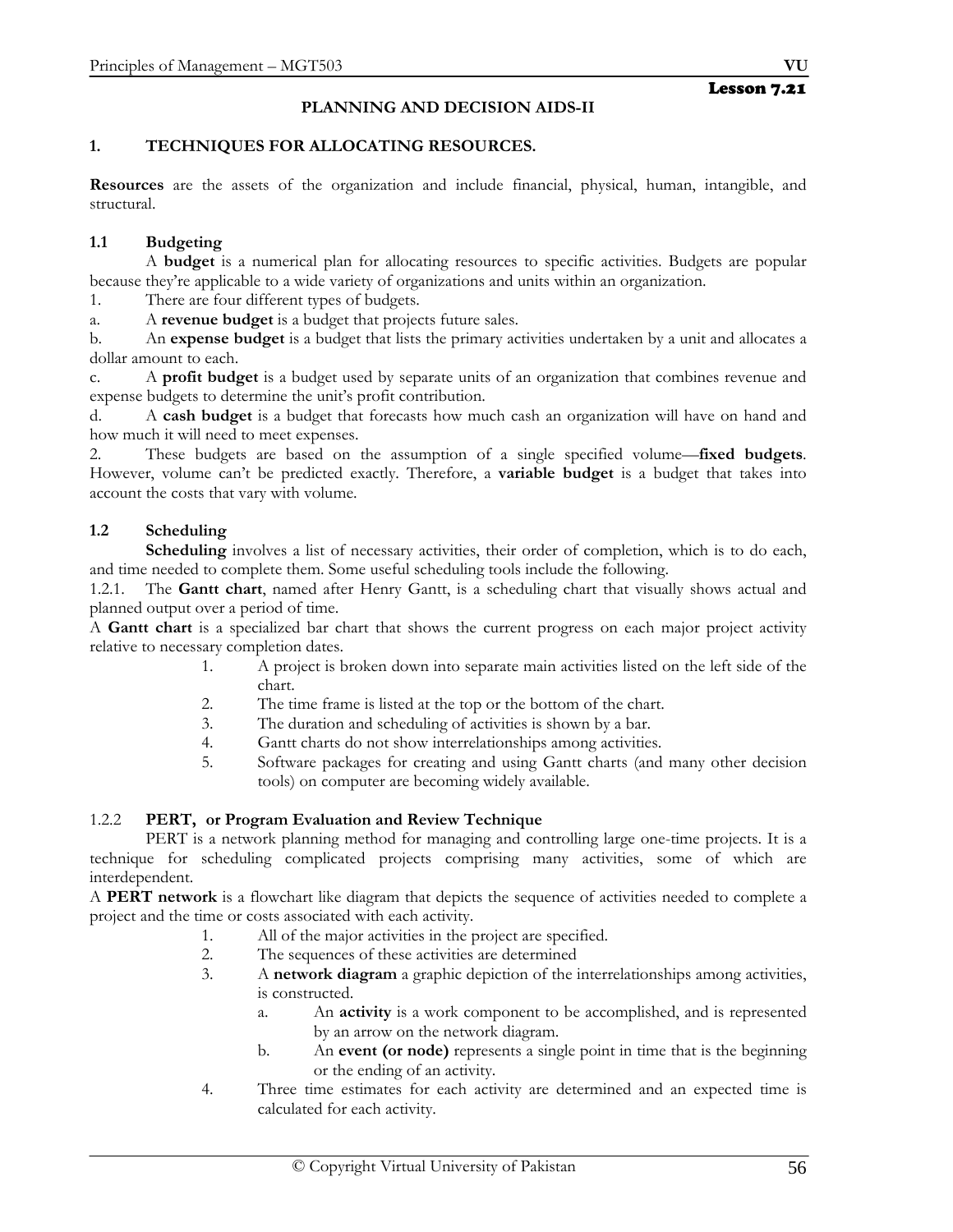# **PLANNING AND DECISION AIDS-II**

## **1. TECHNIQUES FOR ALLOCATING RESOURCES.**

**Resources** are the assets of the organization and include financial, physical, human, intangible, and structural.

## **1.1 Budgeting**

 A **budget** is a numerical plan for allocating resources to specific activities. Budgets are popular because they're applicable to a wide variety of organizations and units within an organization.

1. There are four different types of budgets.

a. A **revenue budget** is a budget that projects future sales.

b. An **expense budget** is a budget that lists the primary activities undertaken by a unit and allocates a dollar amount to each.

c. A **profit budget** is a budget used by separate units of an organization that combines revenue and expense budgets to determine the unit's profit contribution.

d. A **cash budget** is a budget that forecasts how much cash an organization will have on hand and how much it will need to meet expenses.

2. These budgets are based on the assumption of a single specified volume—**fixed budgets**. However, volume can't be predicted exactly. Therefore, a **variable budget** is a budget that takes into account the costs that vary with volume.

## **1.2 Scheduling**

**Scheduling** involves a list of necessary activities, their order of completion, which is to do each, and time needed to complete them. Some useful scheduling tools include the following.

1.2.1. The **Gantt chart**, named after Henry Gantt, is a scheduling chart that visually shows actual and planned output over a period of time.

A **Gantt chart** is a specialized bar chart that shows the current progress on each major project activity relative to necessary completion dates.

- 1. A project is broken down into separate main activities listed on the left side of the chart.
- 2. The time frame is listed at the top or the bottom of the chart.
- 3. The duration and scheduling of activities is shown by a bar.
- 4. Gantt charts do not show interrelationships among activities.
- 5. Software packages for creating and using Gantt charts (and many other decision tools) on computer are becoming widely available.

## 1.2.2 **PERT, or Program Evaluation and Review Technique**

 PERT is a network planning method for managing and controlling large one-time projects. It is a technique for scheduling complicated projects comprising many activities, some of which are interdependent.

A **PERT network** is a flowchart like diagram that depicts the sequence of activities needed to complete a project and the time or costs associated with each activity.

- 1. All of the major activities in the project are specified.
- 2. The sequences of these activities are determined
- 3. A **network diagram** a graphic depiction of the interrelationships among activities, is constructed.
	- a. An **activity** is a work component to be accomplished, and is represented by an arrow on the network diagram.
	- b. An **event (or node)** represents a single point in time that is the beginning or the ending of an activity.
- 4. Three time estimates for each activity are determined and an expected time is calculated for each activity.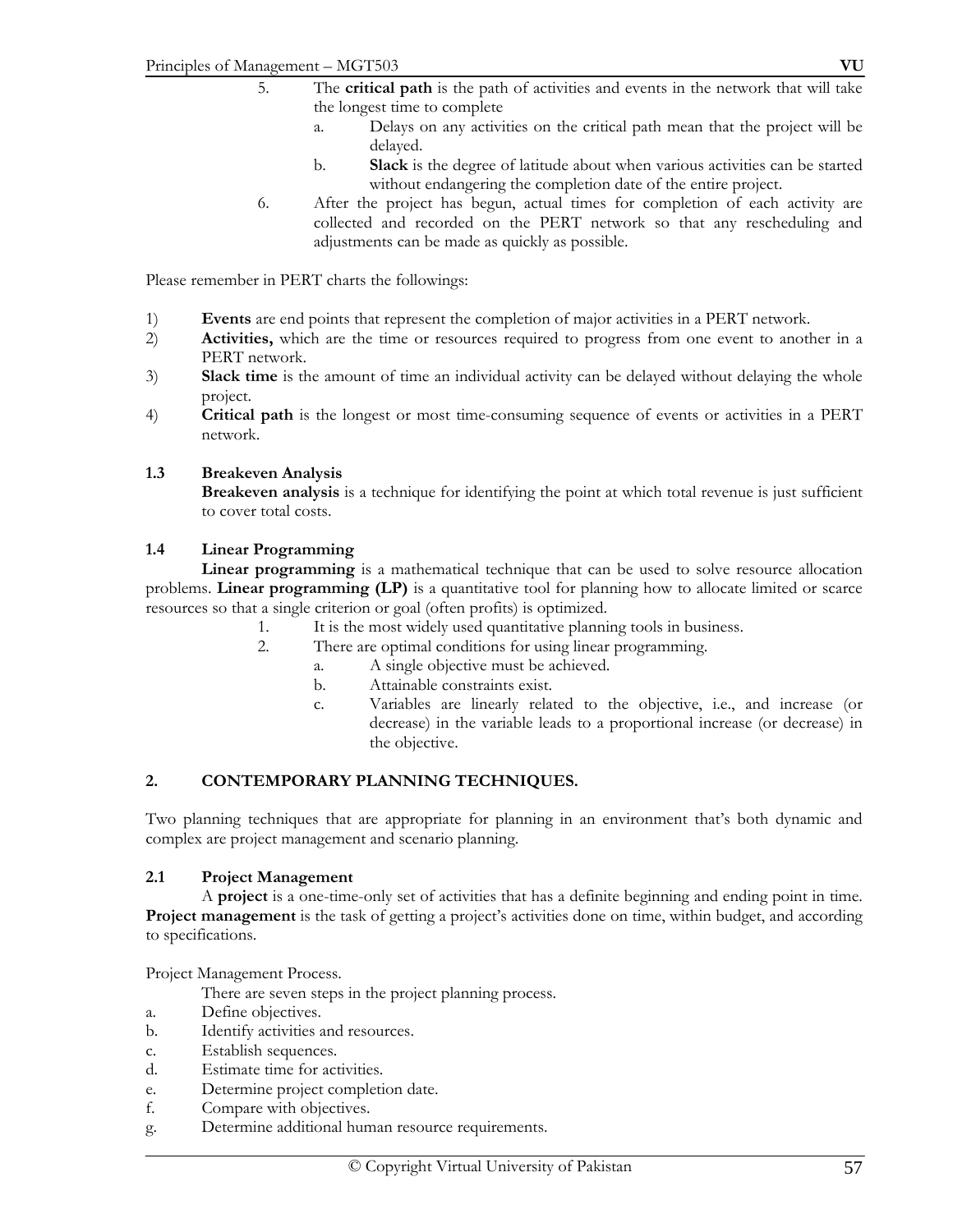- 5. The **critical path** is the path of activities and events in the network that will take the longest time to complete
	- a. Delays on any activities on the critical path mean that the project will be delayed.
	- b. **Slack** is the degree of latitude about when various activities can be started without endangering the completion date of the entire project.
- 6. After the project has begun, actual times for completion of each activity are collected and recorded on the PERT network so that any rescheduling and adjustments can be made as quickly as possible.

Please remember in PERT charts the followings:

- 1) **Events** are end points that represent the completion of major activities in a PERT network.
- 2) **Activities,** which are the time or resources required to progress from one event to another in a PERT network.
- 3) **Slack time** is the amount of time an individual activity can be delayed without delaying the whole project.
- 4) **Critical path** is the longest or most time-consuming sequence of events or activities in a PERT network.

#### **1.3 Breakeven Analysis**

**Breakeven analysis** is a technique for identifying the point at which total revenue is just sufficient to cover total costs.

#### **1.4 Linear Programming**

**Linear programming** is a mathematical technique that can be used to solve resource allocation problems. **Linear programming (LP)** is a quantitative tool for planning how to allocate limited or scarce resources so that a single criterion or goal (often profits) is optimized.

- 1. It is the most widely used quantitative planning tools in business.
- 2. There are optimal conditions for using linear programming.
	- a. A single objective must be achieved.
	- b. Attainable constraints exist.
	- c. Variables are linearly related to the objective, i.e., and increase (or decrease) in the variable leads to a proportional increase (or decrease) in the objective.

## **2. CONTEMPORARY PLANNING TECHNIQUES.**

Two planning techniques that are appropriate for planning in an environment that's both dynamic and complex are project management and scenario planning.

## **2.1 Project Management**

 A **project** is a one-time-only set of activities that has a definite beginning and ending point in time. **Project management** is the task of getting a project's activities done on time, within budget, and according to specifications.

Project Management Process.

There are seven steps in the project planning process.

- a. Define objectives.
- b. Identify activities and resources.
- c. Establish sequences.
- d. Estimate time for activities.
- e. Determine project completion date.
- f. Compare with objectives.
- g. Determine additional human resource requirements.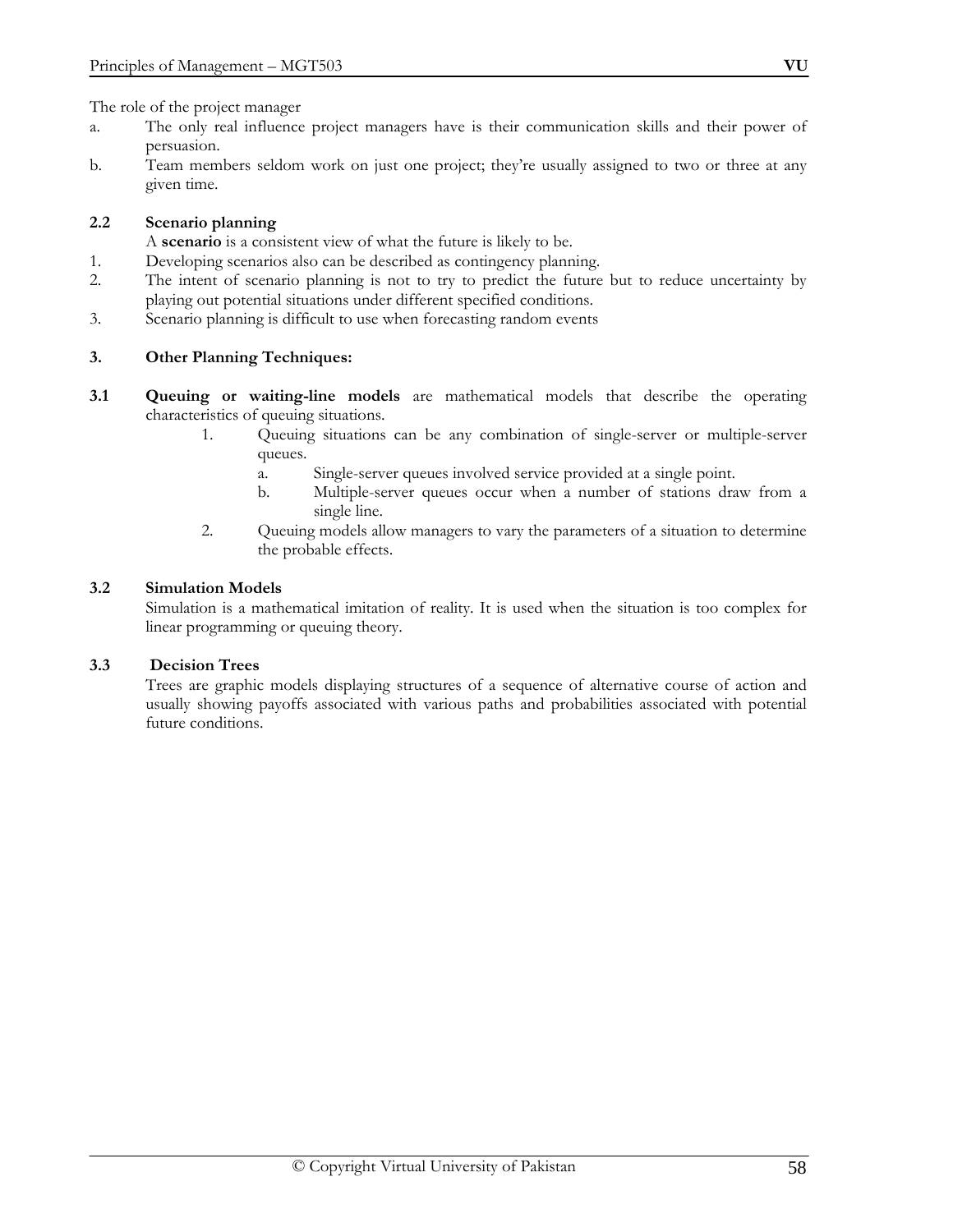The role of the project manager

- a. The only real influence project managers have is their communication skills and their power of persuasion.
- b. Team members seldom work on just one project; they're usually assigned to two or three at any given time.

## **2.2 Scenario planning**

A **scenario** is a consistent view of what the future is likely to be.

- 1. Developing scenarios also can be described as contingency planning.
- 2. The intent of scenario planning is not to try to predict the future but to reduce uncertainty by playing out potential situations under different specified conditions.
- 3. Scenario planning is difficult to use when forecasting random events

## **3. Other Planning Techniques:**

- **3.1 Queuing or waiting-line models** are mathematical models that describe the operating characteristics of queuing situations.
	- 1. Queuing situations can be any combination of single-server or multiple-server queues.
		- a. Single-server queues involved service provided at a single point.
		- b. Multiple-server queues occur when a number of stations draw from a single line.
	- 2. Queuing models allow managers to vary the parameters of a situation to determine the probable effects.

#### **3.2 Simulation Models**

Simulation is a mathematical imitation of reality. It is used when the situation is too complex for linear programming or queuing theory.

## **3.3 Decision Trees**

Trees are graphic models displaying structures of a sequence of alternative course of action and usually showing payoffs associated with various paths and probabilities associated with potential future conditions.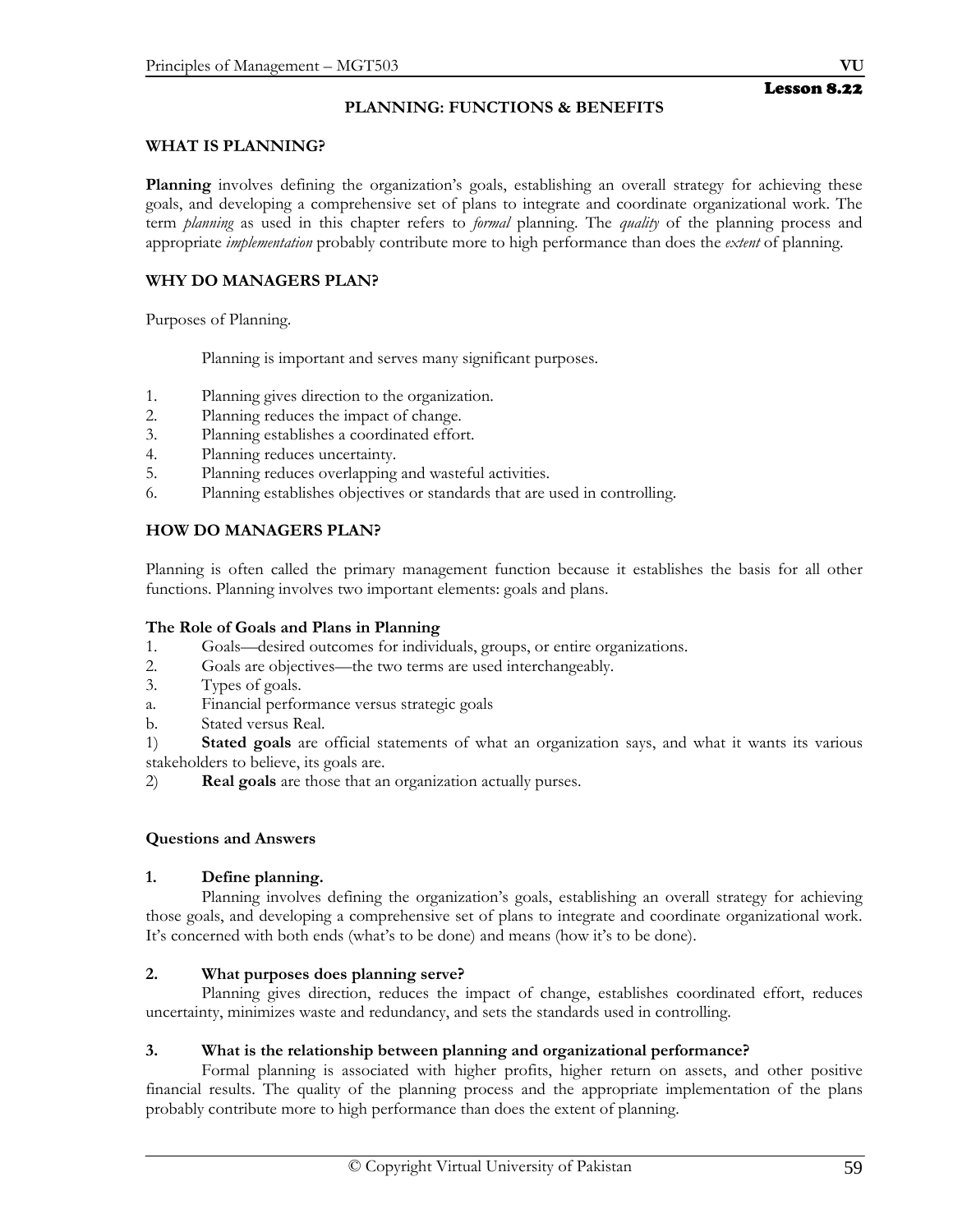## **WHAT IS PLANNING?**

**Planning** involves defining the organization's goals, establishing an overall strategy for achieving these goals, and developing a comprehensive set of plans to integrate and coordinate organizational work. The term *planning* as used in this chapter refers to *formal* planning. The *quality* of the planning process and appropriate *implementation* probably contribute more to high performance than does the *extent* of planning.

# **WHY DO MANAGERS PLAN?**

Purposes of Planning.

Planning is important and serves many significant purposes.

- 1. Planning gives direction to the organization.
- 2. Planning reduces the impact of change.
- 3. Planning establishes a coordinated effort.
- 4. Planning reduces uncertainty.
- 5. Planning reduces overlapping and wasteful activities.
- 6. Planning establishes objectives or standards that are used in controlling.

# **HOW DO MANAGERS PLAN?**

Planning is often called the primary management function because it establishes the basis for all other functions. Planning involves two important elements: goals and plans.

## **The Role of Goals and Plans in Planning**

- 1. Goals—desired outcomes for individuals, groups, or entire organizations.
- 2. Goals are objectives—the two terms are used interchangeably.
- 3. Types of goals.
- a. Financial performance versus strategic goals
- b. Stated versus Real.
- 1) **Stated goals** are official statements of what an organization says, and what it wants its various stakeholders to believe, its goals are.
- 2) **Real goals** are those that an organization actually purses.

## **Questions and Answers**

## **1. Define planning.**

Planning involves defining the organization's goals, establishing an overall strategy for achieving those goals, and developing a comprehensive set of plans to integrate and coordinate organizational work. It's concerned with both ends (what's to be done) and means (how it's to be done).

## **2. What purposes does planning serve?**

 Planning gives direction, reduces the impact of change, establishes coordinated effort, reduces uncertainty, minimizes waste and redundancy, and sets the standards used in controlling.

## **3. What is the relationship between planning and organizational performance?**

 Formal planning is associated with higher profits, higher return on assets, and other positive financial results. The quality of the planning process and the appropriate implementation of the plans probably contribute more to high performance than does the extent of planning.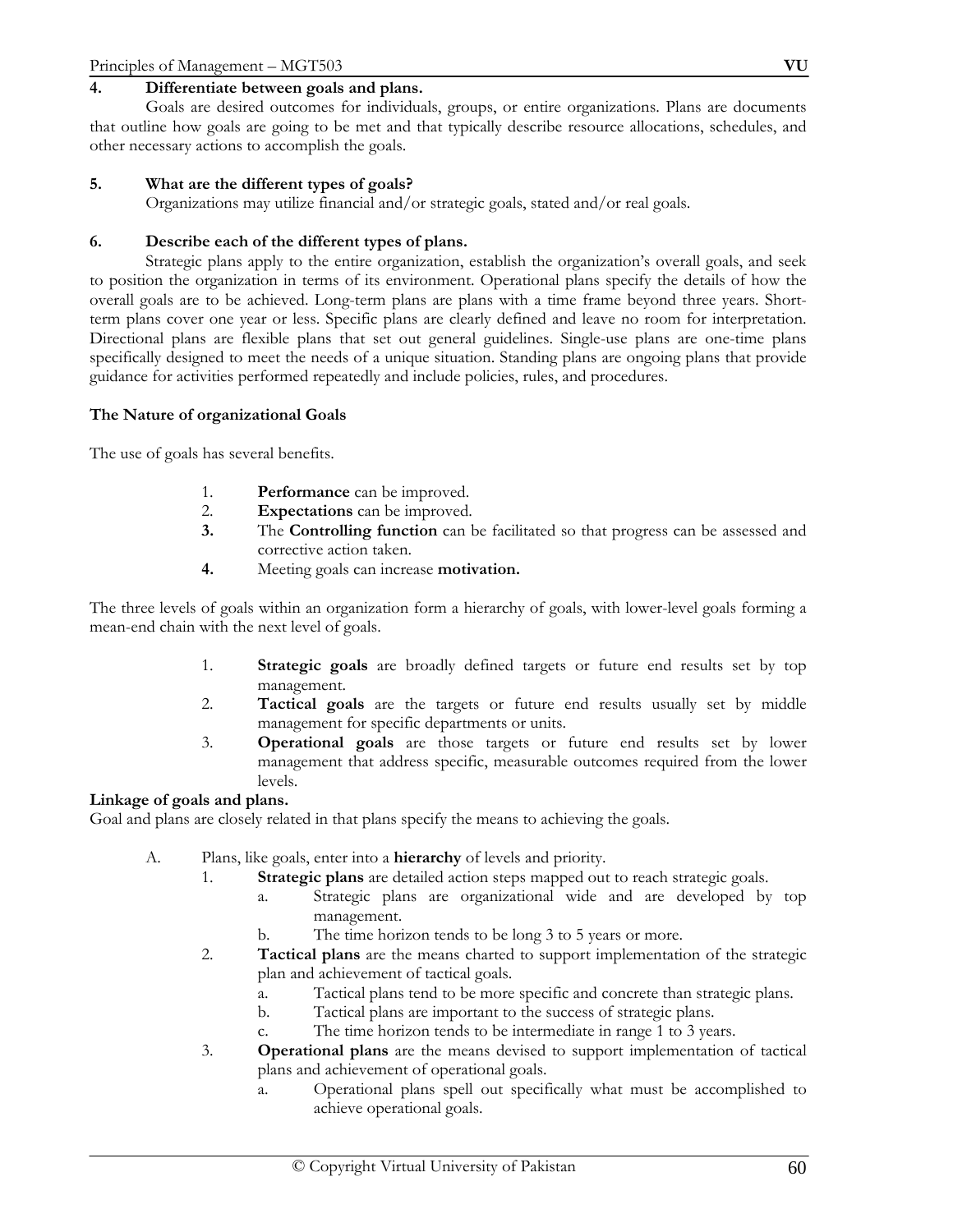## **4. Differentiate between goals and plans.**

 Goals are desired outcomes for individuals, groups, or entire organizations. Plans are documents that outline how goals are going to be met and that typically describe resource allocations, schedules, and other necessary actions to accomplish the goals.

#### **5. What are the different types of goals?**

Organizations may utilize financial and/or strategic goals, stated and/or real goals.

#### **6. Describe each of the different types of plans.**

 Strategic plans apply to the entire organization, establish the organization's overall goals, and seek to position the organization in terms of its environment. Operational plans specify the details of how the overall goals are to be achieved. Long-term plans are plans with a time frame beyond three years. Shortterm plans cover one year or less. Specific plans are clearly defined and leave no room for interpretation. Directional plans are flexible plans that set out general guidelines. Single-use plans are one-time plans specifically designed to meet the needs of a unique situation. Standing plans are ongoing plans that provide guidance for activities performed repeatedly and include policies, rules, and procedures.

#### **The Nature of organizational Goals**

The use of goals has several benefits.

- 1. **Performance** can be improved.
- 2. **Expectations** can be improved.
- **3.** The **Controlling function** can be facilitated so that progress can be assessed and corrective action taken.
- **4.** Meeting goals can increase **motivation.**

The three levels of goals within an organization form a hierarchy of goals, with lower-level goals forming a mean-end chain with the next level of goals.

- 1. **Strategic goals** are broadly defined targets or future end results set by top management.
- 2. **Tactical goals** are the targets or future end results usually set by middle management for specific departments or units.
- 3. **Operational goals** are those targets or future end results set by lower management that address specific, measurable outcomes required from the lower levels.

#### **Linkage of goals and plans.**

Goal and plans are closely related in that plans specify the means to achieving the goals.

- A. Plans, like goals, enter into a **hierarchy** of levels and priority.
	- 1. **Strategic plans** are detailed action steps mapped out to reach strategic goals.
		- a. Strategic plans are organizational wide and are developed by top management.
		- b. The time horizon tends to be long 3 to 5 years or more.
	- 2. **Tactical plans** are the means charted to support implementation of the strategic plan and achievement of tactical goals.
		- a. Tactical plans tend to be more specific and concrete than strategic plans.
		- b. Tactical plans are important to the success of strategic plans.
		- c. The time horizon tends to be intermediate in range 1 to 3 years.
	- 3. **Operational plans** are the means devised to support implementation of tactical plans and achievement of operational goals.
		- a. Operational plans spell out specifically what must be accomplished to achieve operational goals.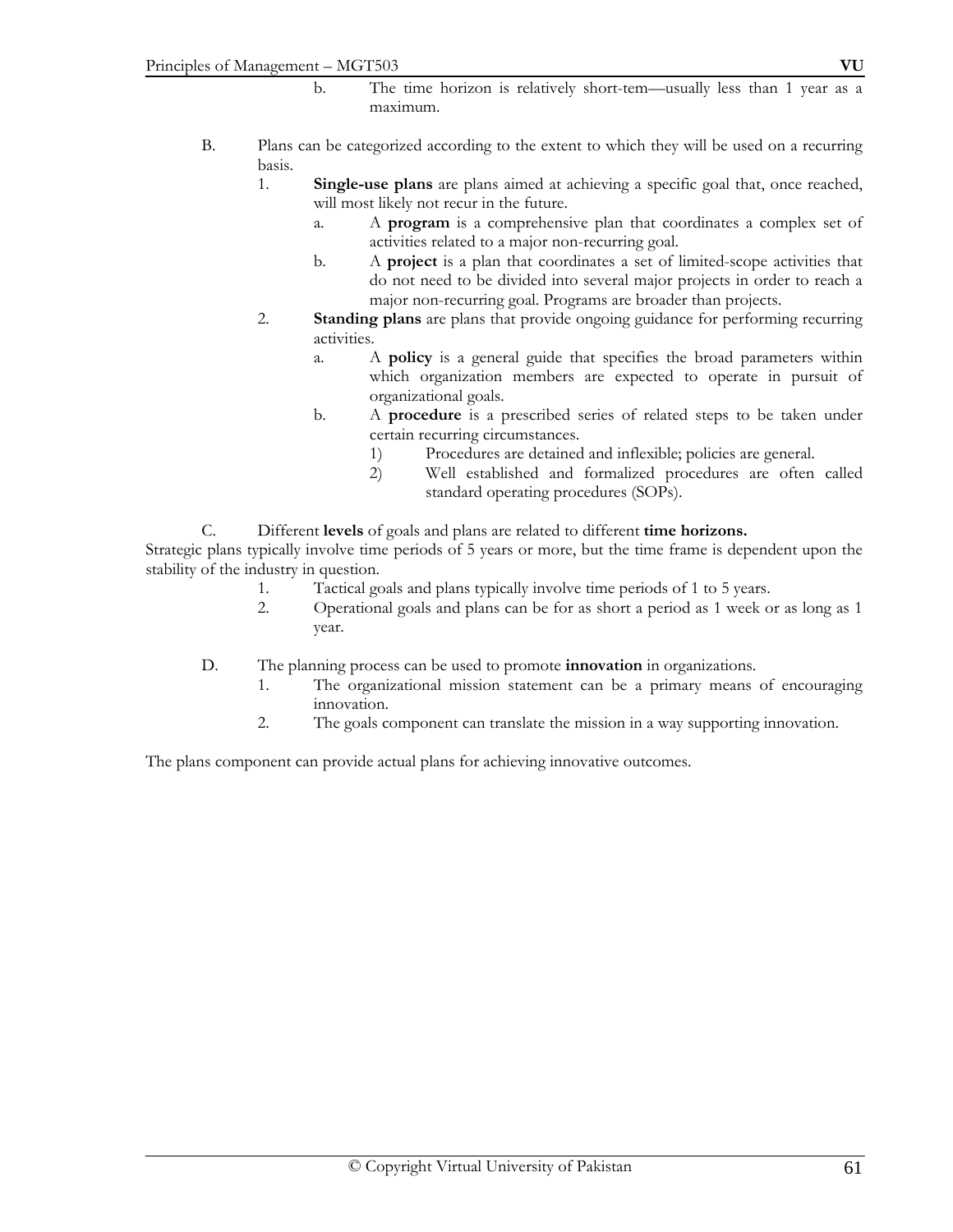- b. The time horizon is relatively short-tem—usually less than 1 year as a maximum.
- B. Plans can be categorized according to the extent to which they will be used on a recurring basis.
	- 1. **Single-use plans** are plans aimed at achieving a specific goal that, once reached, will most likely not recur in the future.
		- a. A **program** is a comprehensive plan that coordinates a complex set of activities related to a major non-recurring goal.
		- b. A **project** is a plan that coordinates a set of limited-scope activities that do not need to be divided into several major projects in order to reach a major non-recurring goal. Programs are broader than projects.
	- 2. **Standing plans** are plans that provide ongoing guidance for performing recurring activities.
		- a. A **policy** is a general guide that specifies the broad parameters within which organization members are expected to operate in pursuit of organizational goals.
		- b. A **procedure** is a prescribed series of related steps to be taken under certain recurring circumstances.
			- 1) Procedures are detained and inflexible; policies are general.
			- 2) Well established and formalized procedures are often called standard operating procedures (SOPs).
- C. Different **levels** of goals and plans are related to different **time horizons.**

Strategic plans typically involve time periods of 5 years or more, but the time frame is dependent upon the stability of the industry in question.

- 1. Tactical goals and plans typically involve time periods of 1 to 5 years.
- 2. Operational goals and plans can be for as short a period as 1 week or as long as 1 year.
- D. The planning process can be used to promote **innovation** in organizations.
	- 1. The organizational mission statement can be a primary means of encouraging innovation.
	- 2. The goals component can translate the mission in a way supporting innovation.

The plans component can provide actual plans for achieving innovative outcomes.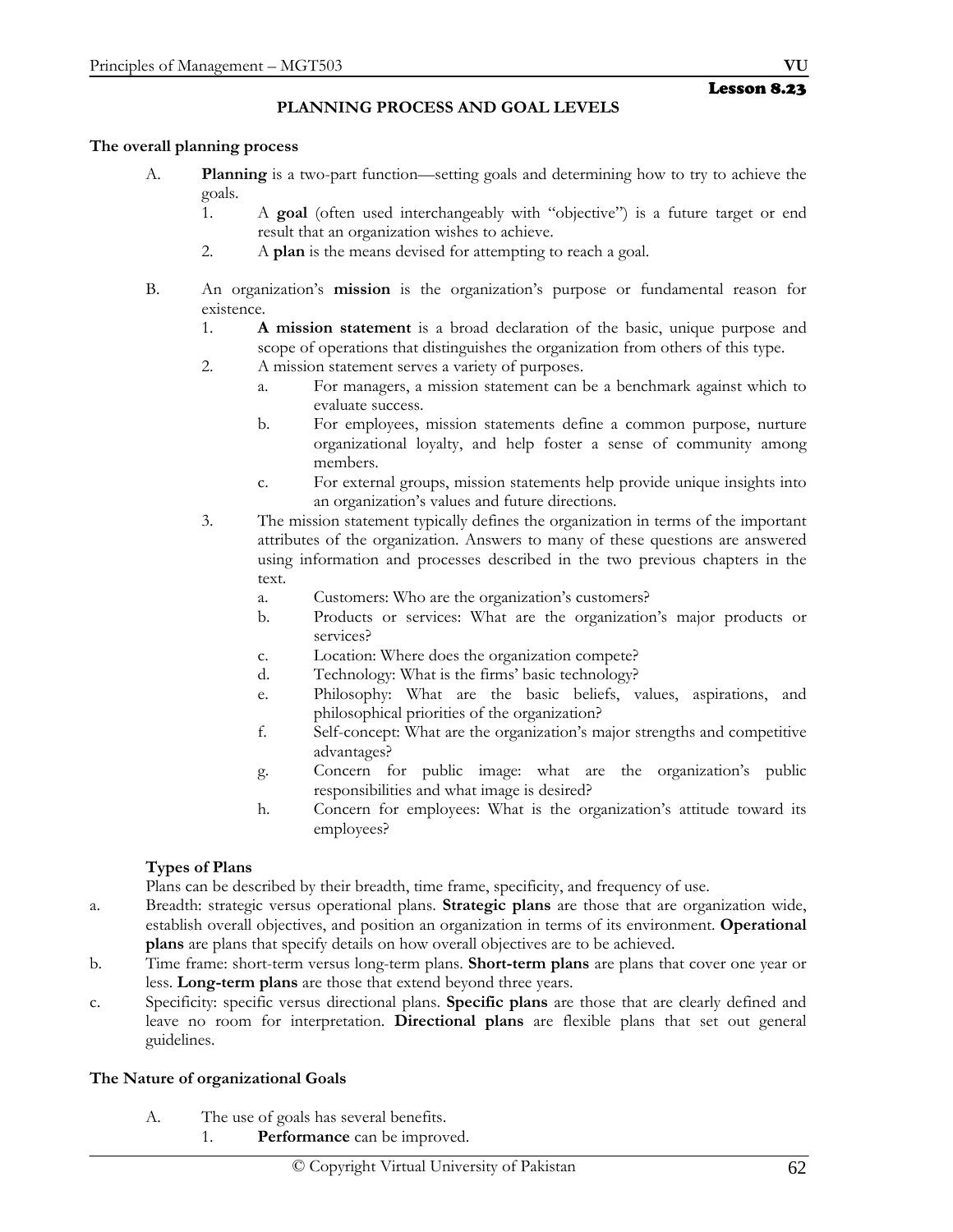## **PLANNING PROCESS AND GOAL LEVELS**

## **The overall planning process**

- A. **Planning** is a two-part function—setting goals and determining how to try to achieve the goals.
	- 1. A **goal** (often used interchangeably with "objective") is a future target or end result that an organization wishes to achieve.
	- 2. A **plan** is the means devised for attempting to reach a goal.
- B. An organization's **mission** is the organization's purpose or fundamental reason for existence.
	- 1. **A mission statement** is a broad declaration of the basic, unique purpose and scope of operations that distinguishes the organization from others of this type.
	- 2. A mission statement serves a variety of purposes.
		- a. For managers, a mission statement can be a benchmark against which to evaluate success.
		- b. For employees, mission statements define a common purpose, nurture organizational loyalty, and help foster a sense of community among members.
		- c. For external groups, mission statements help provide unique insights into an organization's values and future directions.
	- 3. The mission statement typically defines the organization in terms of the important attributes of the organization. Answers to many of these questions are answered using information and processes described in the two previous chapters in the text.
		- a. Customers: Who are the organization's customers?
		- b. Products or services: What are the organization's major products or services?
		- c. Location: Where does the organization compete?
		- d. Technology: What is the firms' basic technology?
		- e. Philosophy: What are the basic beliefs, values, aspirations, and philosophical priorities of the organization?
		- f. Self-concept: What are the organization's major strengths and competitive advantages?
		- g. Concern for public image: what are the organization's public responsibilities and what image is desired?
		- h. Concern for employees: What is the organization's attitude toward its employees?

## **Types of Plans**

Plans can be described by their breadth, time frame, specificity, and frequency of use.

- a. Breadth: strategic versus operational plans. **Strategic plans** are those that are organization wide, establish overall objectives, and position an organization in terms of its environment. **Operational plans** are plans that specify details on how overall objectives are to be achieved.
- b. Time frame: short-term versus long-term plans. **Short-term plans** are plans that cover one year or less. **Long-term plans** are those that extend beyond three years.
- c. Specificity: specific versus directional plans. **Specific plans** are those that are clearly defined and leave no room for interpretation. **Directional plans** are flexible plans that set out general guidelines.

## **The Nature of organizational Goals**

- A. The use of goals has several benefits.
	- 1. **Performance** can be improved.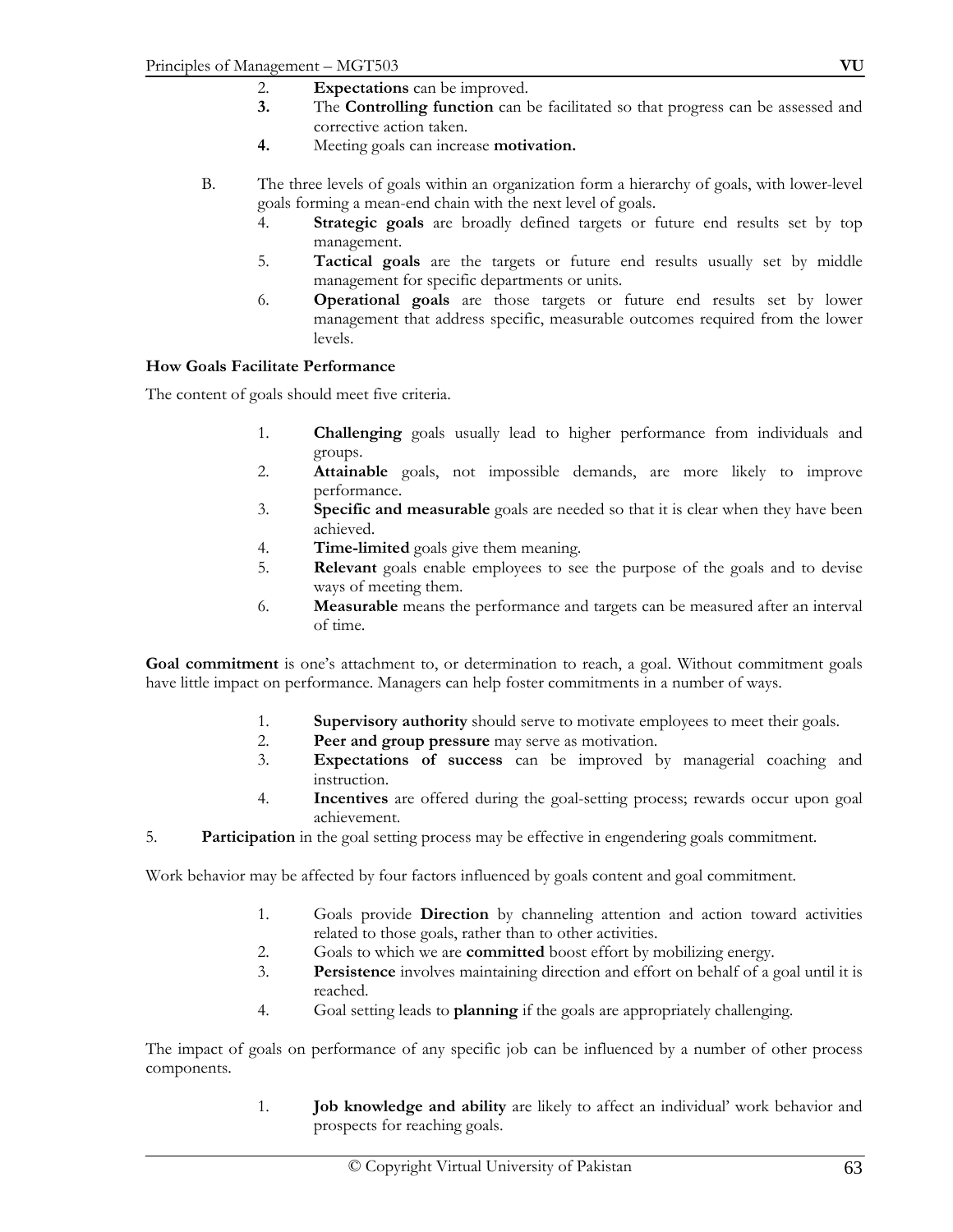- 2. **Expectations** can be improved.
- **3.** The **Controlling function** can be facilitated so that progress can be assessed and corrective action taken.
- **4.** Meeting goals can increase **motivation.**
- B. The three levels of goals within an organization form a hierarchy of goals, with lower-level goals forming a mean-end chain with the next level of goals.
	- 4. **Strategic goals** are broadly defined targets or future end results set by top management.
	- 5. **Tactical goals** are the targets or future end results usually set by middle management for specific departments or units.
	- 6. **Operational goals** are those targets or future end results set by lower management that address specific, measurable outcomes required from the lower levels.

#### **How Goals Facilitate Performance**

The content of goals should meet five criteria.

- 1. **Challenging** goals usually lead to higher performance from individuals and groups.
- 2. **Attainable** goals, not impossible demands, are more likely to improve performance.
- 3. **Specific and measurable** goals are needed so that it is clear when they have been achieved.
- 4. **Time-limited** goals give them meaning.
- 5. **Relevant** goals enable employees to see the purpose of the goals and to devise ways of meeting them.
- 6. **Measurable** means the performance and targets can be measured after an interval of time.

**Goal commitment** is one's attachment to, or determination to reach, a goal. Without commitment goals have little impact on performance. Managers can help foster commitments in a number of ways.

- 1. **Supervisory authority** should serve to motivate employees to meet their goals.
- 2. **Peer and group pressure** may serve as motivation.
- 3. **Expectations of success** can be improved by managerial coaching and instruction.
- 4. **Incentives** are offered during the goal-setting process; rewards occur upon goal achievement.
- 5. **Participation** in the goal setting process may be effective in engendering goals commitment.

Work behavior may be affected by four factors influenced by goals content and goal commitment.

- 1. Goals provide **Direction** by channeling attention and action toward activities related to those goals, rather than to other activities.
- 2. Goals to which we are **committed** boost effort by mobilizing energy.
- 3. **Persistence** involves maintaining direction and effort on behalf of a goal until it is reached.
- 4. Goal setting leads to **planning** if the goals are appropriately challenging.

The impact of goals on performance of any specific job can be influenced by a number of other process components.

> 1. **Job knowledge and ability** are likely to affect an individual' work behavior and prospects for reaching goals.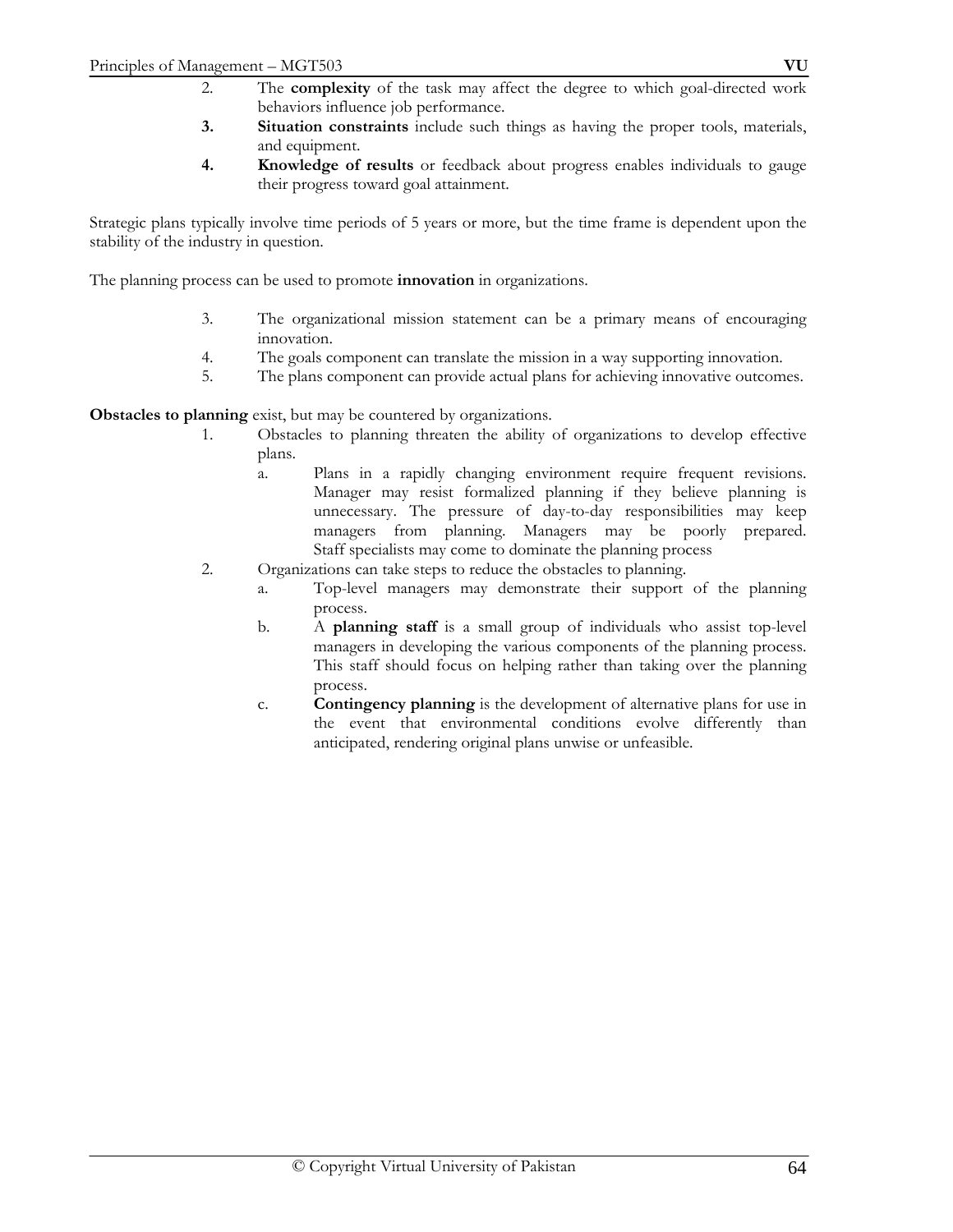- **3. Situation constraints** include such things as having the proper tools, materials, and equipment.
- **4. Knowledge of results** or feedback about progress enables individuals to gauge their progress toward goal attainment.

Strategic plans typically involve time periods of 5 years or more, but the time frame is dependent upon the stability of the industry in question.

The planning process can be used to promote **innovation** in organizations.

- 3. The organizational mission statement can be a primary means of encouraging innovation.
- 4. The goals component can translate the mission in a way supporting innovation.
- 5. The plans component can provide actual plans for achieving innovative outcomes.

**Obstacles to planning** exist, but may be countered by organizations.

- 1. Obstacles to planning threaten the ability of organizations to develop effective plans.
	- a. Plans in a rapidly changing environment require frequent revisions. Manager may resist formalized planning if they believe planning is unnecessary. The pressure of day-to-day responsibilities may keep managers from planning. Managers may be poorly prepared. Staff specialists may come to dominate the planning process
- 2. Organizations can take steps to reduce the obstacles to planning.
	- a. Top-level managers may demonstrate their support of the planning process.
	- b. A **planning staff** is a small group of individuals who assist top-level managers in developing the various components of the planning process. This staff should focus on helping rather than taking over the planning process.
	- c. **Contingency planning** is the development of alternative plans for use in the event that environmental conditions evolve differently than anticipated, rendering original plans unwise or unfeasible.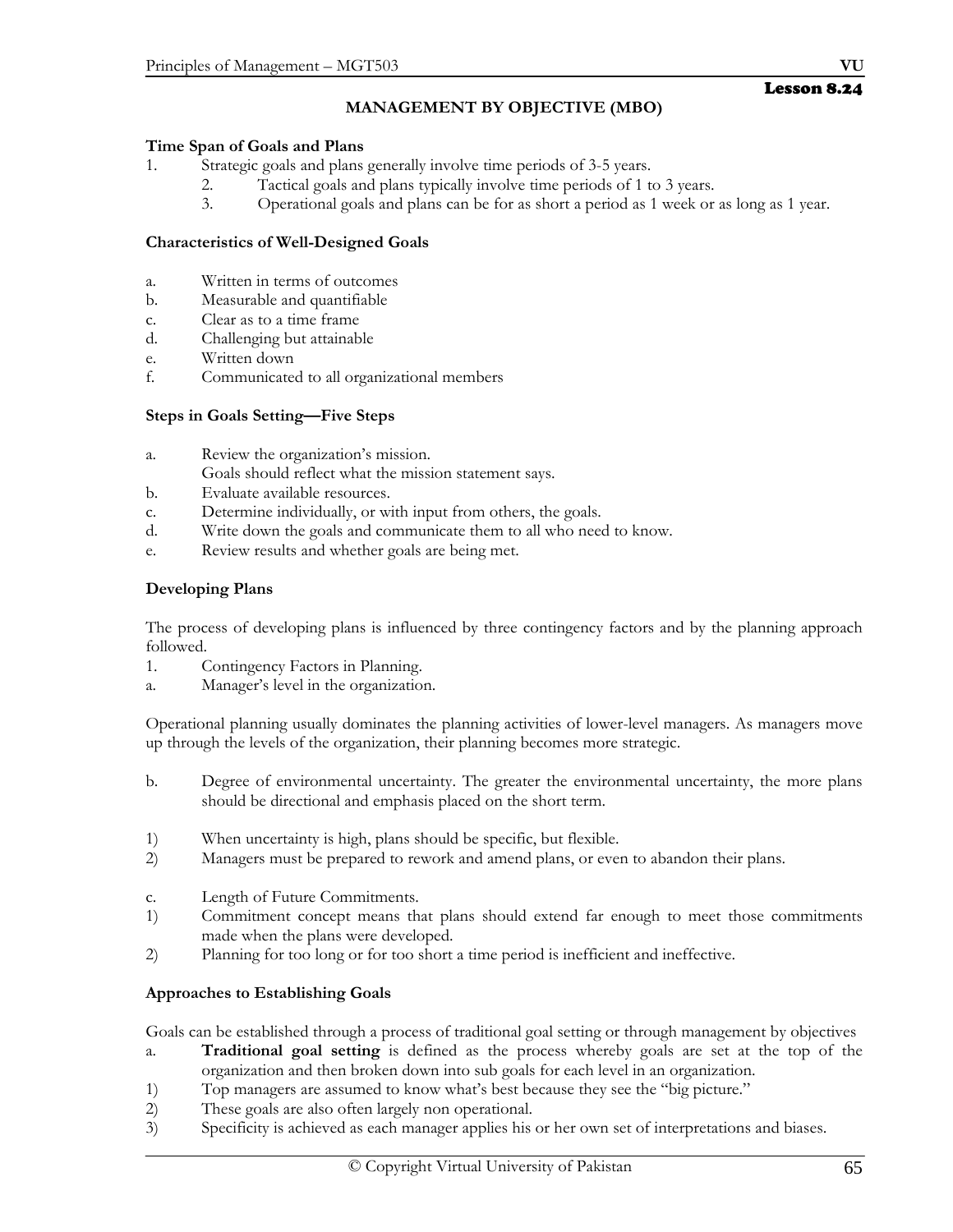# **MANAGEMENT BY OBJECTIVE (MBO)**

## **Time Span of Goals and Plans**

- 1. Strategic goals and plans generally involve time periods of 3-5 years.
	- 2. Tactical goals and plans typically involve time periods of 1 to 3 years.
	- 3. Operational goals and plans can be for as short a period as 1 week or as long as 1 year.

## **Characteristics of Well-Designed Goals**

- a. Written in terms of outcomes
- b. Measurable and quantifiable
- c. Clear as to a time frame
- d. Challenging but attainable
- e. Written down
- f. Communicated to all organizational members

## **Steps in Goals Setting—Five Steps**

- a. Review the organization's mission.
- Goals should reflect what the mission statement says.
- b. Evaluate available resources.
- c. Determine individually, or with input from others, the goals.
- d. Write down the goals and communicate them to all who need to know.
- e. Review results and whether goals are being met.

## **Developing Plans**

The process of developing plans is influenced by three contingency factors and by the planning approach followed.

- 1. Contingency Factors in Planning.
- a. Manager's level in the organization.

Operational planning usually dominates the planning activities of lower-level managers. As managers move up through the levels of the organization, their planning becomes more strategic.

- b. Degree of environmental uncertainty. The greater the environmental uncertainty, the more plans should be directional and emphasis placed on the short term.
- 1) When uncertainty is high, plans should be specific, but flexible.
- 2) Managers must be prepared to rework and amend plans, or even to abandon their plans.
- c. Length of Future Commitments.
- 1) Commitment concept means that plans should extend far enough to meet those commitments made when the plans were developed.
- 2) Planning for too long or for too short a time period is inefficient and ineffective.

## **Approaches to Establishing Goals**

Goals can be established through a process of traditional goal setting or through management by objectives

- a. **Traditional goal setting** is defined as the process whereby goals are set at the top of the organization and then broken down into sub goals for each level in an organization.
- 1) Top managers are assumed to know what's best because they see the "big picture."
- 2) These goals are also often largely non operational.
- 3) Specificity is achieved as each manager applies his or her own set of interpretations and biases.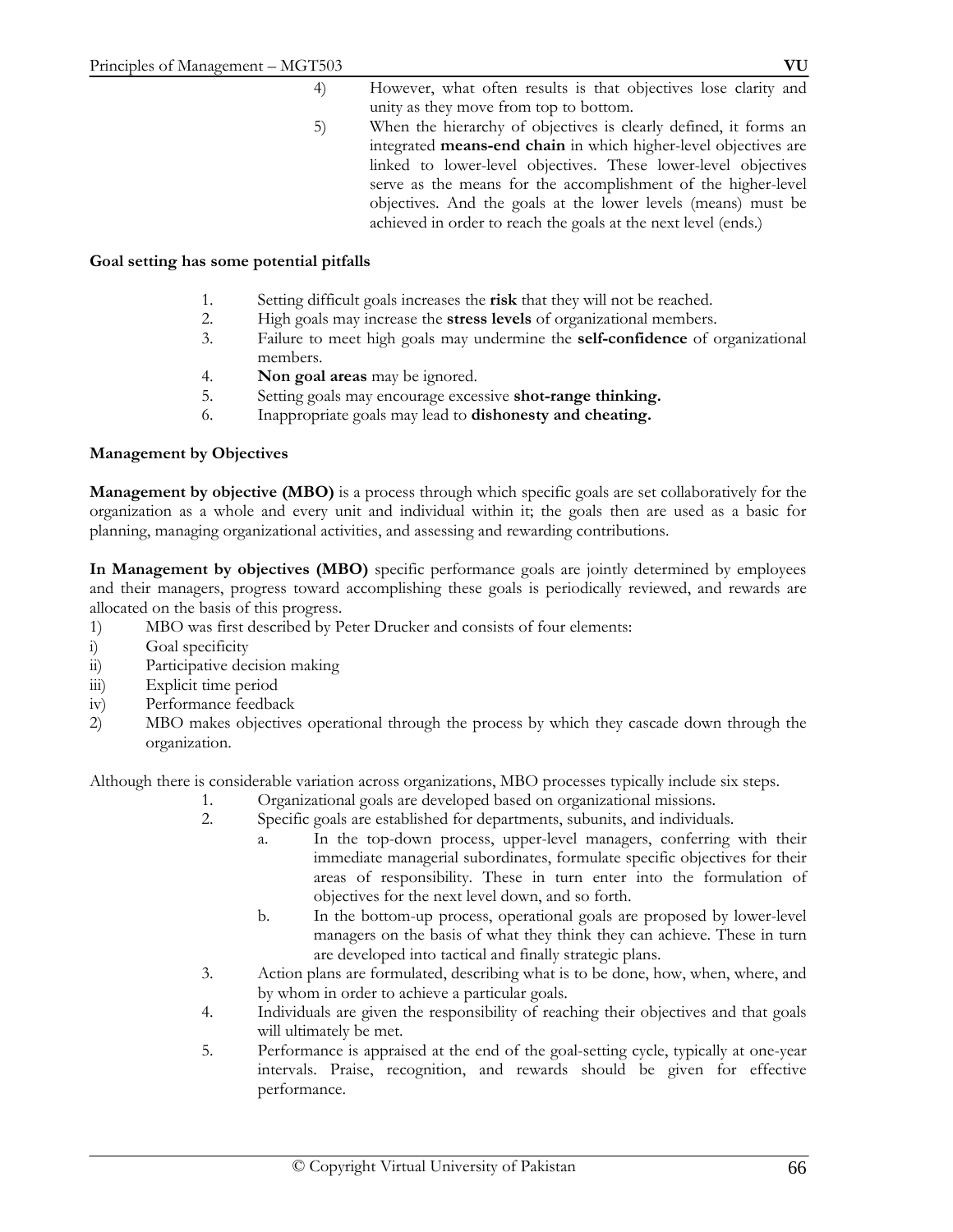- 4) However, what often results is that objectives lose clarity and unity as they move from top to bottom.
- 5) When the hierarchy of objectives is clearly defined, it forms an integrated **means-end chain** in which higher-level objectives are linked to lower-level objectives. These lower-level objectives serve as the means for the accomplishment of the higher-level objectives. And the goals at the lower levels (means) must be achieved in order to reach the goals at the next level (ends.)

## **Goal setting has some potential pitfalls**

- 1. Setting difficult goals increases the **risk** that they will not be reached.
- 2. High goals may increase the **stress levels** of organizational members.
- 3. Failure to meet high goals may undermine the **self-confidence** of organizational members.
- 4. **Non goal areas** may be ignored.
- 5. Setting goals may encourage excessive **shot-range thinking.**
- 6. Inappropriate goals may lead to **dishonesty and cheating.**

## **Management by Objectives**

**Management by objective (MBO)** is a process through which specific goals are set collaboratively for the organization as a whole and every unit and individual within it; the goals then are used as a basic for planning, managing organizational activities, and assessing and rewarding contributions.

**In Management by objectives (MBO)** specific performance goals are jointly determined by employees and their managers, progress toward accomplishing these goals is periodically reviewed, and rewards are allocated on the basis of this progress.

- 1) MBO was first described by Peter Drucker and consists of four elements:
- i) Goal specificity
- ii) Participative decision making
- iii) Explicit time period
- iv) Performance feedback
- 2) MBO makes objectives operational through the process by which they cascade down through the organization.

Although there is considerable variation across organizations, MBO processes typically include six steps.

- 1. Organizational goals are developed based on organizational missions.
- 2. Specific goals are established for departments, subunits, and individuals.
	- a. In the top-down process, upper-level managers, conferring with their immediate managerial subordinates, formulate specific objectives for their areas of responsibility. These in turn enter into the formulation of objectives for the next level down, and so forth.
	- b. In the bottom-up process, operational goals are proposed by lower-level managers on the basis of what they think they can achieve. These in turn are developed into tactical and finally strategic plans.
- 3. Action plans are formulated, describing what is to be done, how, when, where, and by whom in order to achieve a particular goals.
- 4. Individuals are given the responsibility of reaching their objectives and that goals will ultimately be met.
- 5. Performance is appraised at the end of the goal-setting cycle, typically at one-year intervals. Praise, recognition, and rewards should be given for effective performance.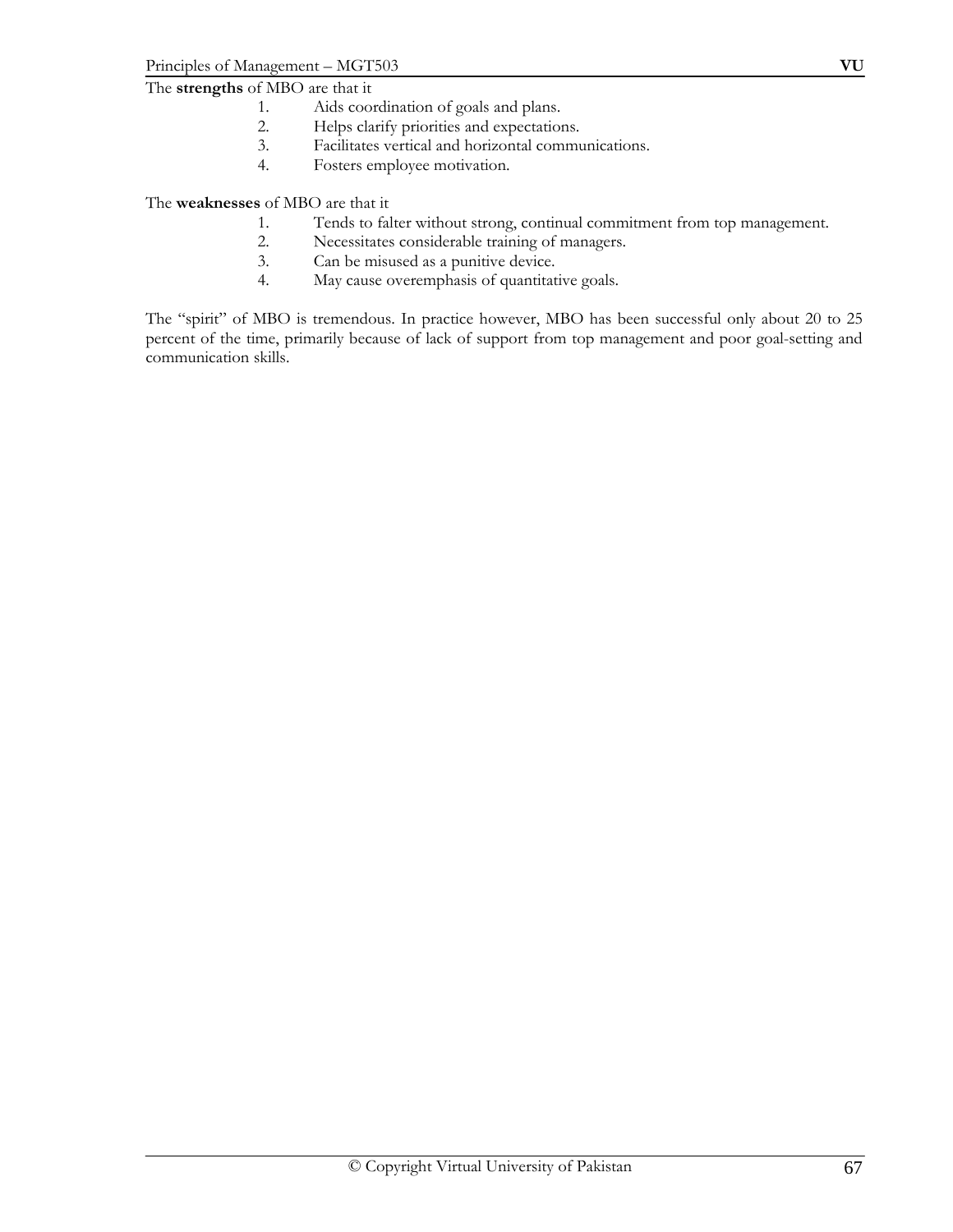- 1. Aids coordination of goals and plans.
- 2. Helps clarify priorities and expectations.<br>3. Facilitates vertical and horizontal community
- Facilitates vertical and horizontal communications.
- 4. Fosters employee motivation.

The **weaknesses** of MBO are that it

- 1. Tends to falter without strong, continual commitment from top management.
- 2. Necessitates considerable training of managers.
- 3. Can be misused as a punitive device.
- 4. May cause overemphasis of quantitative goals.

The "spirit" of MBO is tremendous. In practice however, MBO has been successful only about 20 to 25 percent of the time, primarily because of lack of support from top management and poor goal-setting and communication skills.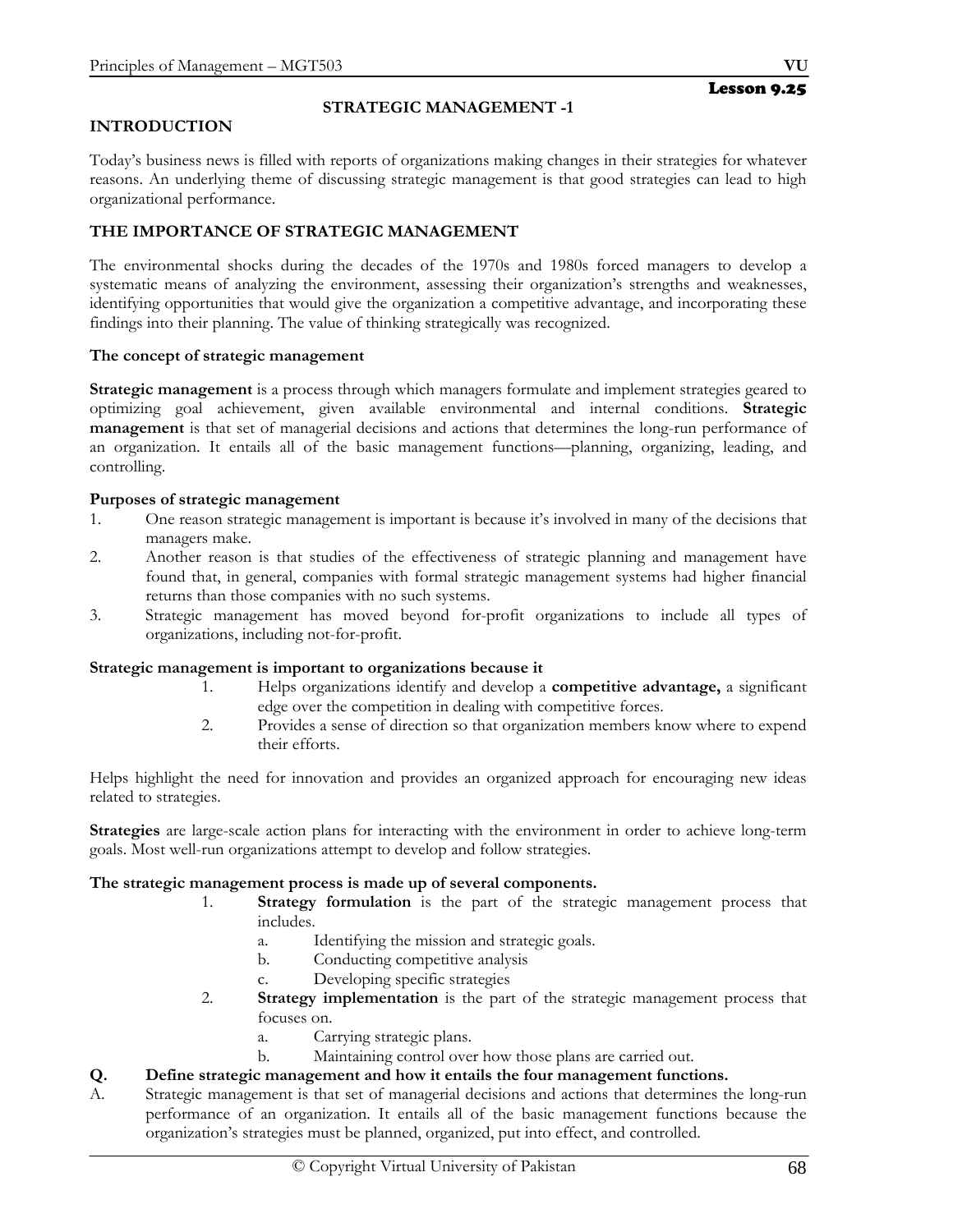## **INTRODUCTION**

## **STRATEGIC MANAGEMENT -1**

Today's business news is filled with reports of organizations making changes in their strategies for whatever reasons. An underlying theme of discussing strategic management is that good strategies can lead to high organizational performance.

## **THE IMPORTANCE OF STRATEGIC MANAGEMENT**

The environmental shocks during the decades of the 1970s and 1980s forced managers to develop a systematic means of analyzing the environment, assessing their organization's strengths and weaknesses, identifying opportunities that would give the organization a competitive advantage, and incorporating these findings into their planning. The value of thinking strategically was recognized.

#### **The concept of strategic management**

**Strategic management** is a process through which managers formulate and implement strategies geared to optimizing goal achievement, given available environmental and internal conditions. **Strategic management** is that set of managerial decisions and actions that determines the long-run performance of an organization. It entails all of the basic management functions—planning, organizing, leading, and controlling.

#### **Purposes of strategic management**

- 1. One reason strategic management is important is because it's involved in many of the decisions that managers make.
- 2. Another reason is that studies of the effectiveness of strategic planning and management have found that, in general, companies with formal strategic management systems had higher financial returns than those companies with no such systems.
- 3. Strategic management has moved beyond for-profit organizations to include all types of organizations, including not-for-profit.

#### **Strategic management is important to organizations because it**

- 1. Helps organizations identify and develop a **competitive advantage,** a significant edge over the competition in dealing with competitive forces.
- 2. Provides a sense of direction so that organization members know where to expend their efforts.

Helps highlight the need for innovation and provides an organized approach for encouraging new ideas related to strategies.

**Strategies** are large-scale action plans for interacting with the environment in order to achieve long-term goals. Most well-run organizations attempt to develop and follow strategies.

## **The strategic management process is made up of several components.**

- 1. **Strategy formulation** is the part of the strategic management process that includes.
	- a. Identifying the mission and strategic goals.
	- b. Conducting competitive analysis
	- c. Developing specific strategies
- 2. **Strategy implementation** is the part of the strategic management process that focuses on.
	- a. Carrying strategic plans.
	- b. Maintaining control over how those plans are carried out.

## **Q. Define strategic management and how it entails the four management functions.**

A. Strategic management is that set of managerial decisions and actions that determines the long-run performance of an organization. It entails all of the basic management functions because the organization's strategies must be planned, organized, put into effect, and controlled.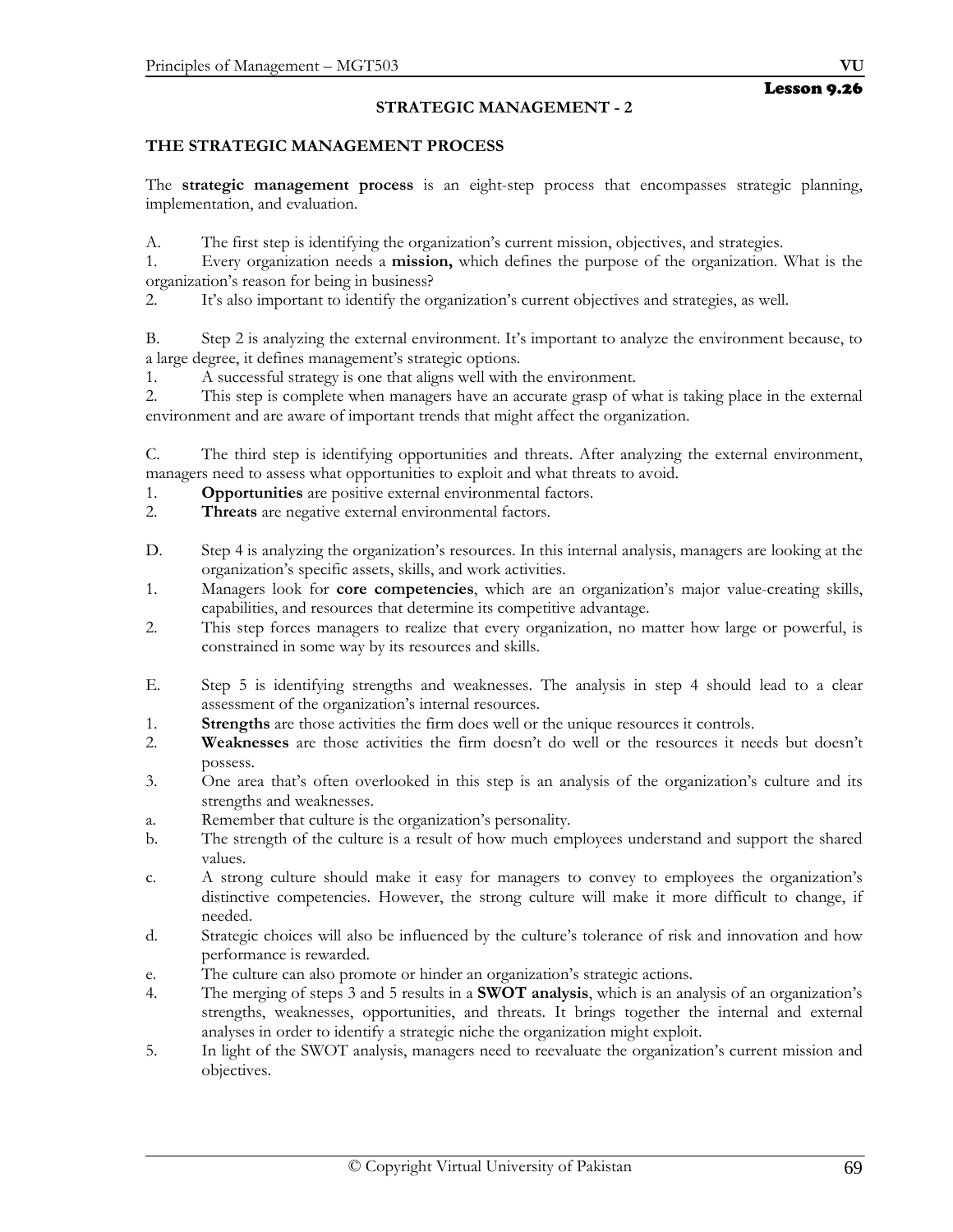## **STRATEGIC MANAGEMENT - 2**

## **THE STRATEGIC MANAGEMENT PROCESS**

The **strategic management process** is an eight-step process that encompasses strategic planning, implementation, and evaluation.

A. The first step is identifying the organization's current mission, objectives, and strategies.

1. Every organization needs a **mission,** which defines the purpose of the organization. What is the organization's reason for being in business?

2. It's also important to identify the organization's current objectives and strategies, as well.

B. Step 2 is analyzing the external environment. It's important to analyze the environment because, to a large degree, it defines management's strategic options.

1. A successful strategy is one that aligns well with the environment.

2. This step is complete when managers have an accurate grasp of what is taking place in the external environment and are aware of important trends that might affect the organization.

C. The third step is identifying opportunities and threats. After analyzing the external environment, managers need to assess what opportunities to exploit and what threats to avoid.

- 1. **Opportunities** are positive external environmental factors.
- 2. **Threats** are negative external environmental factors.
- D. Step 4 is analyzing the organization's resources. In this internal analysis, managers are looking at the organization's specific assets, skills, and work activities.
- 1. Managers look for **core competencies**, which are an organization's major value-creating skills, capabilities, and resources that determine its competitive advantage.
- 2. This step forces managers to realize that every organization, no matter how large or powerful, is constrained in some way by its resources and skills.
- E. Step 5 is identifying strengths and weaknesses. The analysis in step 4 should lead to a clear assessment of the organization's internal resources.
- 1. **Strengths** are those activities the firm does well or the unique resources it controls.
- 2. **Weaknesses** are those activities the firm doesn't do well or the resources it needs but doesn't possess.
- 3. One area that's often overlooked in this step is an analysis of the organization's culture and its strengths and weaknesses.
- a. Remember that culture is the organization's personality.
- b. The strength of the culture is a result of how much employees understand and support the shared values.
- c. A strong culture should make it easy for managers to convey to employees the organization's distinctive competencies. However, the strong culture will make it more difficult to change, if needed.
- d. Strategic choices will also be influenced by the culture's tolerance of risk and innovation and how performance is rewarded.
- e. The culture can also promote or hinder an organization's strategic actions.
- 4. The merging of steps 3 and 5 results in a **SWOT analysis**, which is an analysis of an organization's strengths, weaknesses, opportunities, and threats. It brings together the internal and external analyses in order to identify a strategic niche the organization might exploit.
- 5. In light of the SWOT analysis, managers need to reevaluate the organization's current mission and objectives.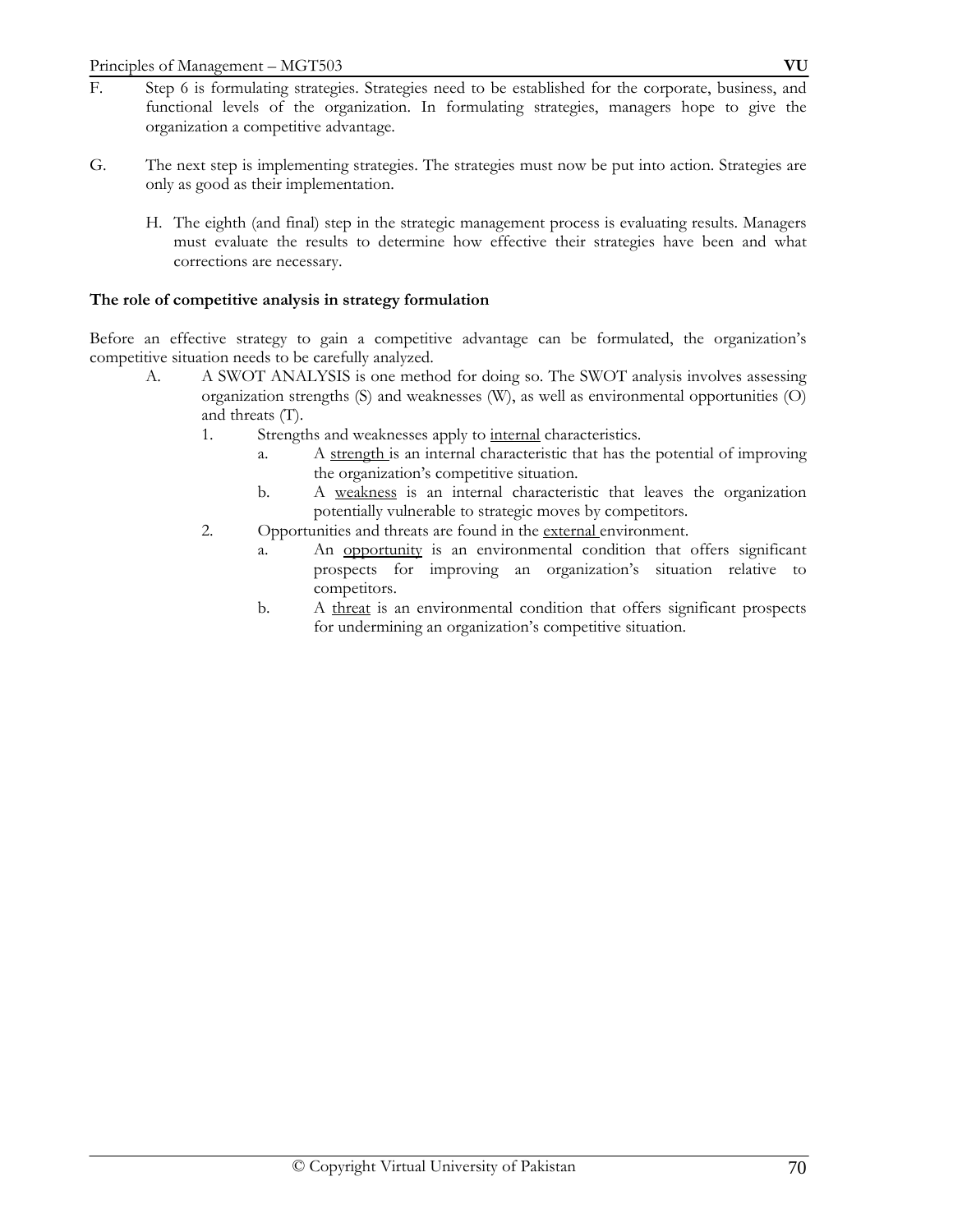- F. Step 6 is formulating strategies. Strategies need to be established for the corporate, business, and functional levels of the organization. In formulating strategies, managers hope to give the organization a competitive advantage.
- G. The next step is implementing strategies. The strategies must now be put into action. Strategies are only as good as their implementation.
	- H. The eighth (and final) step in the strategic management process is evaluating results. Managers must evaluate the results to determine how effective their strategies have been and what corrections are necessary.

## **The role of competitive analysis in strategy formulation**

Before an effective strategy to gain a competitive advantage can be formulated, the organization's competitive situation needs to be carefully analyzed.

- A. A SWOT ANALYSIS is one method for doing so. The SWOT analysis involves assessing organization strengths (S) and weaknesses (W), as well as environmental opportunities (O) and threats (T).
	- 1. Strengths and weaknesses apply to internal characteristics.
		- a. A strength is an internal characteristic that has the potential of improving the organization's competitive situation.
		- b. A weakness is an internal characteristic that leaves the organization potentially vulnerable to strategic moves by competitors.
	- 2. Opportunities and threats are found in the external environment.
		- a. An opportunity is an environmental condition that offers significant prospects for improving an organization's situation relative to competitors.
		- b. A threat is an environmental condition that offers significant prospects for undermining an organization's competitive situation.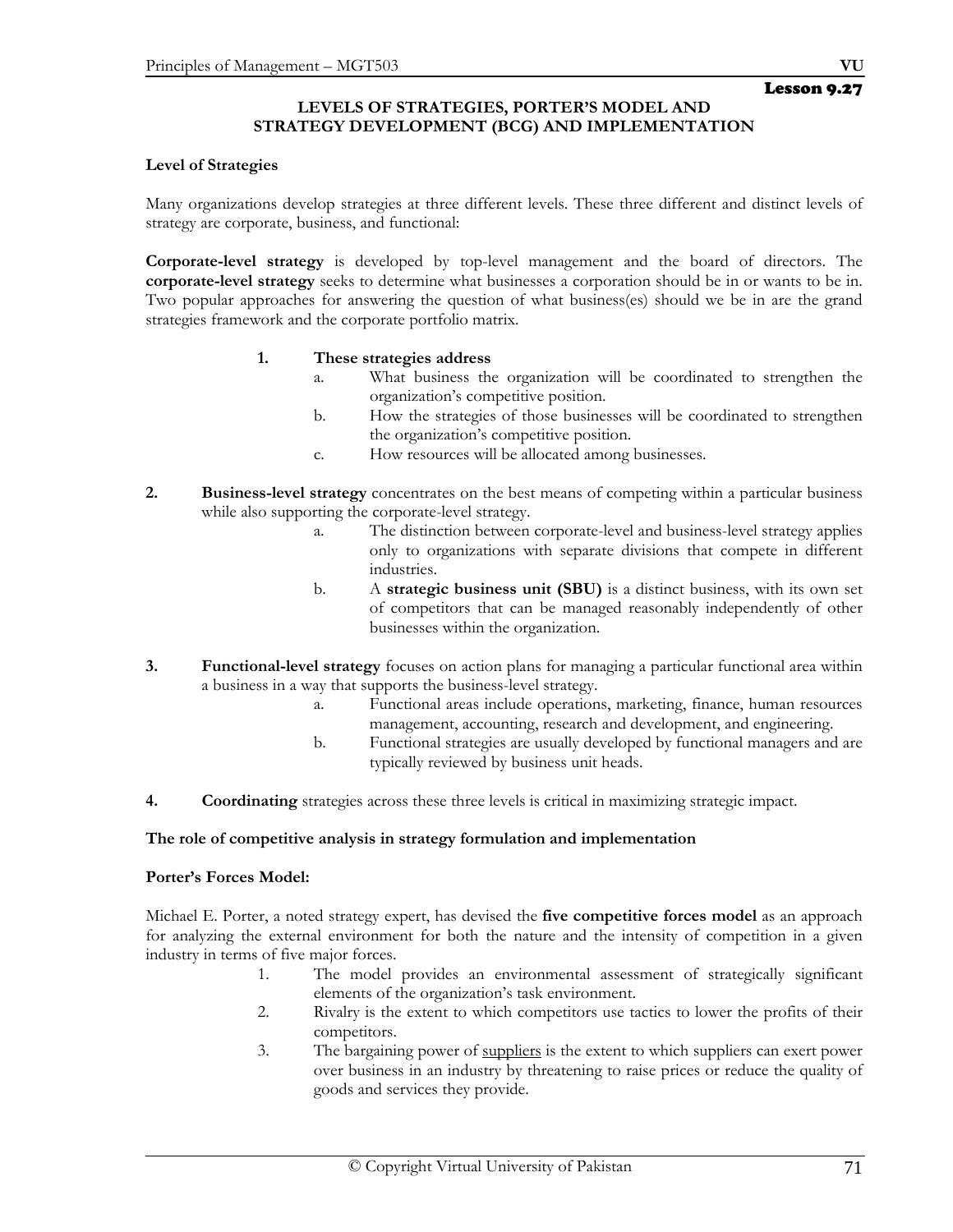## **LEVELS OF STRATEGIES, PORTER'S MODEL AND STRATEGY DEVELOPMENT (BCG) AND IMPLEMENTATION**

#### **Level of Strategies**

Many organizations develop strategies at three different levels. These three different and distinct levels of strategy are corporate, business, and functional:

**Corporate-level strategy** is developed by top-level management and the board of directors. The **corporate-level strategy** seeks to determine what businesses a corporation should be in or wants to be in. Two popular approaches for answering the question of what business(es) should we be in are the grand strategies framework and the corporate portfolio matrix.

#### **1. These strategies address**

- a. What business the organization will be coordinated to strengthen the organization's competitive position.
	- b. How the strategies of those businesses will be coordinated to strengthen the organization's competitive position.
	- c. How resources will be allocated among businesses.
- **2. Business-level strategy** concentrates on the best means of competing within a particular business while also supporting the corporate-level strategy.
	- a. The distinction between corporate-level and business-level strategy applies only to organizations with separate divisions that compete in different industries.
	- b. A **strategic business unit (SBU)** is a distinct business, with its own set of competitors that can be managed reasonably independently of other businesses within the organization.
- **3. Functional-level strategy** focuses on action plans for managing a particular functional area within a business in a way that supports the business-level strategy.
	- a. Functional areas include operations, marketing, finance, human resources management, accounting, research and development, and engineering.
	- b. Functional strategies are usually developed by functional managers and are typically reviewed by business unit heads.
- **4. Coordinating** strategies across these three levels is critical in maximizing strategic impact.

## **The role of competitive analysis in strategy formulation and implementation**

## **Porter's Forces Model:**

Michael E. Porter, a noted strategy expert, has devised the **five competitive forces model** as an approach for analyzing the external environment for both the nature and the intensity of competition in a given industry in terms of five major forces.

- 1. The model provides an environmental assessment of strategically significant elements of the organization's task environment.
- 2. Rivalry is the extent to which competitors use tactics to lower the profits of their competitors.
- 3. The bargaining power of suppliers is the extent to which suppliers can exert power over business in an industry by threatening to raise prices or reduce the quality of goods and services they provide.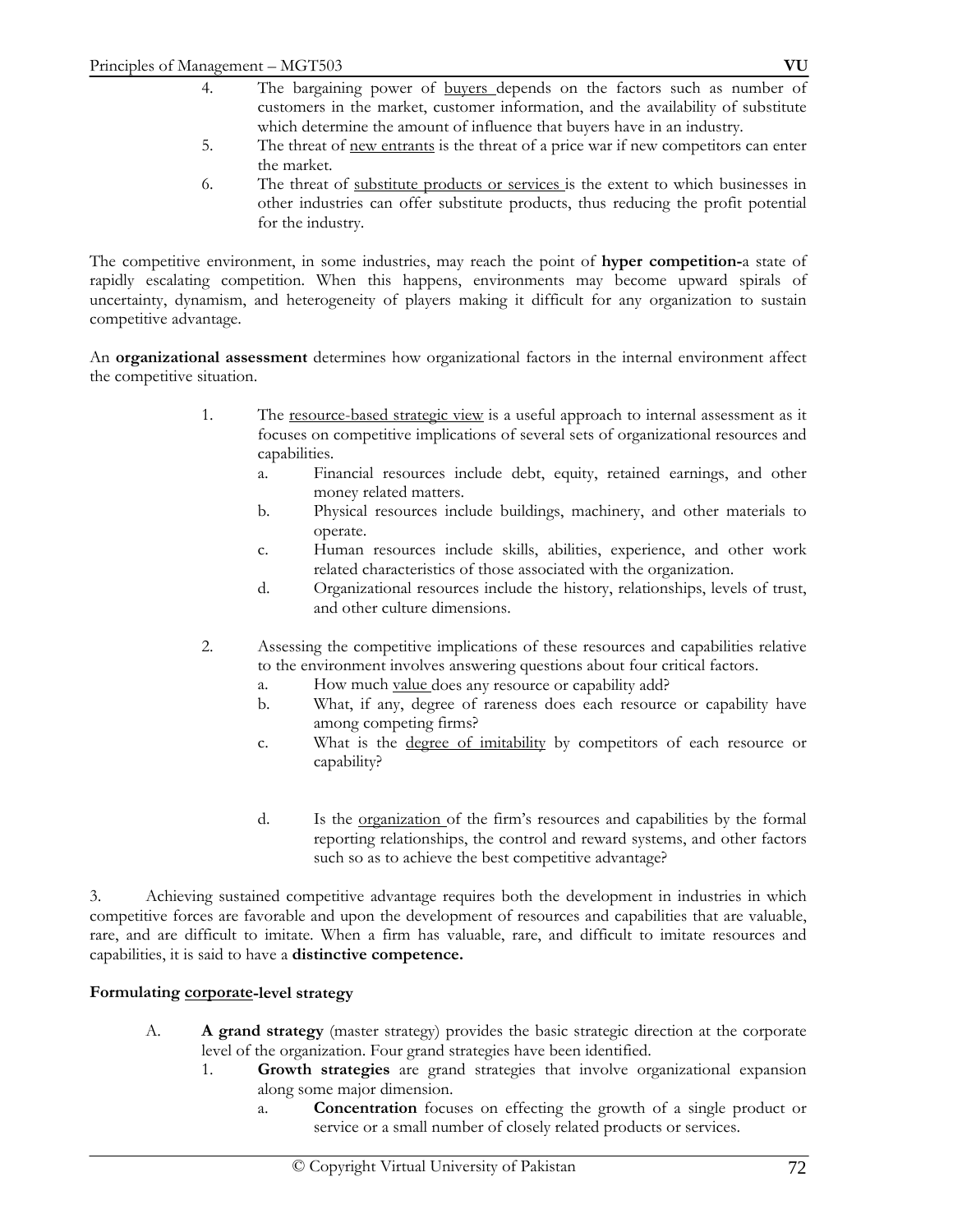- 4. The bargaining power of buyers depends on the factors such as number of customers in the market, customer information, and the availability of substitute which determine the amount of influence that buyers have in an industry.
- 5. The threat of new entrants is the threat of a price war if new competitors can enter the market.
- 6. The threat of substitute products or services is the extent to which businesses in other industries can offer substitute products, thus reducing the profit potential for the industry.

The competitive environment, in some industries, may reach the point of **hyper competition-**a state of rapidly escalating competition. When this happens, environments may become upward spirals of uncertainty, dynamism, and heterogeneity of players making it difficult for any organization to sustain competitive advantage.

An **organizational assessment** determines how organizational factors in the internal environment affect the competitive situation.

- 1. The <u>resource-based strategic view</u> is a useful approach to internal assessment as it focuses on competitive implications of several sets of organizational resources and capabilities.
	- a. Financial resources include debt, equity, retained earnings, and other money related matters.
	- b. Physical resources include buildings, machinery, and other materials to operate.
	- c. Human resources include skills, abilities, experience, and other work related characteristics of those associated with the organization.
	- d. Organizational resources include the history, relationships, levels of trust, and other culture dimensions.
- 2. Assessing the competitive implications of these resources and capabilities relative to the environment involves answering questions about four critical factors.
	- a. How much value does any resource or capability add?
	- b. What, if any, degree of rareness does each resource or capability have among competing firms?
	- c. What is the degree of imitability by competitors of each resource or capability?
	- d. Is the organization of the firm's resources and capabilities by the formal reporting relationships, the control and reward systems, and other factors such so as to achieve the best competitive advantage?

3. Achieving sustained competitive advantage requires both the development in industries in which competitive forces are favorable and upon the development of resources and capabilities that are valuable, rare, and are difficult to imitate. When a firm has valuable, rare, and difficult to imitate resources and capabilities, it is said to have a **distinctive competence.** 

## **Formulating corporate-level strategy**

- A. **A grand strategy** (master strategy) provides the basic strategic direction at the corporate level of the organization. Four grand strategies have been identified.
	- 1. **Growth strategies** are grand strategies that involve organizational expansion along some major dimension.
		- a. **Concentration** focuses on effecting the growth of a single product or service or a small number of closely related products or services.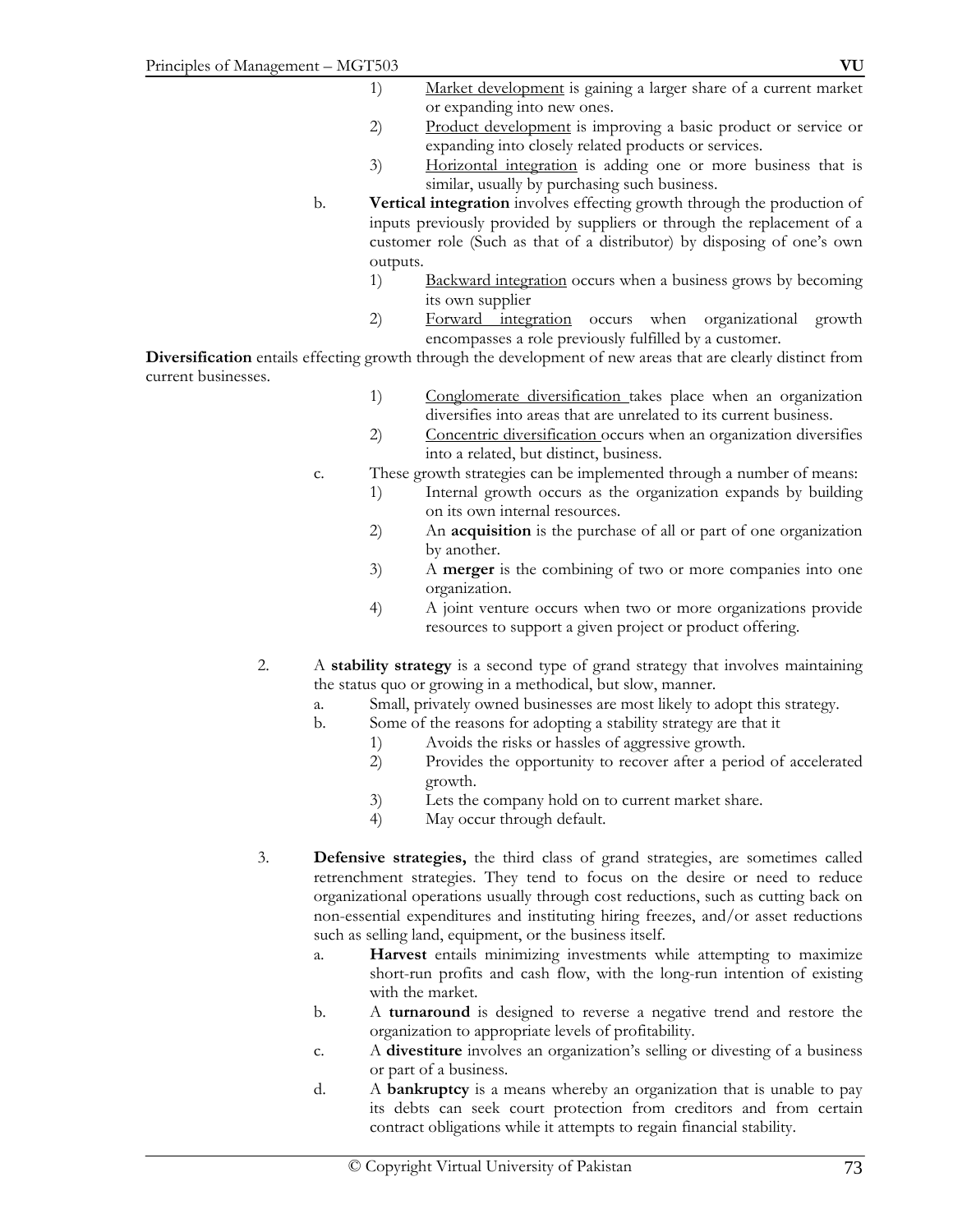- 2) Product development is improving a basic product or service or expanding into closely related products or services.
- 3) Horizontal integration is adding one or more business that is similar, usually by purchasing such business.
- b. **Vertical integration** involves effecting growth through the production of inputs previously provided by suppliers or through the replacement of a customer role (Such as that of a distributor) by disposing of one's own outputs.
	- 1) Backward integration occurs when a business grows by becoming its own supplier
	- 2) Forward integration occurs when organizational growth encompasses a role previously fulfilled by a customer.

**Diversification** entails effecting growth through the development of new areas that are clearly distinct from current businesses.

- 1) Conglomerate diversification takes place when an organization diversifies into areas that are unrelated to its current business.
- 2) Concentric diversification occurs when an organization diversifies into a related, but distinct, business.
- c. These growth strategies can be implemented through a number of means:
	- 1) Internal growth occurs as the organization expands by building on its own internal resources.
	- 2) An **acquisition** is the purchase of all or part of one organization by another.
	- 3) A **merger** is the combining of two or more companies into one organization.
	- 4) A joint venture occurs when two or more organizations provide resources to support a given project or product offering.
- 2. A **stability strategy** is a second type of grand strategy that involves maintaining the status quo or growing in a methodical, but slow, manner.
	- a. Small, privately owned businesses are most likely to adopt this strategy.
	- b. Some of the reasons for adopting a stability strategy are that it
		- 1) Avoids the risks or hassles of aggressive growth.
		- 2) Provides the opportunity to recover after a period of accelerated growth.
		- 3) Lets the company hold on to current market share.
		- 4) May occur through default.
- 3. **Defensive strategies,** the third class of grand strategies, are sometimes called retrenchment strategies. They tend to focus on the desire or need to reduce organizational operations usually through cost reductions, such as cutting back on non-essential expenditures and instituting hiring freezes, and/or asset reductions such as selling land, equipment, or the business itself.
	- a. **Harvest** entails minimizing investments while attempting to maximize short-run profits and cash flow, with the long-run intention of existing with the market.
	- b. A **turnaround** is designed to reverse a negative trend and restore the organization to appropriate levels of profitability.
	- c. A **divestiture** involves an organization's selling or divesting of a business or part of a business.
	- d. A **bankruptcy** is a means whereby an organization that is unable to pay its debts can seek court protection from creditors and from certain contract obligations while it attempts to regain financial stability.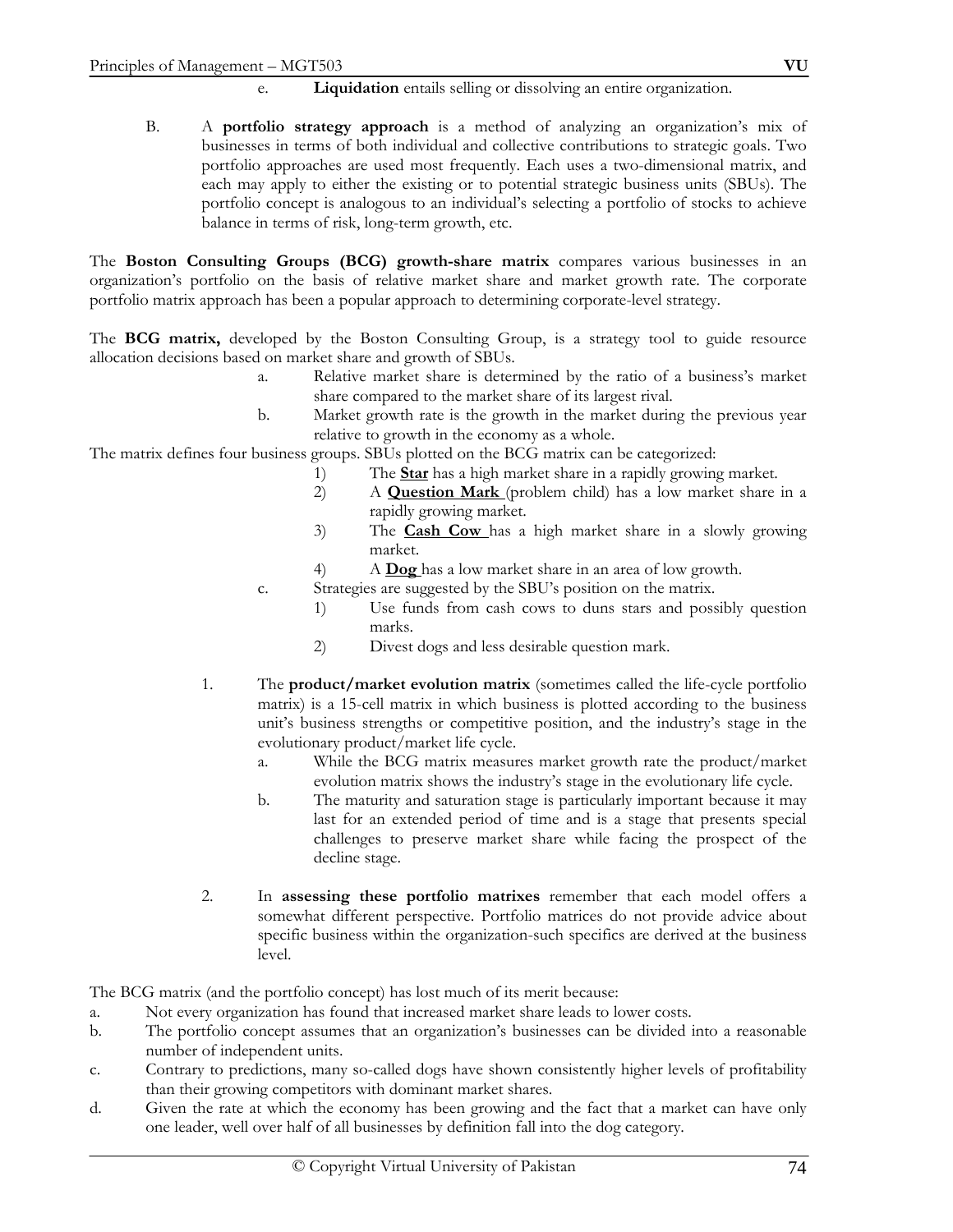#### **Liquidation** entails selling or dissolving an entire organization.

B. A **portfolio strategy approach** is a method of analyzing an organization's mix of businesses in terms of both individual and collective contributions to strategic goals. Two portfolio approaches are used most frequently. Each uses a two-dimensional matrix, and each may apply to either the existing or to potential strategic business units (SBUs). The portfolio concept is analogous to an individual's selecting a portfolio of stocks to achieve balance in terms of risk, long-term growth, etc.

The **Boston Consulting Groups (BCG) growth-share matrix** compares various businesses in an organization's portfolio on the basis of relative market share and market growth rate. The corporate portfolio matrix approach has been a popular approach to determining corporate-level strategy.

The **BCG matrix,** developed by the Boston Consulting Group, is a strategy tool to guide resource allocation decisions based on market share and growth of SBUs.

- a. Relative market share is determined by the ratio of a business's market share compared to the market share of its largest rival.
- b. Market growth rate is the growth in the market during the previous year relative to growth in the economy as a whole.

The matrix defines four business groups. SBUs plotted on the BCG matrix can be categorized:

- 1) The **Star** has a high market share in a rapidly growing market.
- 2) A **Question Mark** (problem child) has a low market share in a rapidly growing market.
- 3) The **Cash Cow** has a high market share in a slowly growing market.
- 4) A **Dog** has a low market share in an area of low growth.
- c. Strategies are suggested by the SBU's position on the matrix.
	- 1) Use funds from cash cows to duns stars and possibly question marks.
	- 2) Divest dogs and less desirable question mark.
- 1. The **product/market evolution matrix** (sometimes called the life-cycle portfolio matrix) is a 15-cell matrix in which business is plotted according to the business unit's business strengths or competitive position, and the industry's stage in the evolutionary product/market life cycle.
	- a. While the BCG matrix measures market growth rate the product/market evolution matrix shows the industry's stage in the evolutionary life cycle.
	- b. The maturity and saturation stage is particularly important because it may last for an extended period of time and is a stage that presents special challenges to preserve market share while facing the prospect of the decline stage.
- 2. In **assessing these portfolio matrixes** remember that each model offers a somewhat different perspective. Portfolio matrices do not provide advice about specific business within the organization-such specifics are derived at the business level.

The BCG matrix (and the portfolio concept) has lost much of its merit because:

- a. Not every organization has found that increased market share leads to lower costs.
- b. The portfolio concept assumes that an organization's businesses can be divided into a reasonable number of independent units.
- c. Contrary to predictions, many so-called dogs have shown consistently higher levels of profitability than their growing competitors with dominant market shares.
- d. Given the rate at which the economy has been growing and the fact that a market can have only one leader, well over half of all businesses by definition fall into the dog category.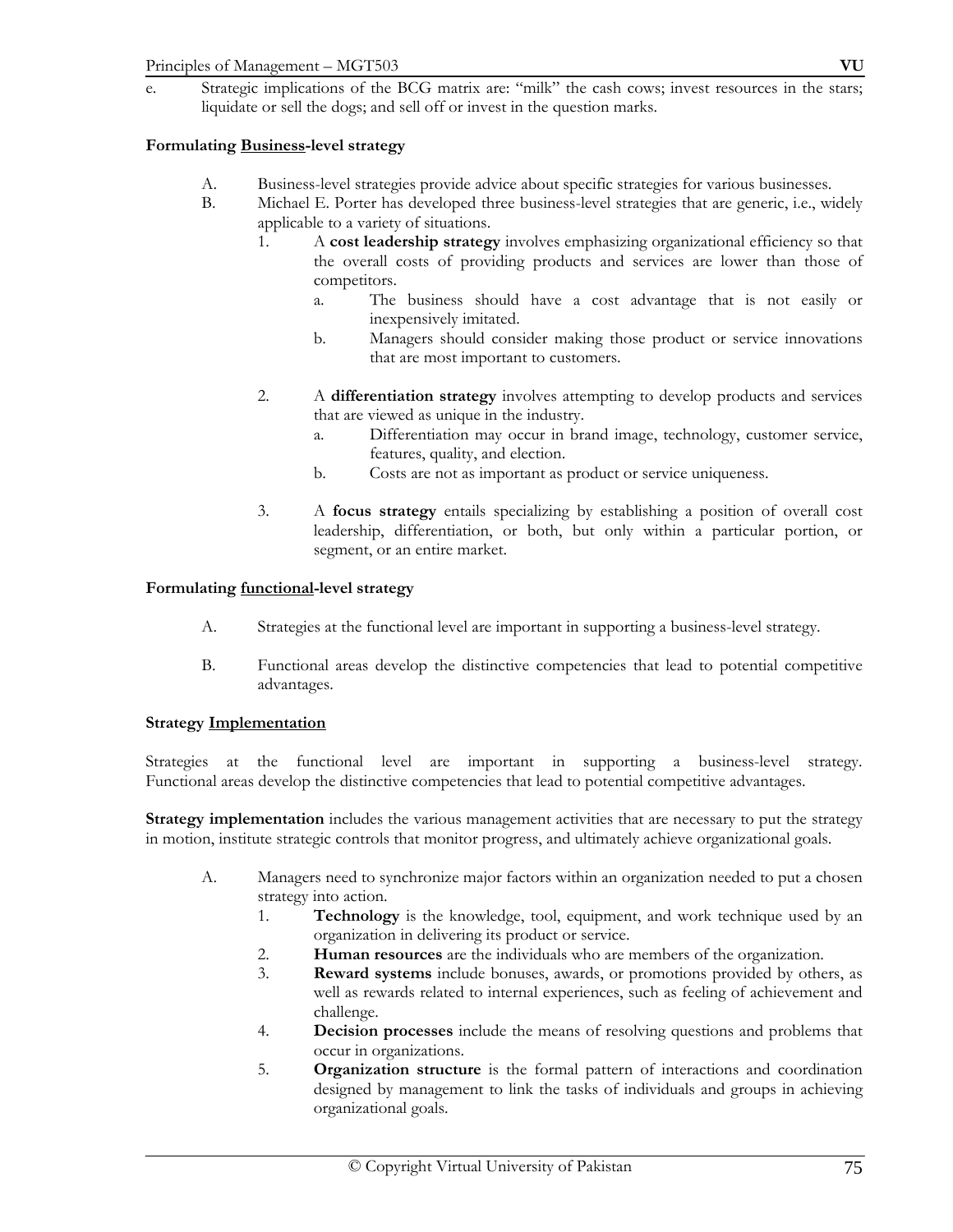# **Formulating Business-level strategy**

- A. Business-level strategies provide advice about specific strategies for various businesses.
- B. Michael E. Porter has developed three business-level strategies that are generic, i.e., widely applicable to a variety of situations.
	- 1. A **cost leadership strategy** involves emphasizing organizational efficiency so that the overall costs of providing products and services are lower than those of competitors.
		- a. The business should have a cost advantage that is not easily or inexpensively imitated.
		- b. Managers should consider making those product or service innovations that are most important to customers.
	- 2. A **differentiation strategy** involves attempting to develop products and services that are viewed as unique in the industry.
		- a. Differentiation may occur in brand image, technology, customer service, features, quality, and election.
		- b. Costs are not as important as product or service uniqueness.
	- 3. A **focus strategy** entails specializing by establishing a position of overall cost leadership, differentiation, or both, but only within a particular portion, or segment, or an entire market.

#### **Formulating functional-level strategy**

- A. Strategies at the functional level are important in supporting a business-level strategy.
- B. Functional areas develop the distinctive competencies that lead to potential competitive advantages.

#### **Strategy Implementation**

Strategies at the functional level are important in supporting a business-level strategy. Functional areas develop the distinctive competencies that lead to potential competitive advantages.

**Strategy implementation** includes the various management activities that are necessary to put the strategy in motion, institute strategic controls that monitor progress, and ultimately achieve organizational goals.

- A. Managers need to synchronize major factors within an organization needed to put a chosen strategy into action.
	- 1. **Technology** is the knowledge, tool, equipment, and work technique used by an organization in delivering its product or service.
	- 2. **Human resources** are the individuals who are members of the organization.
	- 3. **Reward systems** include bonuses, awards, or promotions provided by others, as well as rewards related to internal experiences, such as feeling of achievement and challenge.
	- 4. **Decision processes** include the means of resolving questions and problems that occur in organizations.
	- 5. **Organization structure** is the formal pattern of interactions and coordination designed by management to link the tasks of individuals and groups in achieving organizational goals.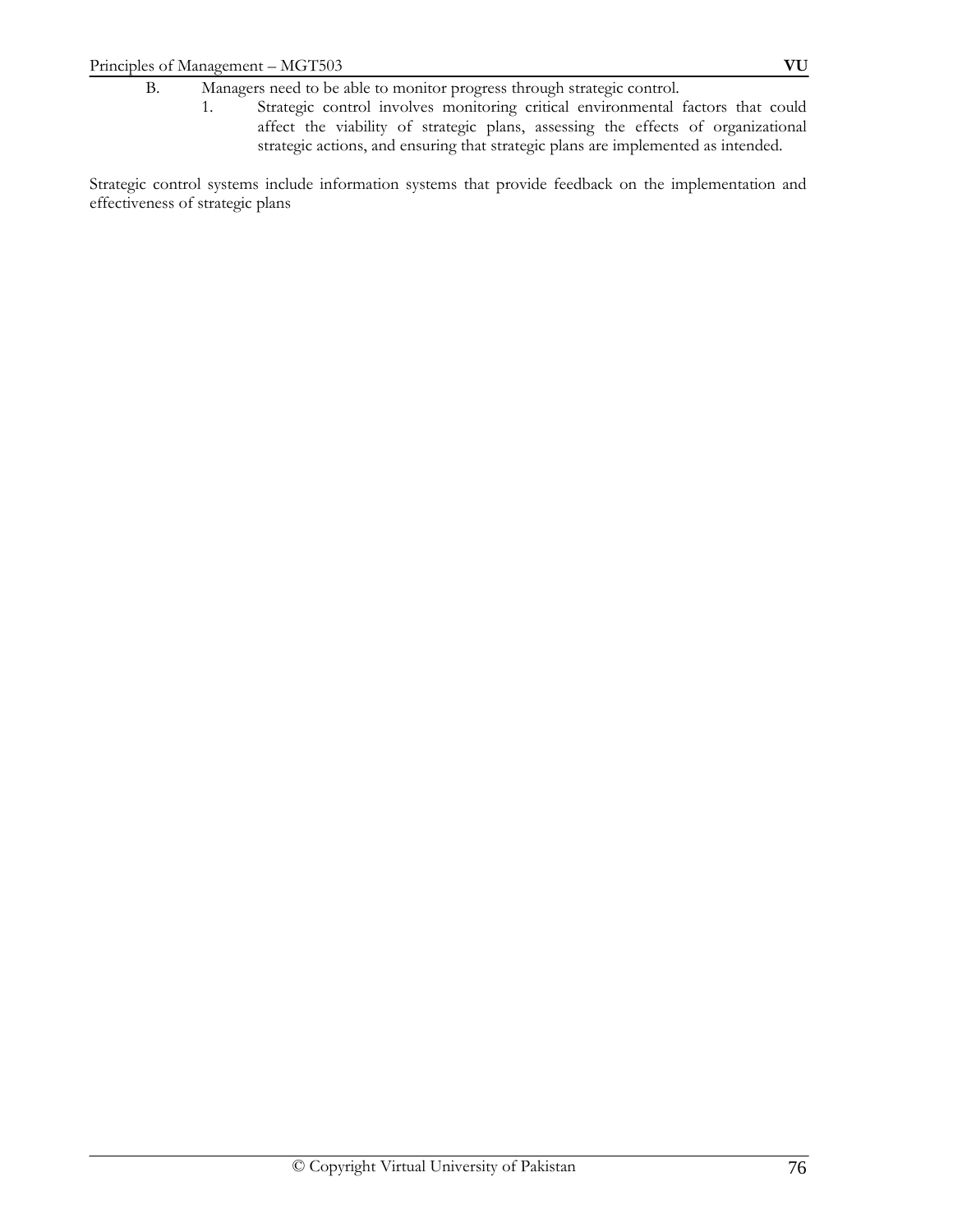1. Strategic control involves monitoring critical environmental factors that could affect the viability of strategic plans, assessing the effects of organizational strategic actions, and ensuring that strategic plans are implemented as intended.

Strategic control systems include information systems that provide feedback on the implementation and effectiveness of strategic plans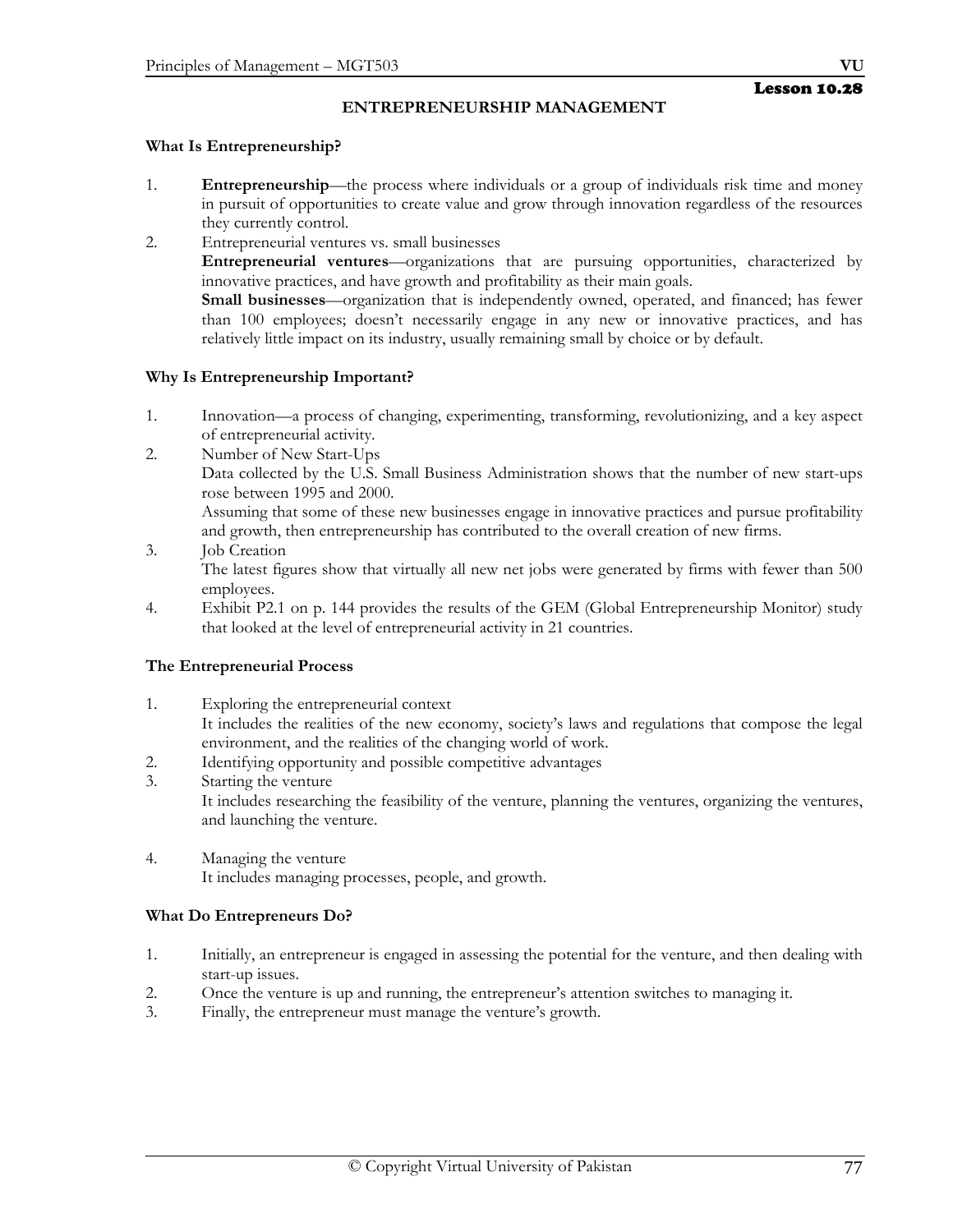# **ENTREPRENEURSHIP MANAGEMENT**

# **What Is Entrepreneurship?**

- 1. **Entrepreneurship**—the process where individuals or a group of individuals risk time and money in pursuit of opportunities to create value and grow through innovation regardless of the resources they currently control.
- 2. Entrepreneurial ventures vs. small businesses  **Entrepreneurial ventures**—organizations that are pursuing opportunities, characterized by innovative practices, and have growth and profitability as their main goals.  **Small businesses**—organization that is independently owned, operated, and financed; has fewer than 100 employees; doesn't necessarily engage in any new or innovative practices, and has relatively little impact on its industry, usually remaining small by choice or by default.

# **Why Is Entrepreneurship Important?**

- 1. Innovation—a process of changing, experimenting, transforming, revolutionizing, and a key aspect of entrepreneurial activity.
- 2. Number of New Start-Ups Data collected by the U.S. Small Business Administration shows that the number of new start-ups rose between 1995 and 2000. Assuming that some of these new businesses engage in innovative practices and pursue profitability and growth, then entrepreneurship has contributed to the overall creation of new firms.
- 3. Job Creation The latest figures show that virtually all new net jobs were generated by firms with fewer than 500 employees.
- 4. Exhibit P2.1 on p. 144 provides the results of the GEM (Global Entrepreneurship Monitor) study that looked at the level of entrepreneurial activity in 21 countries.

# **The Entrepreneurial Process**

- 1. Exploring the entrepreneurial context It includes the realities of the new economy, society's laws and regulations that compose the legal environment, and the realities of the changing world of work.
- 2. Identifying opportunity and possible competitive advantages
- 3. Starting the venture It includes researching the feasibility of the venture, planning the ventures, organizing the ventures, and launching the venture.
- 4. Managing the venture It includes managing processes, people, and growth.

# **What Do Entrepreneurs Do?**

- 1. Initially, an entrepreneur is engaged in assessing the potential for the venture, and then dealing with start-up issues.
- 2. Once the venture is up and running, the entrepreneur's attention switches to managing it.
- 3. Finally, the entrepreneur must manage the venture's growth.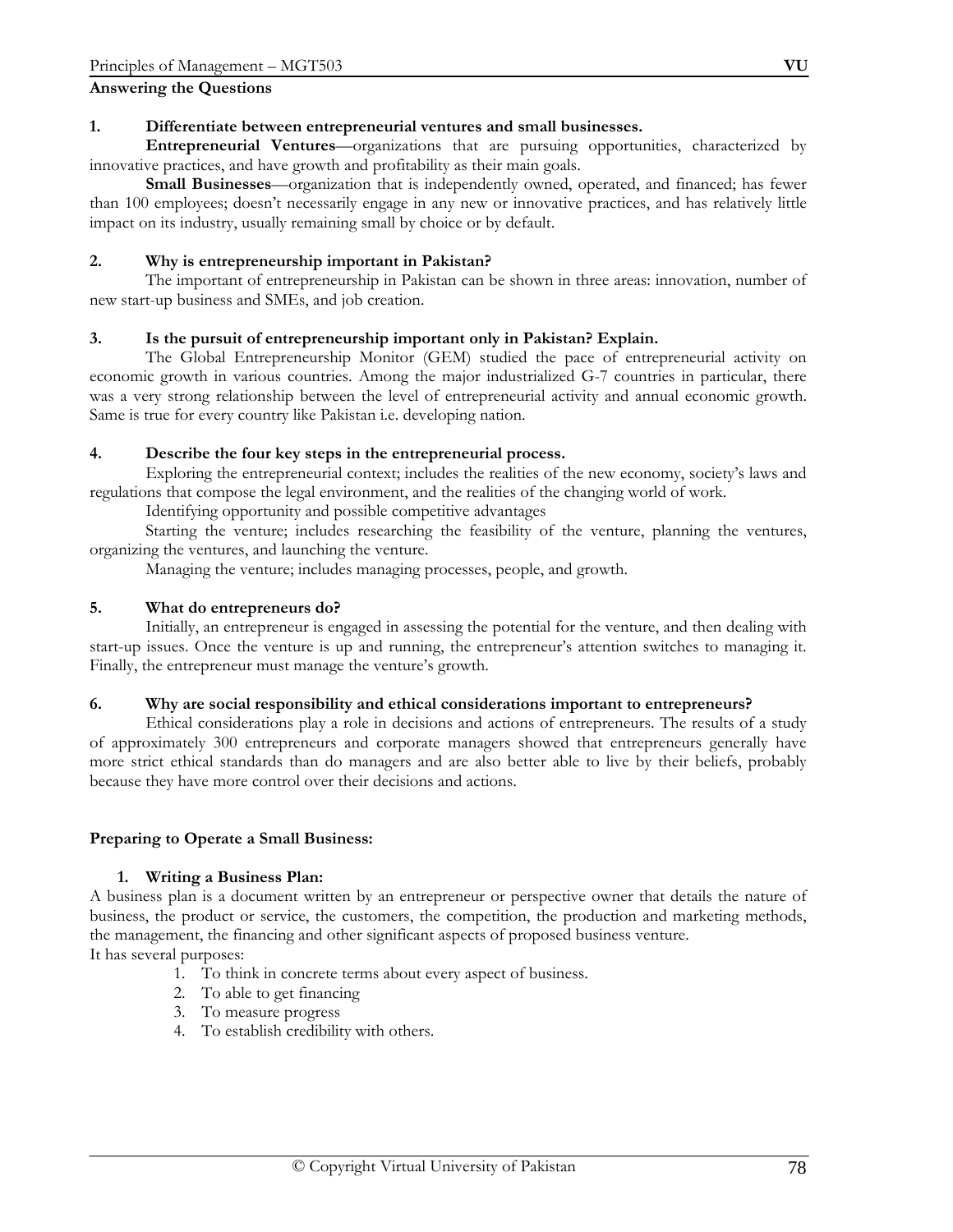### **Answering the Questions**

#### **1. Differentiate between entrepreneurial ventures and small businesses.**

 **Entrepreneurial Ventures**—organizations that are pursuing opportunities, characterized by innovative practices, and have growth and profitability as their main goals.

**Small Businesses**—organization that is independently owned, operated, and financed; has fewer than 100 employees; doesn't necessarily engage in any new or innovative practices, and has relatively little impact on its industry, usually remaining small by choice or by default.

#### **2. Why is entrepreneurship important in Pakistan?**

The important of entrepreneurship in Pakistan can be shown in three areas: innovation, number of new start-up business and SMEs, and job creation.

#### **3. Is the pursuit of entrepreneurship important only in Pakistan? Explain.**

 The Global Entrepreneurship Monitor (GEM) studied the pace of entrepreneurial activity on economic growth in various countries. Among the major industrialized G-7 countries in particular, there was a very strong relationship between the level of entrepreneurial activity and annual economic growth. Same is true for every country like Pakistan i.e. developing nation.

#### **4. Describe the four key steps in the entrepreneurial process.**

 Exploring the entrepreneurial context; includes the realities of the new economy, society's laws and regulations that compose the legal environment, and the realities of the changing world of work.

Identifying opportunity and possible competitive advantages

 Starting the venture; includes researching the feasibility of the venture, planning the ventures, organizing the ventures, and launching the venture.

Managing the venture; includes managing processes, people, and growth.

#### **5. What do entrepreneurs do?**

 Initially, an entrepreneur is engaged in assessing the potential for the venture, and then dealing with start-up issues. Once the venture is up and running, the entrepreneur's attention switches to managing it. Finally, the entrepreneur must manage the venture's growth.

#### **6. Why are social responsibility and ethical considerations important to entrepreneurs?**

 Ethical considerations play a role in decisions and actions of entrepreneurs. The results of a study of approximately 300 entrepreneurs and corporate managers showed that entrepreneurs generally have more strict ethical standards than do managers and are also better able to live by their beliefs, probably because they have more control over their decisions and actions.

#### **Preparing to Operate a Small Business:**

#### **1. Writing a Business Plan:**

A business plan is a document written by an entrepreneur or perspective owner that details the nature of business, the product or service, the customers, the competition, the production and marketing methods, the management, the financing and other significant aspects of proposed business venture. It has several purposes:

- 1. To think in concrete terms about every aspect of business.
- 2. To able to get financing
- 3. To measure progress
- 4. To establish credibility with others.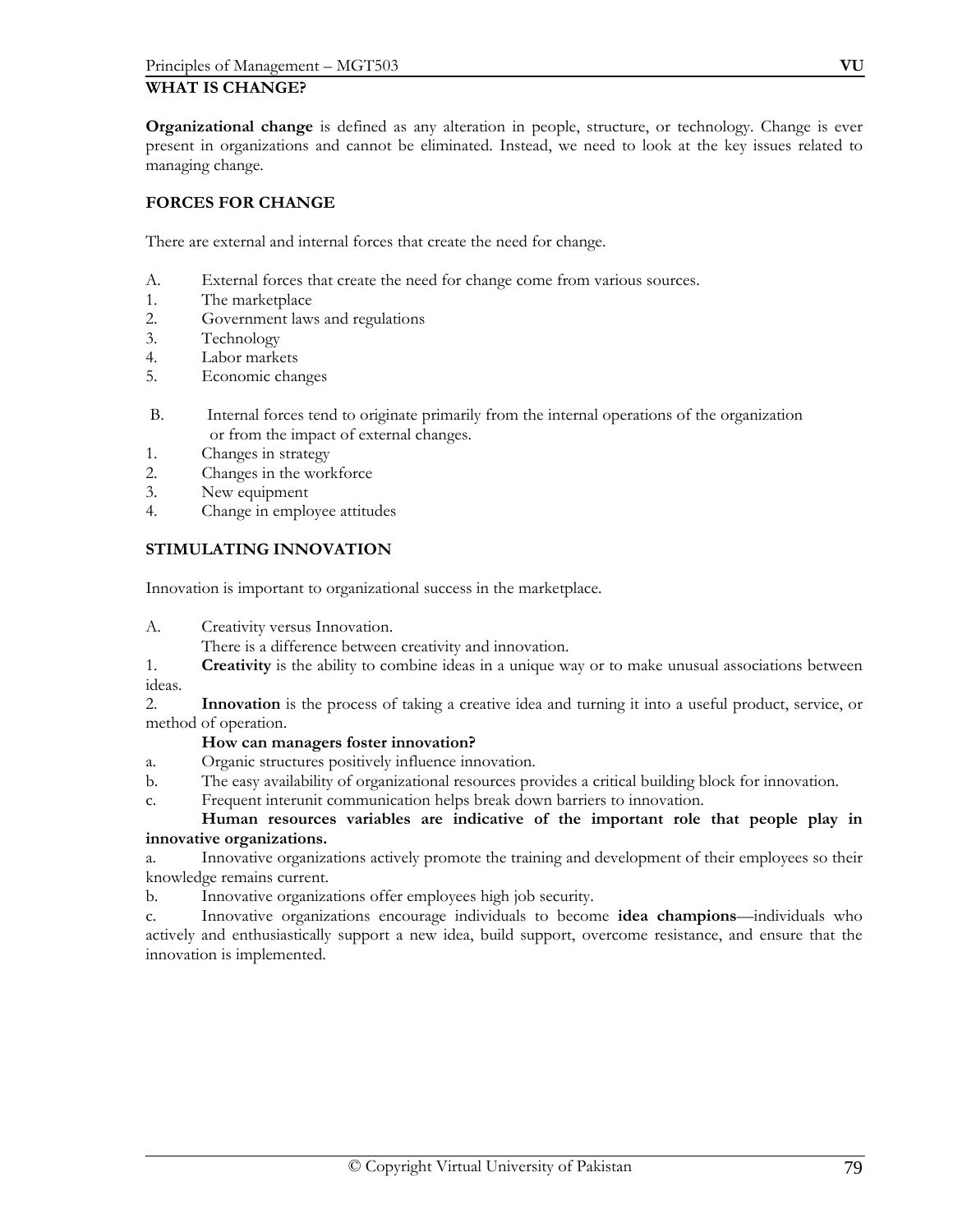# **WHAT IS CHANGE?**

**Organizational change** is defined as any alteration in people, structure, or technology. Change is ever present in organizations and cannot be eliminated. Instead, we need to look at the key issues related to managing change.

# **FORCES FOR CHANGE**

There are external and internal forces that create the need for change.

- A. External forces that create the need for change come from various sources.
- 1. The marketplace
- 2. Government laws and regulations
- 3. Technology
- 4. Labor markets
- 5. Economic changes
- B. Internal forces tend to originate primarily from the internal operations of the organization or from the impact of external changes.
- 1. Changes in strategy
- 2. Changes in the workforce
- 3. New equipment
- 4. Change in employee attitudes

# **STIMULATING INNOVATION**

Innovation is important to organizational success in the marketplace.

A. Creativity versus Innovation.

There is a difference between creativity and innovation.

1. **Creativity** is the ability to combine ideas in a unique way or to make unusual associations between ideas.

2. **Innovation** is the process of taking a creative idea and turning it into a useful product, service, or method of operation.

#### **How can managers foster innovation?**

- a. Organic structures positively influence innovation.
- b. The easy availability of organizational resources provides a critical building block for innovation.
- c. Frequent interunit communication helps break down barriers to innovation.

**Human resources variables are indicative of the important role that people play in innovative organizations.** 

a. Innovative organizations actively promote the training and development of their employees so their knowledge remains current.

b. Innovative organizations offer employees high job security.

c. Innovative organizations encourage individuals to become **idea champions**—individuals who actively and enthusiastically support a new idea, build support, overcome resistance, and ensure that the innovation is implemented.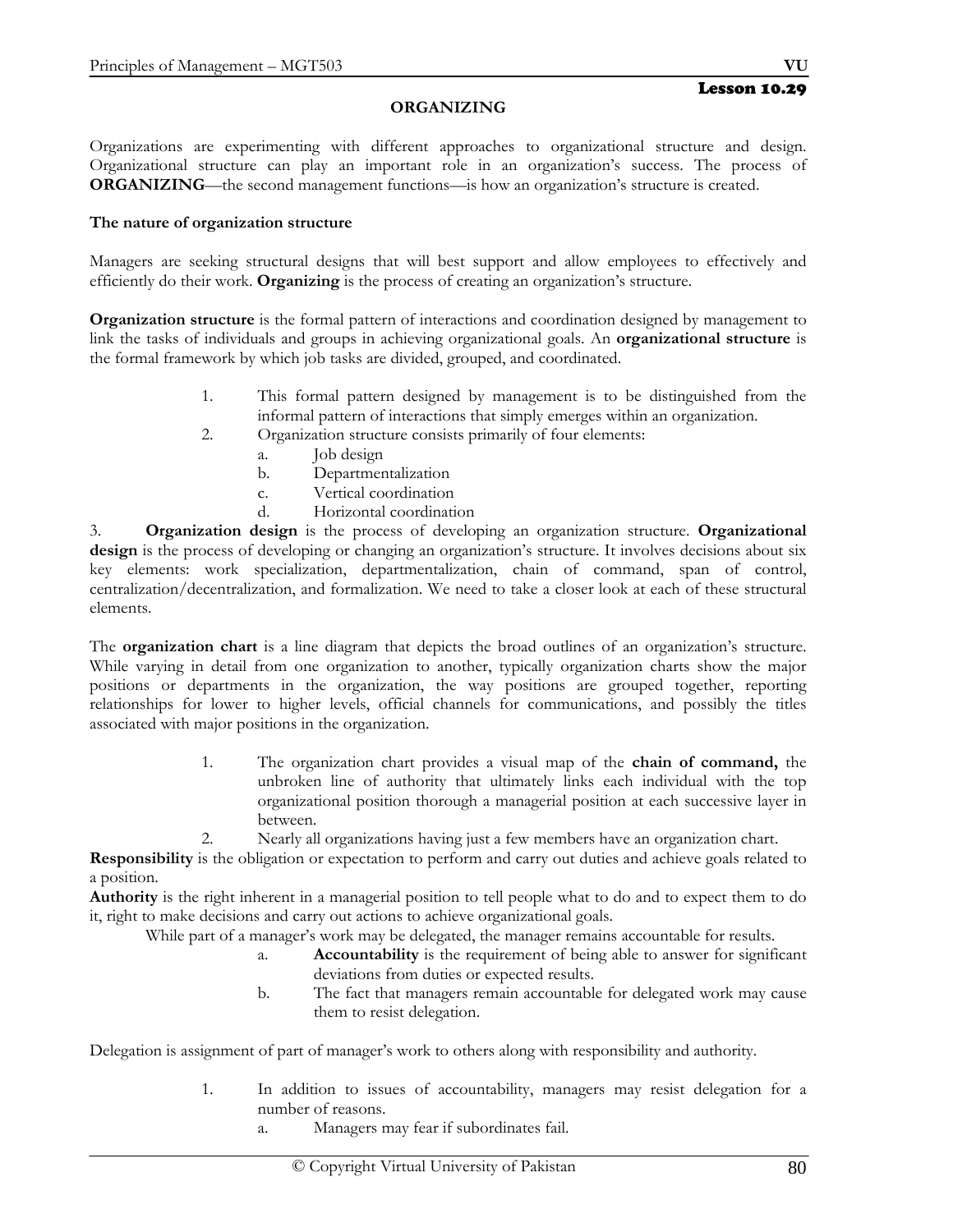# **ORGANIZING**

Organizations are experimenting with different approaches to organizational structure and design. Organizational structure can play an important role in an organization's success. The process of **ORGANIZING**—the second management functions—is how an organization's structure is created.

### **The nature of organization structure**

Managers are seeking structural designs that will best support and allow employees to effectively and efficiently do their work. **Organizing** is the process of creating an organization's structure.

**Organization structure** is the formal pattern of interactions and coordination designed by management to link the tasks of individuals and groups in achieving organizational goals. An **organizational structure** is the formal framework by which job tasks are divided, grouped, and coordinated.

- 1. This formal pattern designed by management is to be distinguished from the informal pattern of interactions that simply emerges within an organization.
- 2. Organization structure consists primarily of four elements:
	- a. Job design
	- b. Departmentalization
	- c. Vertical coordination
	- d. Horizontal coordination

3. **Organization design** is the process of developing an organization structure. **Organizational design** is the process of developing or changing an organization's structure. It involves decisions about six key elements: work specialization, departmentalization, chain of command, span of control, centralization/decentralization, and formalization. We need to take a closer look at each of these structural elements.

The **organization chart** is a line diagram that depicts the broad outlines of an organization's structure. While varying in detail from one organization to another, typically organization charts show the major positions or departments in the organization, the way positions are grouped together, reporting relationships for lower to higher levels, official channels for communications, and possibly the titles associated with major positions in the organization.

- 1. The organization chart provides a visual map of the **chain of command,** the unbroken line of authority that ultimately links each individual with the top organizational position thorough a managerial position at each successive layer in between.
- 2. Nearly all organizations having just a few members have an organization chart.

**Responsibility** is the obligation or expectation to perform and carry out duties and achieve goals related to a position.

**Authority** is the right inherent in a managerial position to tell people what to do and to expect them to do it, right to make decisions and carry out actions to achieve organizational goals.

While part of a manager's work may be delegated, the manager remains accountable for results.

- a. **Accountability** is the requirement of being able to answer for significant deviations from duties or expected results.
- b. The fact that managers remain accountable for delegated work may cause them to resist delegation.

Delegation is assignment of part of manager's work to others along with responsibility and authority.

- 1. In addition to issues of accountability, managers may resist delegation for a number of reasons.
	- a. Managers may fear if subordinates fail.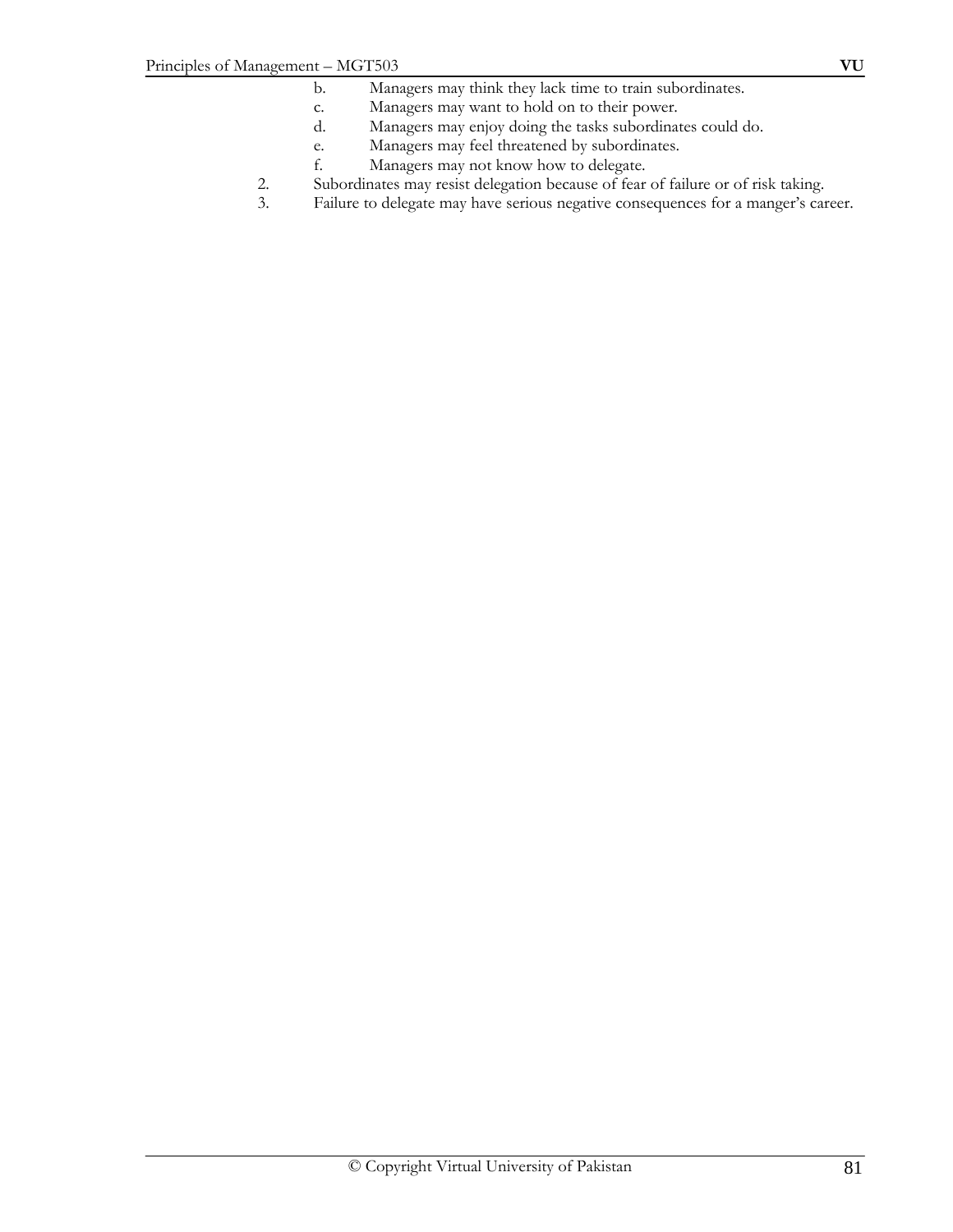- b. Managers may think they lack time to train subordinates.
- c. Managers may want to hold on to their power.
- d. Managers may enjoy doing the tasks subordinates could do.
- e. Managers may feel threatened by subordinates.
- f. Managers may not know how to delegate.
- 2. Subordinates may resist delegation because of fear of failure or of risk taking.
- 3. Failure to delegate may have serious negative consequences for a manger's career.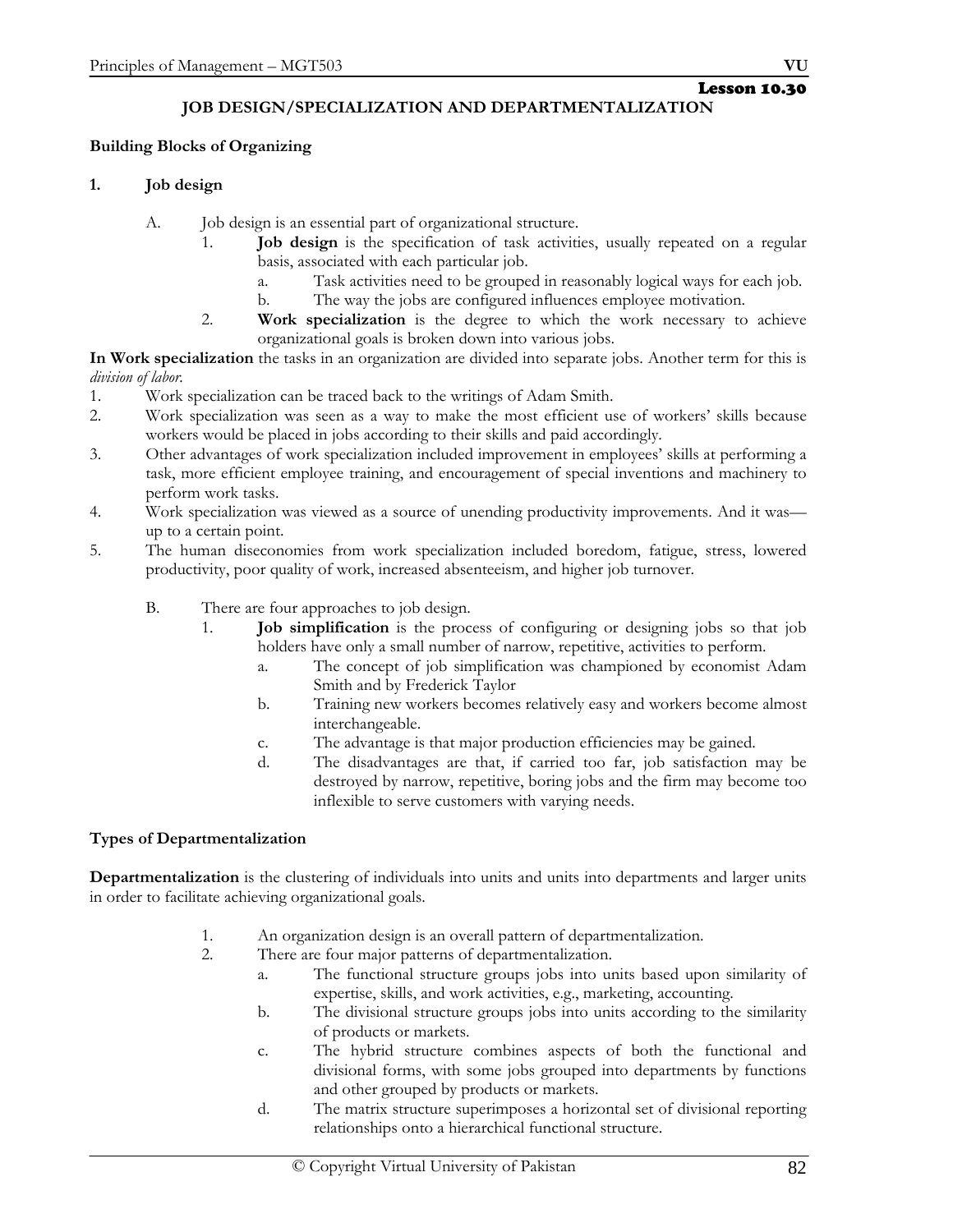#### Lesson 10.30 **JOB DESIGN/SPECIALIZATION AND DEPARTMENTALIZATION**

# **Building Blocks of Organizing**

# **1. Job design**

- A. Job design is an essential part of organizational structure.
	- 1. **Job design** is the specification of task activities, usually repeated on a regular basis, associated with each particular job.
		- a. Task activities need to be grouped in reasonably logical ways for each job.
		- b. The way the jobs are configured influences employee motivation.
	- 2. **Work specialization** is the degree to which the work necessary to achieve organizational goals is broken down into various jobs.

**In Work specialization** the tasks in an organization are divided into separate jobs. Another term for this is *division of labor.*

- 1. Work specialization can be traced back to the writings of Adam Smith.
- 2. Work specialization was seen as a way to make the most efficient use of workers' skills because workers would be placed in jobs according to their skills and paid accordingly.
- 3. Other advantages of work specialization included improvement in employees' skills at performing a task, more efficient employee training, and encouragement of special inventions and machinery to perform work tasks.
- 4. Work specialization was viewed as a source of unending productivity improvements. And it was up to a certain point.
- 5. The human diseconomies from work specialization included boredom, fatigue, stress, lowered productivity, poor quality of work, increased absenteeism, and higher job turnover.
	- B. There are four approaches to job design.
		- 1. **Job simplification** is the process of configuring or designing jobs so that job holders have only a small number of narrow, repetitive, activities to perform.
			- a. The concept of job simplification was championed by economist Adam Smith and by Frederick Taylor
			- b. Training new workers becomes relatively easy and workers become almost interchangeable.
			- c. The advantage is that major production efficiencies may be gained.
			- d. The disadvantages are that, if carried too far, job satisfaction may be destroyed by narrow, repetitive, boring jobs and the firm may become too inflexible to serve customers with varying needs.

# **Types of Departmentalization**

**Departmentalization** is the clustering of individuals into units and units into departments and larger units in order to facilitate achieving organizational goals.

- 1. An organization design is an overall pattern of departmentalization.
- 2. There are four major patterns of departmentalization.
	- a. The functional structure groups jobs into units based upon similarity of expertise, skills, and work activities, e.g., marketing, accounting.
	- b. The divisional structure groups jobs into units according to the similarity of products or markets.
	- c. The hybrid structure combines aspects of both the functional and divisional forms, with some jobs grouped into departments by functions and other grouped by products or markets.
	- d. The matrix structure superimposes a horizontal set of divisional reporting relationships onto a hierarchical functional structure.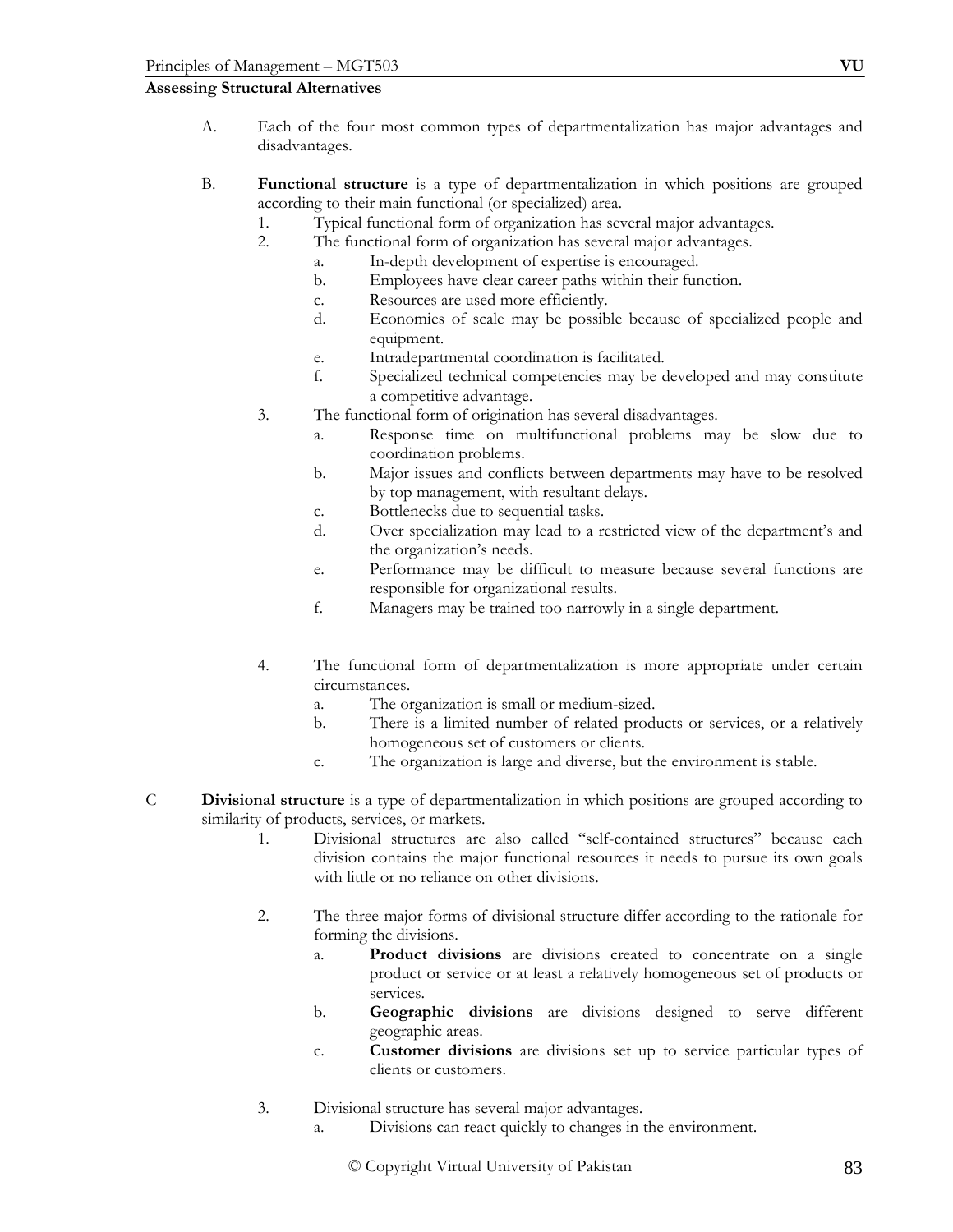#### **Assessing Structural Alternatives**

- A. Each of the four most common types of departmentalization has major advantages and disadvantages.
- B. **Functional structure** is a type of departmentalization in which positions are grouped according to their main functional (or specialized) area.
	- 1. Typical functional form of organization has several major advantages.
	- 2. The functional form of organization has several major advantages.
		- a. In-depth development of expertise is encouraged.
		- b. Employees have clear career paths within their function.
		- c. Resources are used more efficiently.
		- d. Economies of scale may be possible because of specialized people and equipment.
		- e. Intradepartmental coordination is facilitated.
		- f. Specialized technical competencies may be developed and may constitute a competitive advantage.
	- 3. The functional form of origination has several disadvantages.
		- a. Response time on multifunctional problems may be slow due to coordination problems.
		- b. Major issues and conflicts between departments may have to be resolved by top management, with resultant delays.
		- c. Bottlenecks due to sequential tasks.
		- d. Over specialization may lead to a restricted view of the department's and the organization's needs.
		- e. Performance may be difficult to measure because several functions are responsible for organizational results.
		- f. Managers may be trained too narrowly in a single department.
	- 4. The functional form of departmentalization is more appropriate under certain circumstances.
		- a. The organization is small or medium-sized.
		- b. There is a limited number of related products or services, or a relatively homogeneous set of customers or clients.
		- c. The organization is large and diverse, but the environment is stable.
- C **Divisional structure** is a type of departmentalization in which positions are grouped according to similarity of products, services, or markets.
	- 1. Divisional structures are also called "self-contained structures" because each division contains the major functional resources it needs to pursue its own goals with little or no reliance on other divisions.
	- 2. The three major forms of divisional structure differ according to the rationale for forming the divisions.
		- a. **Product divisions** are divisions created to concentrate on a single product or service or at least a relatively homogeneous set of products or services.
		- b. **Geographic divisions** are divisions designed to serve different geographic areas.
		- c. **Customer divisions** are divisions set up to service particular types of clients or customers.
	- 3. Divisional structure has several major advantages.
		- a. Divisions can react quickly to changes in the environment.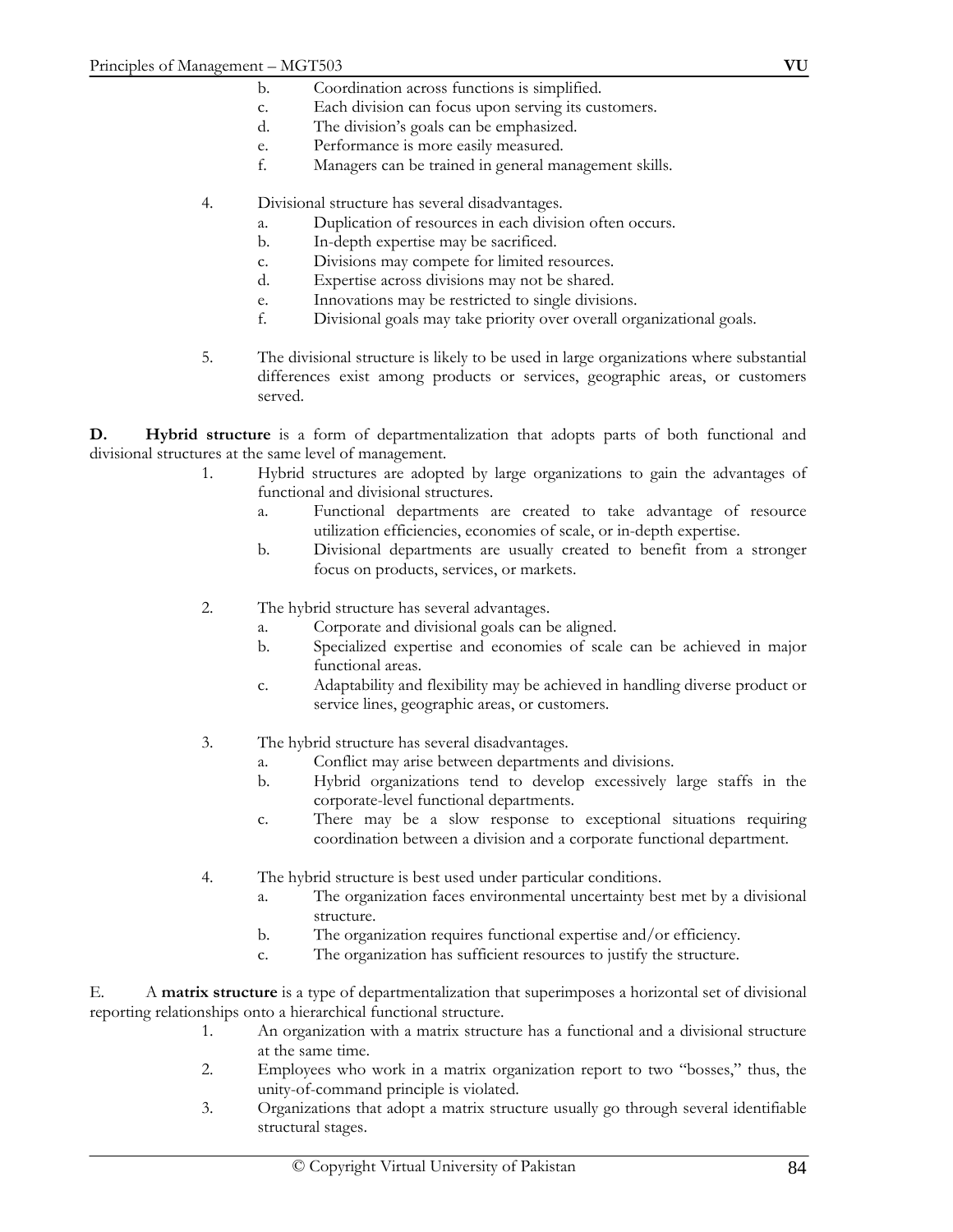- b. Coordination across functions is simplified.
- c. Each division can focus upon serving its customers.
- d. The division's goals can be emphasized.
- e. Performance is more easily measured.
- f. Managers can be trained in general management skills.
- 4. Divisional structure has several disadvantages.
	- a. Duplication of resources in each division often occurs.
	- b. In-depth expertise may be sacrificed.
	- c. Divisions may compete for limited resources.
	- d. Expertise across divisions may not be shared.
	- e. Innovations may be restricted to single divisions.
	- f. Divisional goals may take priority over overall organizational goals.
- 5. The divisional structure is likely to be used in large organizations where substantial differences exist among products or services, geographic areas, or customers served.

**D. Hybrid structure** is a form of departmentalization that adopts parts of both functional and divisional structures at the same level of management.

- 1. Hybrid structures are adopted by large organizations to gain the advantages of functional and divisional structures.
	- a. Functional departments are created to take advantage of resource utilization efficiencies, economies of scale, or in-depth expertise.
	- b. Divisional departments are usually created to benefit from a stronger focus on products, services, or markets.
- 2. The hybrid structure has several advantages.
	- a. Corporate and divisional goals can be aligned.
	- b. Specialized expertise and economies of scale can be achieved in major functional areas.
	- c. Adaptability and flexibility may be achieved in handling diverse product or service lines, geographic areas, or customers.
- 3. The hybrid structure has several disadvantages.
	- a. Conflict may arise between departments and divisions.
	- b. Hybrid organizations tend to develop excessively large staffs in the corporate-level functional departments.
	- c. There may be a slow response to exceptional situations requiring coordination between a division and a corporate functional department.
- 4. The hybrid structure is best used under particular conditions.
	- a. The organization faces environmental uncertainty best met by a divisional structure.
	- b. The organization requires functional expertise and/or efficiency.
	- c. The organization has sufficient resources to justify the structure.

E. A **matrix structure** is a type of departmentalization that superimposes a horizontal set of divisional reporting relationships onto a hierarchical functional structure.

- 1. An organization with a matrix structure has a functional and a divisional structure at the same time.
- 2. Employees who work in a matrix organization report to two "bosses," thus, the unity-of-command principle is violated.
- 3. Organizations that adopt a matrix structure usually go through several identifiable structural stages.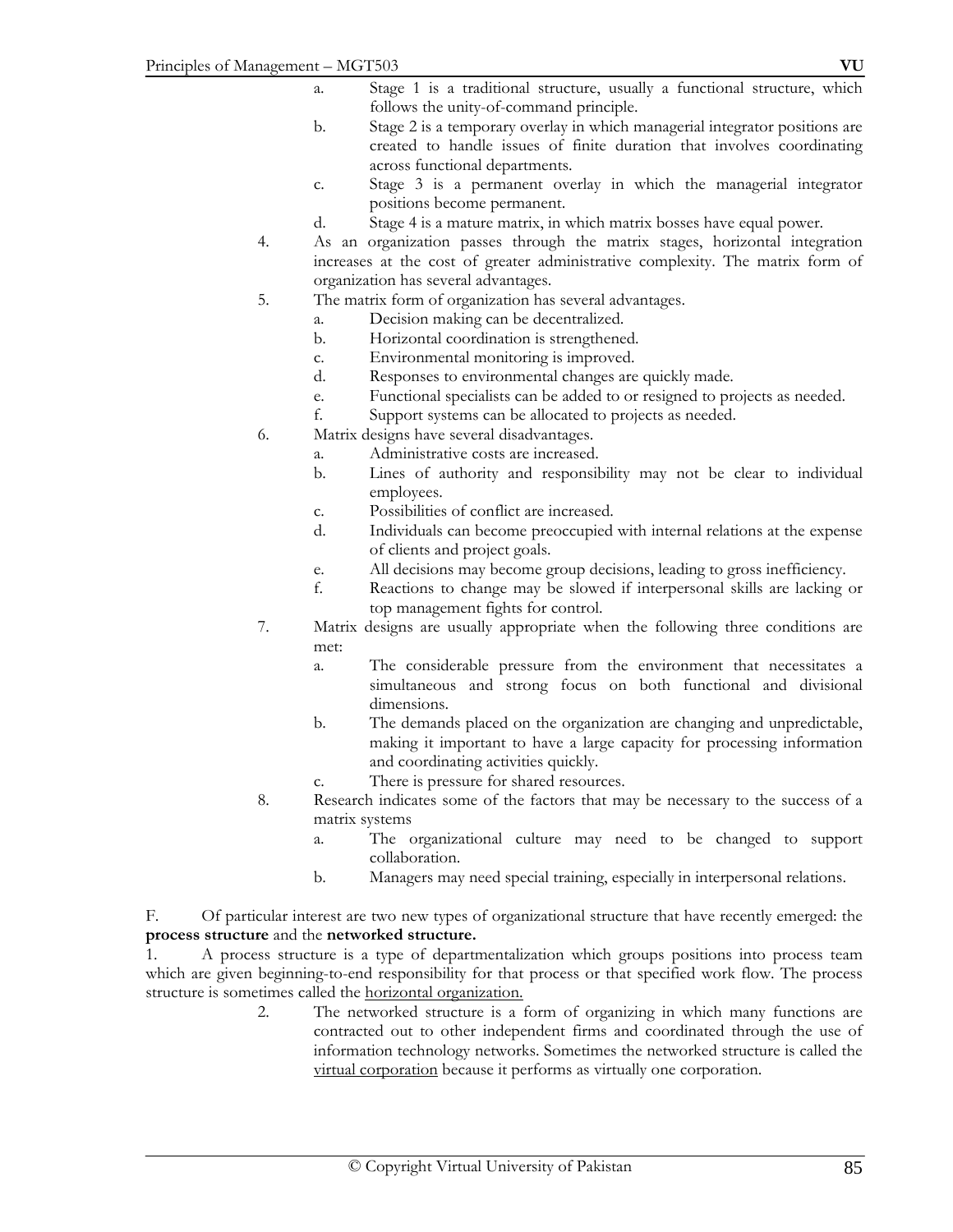- a. Stage 1 is a traditional structure, usually a functional structure, which follows the unity-of-command principle.
- b. Stage 2 is a temporary overlay in which managerial integrator positions are created to handle issues of finite duration that involves coordinating across functional departments.
- c. Stage 3 is a permanent overlay in which the managerial integrator positions become permanent.
- d. Stage 4 is a mature matrix, in which matrix bosses have equal power.
- 4. As an organization passes through the matrix stages, horizontal integration increases at the cost of greater administrative complexity. The matrix form of organization has several advantages.
- 5. The matrix form of organization has several advantages.
	- a. Decision making can be decentralized.
	- b. Horizontal coordination is strengthened.
	- c. Environmental monitoring is improved.
	- d. Responses to environmental changes are quickly made.
	- e. Functional specialists can be added to or resigned to projects as needed.
	- f. Support systems can be allocated to projects as needed.
- 6. Matrix designs have several disadvantages.
	- a. Administrative costs are increased.
	- b. Lines of authority and responsibility may not be clear to individual employees.
	- c. Possibilities of conflict are increased.
	- d. Individuals can become preoccupied with internal relations at the expense of clients and project goals.
	- e. All decisions may become group decisions, leading to gross inefficiency.
	- f. Reactions to change may be slowed if interpersonal skills are lacking or top management fights for control.
- 7. Matrix designs are usually appropriate when the following three conditions are met:
	- a. The considerable pressure from the environment that necessitates a simultaneous and strong focus on both functional and divisional dimensions.
	- b. The demands placed on the organization are changing and unpredictable, making it important to have a large capacity for processing information and coordinating activities quickly.
	- c. There is pressure for shared resources.
- 8. Research indicates some of the factors that may be necessary to the success of a matrix systems
	- a. The organizational culture may need to be changed to support collaboration.
	- b. Managers may need special training, especially in interpersonal relations.

F. Of particular interest are two new types of organizational structure that have recently emerged: the **process structure** and the **networked structure.** 

1. A process structure is a type of departmentalization which groups positions into process team which are given beginning-to-end responsibility for that process or that specified work flow. The process structure is sometimes called the horizontal organization.

2. The networked structure is a form of organizing in which many functions are contracted out to other independent firms and coordinated through the use of information technology networks. Sometimes the networked structure is called the virtual corporation because it performs as virtually one corporation.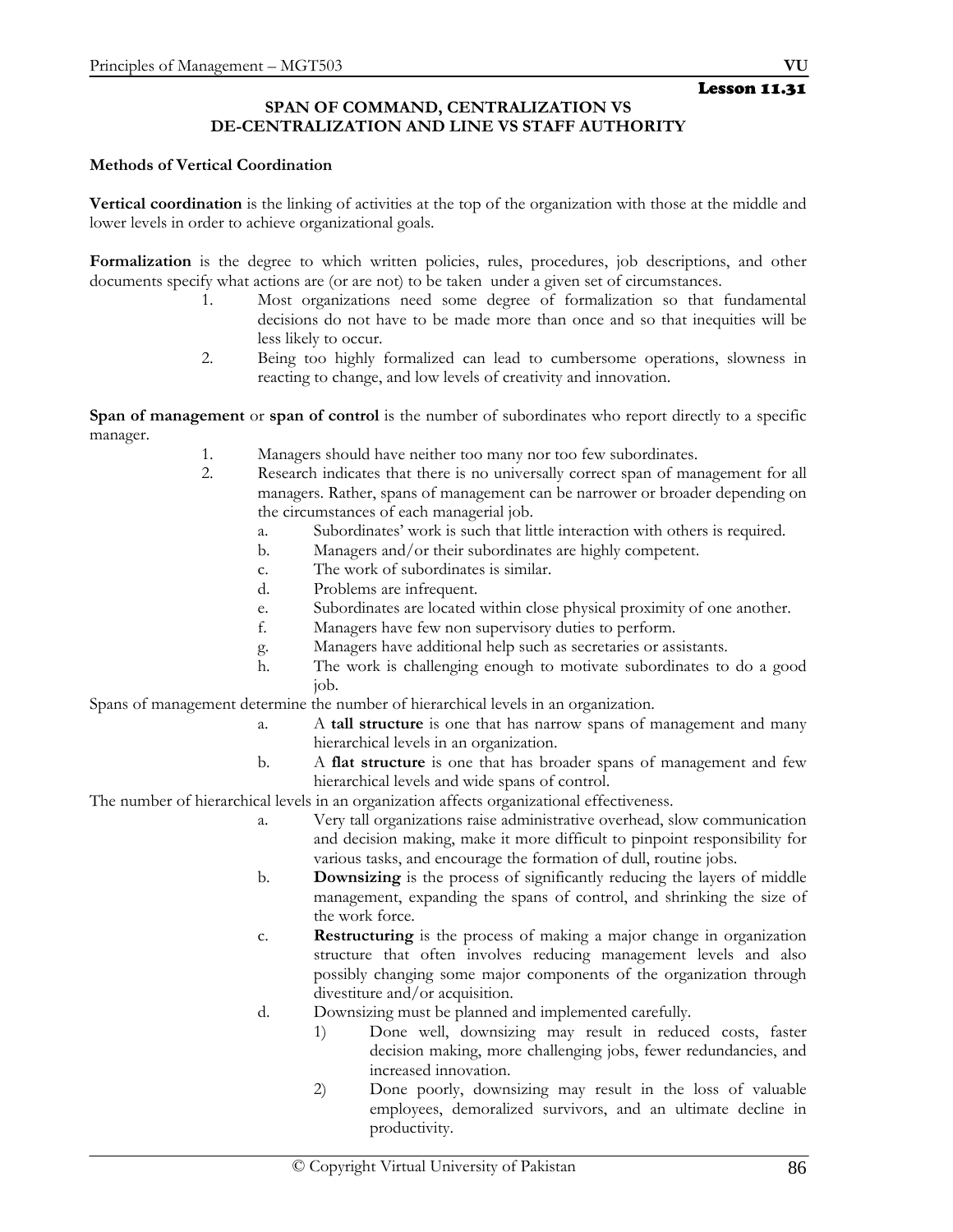# **SPAN OF COMMAND, CENTRALIZATION VS DE-CENTRALIZATION AND LINE VS STAFF AUTHORITY**

### **Methods of Vertical Coordination**

**Vertical coordination** is the linking of activities at the top of the organization with those at the middle and lower levels in order to achieve organizational goals.

**Formalization** is the degree to which written policies, rules, procedures, job descriptions, and other documents specify what actions are (or are not) to be taken under a given set of circumstances.

- 1. Most organizations need some degree of formalization so that fundamental decisions do not have to be made more than once and so that inequities will be less likely to occur.
- 2. Being too highly formalized can lead to cumbersome operations, slowness in reacting to change, and low levels of creativity and innovation.

**Span of management** or **span of control** is the number of subordinates who report directly to a specific manager.

- 1. Managers should have neither too many nor too few subordinates.
- 2. Research indicates that there is no universally correct span of management for all managers. Rather, spans of management can be narrower or broader depending on the circumstances of each managerial job.
	- a. Subordinates' work is such that little interaction with others is required.
	- b. Managers and/or their subordinates are highly competent.
	- c. The work of subordinates is similar.
	- d. Problems are infrequent.
	- e. Subordinates are located within close physical proximity of one another.
	- f. Managers have few non supervisory duties to perform.
	- g. Managers have additional help such as secretaries or assistants.
	- h. The work is challenging enough to motivate subordinates to do a good job.

Spans of management determine the number of hierarchical levels in an organization.

- a. A **tall structure** is one that has narrow spans of management and many hierarchical levels in an organization.
- b. A **flat structure** is one that has broader spans of management and few hierarchical levels and wide spans of control.

The number of hierarchical levels in an organization affects organizational effectiveness.

- a. Very tall organizations raise administrative overhead, slow communication and decision making, make it more difficult to pinpoint responsibility for various tasks, and encourage the formation of dull, routine jobs.
- b. **Downsizing** is the process of significantly reducing the layers of middle management, expanding the spans of control, and shrinking the size of the work force.
- c. **Restructuring** is the process of making a major change in organization structure that often involves reducing management levels and also possibly changing some major components of the organization through divestiture and/or acquisition.
- d. Downsizing must be planned and implemented carefully.
	- 1) Done well, downsizing may result in reduced costs, faster decision making, more challenging jobs, fewer redundancies, and increased innovation.
	- 2) Done poorly, downsizing may result in the loss of valuable employees, demoralized survivors, and an ultimate decline in productivity.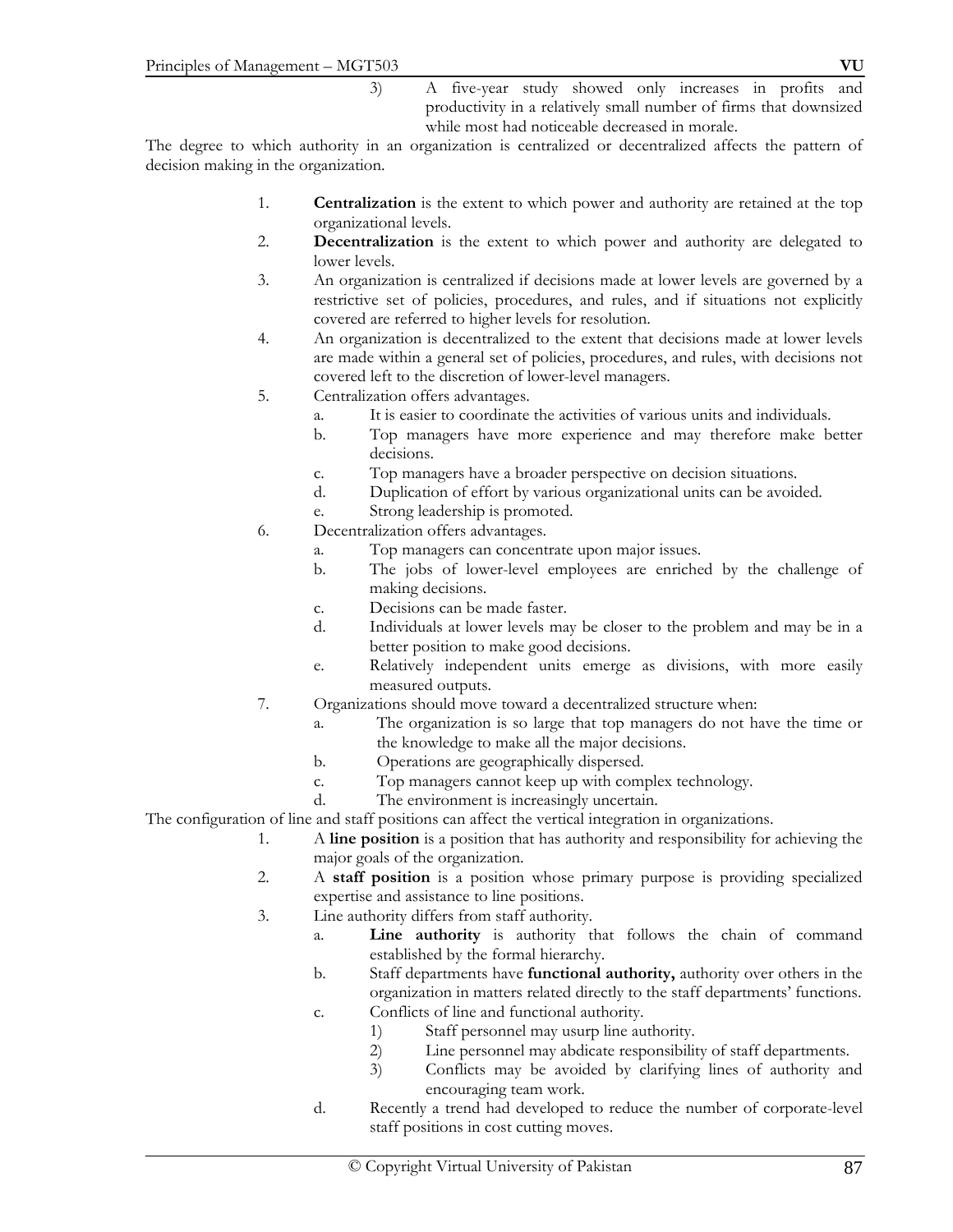3) A five-year study showed only increases in profits and productivity in a relatively small number of firms that downsized while most had noticeable decreased in morale.

The degree to which authority in an organization is centralized or decentralized affects the pattern of decision making in the organization.

- 1. **Centralization** is the extent to which power and authority are retained at the top organizational levels.
- 2. **Decentralization** is the extent to which power and authority are delegated to lower levels.
- 3. An organization is centralized if decisions made at lower levels are governed by a restrictive set of policies, procedures, and rules, and if situations not explicitly covered are referred to higher levels for resolution.
- 4. An organization is decentralized to the extent that decisions made at lower levels are made within a general set of policies, procedures, and rules, with decisions not covered left to the discretion of lower-level managers.
- 5. Centralization offers advantages.
	- a. It is easier to coordinate the activities of various units and individuals.
	- b. Top managers have more experience and may therefore make better decisions.
	- c. Top managers have a broader perspective on decision situations.
	- d. Duplication of effort by various organizational units can be avoided.
	- e. Strong leadership is promoted.
- 6. Decentralization offers advantages.
	- a. Top managers can concentrate upon major issues.
	- b. The jobs of lower-level employees are enriched by the challenge of making decisions.
	- c. Decisions can be made faster.
	- d. Individuals at lower levels may be closer to the problem and may be in a better position to make good decisions.
	- e. Relatively independent units emerge as divisions, with more easily measured outputs.
- 7. Organizations should move toward a decentralized structure when:
	- a. The organization is so large that top managers do not have the time or the knowledge to make all the major decisions.
	- b. Operations are geographically dispersed.
	- c. Top managers cannot keep up with complex technology.
	- d. The environment is increasingly uncertain.

The configuration of line and staff positions can affect the vertical integration in organizations.

- 1. A **line position** is a position that has authority and responsibility for achieving the major goals of the organization.
- 2. A **staff position** is a position whose primary purpose is providing specialized expertise and assistance to line positions.
- 3. Line authority differs from staff authority.
	- a. **Line authority** is authority that follows the chain of command established by the formal hierarchy.
		- b. Staff departments have **functional authority,** authority over others in the organization in matters related directly to the staff departments' functions.
		- c. Conflicts of line and functional authority.
			- 1) Staff personnel may usurp line authority.
			- 2) Line personnel may abdicate responsibility of staff departments.
			- 3) Conflicts may be avoided by clarifying lines of authority and encouraging team work.
		- d. Recently a trend had developed to reduce the number of corporate-level staff positions in cost cutting moves.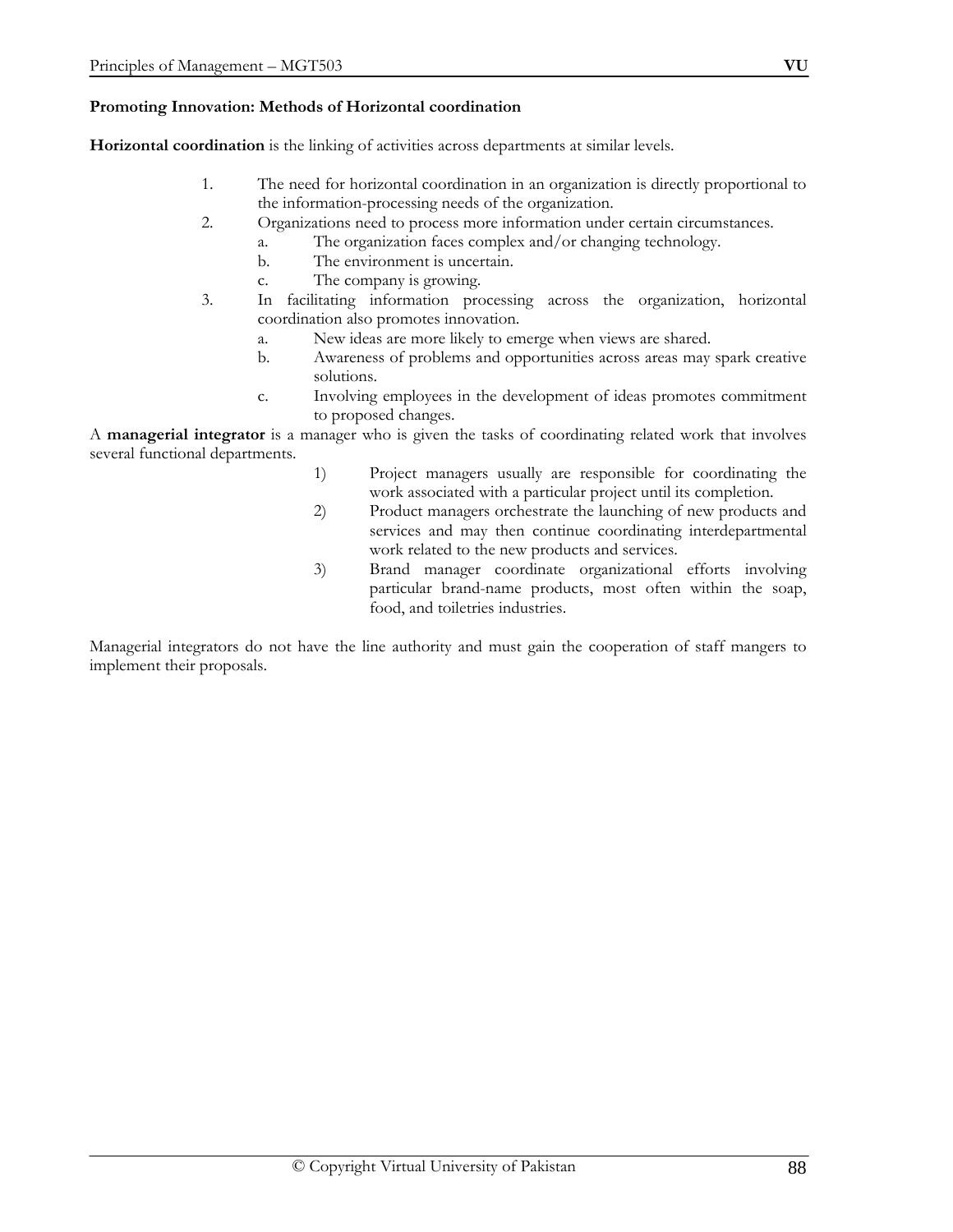#### **Promoting Innovation: Methods of Horizontal coordination**

**Horizontal coordination** is the linking of activities across departments at similar levels.

- 1. The need for horizontal coordination in an organization is directly proportional to the information-processing needs of the organization.
- 2. Organizations need to process more information under certain circumstances.
	- a. The organization faces complex and/or changing technology.
	- b. The environment is uncertain.
	- c. The company is growing.
- 3. In facilitating information processing across the organization, horizontal coordination also promotes innovation.
	- a. New ideas are more likely to emerge when views are shared.
	- b. Awareness of problems and opportunities across areas may spark creative solutions.
	- c. Involving employees in the development of ideas promotes commitment to proposed changes.

A **managerial integrator** is a manager who is given the tasks of coordinating related work that involves several functional departments.

- 1) Project managers usually are responsible for coordinating the work associated with a particular project until its completion.
- 2) Product managers orchestrate the launching of new products and services and may then continue coordinating interdepartmental work related to the new products and services.
- 3) Brand manager coordinate organizational efforts involving particular brand-name products, most often within the soap, food, and toiletries industries.

Managerial integrators do not have the line authority and must gain the cooperation of staff mangers to implement their proposals.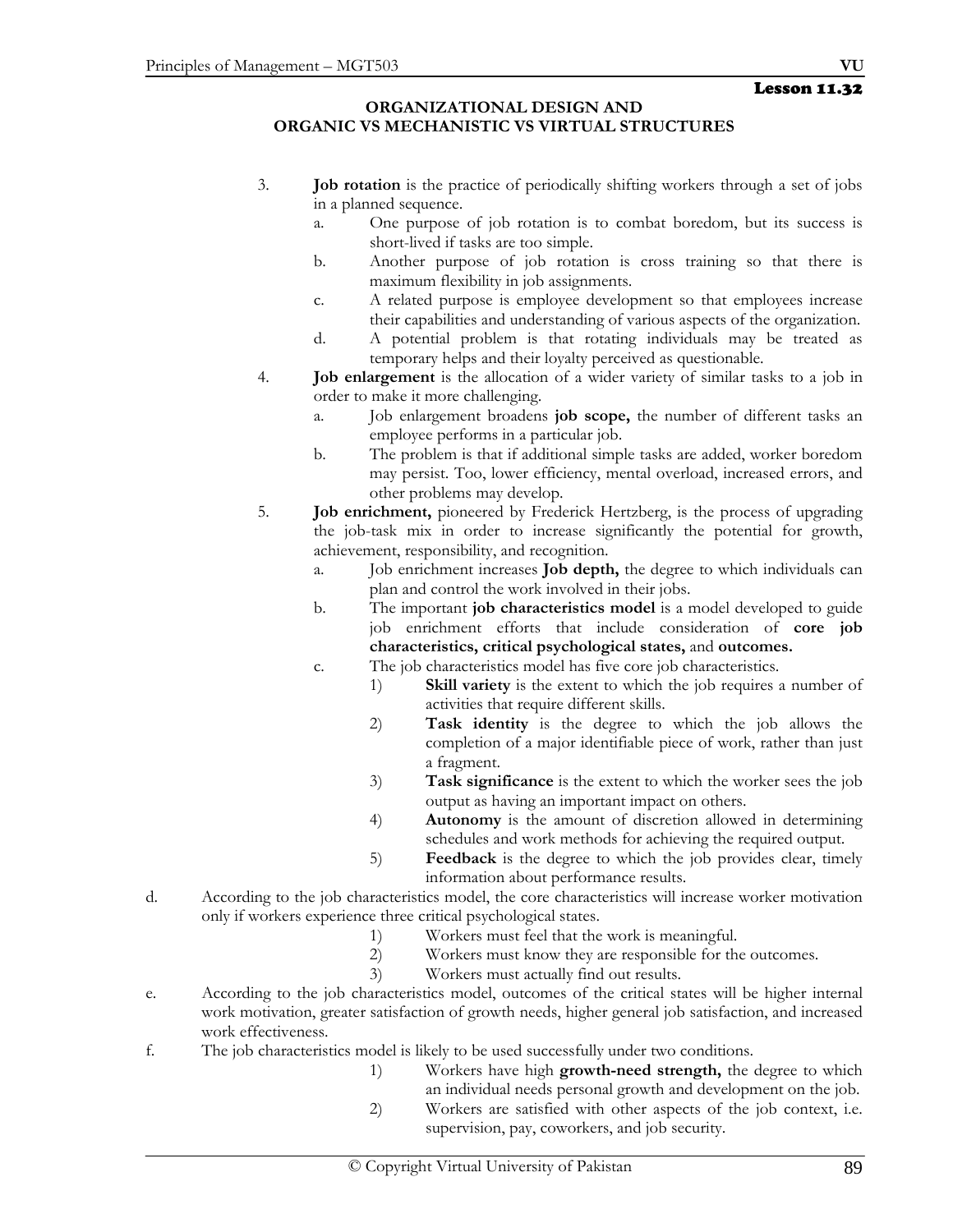#### **ORGANIZATIONAL DESIGN AND ORGANIC VS MECHANISTIC VS VIRTUAL STRUCTURES**

- 3. **Job rotation** is the practice of periodically shifting workers through a set of jobs in a planned sequence.
	- a. One purpose of job rotation is to combat boredom, but its success is short-lived if tasks are too simple.
	- b. Another purpose of job rotation is cross training so that there is maximum flexibility in job assignments.
	- c. A related purpose is employee development so that employees increase their capabilities and understanding of various aspects of the organization.
	- d. A potential problem is that rotating individuals may be treated as temporary helps and their loyalty perceived as questionable.
- 4. **Job enlargement** is the allocation of a wider variety of similar tasks to a job in order to make it more challenging.
	- a. Job enlargement broadens **job scope,** the number of different tasks an employee performs in a particular job.
	- b. The problem is that if additional simple tasks are added, worker boredom may persist. Too, lower efficiency, mental overload, increased errors, and other problems may develop.
- 5. **Job enrichment,** pioneered by Frederick Hertzberg, is the process of upgrading the job-task mix in order to increase significantly the potential for growth, achievement, responsibility, and recognition.
	- a. Job enrichment increases **Job depth,** the degree to which individuals can plan and control the work involved in their jobs.
	- b. The important **job characteristics model** is a model developed to guide job enrichment efforts that include consideration of **core job characteristics, critical psychological states,** and **outcomes.**
	- c. The job characteristics model has five core job characteristics.
		- 1) **Skill variety** is the extent to which the job requires a number of activities that require different skills.
		- 2) **Task identity** is the degree to which the job allows the completion of a major identifiable piece of work, rather than just a fragment.
		- 3) **Task significance** is the extent to which the worker sees the job output as having an important impact on others.
		- 4) **Autonomy** is the amount of discretion allowed in determining schedules and work methods for achieving the required output.
		- 5) **Feedback** is the degree to which the job provides clear, timely information about performance results.
- d. According to the job characteristics model, the core characteristics will increase worker motivation only if workers experience three critical psychological states.
	- 1) Workers must feel that the work is meaningful.
	- 2) Workers must know they are responsible for the outcomes.
	- 3) Workers must actually find out results.
- e. According to the job characteristics model, outcomes of the critical states will be higher internal work motivation, greater satisfaction of growth needs, higher general job satisfaction, and increased work effectiveness.
- f. The job characteristics model is likely to be used successfully under two conditions.
	- 1) Workers have high **growth-need strength,** the degree to which an individual needs personal growth and development on the job.
	- 2) Workers are satisfied with other aspects of the job context, i.e. supervision, pay, coworkers, and job security.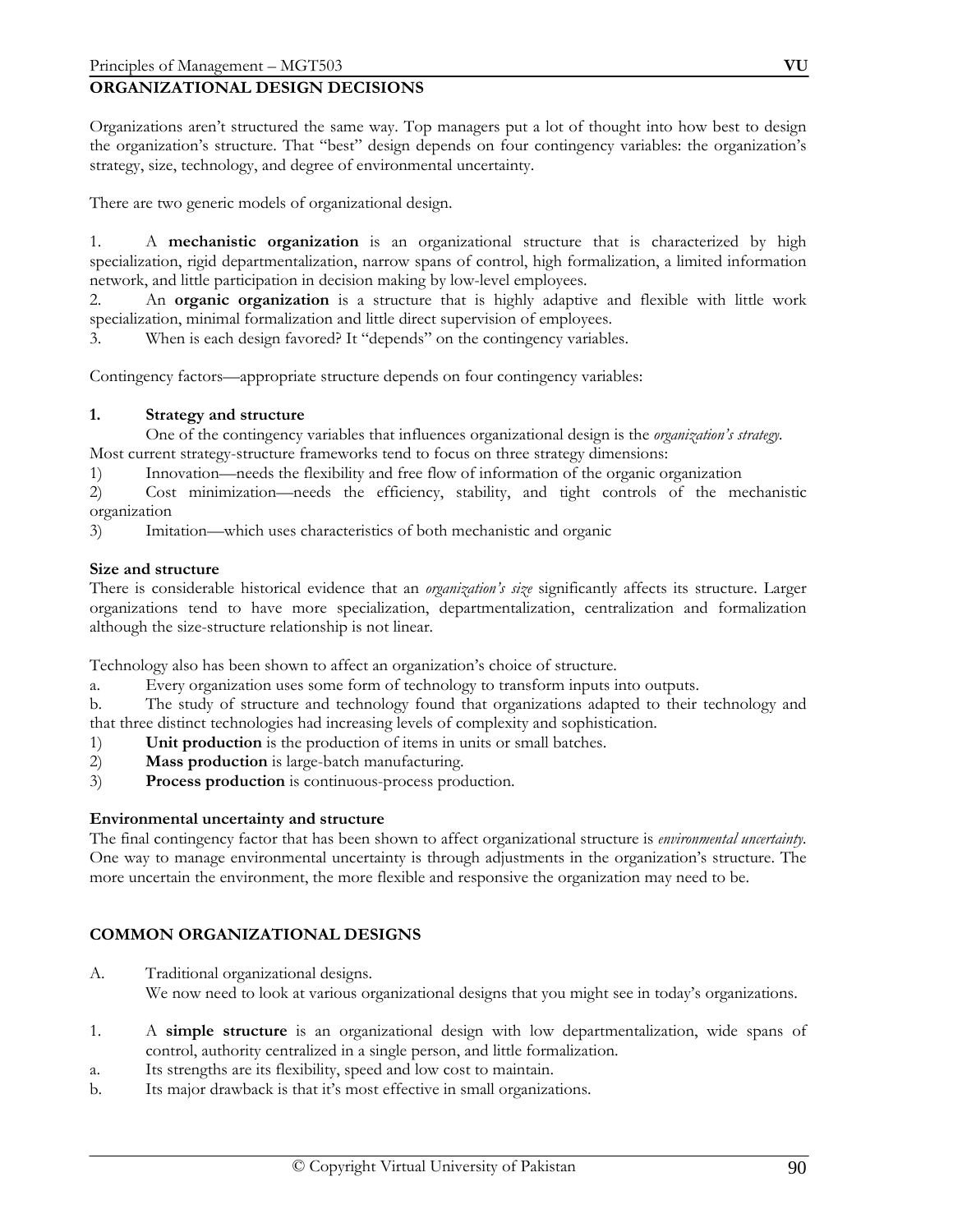# **ORGANIZATIONAL DESIGN DECISIONS**

Organizations aren't structured the same way. Top managers put a lot of thought into how best to design the organization's structure. That "best" design depends on four contingency variables: the organization's strategy, size, technology, and degree of environmental uncertainty.

There are two generic models of organizational design.

1. A **mechanistic organization** is an organizational structure that is characterized by high specialization, rigid departmentalization, narrow spans of control, high formalization, a limited information network, and little participation in decision making by low-level employees.

2. An **organic organization** is a structure that is highly adaptive and flexible with little work specialization, minimal formalization and little direct supervision of employees.

3. When is each design favored? It "depends" on the contingency variables.

Contingency factors—appropriate structure depends on four contingency variables:

#### **1. Strategy and structure**

 One of the contingency variables that influences organizational design is the *organization's strategy.* Most current strategy-structure frameworks tend to focus on three strategy dimensions:

1) Innovation—needs the flexibility and free flow of information of the organic organization

2) Cost minimization—needs the efficiency, stability, and tight controls of the mechanistic organization

3) Imitation—which uses characteristics of both mechanistic and organic

#### **Size and structure**

There is considerable historical evidence that an *organization's size* significantly affects its structure. Larger organizations tend to have more specialization, departmentalization, centralization and formalization although the size-structure relationship is not linear.

Technology also has been shown to affect an organization's choice of structure.

a. Every organization uses some form of technology to transform inputs into outputs.

b. The study of structure and technology found that organizations adapted to their technology and that three distinct technologies had increasing levels of complexity and sophistication.

- 1) **Unit production** is the production of items in units or small batches.
- 2) **Mass production** is large-batch manufacturing.
- 3) **Process production** is continuous-process production.

#### **Environmental uncertainty and structure**

The final contingency factor that has been shown to affect organizational structure is *environmental uncertainty.* One way to manage environmental uncertainty is through adjustments in the organization's structure. The more uncertain the environment, the more flexible and responsive the organization may need to be.

#### **COMMON ORGANIZATIONAL DESIGNS**

- A. Traditional organizational designs. We now need to look at various organizational designs that you might see in today's organizations.
- 1. A **simple structure** is an organizational design with low departmentalization, wide spans of control, authority centralized in a single person, and little formalization.
- a. Its strengths are its flexibility, speed and low cost to maintain.
- b. Its major drawback is that it's most effective in small organizations.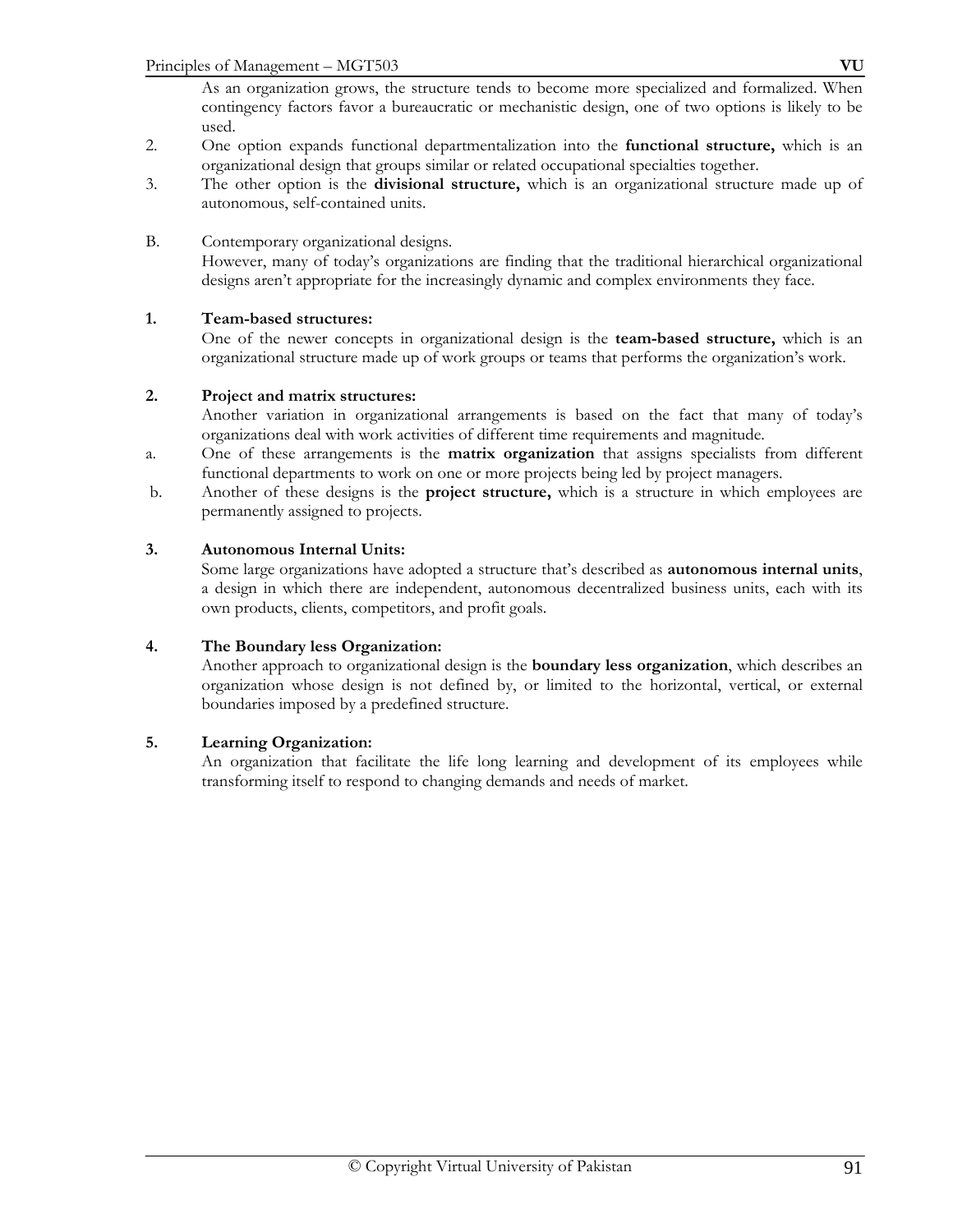As an organization grows, the structure tends to become more specialized and formalized. When contingency factors favor a bureaucratic or mechanistic design, one of two options is likely to be used.

- 2. One option expands functional departmentalization into the **functional structure,** which is an organizational design that groups similar or related occupational specialties together.
- 3. The other option is the **divisional structure,** which is an organizational structure made up of autonomous, self-contained units.

# B. Contemporary organizational designs.

 However, many of today's organizations are finding that the traditional hierarchical organizational designs aren't appropriate for the increasingly dynamic and complex environments they face.

# **1. Team-based structures:**

 One of the newer concepts in organizational design is the **team-based structure,** which is an organizational structure made up of work groups or teams that performs the organization's work.

#### **2. Project and matrix structures:**

 Another variation in organizational arrangements is based on the fact that many of today's organizations deal with work activities of different time requirements and magnitude.

- a. One of these arrangements is the **matrix organization** that assigns specialists from different functional departments to work on one or more projects being led by project managers.
- b. Another of these designs is the **project structure,** which is a structure in which employees are permanently assigned to projects.

#### **3. Autonomous Internal Units:**

 Some large organizations have adopted a structure that's described as **autonomous internal units**, a design in which there are independent, autonomous decentralized business units, each with its own products, clients, competitors, and profit goals.

#### **4. The Boundary less Organization:**

 Another approach to organizational design is the **boundary less organization**, which describes an organization whose design is not defined by, or limited to the horizontal, vertical, or external boundaries imposed by a predefined structure.

#### **5. Learning Organization:**

An organization that facilitate the life long learning and development of its employees while transforming itself to respond to changing demands and needs of market.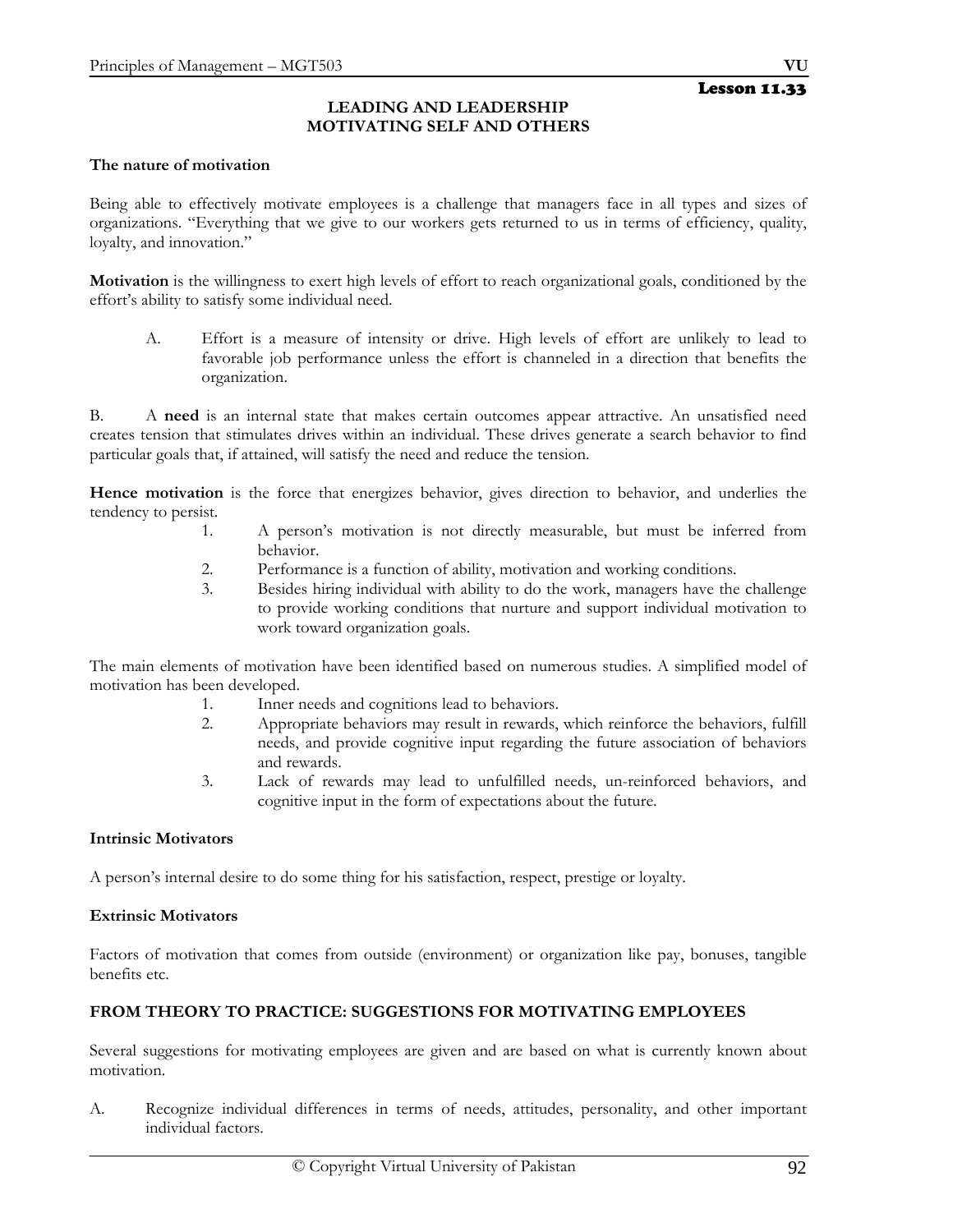#### **LEADING AND LEADERSHIP MOTIVATING SELF AND OTHERS**

#### **The nature of motivation**

Being able to effectively motivate employees is a challenge that managers face in all types and sizes of organizations. "Everything that we give to our workers gets returned to us in terms of efficiency, quality, loyalty, and innovation."

**Motivation** is the willingness to exert high levels of effort to reach organizational goals, conditioned by the effort's ability to satisfy some individual need.

A. Effort is a measure of intensity or drive. High levels of effort are unlikely to lead to favorable job performance unless the effort is channeled in a direction that benefits the organization.

B. A **need** is an internal state that makes certain outcomes appear attractive. An unsatisfied need creates tension that stimulates drives within an individual. These drives generate a search behavior to find particular goals that, if attained, will satisfy the need and reduce the tension.

**Hence motivation** is the force that energizes behavior, gives direction to behavior, and underlies the tendency to persist.

- 1. A person's motivation is not directly measurable, but must be inferred from behavior.
- 2. Performance is a function of ability, motivation and working conditions.
- 3. Besides hiring individual with ability to do the work, managers have the challenge to provide working conditions that nurture and support individual motivation to work toward organization goals.

The main elements of motivation have been identified based on numerous studies. A simplified model of motivation has been developed.

- 1. Inner needs and cognitions lead to behaviors.
- 2. Appropriate behaviors may result in rewards, which reinforce the behaviors, fulfill needs, and provide cognitive input regarding the future association of behaviors and rewards.
- 3. Lack of rewards may lead to unfulfilled needs, un-reinforced behaviors, and cognitive input in the form of expectations about the future.

#### **Intrinsic Motivators**

A person's internal desire to do some thing for his satisfaction, respect, prestige or loyalty.

#### **Extrinsic Motivators**

Factors of motivation that comes from outside (environment) or organization like pay, bonuses, tangible benefits etc.

#### **FROM THEORY TO PRACTICE: SUGGESTIONS FOR MOTIVATING EMPLOYEES**

Several suggestions for motivating employees are given and are based on what is currently known about motivation.

A. Recognize individual differences in terms of needs, attitudes, personality, and other important individual factors.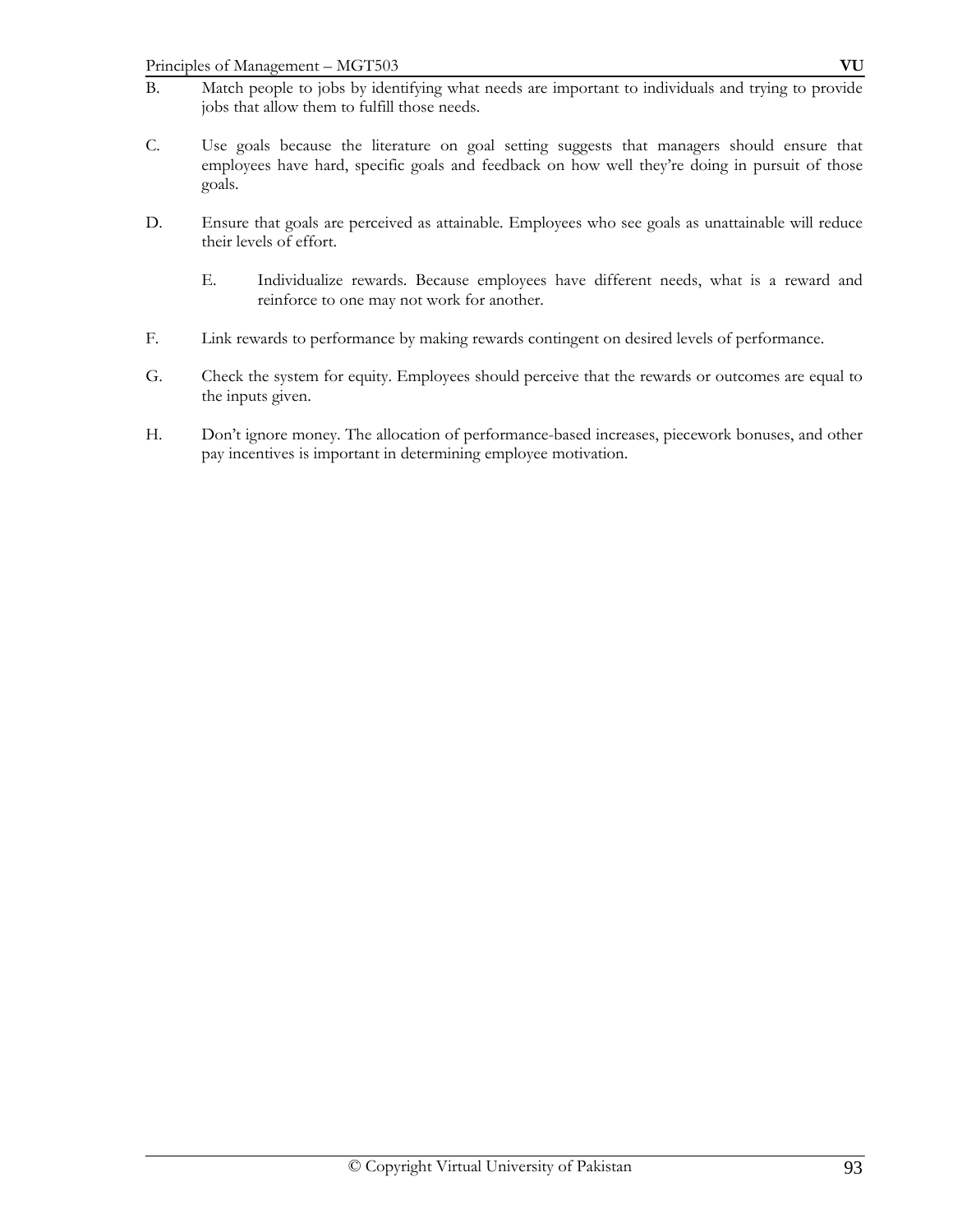- B. Match people to jobs by identifying what needs are important to individuals and trying to provide jobs that allow them to fulfill those needs.
- C. Use goals because the literature on goal setting suggests that managers should ensure that employees have hard, specific goals and feedback on how well they're doing in pursuit of those goals.
- D. Ensure that goals are perceived as attainable. Employees who see goals as unattainable will reduce their levels of effort.
	- E. Individualize rewards. Because employees have different needs, what is a reward and reinforce to one may not work for another.
- F. Link rewards to performance by making rewards contingent on desired levels of performance.
- G. Check the system for equity. Employees should perceive that the rewards or outcomes are equal to the inputs given.
- H. Don't ignore money. The allocation of performance-based increases, piecework bonuses, and other pay incentives is important in determining employee motivation.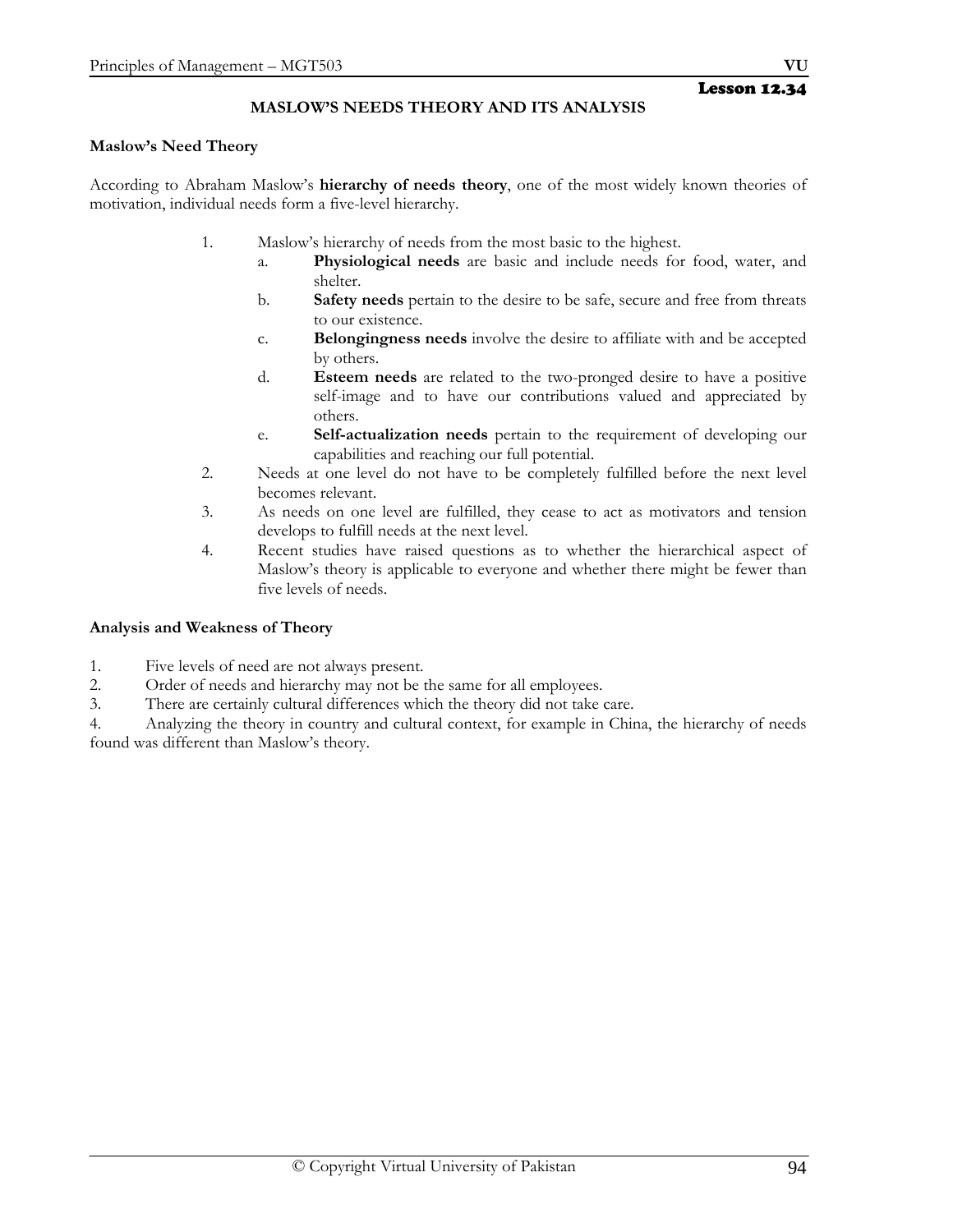# Lesson 12.34

# **MASLOW'S NEEDS THEORY AND ITS ANALYSIS**

#### **Maslow's Need Theory**

According to Abraham Maslow's **hierarchy of needs theory**, one of the most widely known theories of motivation, individual needs form a five-level hierarchy.

- 1. Maslow's hierarchy of needs from the most basic to the highest.
	- a. **Physiological needs** are basic and include needs for food, water, and shelter.
	- b. **Safety needs** pertain to the desire to be safe, secure and free from threats to our existence.
	- c. **Belongingness needs** involve the desire to affiliate with and be accepted by others.
	- d. **Esteem needs** are related to the two-pronged desire to have a positive self-image and to have our contributions valued and appreciated by others.
	- e. **Self-actualization needs** pertain to the requirement of developing our capabilities and reaching our full potential.
- 2. Needs at one level do not have to be completely fulfilled before the next level becomes relevant.
- 3. As needs on one level are fulfilled, they cease to act as motivators and tension develops to fulfill needs at the next level.
- 4. Recent studies have raised questions as to whether the hierarchical aspect of Maslow's theory is applicable to everyone and whether there might be fewer than five levels of needs.

#### **Analysis and Weakness of Theory**

- 1. Five levels of need are not always present.
- 2. Order of needs and hierarchy may not be the same for all employees.
- 3. There are certainly cultural differences which the theory did not take care.

4. Analyzing the theory in country and cultural context, for example in China, the hierarchy of needs found was different than Maslow's theory.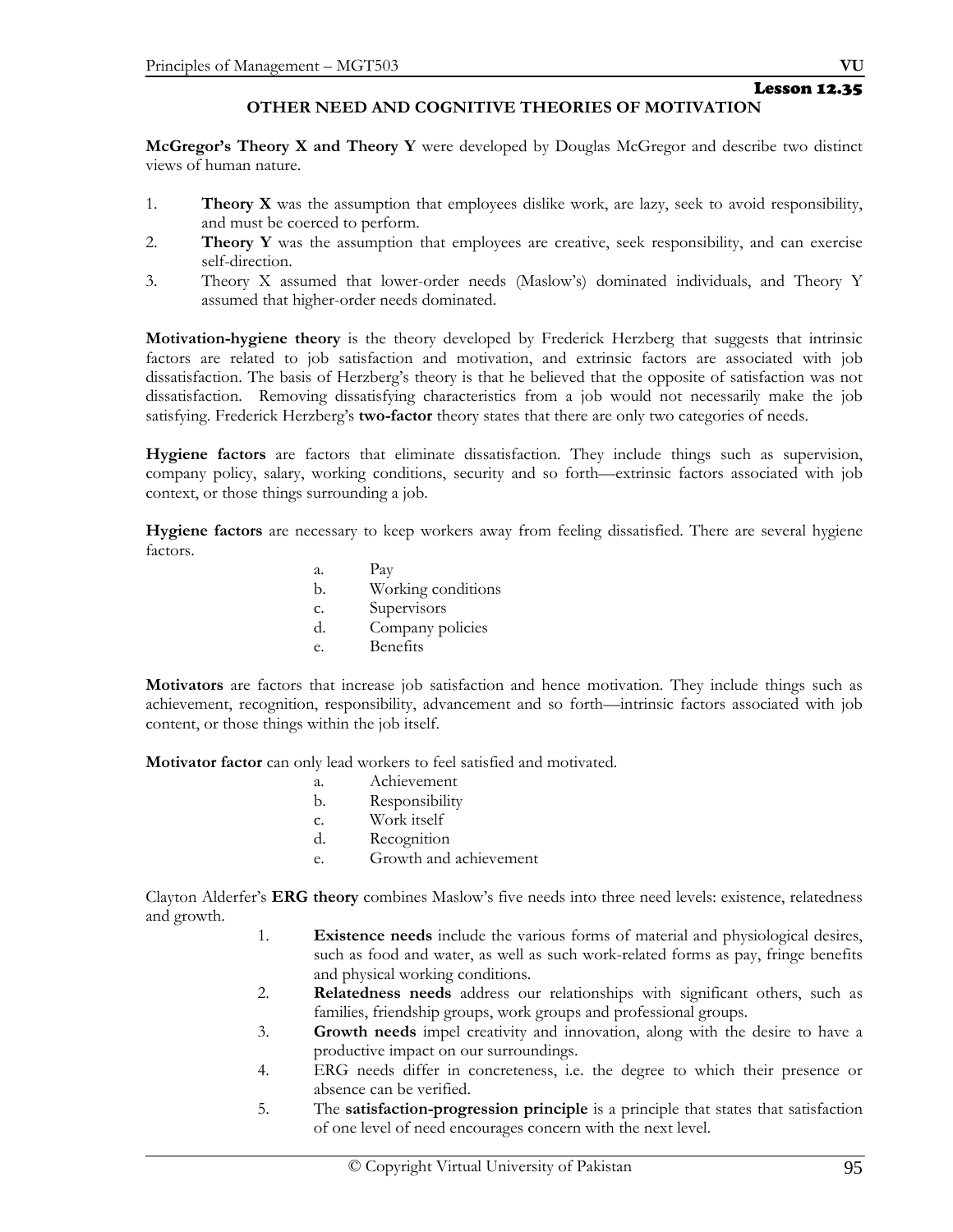# Lesson 12.35

# **OTHER NEED AND COGNITIVE THEORIES OF MOTIVATION**

**McGregor's Theory X and Theory Y** were developed by Douglas McGregor and describe two distinct views of human nature.

- 1. **Theory X** was the assumption that employees dislike work, are lazy, seek to avoid responsibility, and must be coerced to perform.
- 2. **Theory Y** was the assumption that employees are creative, seek responsibility, and can exercise self-direction.
- 3. Theory X assumed that lower-order needs (Maslow's) dominated individuals, and Theory Y assumed that higher-order needs dominated.

**Motivation-hygiene theory** is the theory developed by Frederick Herzberg that suggests that intrinsic factors are related to job satisfaction and motivation, and extrinsic factors are associated with job dissatisfaction. The basis of Herzberg's theory is that he believed that the opposite of satisfaction was not dissatisfaction. Removing dissatisfying characteristics from a job would not necessarily make the job satisfying. Frederick Herzberg's **two-factor** theory states that there are only two categories of needs.

**Hygiene factors** are factors that eliminate dissatisfaction. They include things such as supervision, company policy, salary, working conditions, security and so forth—extrinsic factors associated with job context, or those things surrounding a job.

**Hygiene factors** are necessary to keep workers away from feeling dissatisfied. There are several hygiene factors.

- a. Pay
- b. Working conditions
- c. Supervisors
- d. Company policies
- e. Benefits

**Motivators** are factors that increase job satisfaction and hence motivation. They include things such as achievement, recognition, responsibility, advancement and so forth—intrinsic factors associated with job content, or those things within the job itself.

**Motivator factor** can only lead workers to feel satisfied and motivated.

- a. Achievement
- b. Responsibility
- c. Work itself
- d. Recognition
- e. Growth and achievement

Clayton Alderfer's **ERG theory** combines Maslow's five needs into three need levels: existence, relatedness and growth.

- 1. **Existence needs** include the various forms of material and physiological desires, such as food and water, as well as such work-related forms as pay, fringe benefits and physical working conditions.
- 2. **Relatedness needs** address our relationships with significant others, such as families, friendship groups, work groups and professional groups.
- 3. **Growth needs** impel creativity and innovation, along with the desire to have a productive impact on our surroundings.
- 4. ERG needs differ in concreteness, i.e. the degree to which their presence or absence can be verified.
- 5. The **satisfaction-progression principle** is a principle that states that satisfaction of one level of need encourages concern with the next level.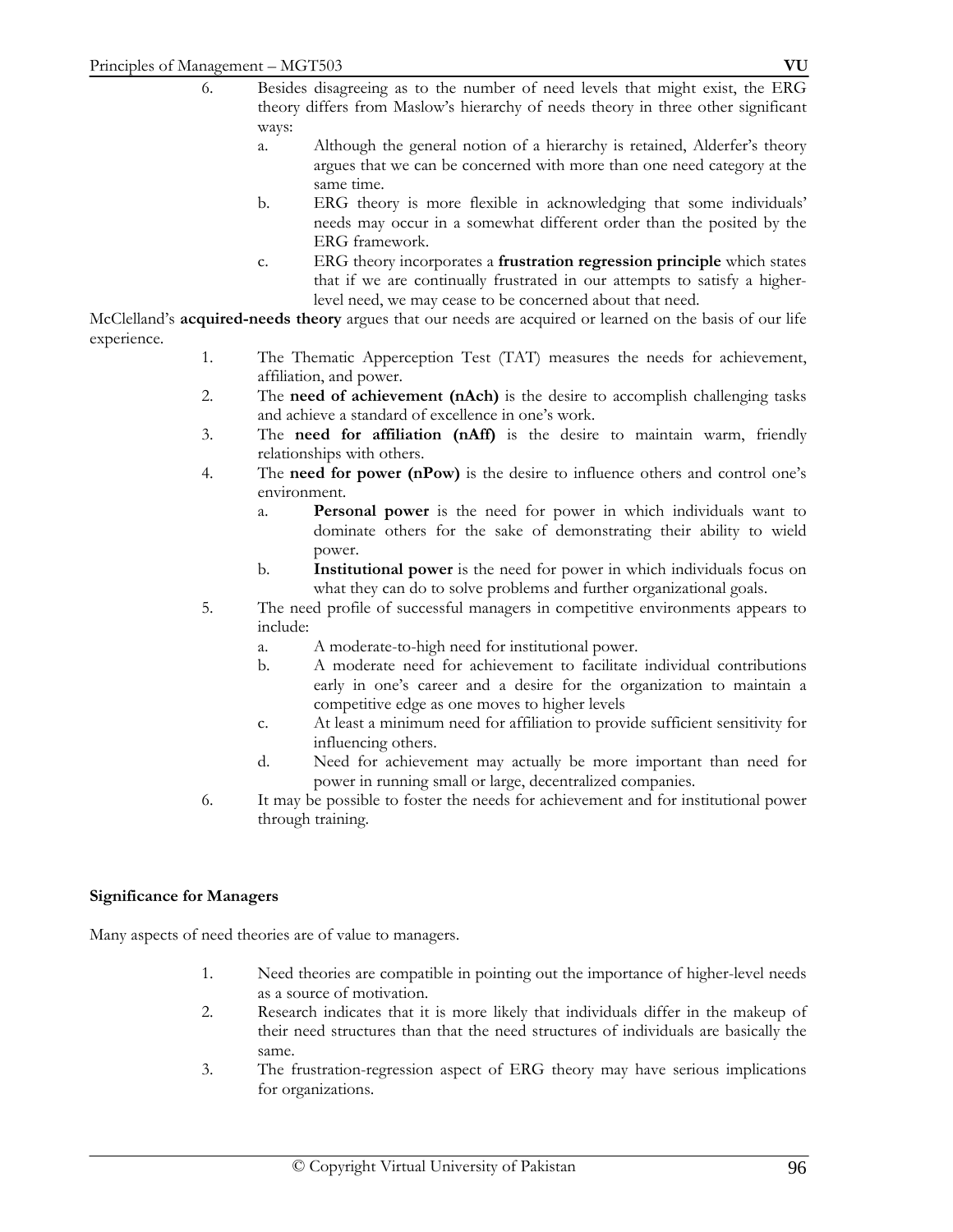- 6. Besides disagreeing as to the number of need levels that might exist, the ERG theory differs from Maslow's hierarchy of needs theory in three other significant ways:
	- a. Although the general notion of a hierarchy is retained, Alderfer's theory argues that we can be concerned with more than one need category at the same time.
	- b. ERG theory is more flexible in acknowledging that some individuals' needs may occur in a somewhat different order than the posited by the ERG framework.
	- c. ERG theory incorporates a **frustration regression principle** which states that if we are continually frustrated in our attempts to satisfy a higherlevel need, we may cease to be concerned about that need.

McClelland's **acquired-needs theory** argues that our needs are acquired or learned on the basis of our life experience.

- 1. The Thematic Apperception Test (TAT) measures the needs for achievement, affiliation, and power.
- 2. The **need of achievement (nAch)** is the desire to accomplish challenging tasks and achieve a standard of excellence in one's work.
- 3. The **need for affiliation (nAff)** is the desire to maintain warm, friendly relationships with others.
- 4. The **need for power (nPow)** is the desire to influence others and control one's environment.
	- a. **Personal power** is the need for power in which individuals want to dominate others for the sake of demonstrating their ability to wield power.
	- b. **Institutional power** is the need for power in which individuals focus on what they can do to solve problems and further organizational goals.
- 5. The need profile of successful managers in competitive environments appears to include:
	- a. A moderate-to-high need for institutional power.
	- b. A moderate need for achievement to facilitate individual contributions early in one's career and a desire for the organization to maintain a competitive edge as one moves to higher levels
	- c. At least a minimum need for affiliation to provide sufficient sensitivity for influencing others.
	- d. Need for achievement may actually be more important than need for power in running small or large, decentralized companies.
- 6. It may be possible to foster the needs for achievement and for institutional power through training.

# **Significance for Managers**

Many aspects of need theories are of value to managers.

- 1. Need theories are compatible in pointing out the importance of higher-level needs as a source of motivation.
- 2. Research indicates that it is more likely that individuals differ in the makeup of their need structures than that the need structures of individuals are basically the same.
- 3. The frustration-regression aspect of ERG theory may have serious implications for organizations.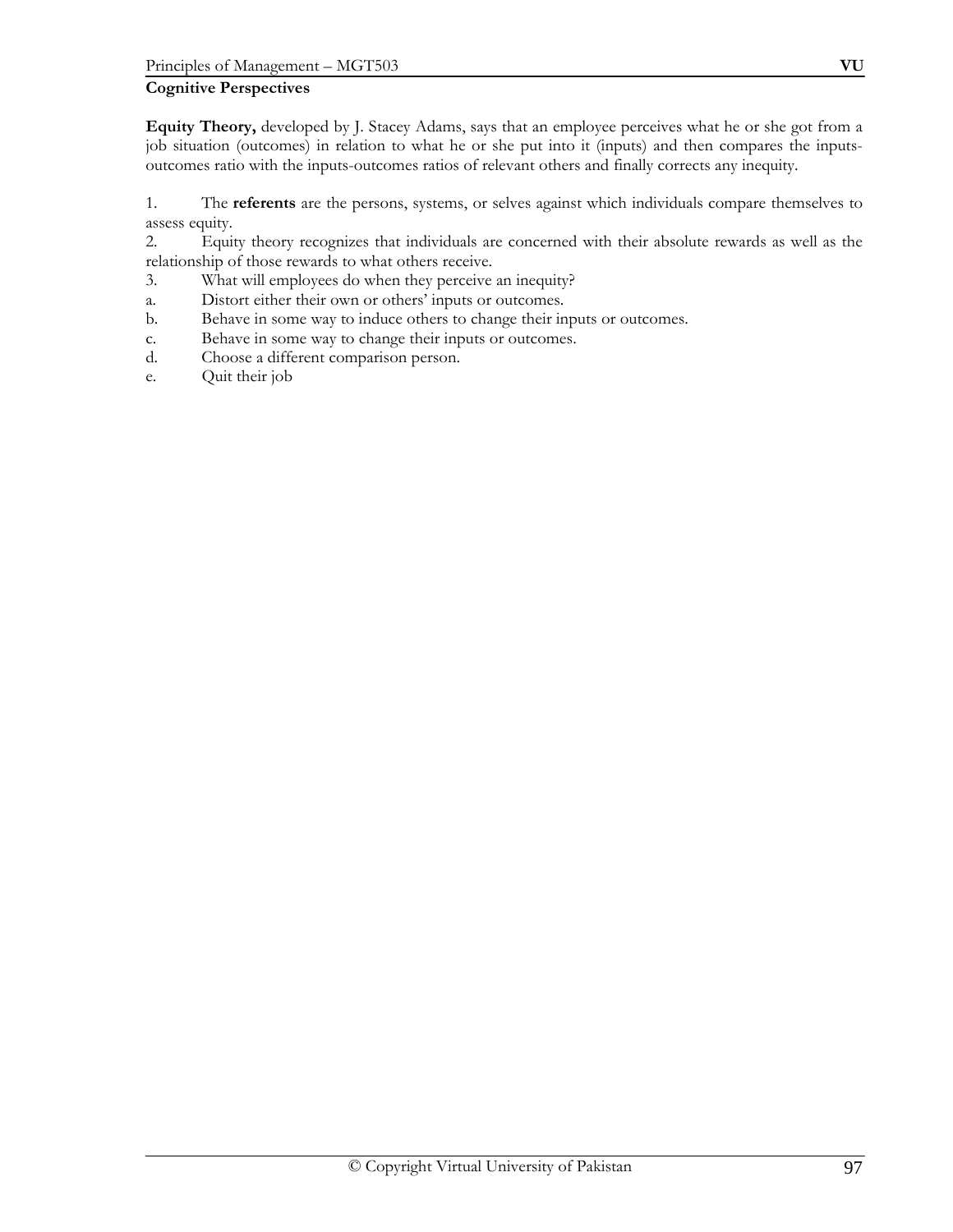# **Cognitive Perspectives**

**Equity Theory,** developed by J. Stacey Adams, says that an employee perceives what he or she got from a job situation (outcomes) in relation to what he or she put into it (inputs) and then compares the inputsoutcomes ratio with the inputs-outcomes ratios of relevant others and finally corrects any inequity.

1. The **referents** are the persons, systems, or selves against which individuals compare themselves to assess equity.

2. Equity theory recognizes that individuals are concerned with their absolute rewards as well as the relationship of those rewards to what others receive.

- 3. What will employees do when they perceive an inequity?
- a. Distort either their own or others' inputs or outcomes.
- b. Behave in some way to induce others to change their inputs or outcomes.
- c. Behave in some way to change their inputs or outcomes.
- d. Choose a different comparison person.
- e. Quit their job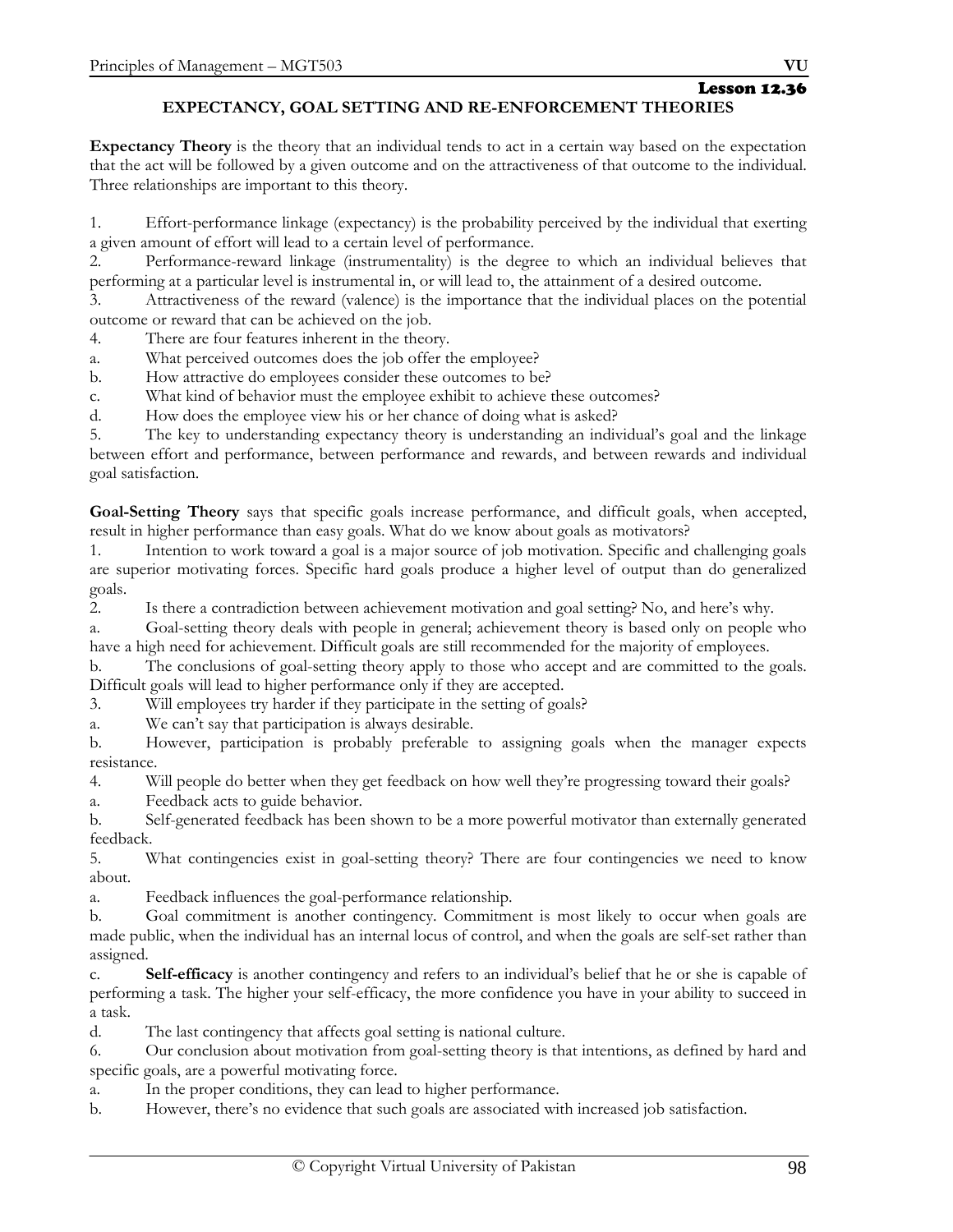Lesson 12.36

# **EXPECTANCY, GOAL SETTING AND RE-ENFORCEMENT THEORIES**

**Expectancy Theory** is the theory that an individual tends to act in a certain way based on the expectation that the act will be followed by a given outcome and on the attractiveness of that outcome to the individual. Three relationships are important to this theory.

1. Effort-performance linkage (expectancy) is the probability perceived by the individual that exerting a given amount of effort will lead to a certain level of performance.

2. Performance-reward linkage (instrumentality) is the degree to which an individual believes that performing at a particular level is instrumental in, or will lead to, the attainment of a desired outcome.

3. Attractiveness of the reward (valence) is the importance that the individual places on the potential outcome or reward that can be achieved on the job.

4. There are four features inherent in the theory.

- a. What perceived outcomes does the job offer the employee?
- b. How attractive do employees consider these outcomes to be?
- c. What kind of behavior must the employee exhibit to achieve these outcomes?

d. How does the employee view his or her chance of doing what is asked?

5. The key to understanding expectancy theory is understanding an individual's goal and the linkage between effort and performance, between performance and rewards, and between rewards and individual goal satisfaction.

**Goal-Setting Theory** says that specific goals increase performance, and difficult goals, when accepted, result in higher performance than easy goals. What do we know about goals as motivators?

1. Intention to work toward a goal is a major source of job motivation. Specific and challenging goals are superior motivating forces. Specific hard goals produce a higher level of output than do generalized goals.

2. Is there a contradiction between achievement motivation and goal setting? No, and here's why.

a. Goal-setting theory deals with people in general; achievement theory is based only on people who have a high need for achievement. Difficult goals are still recommended for the majority of employees.

b. The conclusions of goal-setting theory apply to those who accept and are committed to the goals. Difficult goals will lead to higher performance only if they are accepted.

3. Will employees try harder if they participate in the setting of goals?

a. We can't say that participation is always desirable.

b. However, participation is probably preferable to assigning goals when the manager expects resistance.

4. Will people do better when they get feedback on how well they're progressing toward their goals?

a. Feedback acts to guide behavior.

b. Self-generated feedback has been shown to be a more powerful motivator than externally generated feedback.

5. What contingencies exist in goal-setting theory? There are four contingencies we need to know about.

a. Feedback influences the goal-performance relationship.

b. Goal commitment is another contingency. Commitment is most likely to occur when goals are made public, when the individual has an internal locus of control, and when the goals are self-set rather than assigned.

c. **Self-efficacy** is another contingency and refers to an individual's belief that he or she is capable of performing a task. The higher your self-efficacy, the more confidence you have in your ability to succeed in a task.

d. The last contingency that affects goal setting is national culture.

6. Our conclusion about motivation from goal-setting theory is that intentions, as defined by hard and specific goals, are a powerful motivating force.

a. In the proper conditions, they can lead to higher performance.

b. However, there's no evidence that such goals are associated with increased job satisfaction.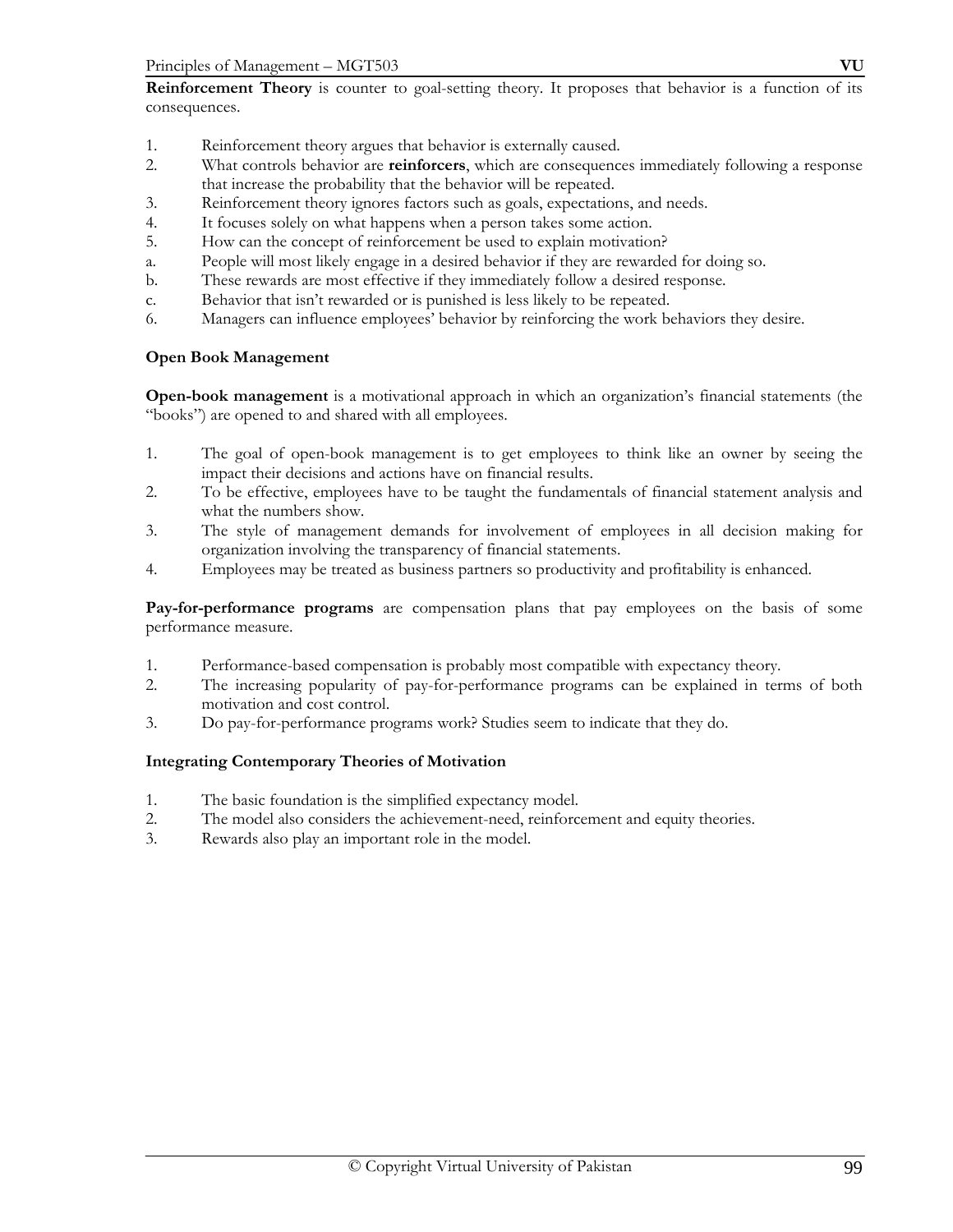- 1. Reinforcement theory argues that behavior is externally caused.
- 2. What controls behavior are **reinforcers**, which are consequences immediately following a response that increase the probability that the behavior will be repeated.
- 3. Reinforcement theory ignores factors such as goals, expectations, and needs.
- 4. It focuses solely on what happens when a person takes some action.
- 5. How can the concept of reinforcement be used to explain motivation?
- a. People will most likely engage in a desired behavior if they are rewarded for doing so.
- b. These rewards are most effective if they immediately follow a desired response.
- c. Behavior that isn't rewarded or is punished is less likely to be repeated.
- 6. Managers can influence employees' behavior by reinforcing the work behaviors they desire.

#### **Open Book Management**

**Open-book management** is a motivational approach in which an organization's financial statements (the "books") are opened to and shared with all employees.

- 1. The goal of open-book management is to get employees to think like an owner by seeing the impact their decisions and actions have on financial results.
- 2. To be effective, employees have to be taught the fundamentals of financial statement analysis and what the numbers show.
- 3. The style of management demands for involvement of employees in all decision making for organization involving the transparency of financial statements.
- 4. Employees may be treated as business partners so productivity and profitability is enhanced.

**Pay-for-performance programs** are compensation plans that pay employees on the basis of some performance measure.

- 1. Performance-based compensation is probably most compatible with expectancy theory.
- 2. The increasing popularity of pay-for-performance programs can be explained in terms of both motivation and cost control.
- 3. Do pay-for-performance programs work? Studies seem to indicate that they do.

# **Integrating Contemporary Theories of Motivation**

- 1. The basic foundation is the simplified expectancy model.
- 2. The model also considers the achievement-need, reinforcement and equity theories.
- 3. Rewards also play an important role in the model.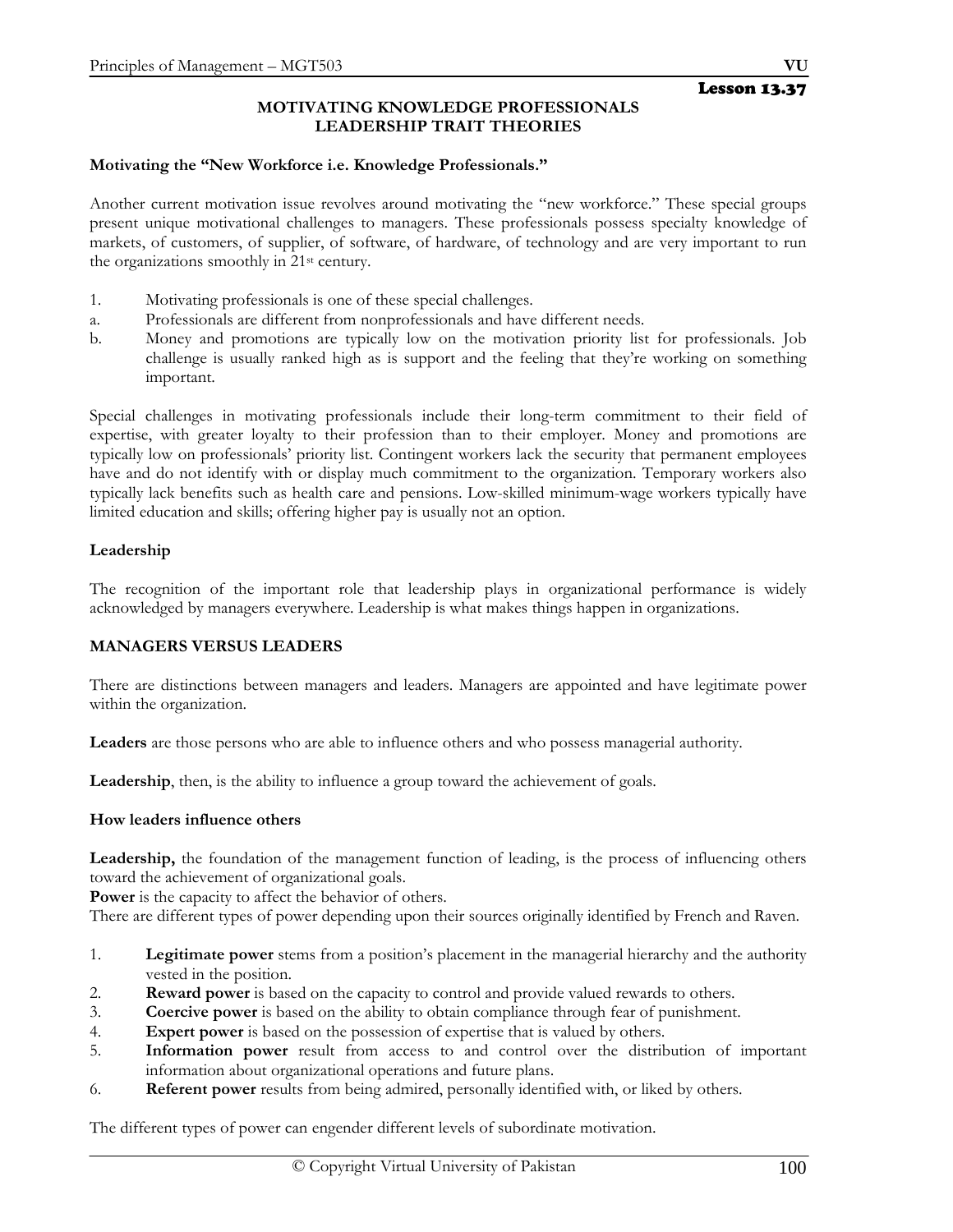# **MOTIVATING KNOWLEDGE PROFESSIONALS LEADERSHIP TRAIT THEORIES**

#### **Motivating the "New Workforce i.e. Knowledge Professionals."**

Another current motivation issue revolves around motivating the "new workforce." These special groups present unique motivational challenges to managers. These professionals possess specialty knowledge of markets, of customers, of supplier, of software, of hardware, of technology and are very important to run the organizations smoothly in 21st century.

- 1. Motivating professionals is one of these special challenges.
- a. Professionals are different from nonprofessionals and have different needs.
- b. Money and promotions are typically low on the motivation priority list for professionals. Job challenge is usually ranked high as is support and the feeling that they're working on something important.

Special challenges in motivating professionals include their long-term commitment to their field of expertise, with greater loyalty to their profession than to their employer. Money and promotions are typically low on professionals' priority list. Contingent workers lack the security that permanent employees have and do not identify with or display much commitment to the organization. Temporary workers also typically lack benefits such as health care and pensions. Low-skilled minimum-wage workers typically have limited education and skills; offering higher pay is usually not an option.

#### **Leadership**

The recognition of the important role that leadership plays in organizational performance is widely acknowledged by managers everywhere. Leadership is what makes things happen in organizations.

#### **MANAGERS VERSUS LEADERS**

There are distinctions between managers and leaders. Managers are appointed and have legitimate power within the organization.

**Leaders** are those persons who are able to influence others and who possess managerial authority.

**Leadership**, then, is the ability to influence a group toward the achievement of goals.

#### **How leaders influence others**

**Leadership,** the foundation of the management function of leading, is the process of influencing others toward the achievement of organizational goals.

Power is the capacity to affect the behavior of others.

There are different types of power depending upon their sources originally identified by French and Raven.

- 1. **Legitimate power** stems from a position's placement in the managerial hierarchy and the authority vested in the position.
- 2. **Reward power** is based on the capacity to control and provide valued rewards to others.
- 3. **Coercive power** is based on the ability to obtain compliance through fear of punishment.
- 4. **Expert power** is based on the possession of expertise that is valued by others.
- 5. **Information power** result from access to and control over the distribution of important information about organizational operations and future plans.
- 6. **Referent power** results from being admired, personally identified with, or liked by others.

The different types of power can engender different levels of subordinate motivation.

Lesson 13.37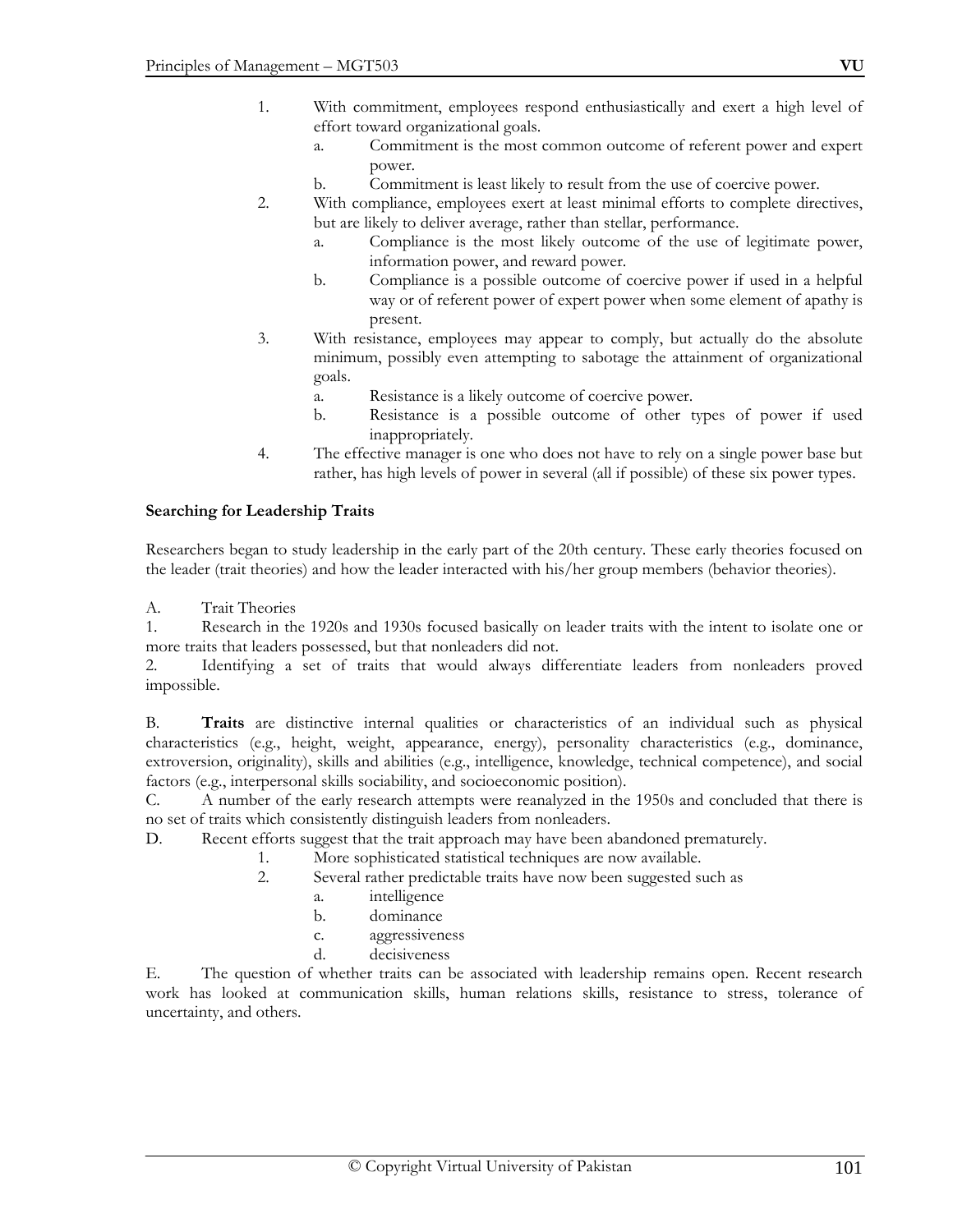- a. Commitment is the most common outcome of referent power and expert power.
- b. Commitment is least likely to result from the use of coercive power.
- 2. With compliance, employees exert at least minimal efforts to complete directives, but are likely to deliver average, rather than stellar, performance.
	- a. Compliance is the most likely outcome of the use of legitimate power, information power, and reward power.
	- b. Compliance is a possible outcome of coercive power if used in a helpful way or of referent power of expert power when some element of apathy is present.
- 3. With resistance, employees may appear to comply, but actually do the absolute minimum, possibly even attempting to sabotage the attainment of organizational goals.
	- a. Resistance is a likely outcome of coercive power.
	- b. Resistance is a possible outcome of other types of power if used inappropriately.
- 4. The effective manager is one who does not have to rely on a single power base but rather, has high levels of power in several (all if possible) of these six power types.

#### **Searching for Leadership Traits**

Researchers began to study leadership in the early part of the 20th century. These early theories focused on the leader (trait theories) and how the leader interacted with his/her group members (behavior theories).

A. Trait Theories

1. Research in the 1920s and 1930s focused basically on leader traits with the intent to isolate one or more traits that leaders possessed, but that nonleaders did not.

2. Identifying a set of traits that would always differentiate leaders from nonleaders proved impossible.

B. **Traits** are distinctive internal qualities or characteristics of an individual such as physical characteristics (e.g., height, weight, appearance, energy), personality characteristics (e.g., dominance, extroversion, originality), skills and abilities (e.g., intelligence, knowledge, technical competence), and social factors (e.g., interpersonal skills sociability, and socioeconomic position).

C. A number of the early research attempts were reanalyzed in the 1950s and concluded that there is no set of traits which consistently distinguish leaders from nonleaders.

D. Recent efforts suggest that the trait approach may have been abandoned prematurely.

- 1. More sophisticated statistical techniques are now available.
	- 2. Several rather predictable traits have now been suggested such as
		- a. intelligence
		- b. dominance
		- c. aggressiveness
		- d. decisiveness

E. The question of whether traits can be associated with leadership remains open. Recent research work has looked at communication skills, human relations skills, resistance to stress, tolerance of uncertainty, and others.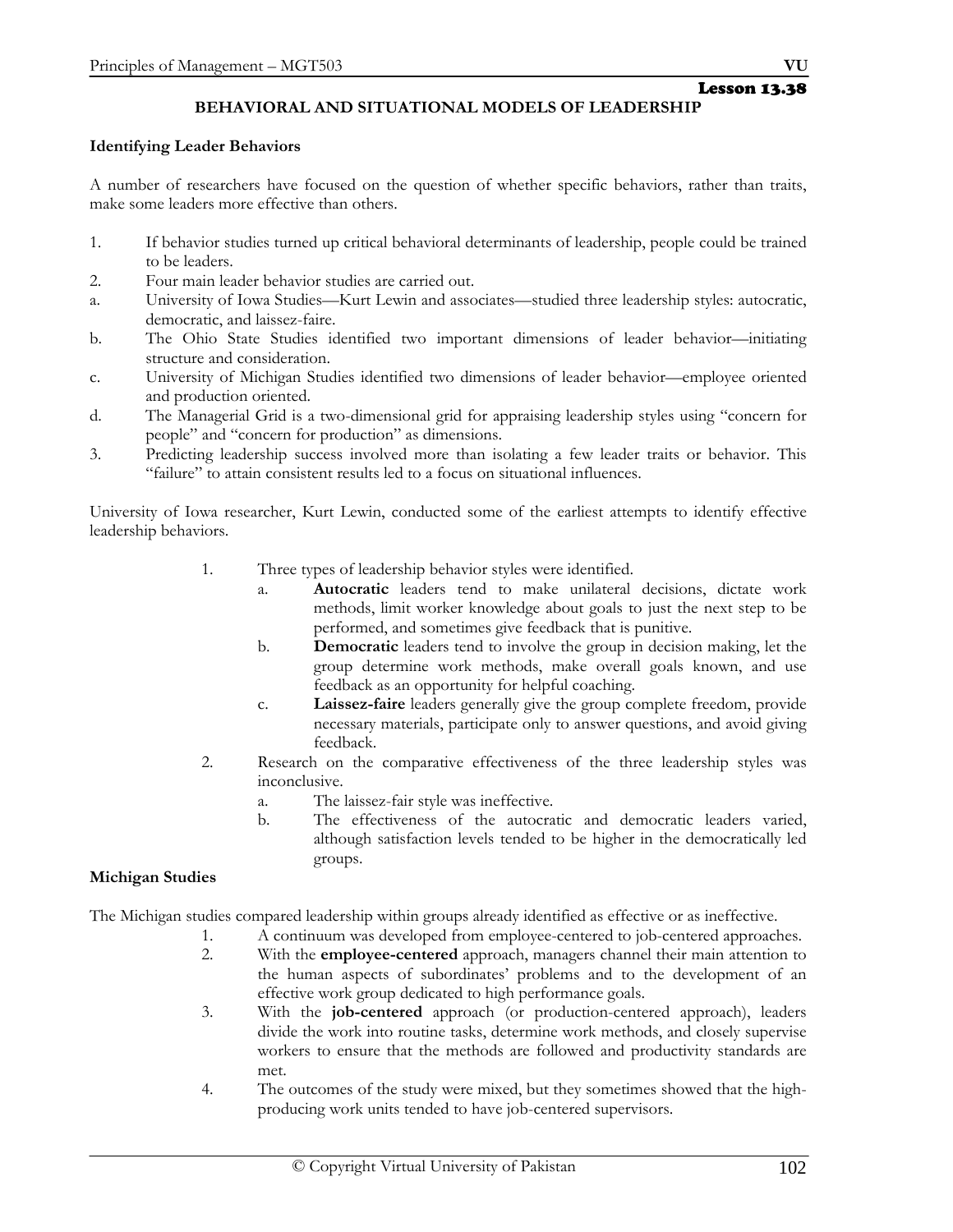# **BEHAVIORAL AND SITUATIONAL MODELS OF LEADERSHIP**

#### **Identifying Leader Behaviors**

A number of researchers have focused on the question of whether specific behaviors, rather than traits, make some leaders more effective than others.

- 1. If behavior studies turned up critical behavioral determinants of leadership, people could be trained to be leaders.
- 2. Four main leader behavior studies are carried out.
- a. University of Iowa Studies—Kurt Lewin and associates—studied three leadership styles: autocratic, democratic, and laissez-faire.
- b. The Ohio State Studies identified two important dimensions of leader behavior—initiating structure and consideration.
- c. University of Michigan Studies identified two dimensions of leader behavior—employee oriented and production oriented.
- d. The Managerial Grid is a two-dimensional grid for appraising leadership styles using "concern for people" and "concern for production" as dimensions.
- 3. Predicting leadership success involved more than isolating a few leader traits or behavior. This "failure" to attain consistent results led to a focus on situational influences.

University of Iowa researcher, Kurt Lewin, conducted some of the earliest attempts to identify effective leadership behaviors.

- 1. Three types of leadership behavior styles were identified.
	- a. **Autocratic** leaders tend to make unilateral decisions, dictate work methods, limit worker knowledge about goals to just the next step to be performed, and sometimes give feedback that is punitive.
	- b. **Democratic** leaders tend to involve the group in decision making, let the group determine work methods, make overall goals known, and use feedback as an opportunity for helpful coaching.
	- c. **Laissez-faire** leaders generally give the group complete freedom, provide necessary materials, participate only to answer questions, and avoid giving feedback.
- 2. Research on the comparative effectiveness of the three leadership styles was inconclusive.
	- a. The laissez-fair style was ineffective.
	- b. The effectiveness of the autocratic and democratic leaders varied, although satisfaction levels tended to be higher in the democratically led groups.

# **Michigan Studies**

The Michigan studies compared leadership within groups already identified as effective or as ineffective.

- 1. A continuum was developed from employee-centered to job-centered approaches.
	- 2. With the **employee-centered** approach, managers channel their main attention to the human aspects of subordinates' problems and to the development of an effective work group dedicated to high performance goals.
	- 3. With the **job-centered** approach (or production-centered approach), leaders divide the work into routine tasks, determine work methods, and closely supervise workers to ensure that the methods are followed and productivity standards are met.
	- 4. The outcomes of the study were mixed, but they sometimes showed that the highproducing work units tended to have job-centered supervisors.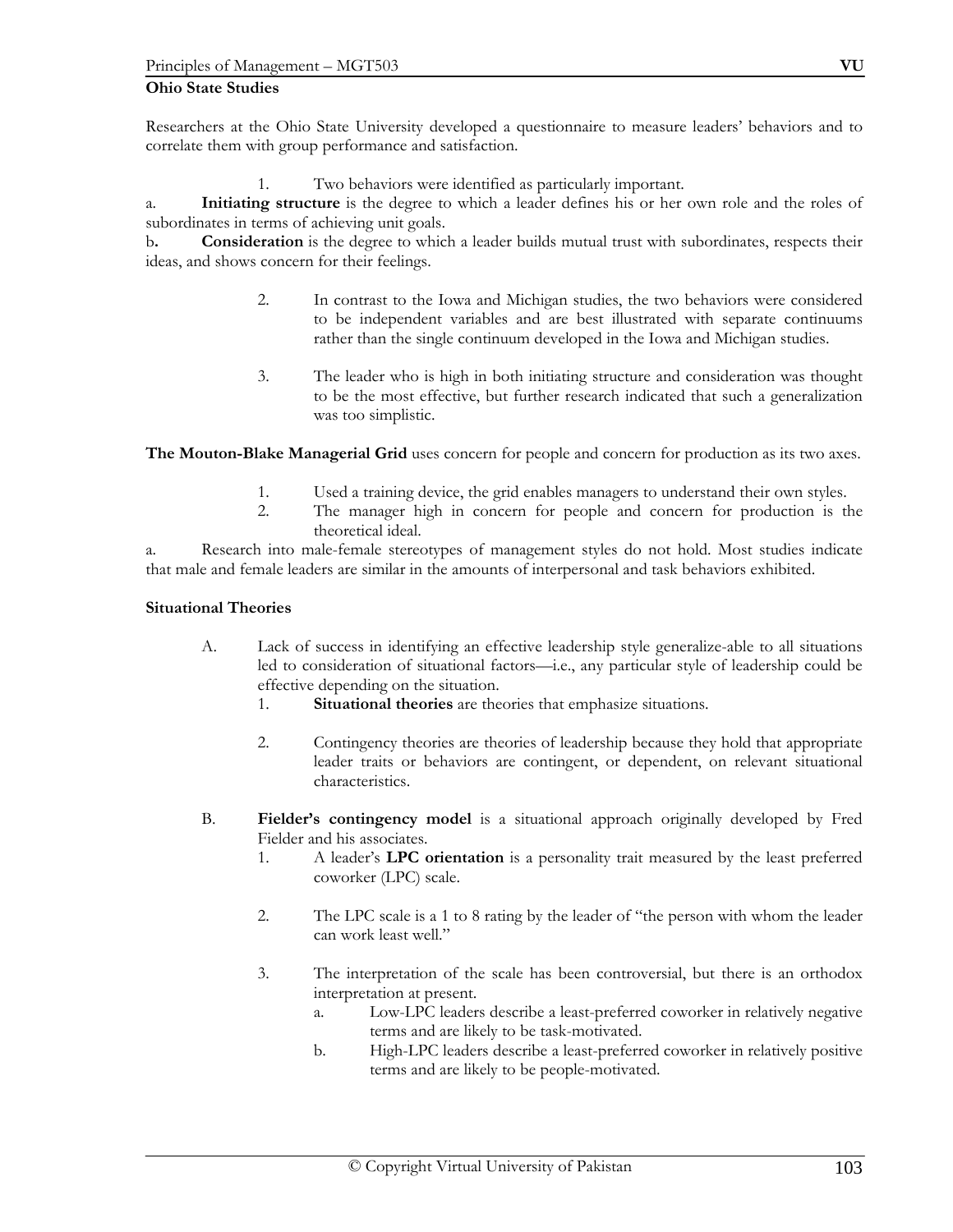#### **Ohio State Studies**

Researchers at the Ohio State University developed a questionnaire to measure leaders' behaviors and to correlate them with group performance and satisfaction.

1. Two behaviors were identified as particularly important.

a. **Initiating structure** is the degree to which a leader defines his or her own role and the roles of subordinates in terms of achieving unit goals.

b**. Consideration** is the degree to which a leader builds mutual trust with subordinates, respects their ideas, and shows concern for their feelings.

- 2. In contrast to the Iowa and Michigan studies, the two behaviors were considered to be independent variables and are best illustrated with separate continuums rather than the single continuum developed in the Iowa and Michigan studies.
- 3. The leader who is high in both initiating structure and consideration was thought to be the most effective, but further research indicated that such a generalization was too simplistic.

**The Mouton-Blake Managerial Grid** uses concern for people and concern for production as its two axes.

- 1. Used a training device, the grid enables managers to understand their own styles.
- 2. The manager high in concern for people and concern for production is the theoretical ideal.

a. Research into male-female stereotypes of management styles do not hold. Most studies indicate that male and female leaders are similar in the amounts of interpersonal and task behaviors exhibited.

#### **Situational Theories**

- A. Lack of success in identifying an effective leadership style generalize-able to all situations led to consideration of situational factors—i.e., any particular style of leadership could be effective depending on the situation.
	- 1. **Situational theories** are theories that emphasize situations.
	- 2. Contingency theories are theories of leadership because they hold that appropriate leader traits or behaviors are contingent, or dependent, on relevant situational characteristics.
- B. **Fielder's contingency model** is a situational approach originally developed by Fred Fielder and his associates.
	- 1. A leader's **LPC orientation** is a personality trait measured by the least preferred coworker (LPC) scale.
	- 2. The LPC scale is a 1 to 8 rating by the leader of "the person with whom the leader can work least well."
	- 3. The interpretation of the scale has been controversial, but there is an orthodox interpretation at present.
		- a. Low-LPC leaders describe a least-preferred coworker in relatively negative terms and are likely to be task-motivated.
		- b. High-LPC leaders describe a least-preferred coworker in relatively positive terms and are likely to be people-motivated.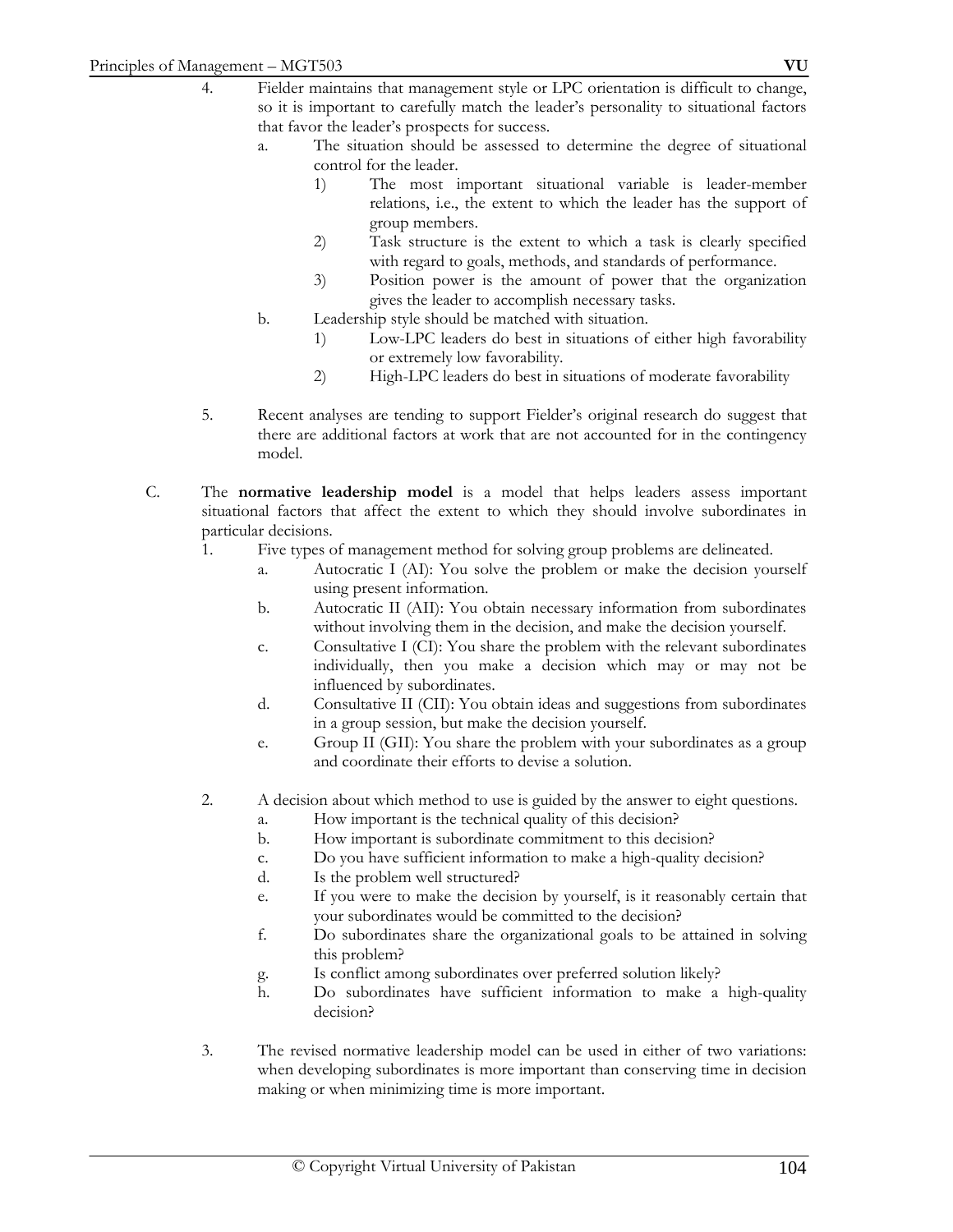- 4. Fielder maintains that management style or LPC orientation is difficult to change, so it is important to carefully match the leader's personality to situational factors that favor the leader's prospects for success.
	- a. The situation should be assessed to determine the degree of situational control for the leader.
		- 1) The most important situational variable is leader-member relations, i.e., the extent to which the leader has the support of group members.
		- 2) Task structure is the extent to which a task is clearly specified with regard to goals, methods, and standards of performance.
		- 3) Position power is the amount of power that the organization gives the leader to accomplish necessary tasks.
	- b. Leadership style should be matched with situation.
		- 1) Low-LPC leaders do best in situations of either high favorability or extremely low favorability.
		- 2) High-LPC leaders do best in situations of moderate favorability
- 5. Recent analyses are tending to support Fielder's original research do suggest that there are additional factors at work that are not accounted for in the contingency model.
- C. The **normative leadership model** is a model that helps leaders assess important situational factors that affect the extent to which they should involve subordinates in particular decisions.
	- 1. Five types of management method for solving group problems are delineated.
		- a. Autocratic I (AI): You solve the problem or make the decision yourself using present information.
		- b. Autocratic II (AII): You obtain necessary information from subordinates without involving them in the decision, and make the decision yourself.
		- c. Consultative I (CI): You share the problem with the relevant subordinates individually, then you make a decision which may or may not be influenced by subordinates.
		- d. Consultative II (CII): You obtain ideas and suggestions from subordinates in a group session, but make the decision yourself.
		- e. Group II (GII): You share the problem with your subordinates as a group and coordinate their efforts to devise a solution.
	- 2. A decision about which method to use is guided by the answer to eight questions.
		- a. How important is the technical quality of this decision?
		- b. How important is subordinate commitment to this decision?
		- c. Do you have sufficient information to make a high-quality decision?
		- d. Is the problem well structured?
		- e. If you were to make the decision by yourself, is it reasonably certain that your subordinates would be committed to the decision?
		- f. Do subordinates share the organizational goals to be attained in solving this problem?
		- g. Is conflict among subordinates over preferred solution likely?
		- h. Do subordinates have sufficient information to make a high-quality decision?
	- 3. The revised normative leadership model can be used in either of two variations: when developing subordinates is more important than conserving time in decision making or when minimizing time is more important.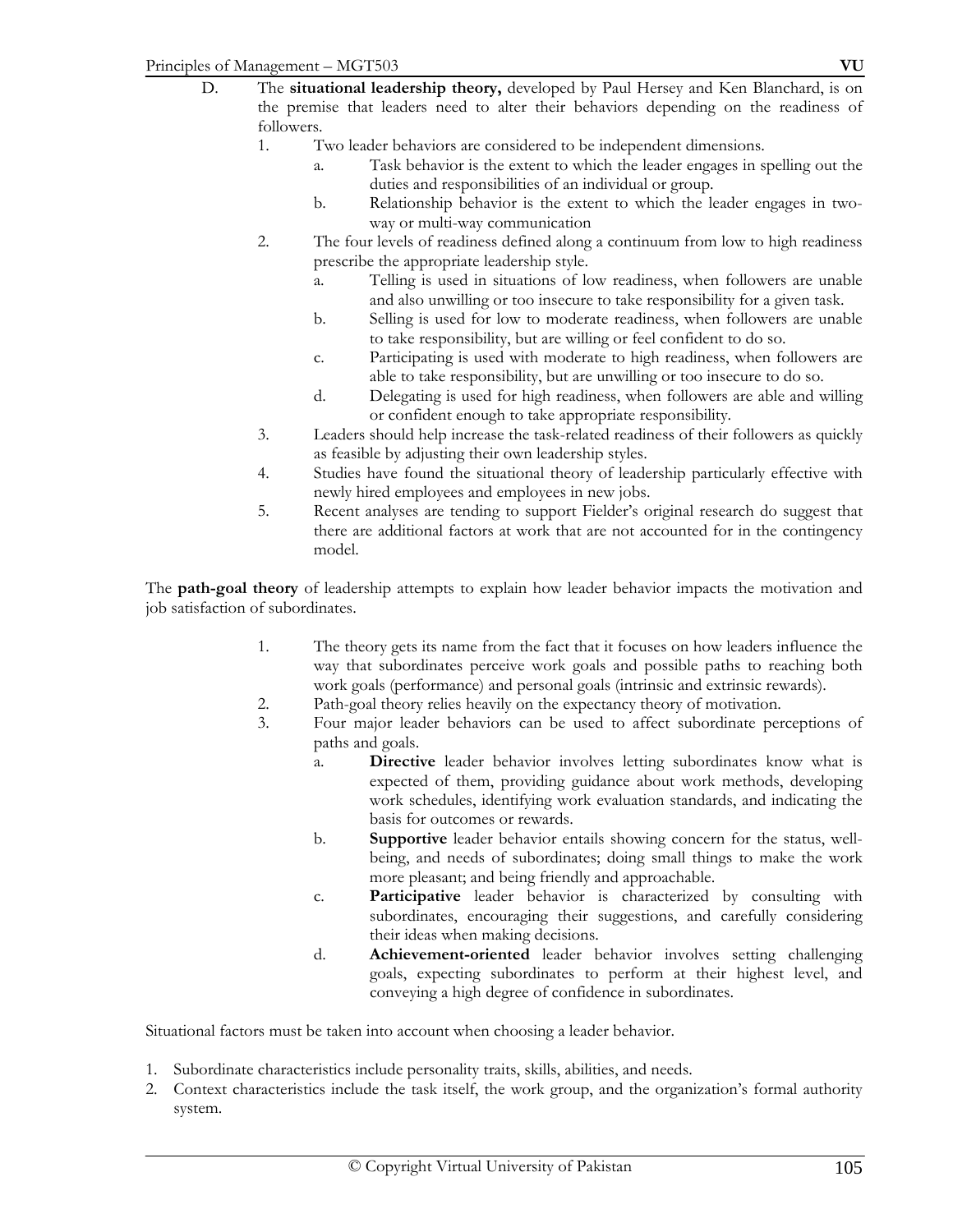- D. The **situational leadership theory,** developed by Paul Hersey and Ken Blanchard, is on the premise that leaders need to alter their behaviors depending on the readiness of followers.
	- 1. Two leader behaviors are considered to be independent dimensions.
		- a. Task behavior is the extent to which the leader engages in spelling out the duties and responsibilities of an individual or group.
		- b. Relationship behavior is the extent to which the leader engages in twoway or multi-way communication
	- 2. The four levels of readiness defined along a continuum from low to high readiness prescribe the appropriate leadership style.
		- a. Telling is used in situations of low readiness, when followers are unable and also unwilling or too insecure to take responsibility for a given task.
		- b. Selling is used for low to moderate readiness, when followers are unable to take responsibility, but are willing or feel confident to do so.
		- c. Participating is used with moderate to high readiness, when followers are able to take responsibility, but are unwilling or too insecure to do so.
		- d. Delegating is used for high readiness, when followers are able and willing or confident enough to take appropriate responsibility.
	- 3. Leaders should help increase the task-related readiness of their followers as quickly as feasible by adjusting their own leadership styles.
	- 4. Studies have found the situational theory of leadership particularly effective with newly hired employees and employees in new jobs.
	- 5. Recent analyses are tending to support Fielder's original research do suggest that there are additional factors at work that are not accounted for in the contingency model.

The **path-goal theory** of leadership attempts to explain how leader behavior impacts the motivation and job satisfaction of subordinates.

- 1. The theory gets its name from the fact that it focuses on how leaders influence the way that subordinates perceive work goals and possible paths to reaching both work goals (performance) and personal goals (intrinsic and extrinsic rewards).
- 2. Path-goal theory relies heavily on the expectancy theory of motivation.
- 3. Four major leader behaviors can be used to affect subordinate perceptions of paths and goals.
	- a. **Directive** leader behavior involves letting subordinates know what is expected of them, providing guidance about work methods, developing work schedules, identifying work evaluation standards, and indicating the basis for outcomes or rewards.
	- b. **Supportive** leader behavior entails showing concern for the status, wellbeing, and needs of subordinates; doing small things to make the work more pleasant; and being friendly and approachable.
	- c. **Participative** leader behavior is characterized by consulting with subordinates, encouraging their suggestions, and carefully considering their ideas when making decisions.
	- d. **Achievement-oriented** leader behavior involves setting challenging goals, expecting subordinates to perform at their highest level, and conveying a high degree of confidence in subordinates.

Situational factors must be taken into account when choosing a leader behavior.

- 1. Subordinate characteristics include personality traits, skills, abilities, and needs.
- 2. Context characteristics include the task itself, the work group, and the organization's formal authority system.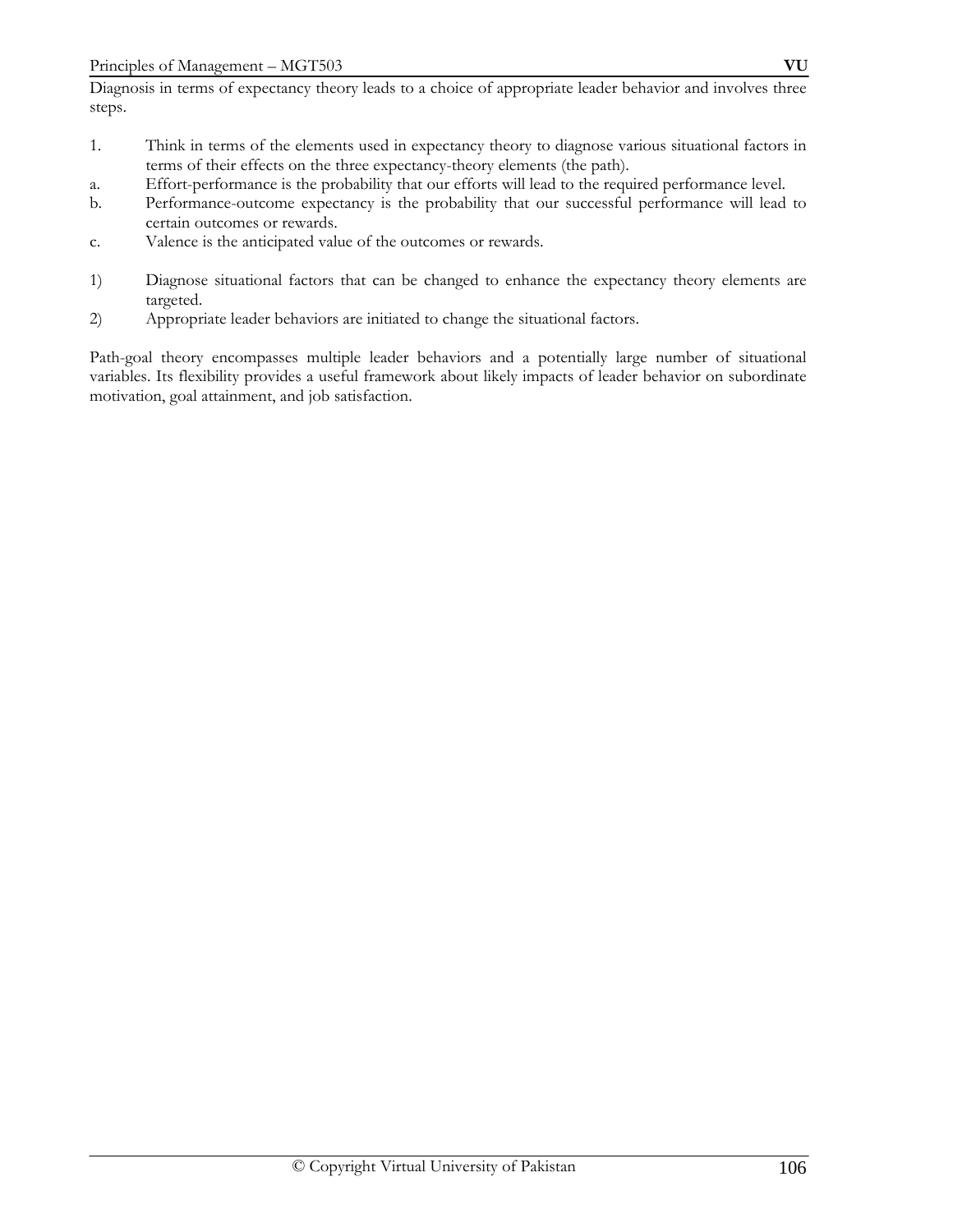Diagnosis in terms of expectancy theory leads to a choice of appropriate leader behavior and involves three steps.

- 1. Think in terms of the elements used in expectancy theory to diagnose various situational factors in terms of their effects on the three expectancy-theory elements (the path).
- a. Effort-performance is the probability that our efforts will lead to the required performance level.
- b. Performance-outcome expectancy is the probability that our successful performance will lead to certain outcomes or rewards.
- c. Valence is the anticipated value of the outcomes or rewards.
- 1) Diagnose situational factors that can be changed to enhance the expectancy theory elements are targeted.
- 2) Appropriate leader behaviors are initiated to change the situational factors.

Path-goal theory encompasses multiple leader behaviors and a potentially large number of situational variables. Its flexibility provides a useful framework about likely impacts of leader behavior on subordinate motivation, goal attainment, and job satisfaction.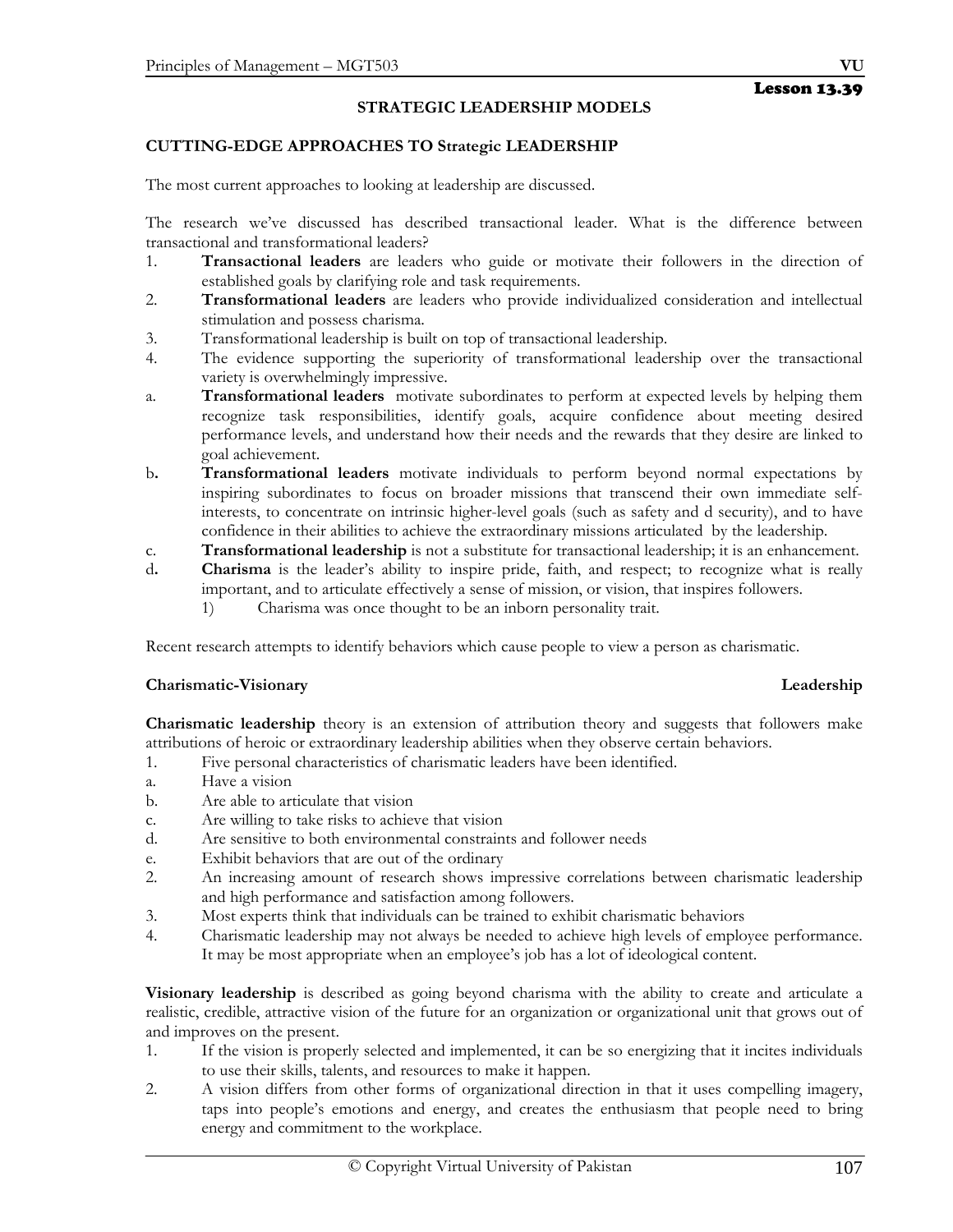### **STRATEGIC LEADERSHIP MODELS**

#### **CUTTING-EDGE APPROACHES TO Strategic LEADERSHIP**

The most current approaches to looking at leadership are discussed.

The research we've discussed has described transactional leader. What is the difference between transactional and transformational leaders?

- 1. **Transactional leaders** are leaders who guide or motivate their followers in the direction of established goals by clarifying role and task requirements.
- 2. **Transformational leaders** are leaders who provide individualized consideration and intellectual stimulation and possess charisma.
- 3. Transformational leadership is built on top of transactional leadership.
- 4. The evidence supporting the superiority of transformational leadership over the transactional variety is overwhelmingly impressive.
- a. **Transformational leaders** motivate subordinates to perform at expected levels by helping them recognize task responsibilities, identify goals, acquire confidence about meeting desired performance levels, and understand how their needs and the rewards that they desire are linked to goal achievement.
- b**. Transformational leaders** motivate individuals to perform beyond normal expectations by inspiring subordinates to focus on broader missions that transcend their own immediate selfinterests, to concentrate on intrinsic higher-level goals (such as safety and d security), and to have confidence in their abilities to achieve the extraordinary missions articulated by the leadership.
- c. **Transformational leadership** is not a substitute for transactional leadership; it is an enhancement.
- d**. Charisma** is the leader's ability to inspire pride, faith, and respect; to recognize what is really important, and to articulate effectively a sense of mission, or vision, that inspires followers.
	- 1) Charisma was once thought to be an inborn personality trait.

Recent research attempts to identify behaviors which cause people to view a person as charismatic.

#### **Charismatic-Visionary Leadership**

**Charismatic leadership** theory is an extension of attribution theory and suggests that followers make attributions of heroic or extraordinary leadership abilities when they observe certain behaviors.

- 1. Five personal characteristics of charismatic leaders have been identified.
- a. Have a vision
- b. Are able to articulate that vision
- c. Are willing to take risks to achieve that vision
- d. Are sensitive to both environmental constraints and follower needs
- e. Exhibit behaviors that are out of the ordinary
- 2. An increasing amount of research shows impressive correlations between charismatic leadership and high performance and satisfaction among followers.
- 3. Most experts think that individuals can be trained to exhibit charismatic behaviors
- 4. Charismatic leadership may not always be needed to achieve high levels of employee performance. It may be most appropriate when an employee's job has a lot of ideological content.

**Visionary leadership** is described as going beyond charisma with the ability to create and articulate a realistic, credible, attractive vision of the future for an organization or organizational unit that grows out of and improves on the present.

- 1. If the vision is properly selected and implemented, it can be so energizing that it incites individuals to use their skills, talents, and resources to make it happen.
- 2. A vision differs from other forms of organizational direction in that it uses compelling imagery, taps into people's emotions and energy, and creates the enthusiasm that people need to bring energy and commitment to the workplace.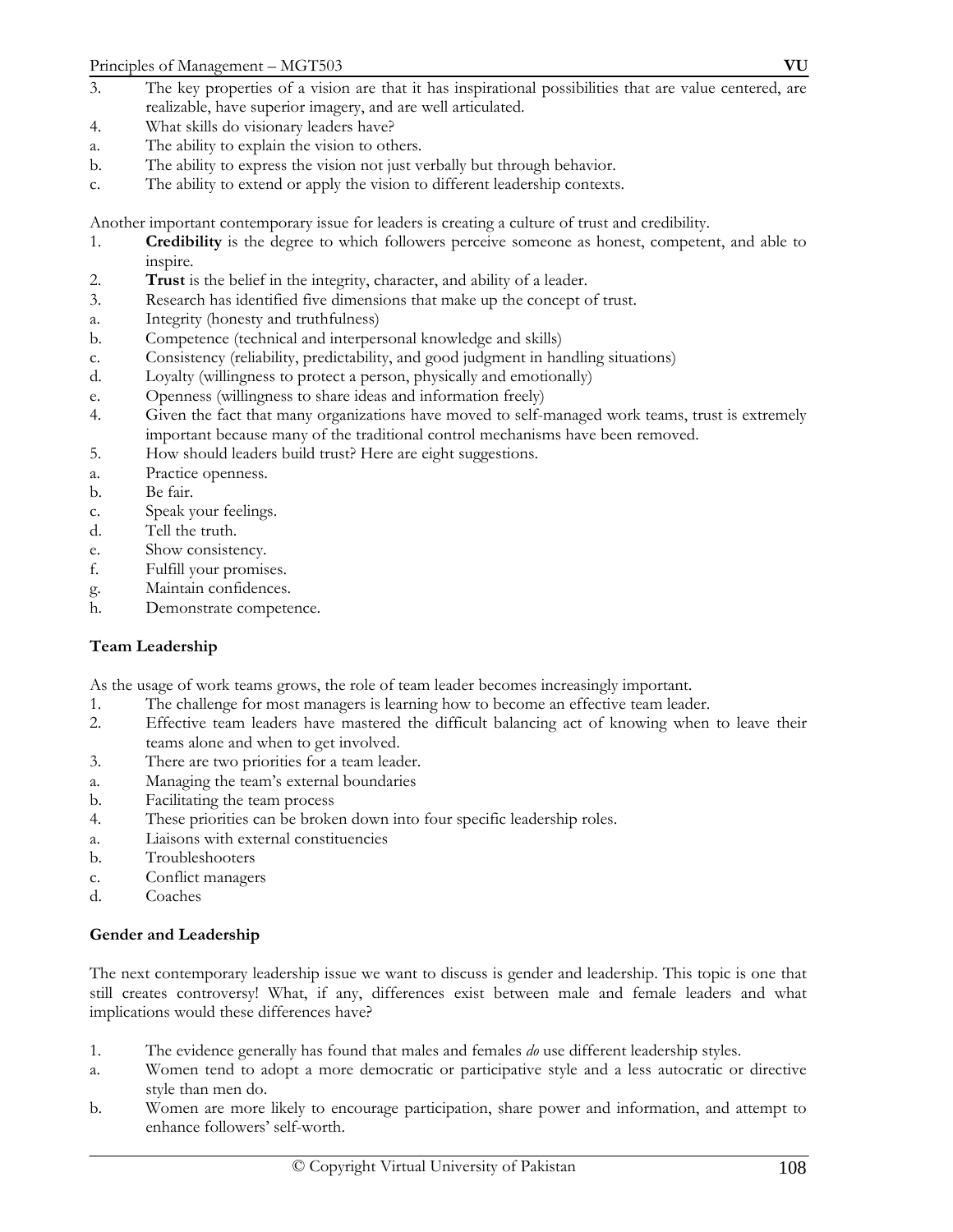- 3. The key properties of a vision are that it has inspirational possibilities that are value centered, are realizable, have superior imagery, and are well articulated.
- 4. What skills do visionary leaders have?
- a. The ability to explain the vision to others.
- b. The ability to express the vision not just verbally but through behavior.
- c. The ability to extend or apply the vision to different leadership contexts.

Another important contemporary issue for leaders is creating a culture of trust and credibility.

- 1. **Credibility** is the degree to which followers perceive someone as honest, competent, and able to inspire.
- 2. **Trust** is the belief in the integrity, character, and ability of a leader.
- 3. Research has identified five dimensions that make up the concept of trust.
- a. Integrity (honesty and truthfulness)
- b. Competence (technical and interpersonal knowledge and skills)
- c. Consistency (reliability, predictability, and good judgment in handling situations)
- d. Loyalty (willingness to protect a person, physically and emotionally)
- e. Openness (willingness to share ideas and information freely)
- 4. Given the fact that many organizations have moved to self-managed work teams, trust is extremely important because many of the traditional control mechanisms have been removed.
- 5. How should leaders build trust? Here are eight suggestions.
- a. Practice openness.
- b. Be fair.
- c. Speak your feelings.
- d. Tell the truth.
- e. Show consistency.
- f. Fulfill your promises.
- g. Maintain confidences.
- h. Demonstrate competence.

# **Team Leadership**

As the usage of work teams grows, the role of team leader becomes increasingly important.

- 1. The challenge for most managers is learning how to become an effective team leader.
- 2. Effective team leaders have mastered the difficult balancing act of knowing when to leave their teams alone and when to get involved.
- 3. There are two priorities for a team leader.
- a. Managing the team's external boundaries
- b. Facilitating the team process
- 4. These priorities can be broken down into four specific leadership roles.
- a. Liaisons with external constituencies
- b. Troubleshooters
- c. Conflict managers
- d. Coaches

# **Gender and Leadership**

The next contemporary leadership issue we want to discuss is gender and leadership. This topic is one that still creates controversy! What, if any, differences exist between male and female leaders and what implications would these differences have?

- 1. The evidence generally has found that males and females *do* use different leadership styles.
- a. Women tend to adopt a more democratic or participative style and a less autocratic or directive style than men do.
- b. Women are more likely to encourage participation, share power and information, and attempt to enhance followers' self-worth.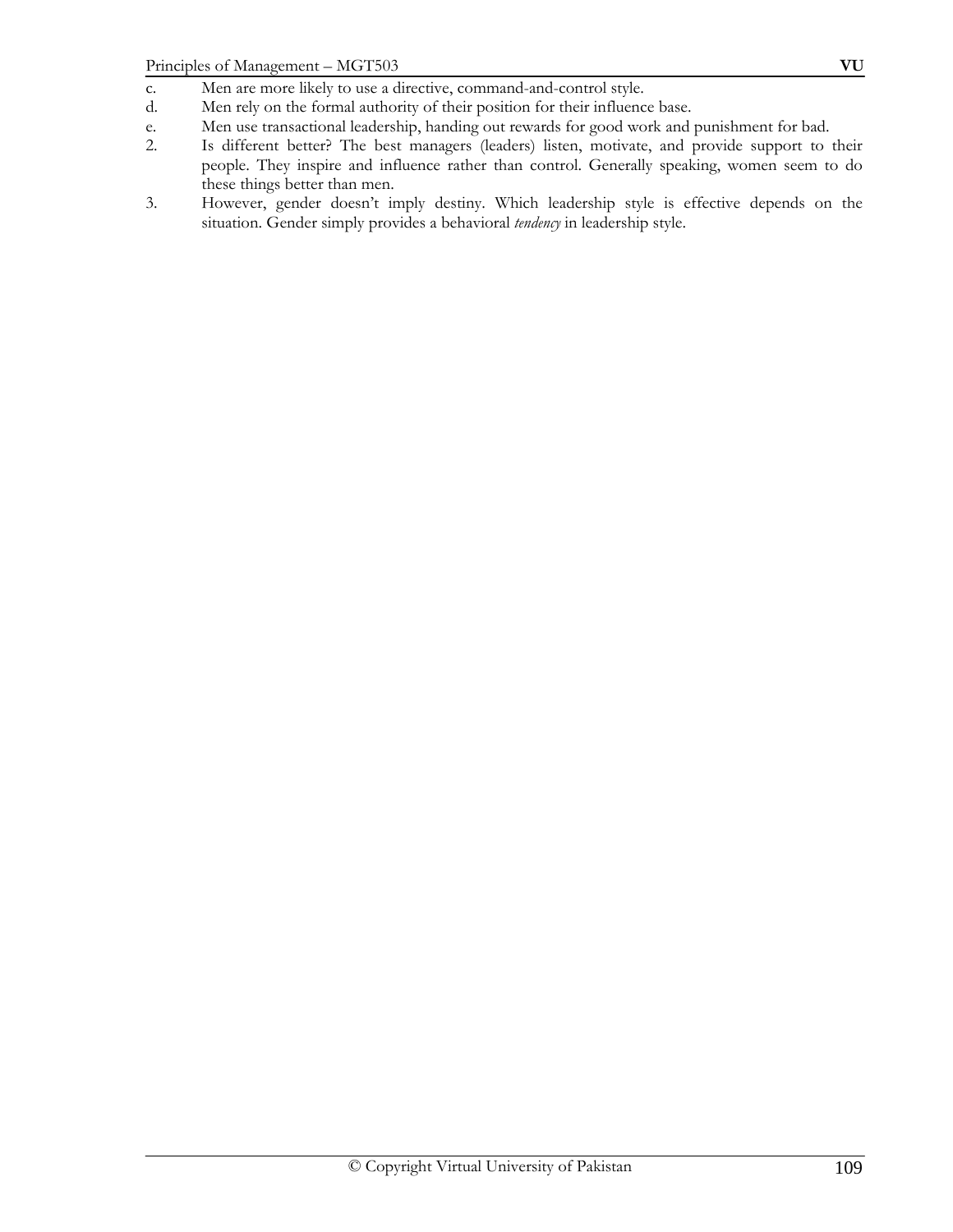- c. Men are more likely to use a directive, command-and-control style.
- d. Men rely on the formal authority of their position for their influence base.
- e. Men use transactional leadership, handing out rewards for good work and punishment for bad.<br>2. Is different better? The best managers (leaders) listen, motivate, and provide support to
- 2. Is different better? The best managers (leaders) listen, motivate, and provide support to their people. They inspire and influence rather than control. Generally speaking, women seem to do these things better than men.
- 3. However, gender doesn't imply destiny. Which leadership style is effective depends on the situation. Gender simply provides a behavioral *tendency* in leadership style.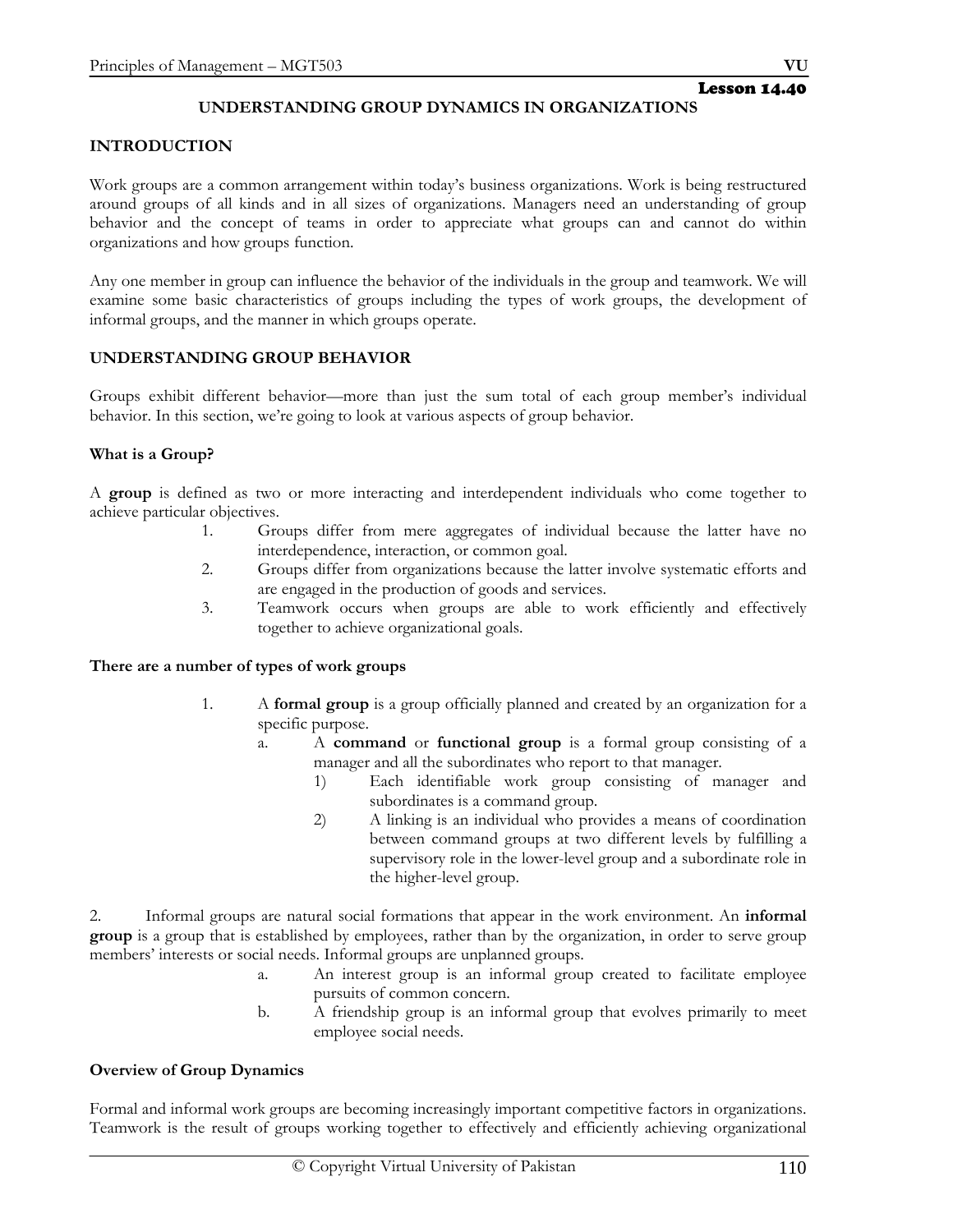# **UNDERSTANDING GROUP DYNAMICS IN ORGANIZATIONS**

### **INTRODUCTION**

Work groups are a common arrangement within today's business organizations. Work is being restructured around groups of all kinds and in all sizes of organizations. Managers need an understanding of group behavior and the concept of teams in order to appreciate what groups can and cannot do within organizations and how groups function.

Any one member in group can influence the behavior of the individuals in the group and teamwork. We will examine some basic characteristics of groups including the types of work groups, the development of informal groups, and the manner in which groups operate.

### **UNDERSTANDING GROUP BEHAVIOR**

Groups exhibit different behavior—more than just the sum total of each group member's individual behavior. In this section, we're going to look at various aspects of group behavior.

### **What is a Group?**

A **group** is defined as two or more interacting and interdependent individuals who come together to achieve particular objectives.

- 1. Groups differ from mere aggregates of individual because the latter have no interdependence, interaction, or common goal.
- 2. Groups differ from organizations because the latter involve systematic efforts and are engaged in the production of goods and services.
- 3. Teamwork occurs when groups are able to work efficiently and effectively together to achieve organizational goals.

#### **There are a number of types of work groups**

- 1. A **formal group** is a group officially planned and created by an organization for a specific purpose.
	- a. A **command** or **functional group** is a formal group consisting of a manager and all the subordinates who report to that manager.
		- 1) Each identifiable work group consisting of manager and subordinates is a command group.
		- 2) A linking is an individual who provides a means of coordination between command groups at two different levels by fulfilling a supervisory role in the lower-level group and a subordinate role in the higher-level group.

2. Informal groups are natural social formations that appear in the work environment. An **informal group** is a group that is established by employees, rather than by the organization, in order to serve group members' interests or social needs. Informal groups are unplanned groups.

- a. An interest group is an informal group created to facilitate employee pursuits of common concern.
- b. A friendship group is an informal group that evolves primarily to meet employee social needs.

# **Overview of Group Dynamics**

Formal and informal work groups are becoming increasingly important competitive factors in organizations. Teamwork is the result of groups working together to effectively and efficiently achieving organizational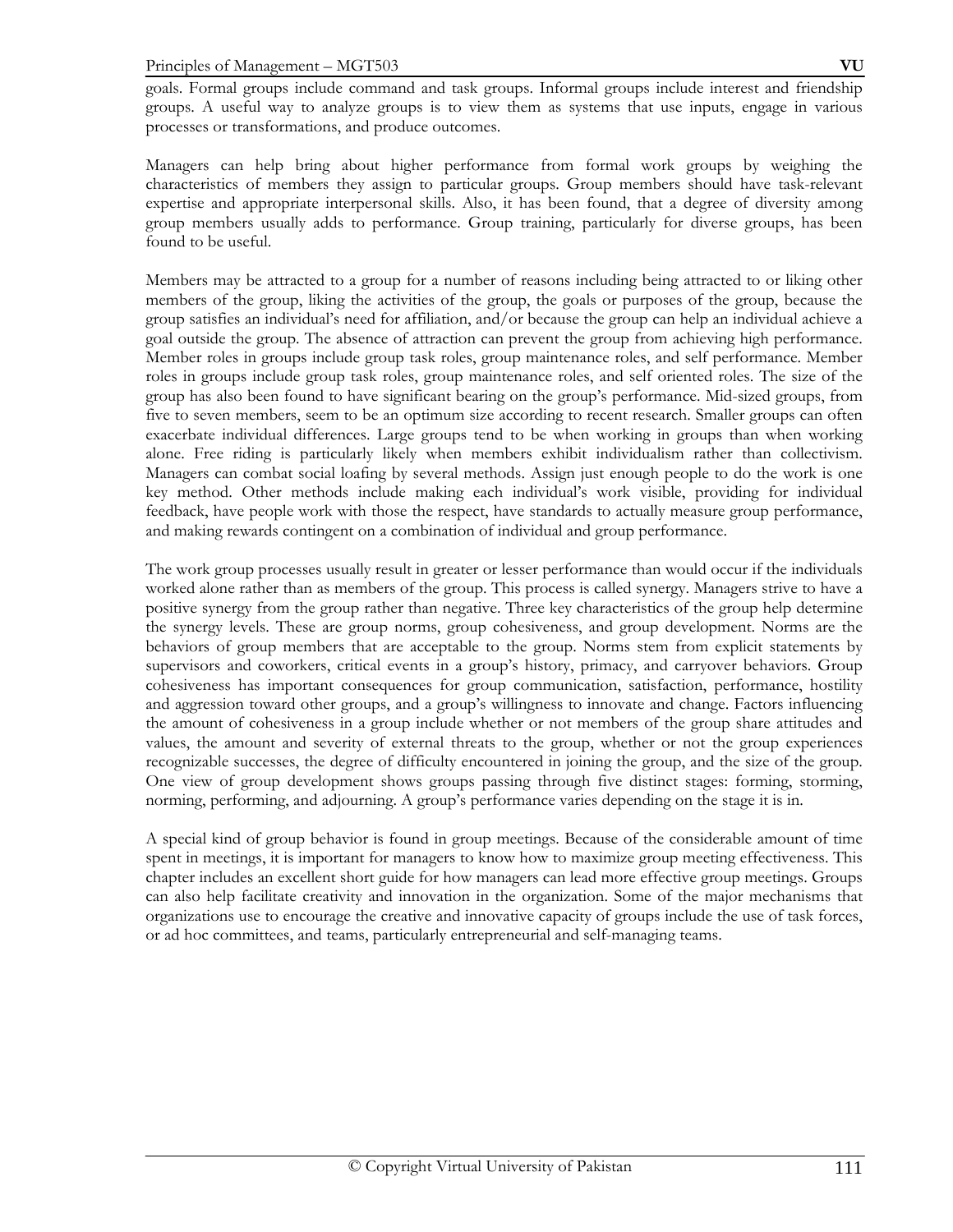goals. Formal groups include command and task groups. Informal groups include interest and friendship groups. A useful way to analyze groups is to view them as systems that use inputs, engage in various processes or transformations, and produce outcomes.

Managers can help bring about higher performance from formal work groups by weighing the characteristics of members they assign to particular groups. Group members should have task-relevant expertise and appropriate interpersonal skills. Also, it has been found, that a degree of diversity among group members usually adds to performance. Group training, particularly for diverse groups, has been found to be useful.

Members may be attracted to a group for a number of reasons including being attracted to or liking other members of the group, liking the activities of the group, the goals or purposes of the group, because the group satisfies an individual's need for affiliation, and/or because the group can help an individual achieve a goal outside the group. The absence of attraction can prevent the group from achieving high performance. Member roles in groups include group task roles, group maintenance roles, and self performance. Member roles in groups include group task roles, group maintenance roles, and self oriented roles. The size of the group has also been found to have significant bearing on the group's performance. Mid-sized groups, from five to seven members, seem to be an optimum size according to recent research. Smaller groups can often exacerbate individual differences. Large groups tend to be when working in groups than when working alone. Free riding is particularly likely when members exhibit individualism rather than collectivism. Managers can combat social loafing by several methods. Assign just enough people to do the work is one key method. Other methods include making each individual's work visible, providing for individual feedback, have people work with those the respect, have standards to actually measure group performance, and making rewards contingent on a combination of individual and group performance.

The work group processes usually result in greater or lesser performance than would occur if the individuals worked alone rather than as members of the group. This process is called synergy. Managers strive to have a positive synergy from the group rather than negative. Three key characteristics of the group help determine the synergy levels. These are group norms, group cohesiveness, and group development. Norms are the behaviors of group members that are acceptable to the group. Norms stem from explicit statements by supervisors and coworkers, critical events in a group's history, primacy, and carryover behaviors. Group cohesiveness has important consequences for group communication, satisfaction, performance, hostility and aggression toward other groups, and a group's willingness to innovate and change. Factors influencing the amount of cohesiveness in a group include whether or not members of the group share attitudes and values, the amount and severity of external threats to the group, whether or not the group experiences recognizable successes, the degree of difficulty encountered in joining the group, and the size of the group. One view of group development shows groups passing through five distinct stages: forming, storming, norming, performing, and adjourning. A group's performance varies depending on the stage it is in.

A special kind of group behavior is found in group meetings. Because of the considerable amount of time spent in meetings, it is important for managers to know how to maximize group meeting effectiveness. This chapter includes an excellent short guide for how managers can lead more effective group meetings. Groups can also help facilitate creativity and innovation in the organization. Some of the major mechanisms that organizations use to encourage the creative and innovative capacity of groups include the use of task forces, or ad hoc committees, and teams, particularly entrepreneurial and self-managing teams.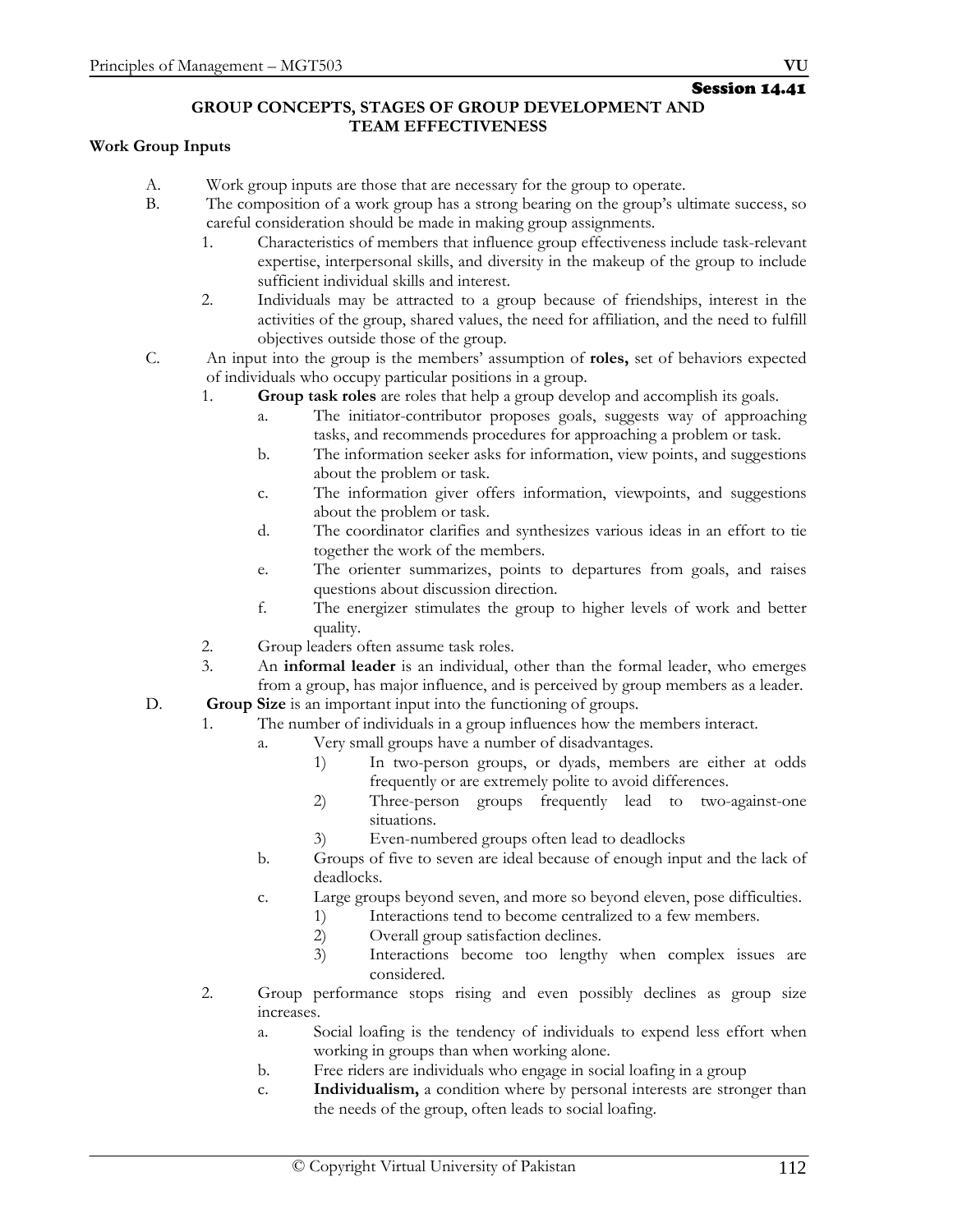### **GROUP CONCEPTS, STAGES OF GROUP DEVELOPMENT AND TEAM EFFECTIVENESS**

# **Work Group Inputs**

- A. Work group inputs are those that are necessary for the group to operate.
- B. The composition of a work group has a strong bearing on the group's ultimate success, so careful consideration should be made in making group assignments.
	- 1. Characteristics of members that influence group effectiveness include task-relevant expertise, interpersonal skills, and diversity in the makeup of the group to include sufficient individual skills and interest.
	- 2. Individuals may be attracted to a group because of friendships, interest in the activities of the group, shared values, the need for affiliation, and the need to fulfill objectives outside those of the group.
- C. An input into the group is the members' assumption of **roles,** set of behaviors expected of individuals who occupy particular positions in a group.
	- 1. **Group task roles** are roles that help a group develop and accomplish its goals.
		- a. The initiator-contributor proposes goals, suggests way of approaching tasks, and recommends procedures for approaching a problem or task.
		- b. The information seeker asks for information, view points, and suggestions about the problem or task.
		- c. The information giver offers information, viewpoints, and suggestions about the problem or task.
		- d. The coordinator clarifies and synthesizes various ideas in an effort to tie together the work of the members.
		- e. The orienter summarizes, points to departures from goals, and raises questions about discussion direction.
		- f. The energizer stimulates the group to higher levels of work and better quality.
	- 2. Group leaders often assume task roles.
	- 3. An **informal leader** is an individual, other than the formal leader, who emerges from a group, has major influence, and is perceived by group members as a leader.
- D. **Group Size** is an important input into the functioning of groups.
	- 1. The number of individuals in a group influences how the members interact.
		- a. Very small groups have a number of disadvantages.
			- 1) In two-person groups, or dyads, members are either at odds frequently or are extremely polite to avoid differences.
			- 2) Three-person groups frequently lead to two-against-one situations.
			- 3) Even-numbered groups often lead to deadlocks
		- b. Groups of five to seven are ideal because of enough input and the lack of deadlocks.
		- c. Large groups beyond seven, and more so beyond eleven, pose difficulties.
			- 1) Interactions tend to become centralized to a few members.
				- 2) Overall group satisfaction declines.
				- 3) Interactions become too lengthy when complex issues are considered.
	- 2. Group performance stops rising and even possibly declines as group size increases.
		- a. Social loafing is the tendency of individuals to expend less effort when working in groups than when working alone.
		- b. Free riders are individuals who engage in social loafing in a group
		- c. **Individualism,** a condition where by personal interests are stronger than the needs of the group, often leads to social loafing.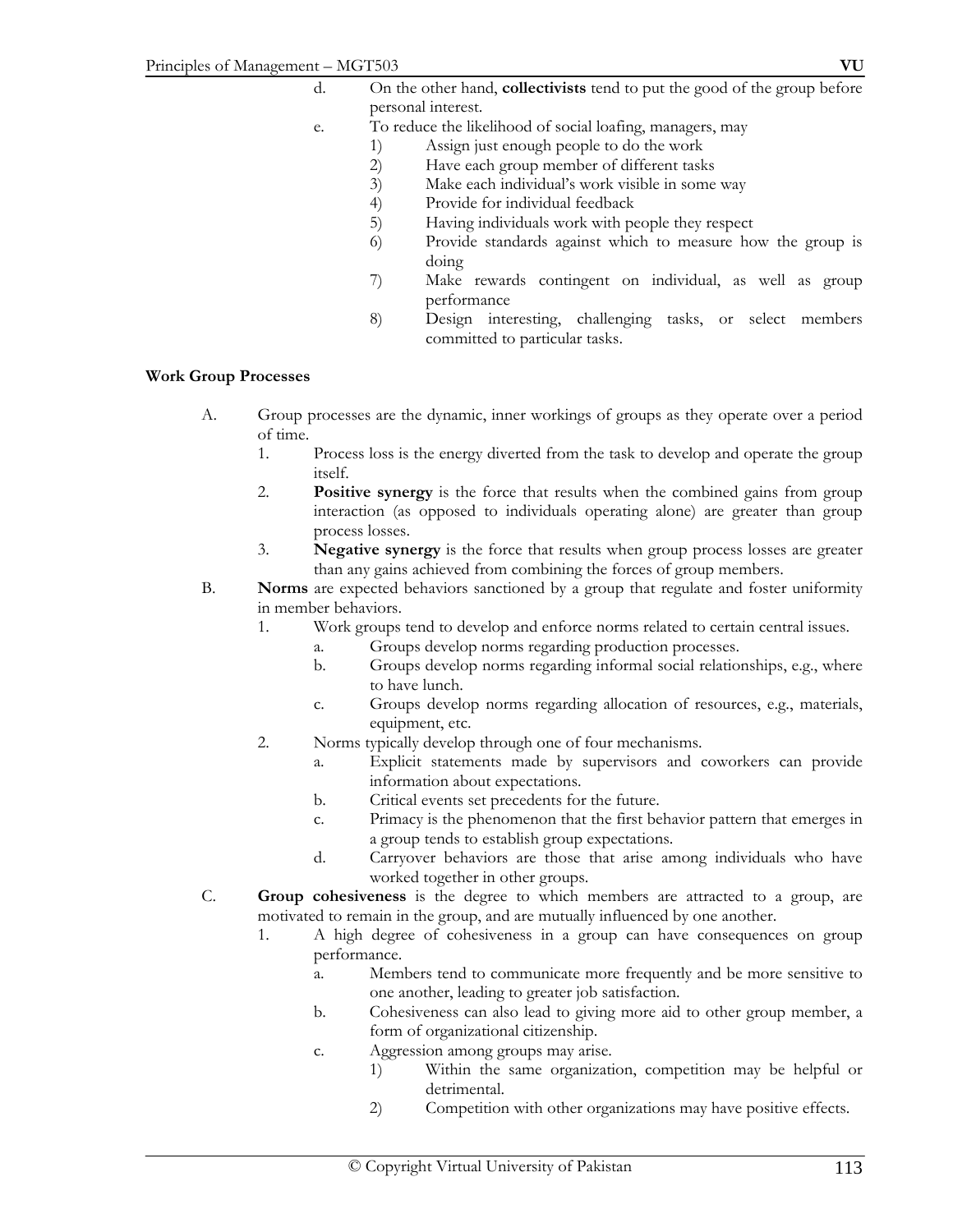- d. On the other hand, **collectivists** tend to put the good of the group before personal interest.
- e. To reduce the likelihood of social loafing, managers, may
	- 1) Assign just enough people to do the work
	- 2) Have each group member of different tasks<br>3) Make each individual's work visible in some
	- Make each individual's work visible in some way
	- 4) Provide for individual feedback
	- 5) Having individuals work with people they respect
	- 6) Provide standards against which to measure how the group is doing
	- 7) Make rewards contingent on individual, as well as group performance
	- 8) Design interesting, challenging tasks, or select members committed to particular tasks.

#### **Work Group Processes**

- A. Group processes are the dynamic, inner workings of groups as they operate over a period of time.
	- 1. Process loss is the energy diverted from the task to develop and operate the group itself.
	- 2. **Positive synergy** is the force that results when the combined gains from group interaction (as opposed to individuals operating alone) are greater than group process losses.
	- 3. **Negative synergy** is the force that results when group process losses are greater than any gains achieved from combining the forces of group members.
- B. **Norms** are expected behaviors sanctioned by a group that regulate and foster uniformity in member behaviors.
	- 1. Work groups tend to develop and enforce norms related to certain central issues.
		- a. Groups develop norms regarding production processes.
		- b. Groups develop norms regarding informal social relationships, e.g., where to have lunch.
		- c. Groups develop norms regarding allocation of resources, e.g., materials, equipment, etc.
	- 2. Norms typically develop through one of four mechanisms.
		- a. Explicit statements made by supervisors and coworkers can provide information about expectations.
		- b. Critical events set precedents for the future.
		- c. Primacy is the phenomenon that the first behavior pattern that emerges in a group tends to establish group expectations.
		- d. Carryover behaviors are those that arise among individuals who have worked together in other groups.
- C. **Group cohesiveness** is the degree to which members are attracted to a group, are motivated to remain in the group, and are mutually influenced by one another.
	- 1. A high degree of cohesiveness in a group can have consequences on group performance.
		- a. Members tend to communicate more frequently and be more sensitive to one another, leading to greater job satisfaction.
		- b. Cohesiveness can also lead to giving more aid to other group member, a form of organizational citizenship.
		- c. Aggression among groups may arise.
			- 1) Within the same organization, competition may be helpful or detrimental.
			- 2) Competition with other organizations may have positive effects.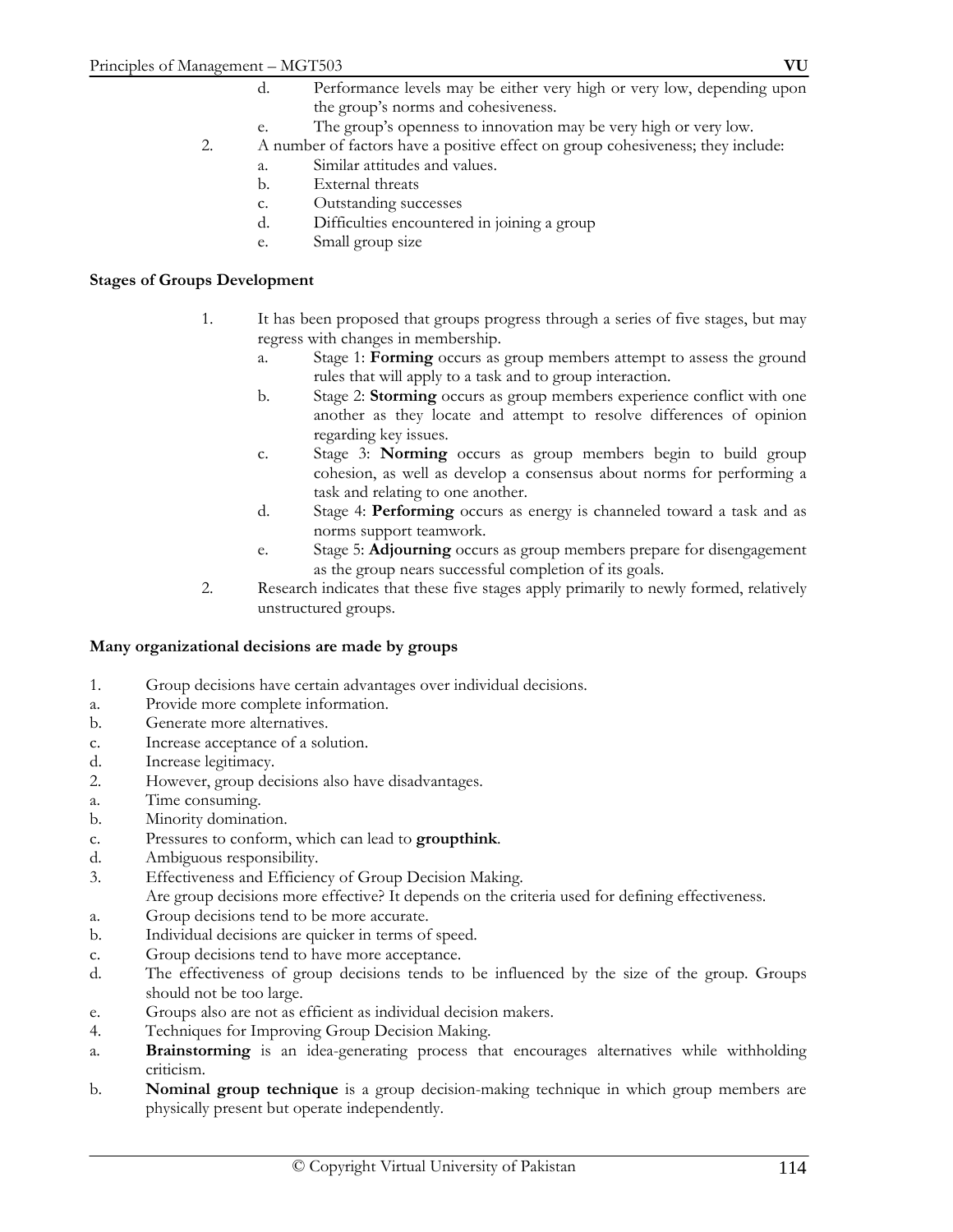- e. The group's openness to innovation may be very high or very low.
- 2. A number of factors have a positive effect on group cohesiveness; they include:
	- a. Similar attitudes and values.
	- b. External threats
	- c. Outstanding successes
	- d. Difficulties encountered in joining a group
	- e. Small group size

### **Stages of Groups Development**

- 1. It has been proposed that groups progress through a series of five stages, but may regress with changes in membership.
	- a. Stage 1: **Forming** occurs as group members attempt to assess the ground rules that will apply to a task and to group interaction.
	- b. Stage 2: **Storming** occurs as group members experience conflict with one another as they locate and attempt to resolve differences of opinion regarding key issues.
	- c. Stage 3: **Norming** occurs as group members begin to build group cohesion, as well as develop a consensus about norms for performing a task and relating to one another.
	- d. Stage 4: **Performing** occurs as energy is channeled toward a task and as norms support teamwork.
	- e. Stage 5: **Adjourning** occurs as group members prepare for disengagement as the group nears successful completion of its goals.
- 2. Research indicates that these five stages apply primarily to newly formed, relatively unstructured groups.

#### **Many organizational decisions are made by groups**

- 1. Group decisions have certain advantages over individual decisions.
- a. Provide more complete information.
- b. Generate more alternatives.
- c. Increase acceptance of a solution.
- d. Increase legitimacy.
- 2. However, group decisions also have disadvantages.
- a. Time consuming.
- b. Minority domination.
- c. Pressures to conform, which can lead to **groupthink**.
- d. Ambiguous responsibility.
- 3. Effectiveness and Efficiency of Group Decision Making.
- Are group decisions more effective? It depends on the criteria used for defining effectiveness.
- a. Group decisions tend to be more accurate.
- b. Individual decisions are quicker in terms of speed.
- c. Group decisions tend to have more acceptance.
- d. The effectiveness of group decisions tends to be influenced by the size of the group. Groups should not be too large.
- e. Groups also are not as efficient as individual decision makers.
- 4. Techniques for Improving Group Decision Making.
- a. **Brainstorming** is an idea-generating process that encourages alternatives while withholding criticism.
- b. **Nominal group technique** is a group decision-making technique in which group members are physically present but operate independently.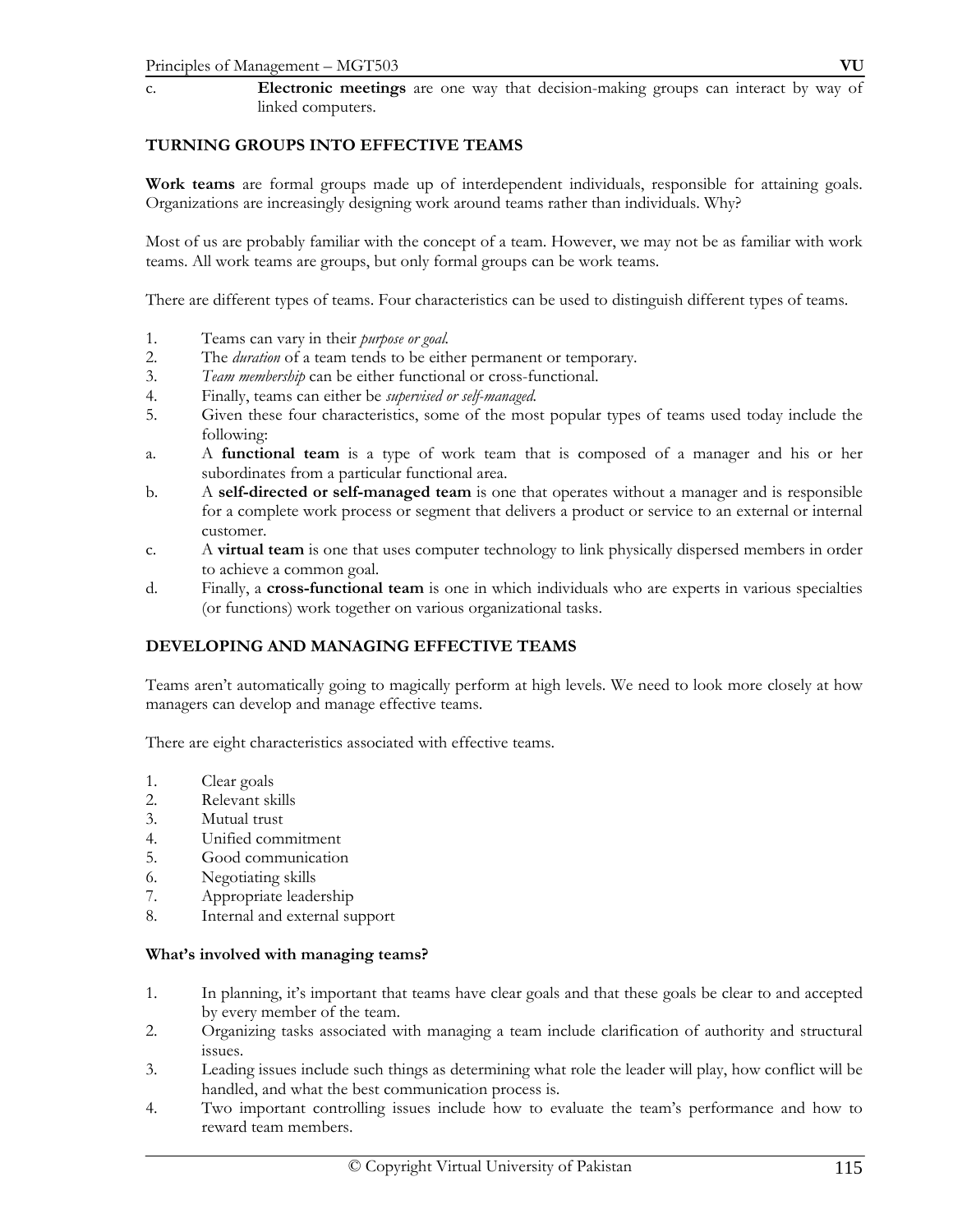c. **Electronic meetings** are one way that decision-making groups can interact by way of linked computers.

# **TURNING GROUPS INTO EFFECTIVE TEAMS**

**Work teams** are formal groups made up of interdependent individuals, responsible for attaining goals. Organizations are increasingly designing work around teams rather than individuals. Why?

Most of us are probably familiar with the concept of a team. However, we may not be as familiar with work teams. All work teams are groups, but only formal groups can be work teams.

There are different types of teams. Four characteristics can be used to distinguish different types of teams.

- 1. Teams can vary in their *purpose or goal.*
- 2. The *duration* of a team tends to be either permanent or temporary.
- 3. *Team membership* can be either functional or cross-functional.
- 4. Finally, teams can either be *supervised or self-managed.*
- 5. Given these four characteristics, some of the most popular types of teams used today include the following:
- a. A **functional team** is a type of work team that is composed of a manager and his or her subordinates from a particular functional area.
- b. A **self-directed or self-managed team** is one that operates without a manager and is responsible for a complete work process or segment that delivers a product or service to an external or internal customer.
- c. A **virtual team** is one that uses computer technology to link physically dispersed members in order to achieve a common goal.
- d. Finally, a **cross-functional team** is one in which individuals who are experts in various specialties (or functions) work together on various organizational tasks.

# **DEVELOPING AND MANAGING EFFECTIVE TEAMS**

Teams aren't automatically going to magically perform at high levels. We need to look more closely at how managers can develop and manage effective teams.

There are eight characteristics associated with effective teams.

- 1. Clear goals
- 2. Relevant skills
- 3. Mutual trust
- 4. Unified commitment
- 5. Good communication
- 6. Negotiating skills
- 7. Appropriate leadership
- 8. Internal and external support

#### **What's involved with managing teams?**

- 1. In planning, it's important that teams have clear goals and that these goals be clear to and accepted by every member of the team.
- 2. Organizing tasks associated with managing a team include clarification of authority and structural issues.
- 3. Leading issues include such things as determining what role the leader will play, how conflict will be handled, and what the best communication process is.
- 4. Two important controlling issues include how to evaluate the team's performance and how to reward team members.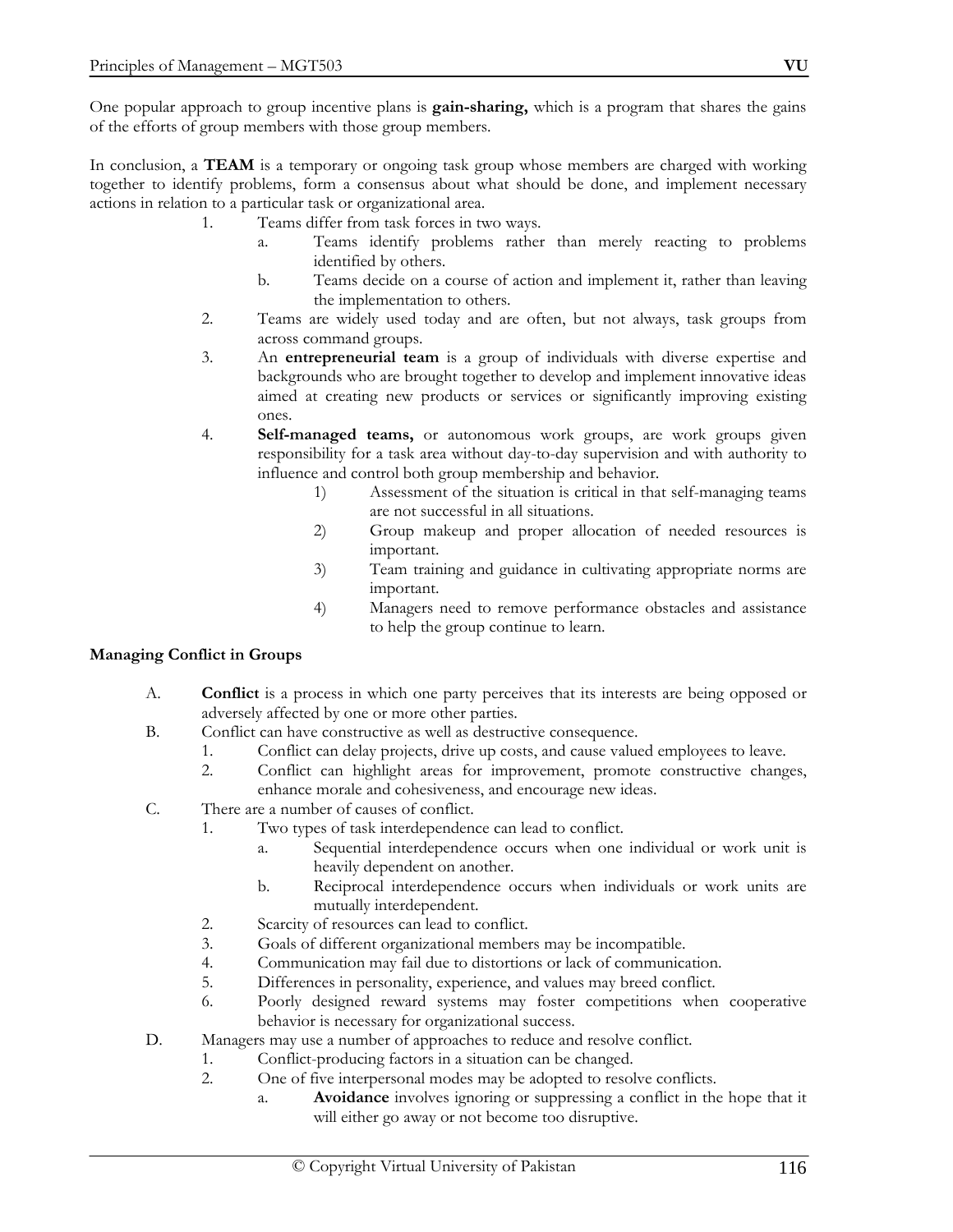One popular approach to group incentive plans is **gain-sharing,** which is a program that shares the gains of the efforts of group members with those group members.

In conclusion, a **TEAM** is a temporary or ongoing task group whose members are charged with working together to identify problems, form a consensus about what should be done, and implement necessary actions in relation to a particular task or organizational area.

- 1. Teams differ from task forces in two ways.
	- a. Teams identify problems rather than merely reacting to problems identified by others.
	- b. Teams decide on a course of action and implement it, rather than leaving the implementation to others.
- 2. Teams are widely used today and are often, but not always, task groups from across command groups.
- 3. An **entrepreneurial team** is a group of individuals with diverse expertise and backgrounds who are brought together to develop and implement innovative ideas aimed at creating new products or services or significantly improving existing ones.
- 4. **Self-managed teams,** or autonomous work groups, are work groups given responsibility for a task area without day-to-day supervision and with authority to influence and control both group membership and behavior.
	- 1) Assessment of the situation is critical in that self-managing teams are not successful in all situations.
	- 2) Group makeup and proper allocation of needed resources is important.
	- 3) Team training and guidance in cultivating appropriate norms are important.
	- 4) Managers need to remove performance obstacles and assistance to help the group continue to learn.

# **Managing Conflict in Groups**

- A. **Conflict** is a process in which one party perceives that its interests are being opposed or adversely affected by one or more other parties.
- B. Conflict can have constructive as well as destructive consequence.
	- 1. Conflict can delay projects, drive up costs, and cause valued employees to leave.
	- 2. Conflict can highlight areas for improvement, promote constructive changes, enhance morale and cohesiveness, and encourage new ideas.
- C. There are a number of causes of conflict.
	- 1. Two types of task interdependence can lead to conflict.
		- a. Sequential interdependence occurs when one individual or work unit is heavily dependent on another.
		- b. Reciprocal interdependence occurs when individuals or work units are mutually interdependent.
	- 2. Scarcity of resources can lead to conflict.
	- 3. Goals of different organizational members may be incompatible.
	- 4. Communication may fail due to distortions or lack of communication.
	- 5. Differences in personality, experience, and values may breed conflict.
	- 6. Poorly designed reward systems may foster competitions when cooperative behavior is necessary for organizational success.
- D. Managers may use a number of approaches to reduce and resolve conflict.
	- 1. Conflict-producing factors in a situation can be changed.
	- 2. One of five interpersonal modes may be adopted to resolve conflicts.
		- a. **Avoidance** involves ignoring or suppressing a conflict in the hope that it will either go away or not become too disruptive.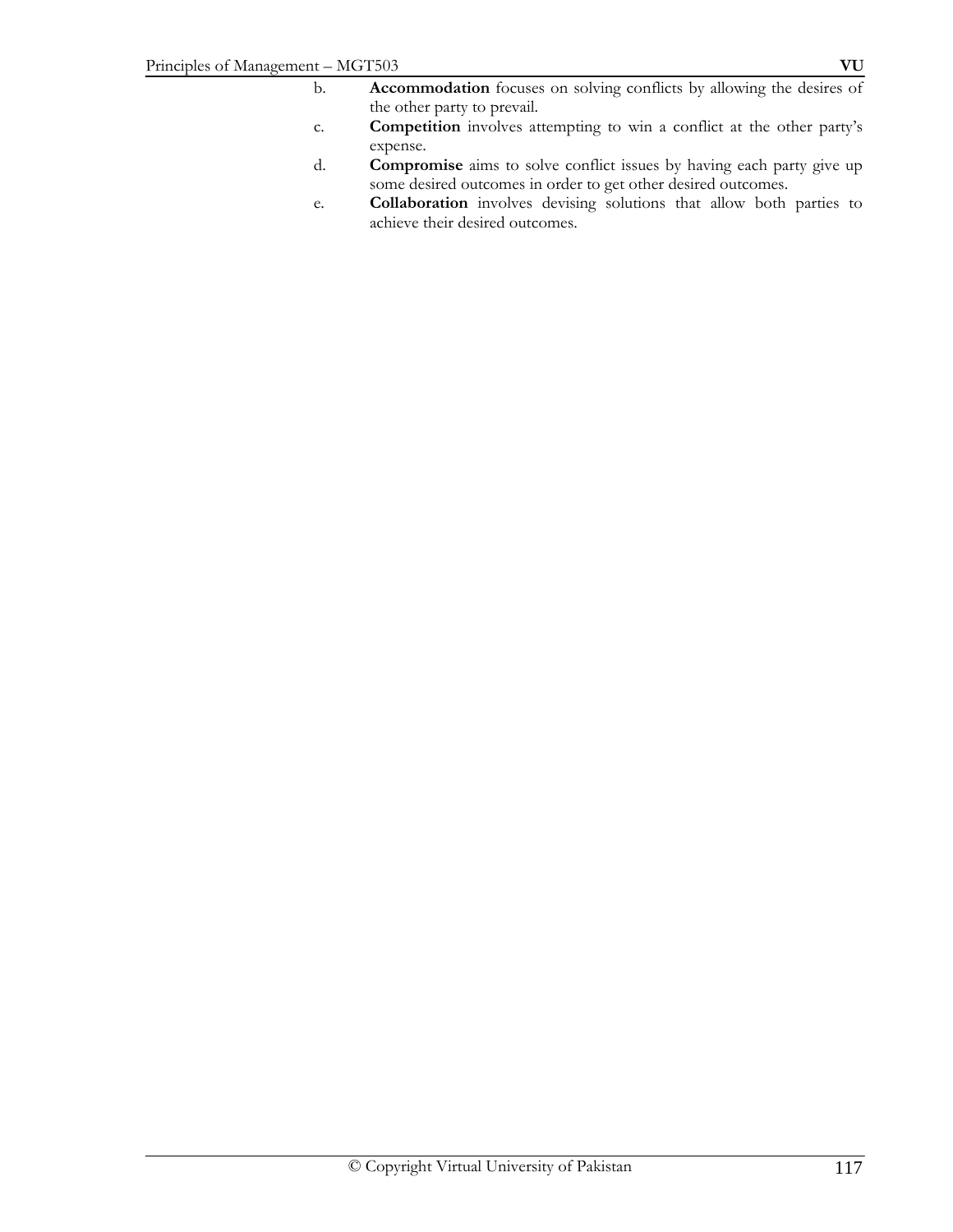- b. **Accommodation** focuses on solving conflicts by allowing the desires of the other party to prevail.
- c. **Competition** involves attempting to win a conflict at the other party's expense.
- d. **Compromise** aims to solve conflict issues by having each party give up some desired outcomes in order to get other desired outcomes.
- e. **Collaboration** involves devising solutions that allow both parties to achieve their desired outcomes.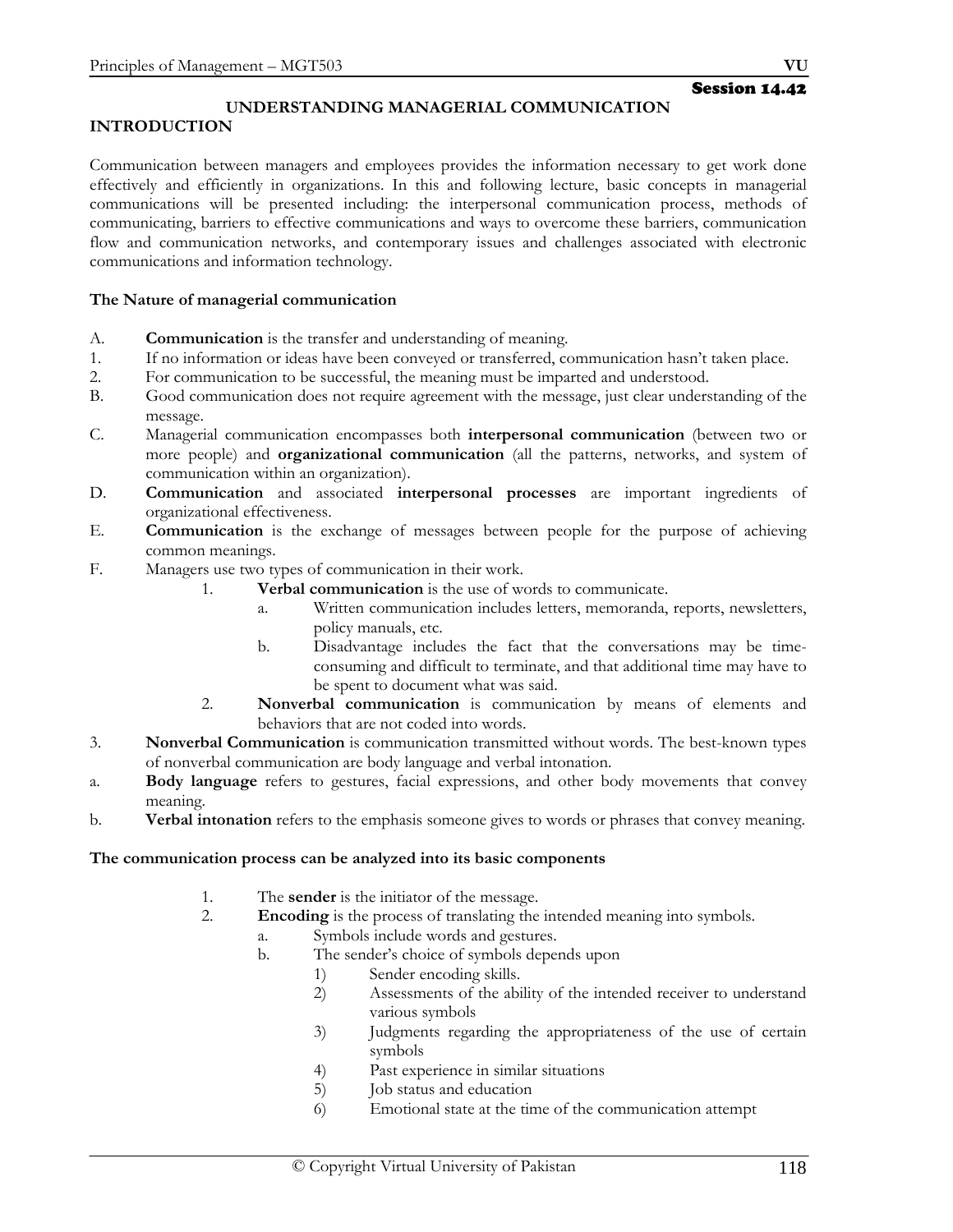# **UNDERSTANDING MANAGERIAL COMMUNICATION**

# **INTRODUCTION**

Communication between managers and employees provides the information necessary to get work done effectively and efficiently in organizations. In this and following lecture, basic concepts in managerial communications will be presented including: the interpersonal communication process, methods of communicating, barriers to effective communications and ways to overcome these barriers, communication flow and communication networks, and contemporary issues and challenges associated with electronic communications and information technology.

### **The Nature of managerial communication**

- A. **Communication** is the transfer and understanding of meaning.
- 1. If no information or ideas have been conveyed or transferred, communication hasn't taken place.
- 2. For communication to be successful, the meaning must be imparted and understood.
- B. Good communication does not require agreement with the message, just clear understanding of the message.
- C. Managerial communication encompasses both **interpersonal communication** (between two or more people) and **organizational communication** (all the patterns, networks, and system of communication within an organization).
- D. **Communication** and associated **interpersonal processes** are important ingredients of organizational effectiveness.
- E. **Communication** is the exchange of messages between people for the purpose of achieving common meanings.
- F. Managers use two types of communication in their work.
	- 1. **Verbal communication** is the use of words to communicate.
		- a. Written communication includes letters, memoranda, reports, newsletters, policy manuals, etc.
		- b. Disadvantage includes the fact that the conversations may be timeconsuming and difficult to terminate, and that additional time may have to be spent to document what was said.
	- 2. **Nonverbal communication** is communication by means of elements and behaviors that are not coded into words.
- 3. **Nonverbal Communication** is communication transmitted without words. The best-known types of nonverbal communication are body language and verbal intonation.
- a. **Body language** refers to gestures, facial expressions, and other body movements that convey meaning.
- b. **Verbal intonation** refers to the emphasis someone gives to words or phrases that convey meaning.

#### **The communication process can be analyzed into its basic components**

- 1. The **sender** is the initiator of the message.
- 2. **Encoding** is the process of translating the intended meaning into symbols.
	- a. Symbols include words and gestures.
	- b. The sender's choice of symbols depends upon
		- 1) Sender encoding skills.
		- 2) Assessments of the ability of the intended receiver to understand various symbols
		- 3) Judgments regarding the appropriateness of the use of certain symbols
		- 4) Past experience in similar situations
		- 5) Job status and education
		- 6) Emotional state at the time of the communication attempt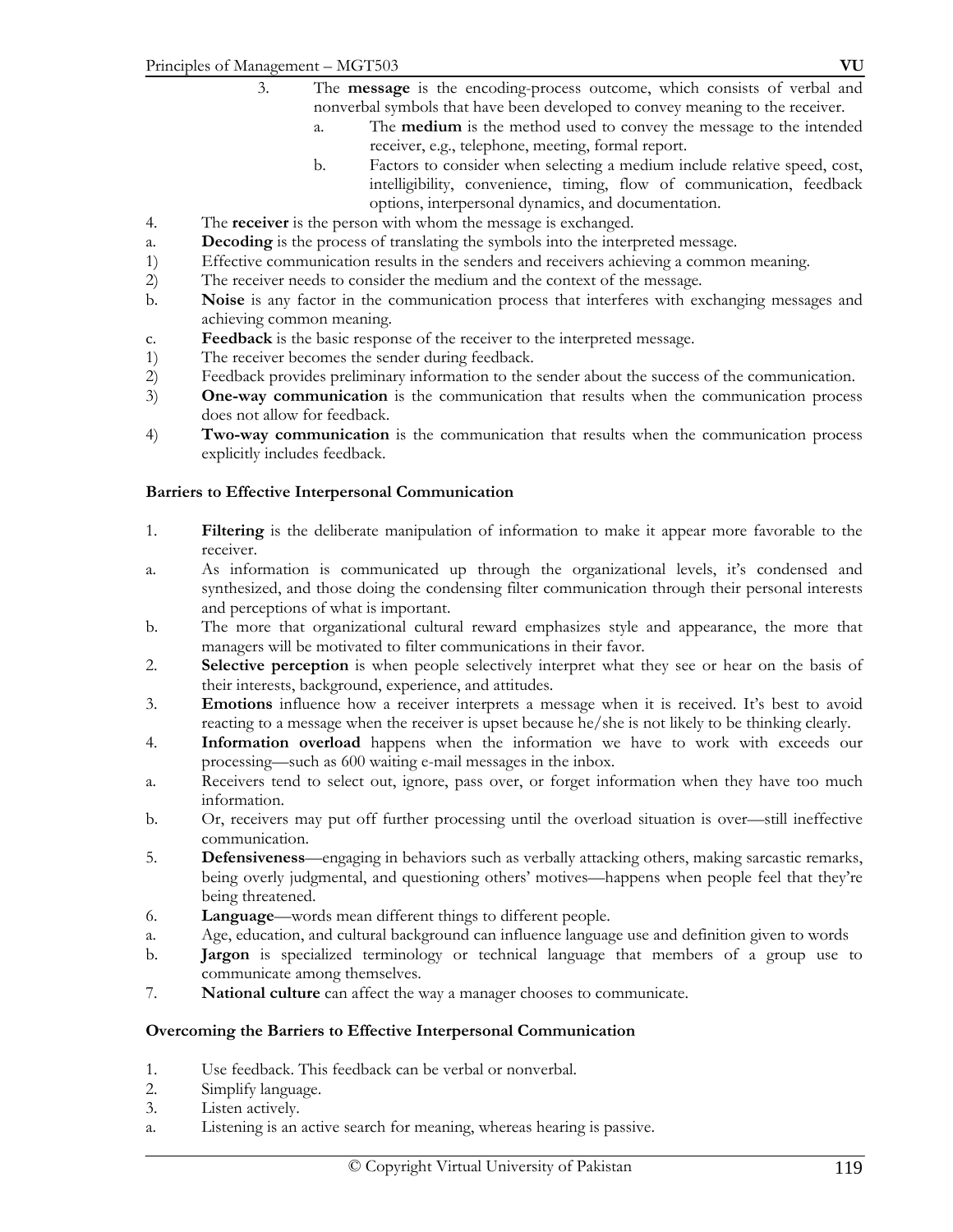- 3. The **message** is the encoding-process outcome, which consists of verbal and nonverbal symbols that have been developed to convey meaning to the receiver.
	- a. The **medium** is the method used to convey the message to the intended receiver, e.g., telephone, meeting, formal report.
	- b. Factors to consider when selecting a medium include relative speed, cost, intelligibility, convenience, timing, flow of communication, feedback options, interpersonal dynamics, and documentation.
- 4. The **receiver** is the person with whom the message is exchanged.
- a. **Decoding** is the process of translating the symbols into the interpreted message.
- 1) Effective communication results in the senders and receivers achieving a common meaning.
- 2) The receiver needs to consider the medium and the context of the message.
- b. **Noise** is any factor in the communication process that interferes with exchanging messages and achieving common meaning.
- c. **Feedback** is the basic response of the receiver to the interpreted message.
- 1) The receiver becomes the sender during feedback.<br>
2) Feedback provides preliminary information to the
- Feedback provides preliminary information to the sender about the success of the communication.
- 3) **One-way communication** is the communication that results when the communication process does not allow for feedback.
- 4) **Two-way communication** is the communication that results when the communication process explicitly includes feedback.

### **Barriers to Effective Interpersonal Communication**

- 1. **Filtering** is the deliberate manipulation of information to make it appear more favorable to the receiver.
- a. As information is communicated up through the organizational levels, it's condensed and synthesized, and those doing the condensing filter communication through their personal interests and perceptions of what is important.
- b. The more that organizational cultural reward emphasizes style and appearance, the more that managers will be motivated to filter communications in their favor.
- 2. **Selective perception** is when people selectively interpret what they see or hear on the basis of their interests, background, experience, and attitudes.
- 3. **Emotions** influence how a receiver interprets a message when it is received. It's best to avoid reacting to a message when the receiver is upset because he/she is not likely to be thinking clearly.
- 4. **Information overload** happens when the information we have to work with exceeds our processing—such as 600 waiting e-mail messages in the inbox.
- a. Receivers tend to select out, ignore, pass over, or forget information when they have too much information.
- b. Or, receivers may put off further processing until the overload situation is over—still ineffective communication.
- 5. **Defensiveness**—engaging in behaviors such as verbally attacking others, making sarcastic remarks, being overly judgmental, and questioning others' motives—happens when people feel that they're being threatened.
- 6. **Language**—words mean different things to different people.
- a. Age, education, and cultural background can influence language use and definition given to words
- b. **Jargon** is specialized terminology or technical language that members of a group use to communicate among themselves.
- 7. **National culture** can affect the way a manager chooses to communicate.

#### **Overcoming the Barriers to Effective Interpersonal Communication**

- 1. Use feedback. This feedback can be verbal or nonverbal.
- 2. Simplify language.
- 3. Listen actively.
- a. Listening is an active search for meaning, whereas hearing is passive.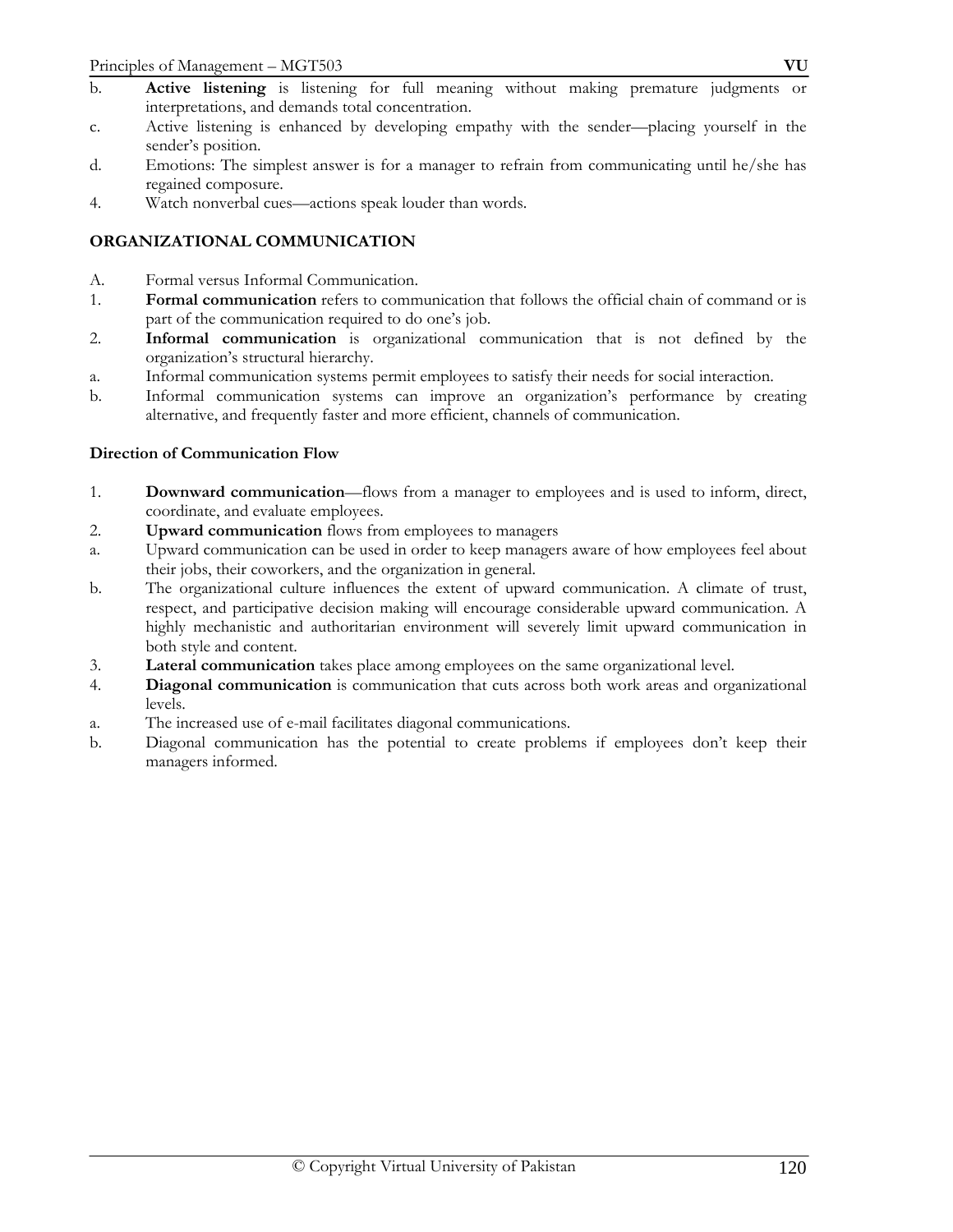- b. **Active listening** is listening for full meaning without making premature judgments or interpretations, and demands total concentration.
- c. Active listening is enhanced by developing empathy with the sender—placing yourself in the sender's position.
- d. Emotions: The simplest answer is for a manager to refrain from communicating until he/she has regained composure.
- 4. Watch nonverbal cues—actions speak louder than words.

# **ORGANIZATIONAL COMMUNICATION**

- A. Formal versus Informal Communication.
- 1. **Formal communication** refers to communication that follows the official chain of command or is part of the communication required to do one's job.
- 2. **Informal communication** is organizational communication that is not defined by the organization's structural hierarchy.
- a. Informal communication systems permit employees to satisfy their needs for social interaction.
- b. Informal communication systems can improve an organization's performance by creating alternative, and frequently faster and more efficient, channels of communication.

# **Direction of Communication Flow**

- 1. **Downward communication**—flows from a manager to employees and is used to inform, direct, coordinate, and evaluate employees.
- 2. **Upward communication** flows from employees to managers
- a. Upward communication can be used in order to keep managers aware of how employees feel about their jobs, their coworkers, and the organization in general.
- b. The organizational culture influences the extent of upward communication. A climate of trust, respect, and participative decision making will encourage considerable upward communication. A highly mechanistic and authoritarian environment will severely limit upward communication in both style and content.
- 3. **Lateral communication** takes place among employees on the same organizational level.
- 4. **Diagonal communication** is communication that cuts across both work areas and organizational levels.
- a. The increased use of e-mail facilitates diagonal communications.
- b. Diagonal communication has the potential to create problems if employees don't keep their managers informed.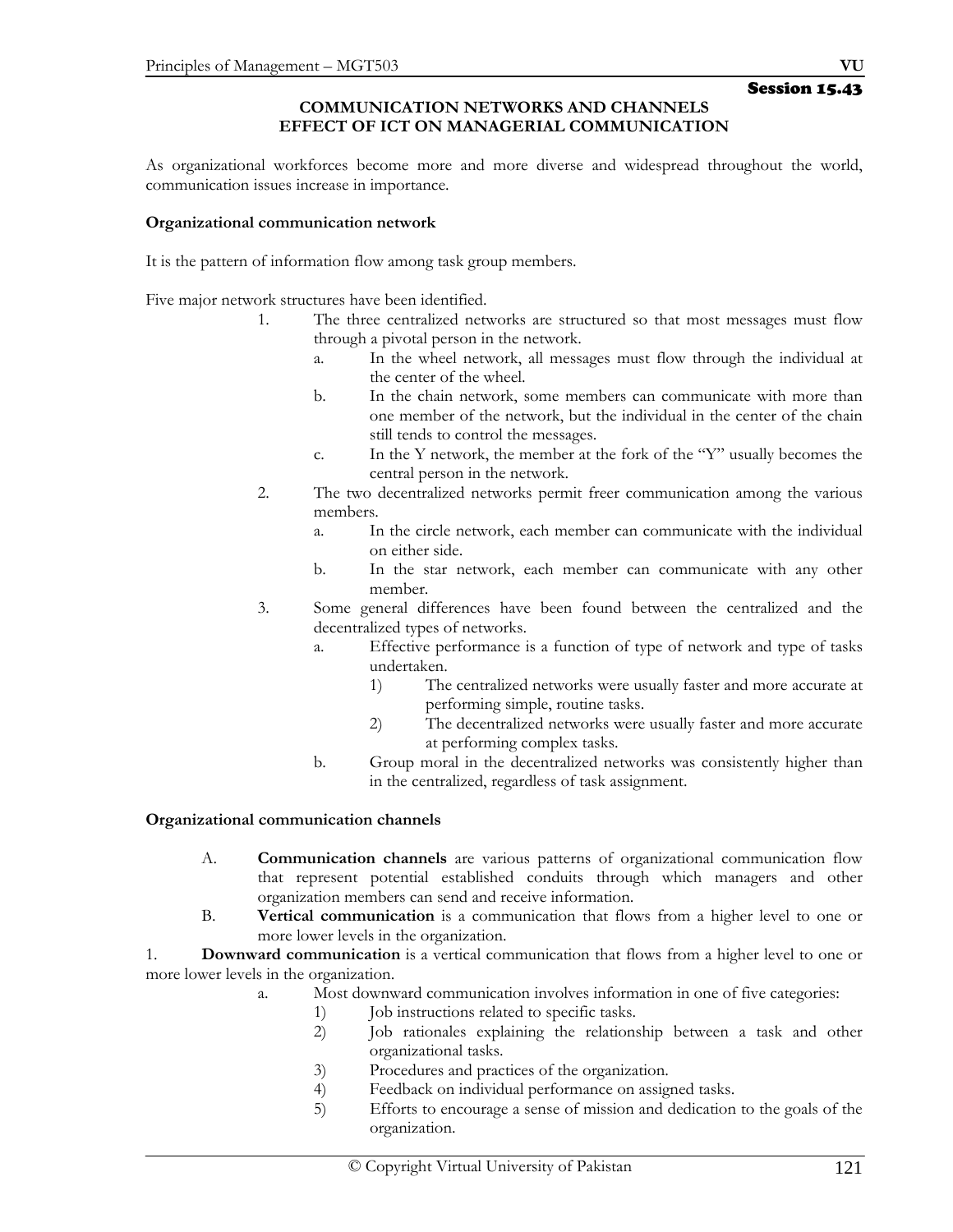### **COMMUNICATION NETWORKS AND CHANNELS EFFECT OF ICT ON MANAGERIAL COMMUNICATION**

As organizational workforces become more and more diverse and widespread throughout the world, communication issues increase in importance.

### **Organizational communication network**

It is the pattern of information flow among task group members.

Five major network structures have been identified.

- 1. The three centralized networks are structured so that most messages must flow through a pivotal person in the network.
	- a. In the wheel network, all messages must flow through the individual at the center of the wheel.
	- b. In the chain network, some members can communicate with more than one member of the network, but the individual in the center of the chain still tends to control the messages.
	- c. In the Y network, the member at the fork of the "Y" usually becomes the central person in the network.
- 2. The two decentralized networks permit freer communication among the various members.
	- a. In the circle network, each member can communicate with the individual on either side.
	- b. In the star network, each member can communicate with any other member.
- 3. Some general differences have been found between the centralized and the decentralized types of networks.
	- a. Effective performance is a function of type of network and type of tasks undertaken.
		- 1) The centralized networks were usually faster and more accurate at performing simple, routine tasks.
		- 2) The decentralized networks were usually faster and more accurate at performing complex tasks.
	- b. Group moral in the decentralized networks was consistently higher than in the centralized, regardless of task assignment.

# **Organizational communication channels**

- A. **Communication channels** are various patterns of organizational communication flow that represent potential established conduits through which managers and other organization members can send and receive information.
- B. **Vertical communication** is a communication that flows from a higher level to one or more lower levels in the organization.

1. **Downward communication** is a vertical communication that flows from a higher level to one or more lower levels in the organization.

- a. Most downward communication involves information in one of five categories:
	- 1) Job instructions related to specific tasks.
	- 2) Job rationales explaining the relationship between a task and other organizational tasks.
	- 3) Procedures and practices of the organization.
	- 4) Feedback on individual performance on assigned tasks.
	- 5) Efforts to encourage a sense of mission and dedication to the goals of the organization.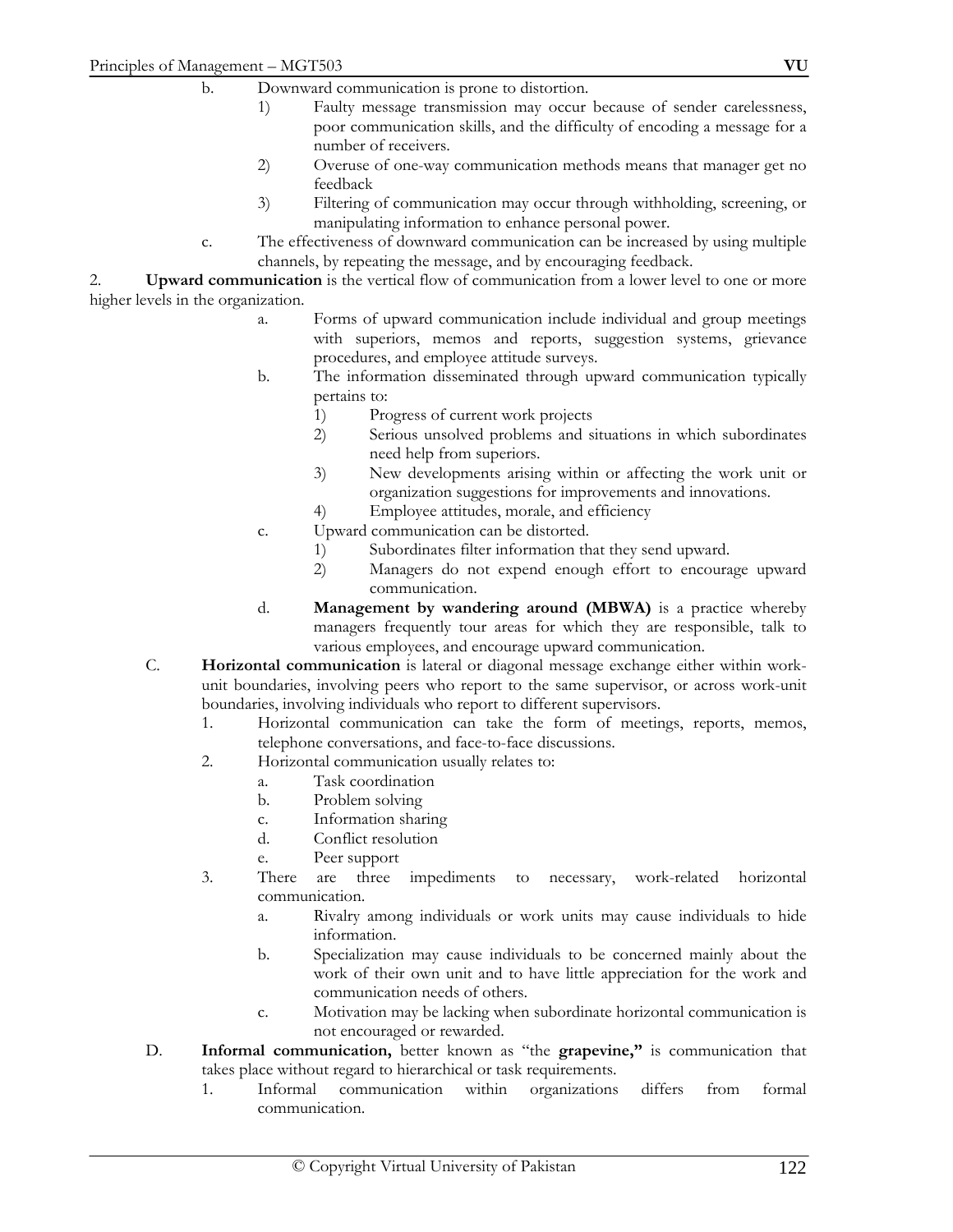- 1) Faulty message transmission may occur because of sender carelessness, poor communication skills, and the difficulty of encoding a message for a number of receivers.
- 2) Overuse of one-way communication methods means that manager get no feedback
- 3) Filtering of communication may occur through withholding, screening, or manipulating information to enhance personal power.
- c. The effectiveness of downward communication can be increased by using multiple channels, by repeating the message, and by encouraging feedback.

2. **Upward communication** is the vertical flow of communication from a lower level to one or more higher levels in the organization.

- a. Forms of upward communication include individual and group meetings with superiors, memos and reports, suggestion systems, grievance procedures, and employee attitude surveys.
- b. The information disseminated through upward communication typically pertains to:
	- 1) Progress of current work projects
	- 2) Serious unsolved problems and situations in which subordinates need help from superiors.
	- 3) New developments arising within or affecting the work unit or organization suggestions for improvements and innovations.
	- 4) Employee attitudes, morale, and efficiency
- c. Upward communication can be distorted.
	- 1) Subordinates filter information that they send upward.<br>2) Managers do not expend enough effort to encoura
	- 2) Managers do not expend enough effort to encourage upward communication.
- d. **Management by wandering around (MBWA)** is a practice whereby managers frequently tour areas for which they are responsible, talk to various employees, and encourage upward communication.
- C. **Horizontal communication** is lateral or diagonal message exchange either within workunit boundaries, involving peers who report to the same supervisor, or across work-unit boundaries, involving individuals who report to different supervisors.
	- 1. Horizontal communication can take the form of meetings, reports, memos, telephone conversations, and face-to-face discussions.
	- 2. Horizontal communication usually relates to:
		- a. Task coordination
		- b. Problem solving
		- c. Information sharing
		- d. Conflict resolution
		- e. Peer support
	- 3. There are three impediments to necessary, work-related horizontal communication.
		- a. Rivalry among individuals or work units may cause individuals to hide information.
		- b. Specialization may cause individuals to be concerned mainly about the work of their own unit and to have little appreciation for the work and communication needs of others.
		- c. Motivation may be lacking when subordinate horizontal communication is not encouraged or rewarded.
- D. **Informal communication,** better known as "the **grapevine,"** is communication that takes place without regard to hierarchical or task requirements.
	- 1. Informal communication within organizations differs from formal communication.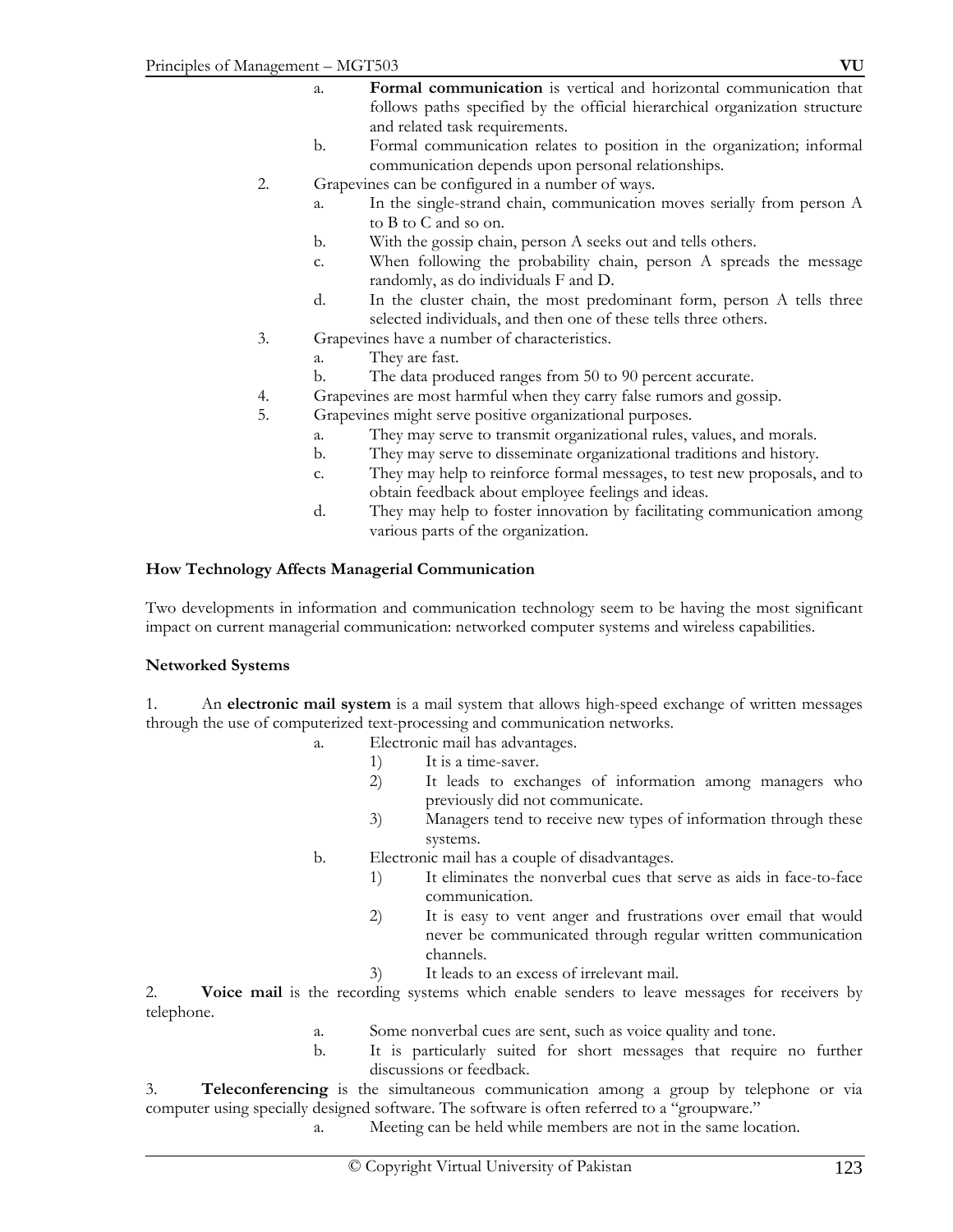- a. **Formal communication** is vertical and horizontal communication that follows paths specified by the official hierarchical organization structure and related task requirements.
- b. Formal communication relates to position in the organization; informal communication depends upon personal relationships.
- 2. Grapevines can be configured in a number of ways.
	- a. In the single-strand chain, communication moves serially from person A to B to C and so on.
	- b. With the gossip chain, person A seeks out and tells others.
	- c. When following the probability chain, person A spreads the message randomly, as do individuals F and D.
	- d. In the cluster chain, the most predominant form, person A tells three selected individuals, and then one of these tells three others.
- 3. Grapevines have a number of characteristics.
	- a. They are fast.
	- b. The data produced ranges from 50 to 90 percent accurate.
- 4. Grapevines are most harmful when they carry false rumors and gossip.
- 5. Grapevines might serve positive organizational purposes.
	- a. They may serve to transmit organizational rules, values, and morals.
	- b. They may serve to disseminate organizational traditions and history.
	- c. They may help to reinforce formal messages, to test new proposals, and to obtain feedback about employee feelings and ideas.
	- d. They may help to foster innovation by facilitating communication among various parts of the organization.

### **How Technology Affects Managerial Communication**

Two developments in information and communication technology seem to be having the most significant impact on current managerial communication: networked computer systems and wireless capabilities.

#### **Networked Systems**

1. An **electronic mail system** is a mail system that allows high-speed exchange of written messages through the use of computerized text-processing and communication networks.

- a. Electronic mail has advantages.
	- 1) It is a time-saver.
	- 2) It leads to exchanges of information among managers who previously did not communicate.
	- 3) Managers tend to receive new types of information through these systems.
- b. Electronic mail has a couple of disadvantages.
	- 1) It eliminates the nonverbal cues that serve as aids in face-to-face communication.
	- 2) It is easy to vent anger and frustrations over email that would never be communicated through regular written communication channels.
	- 3) It leads to an excess of irrelevant mail.

2. **Voice mail** is the recording systems which enable senders to leave messages for receivers by telephone.

- a. Some nonverbal cues are sent, such as voice quality and tone.
- b. It is particularly suited for short messages that require no further discussions or feedback.

3. **Teleconferencing** is the simultaneous communication among a group by telephone or via computer using specially designed software. The software is often referred to a "groupware."

a. Meeting can be held while members are not in the same location.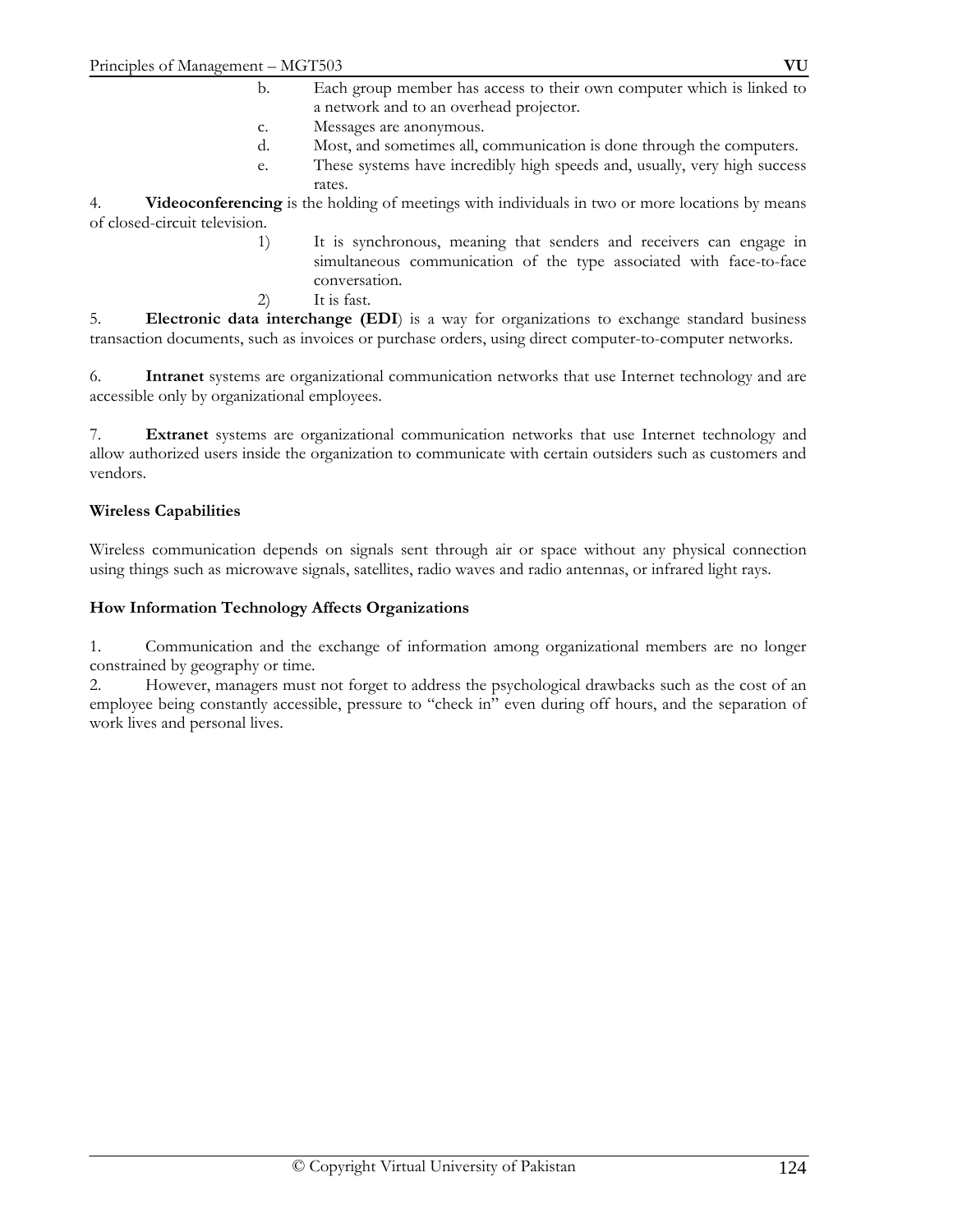- c. Messages are anonymous.
- d. Most, and sometimes all, communication is done through the computers.
- e. These systems have incredibly high speeds and, usually, very high success rates.

4. **Videoconferencing** is the holding of meetings with individuals in two or more locations by means of closed-circuit television.

- 1) It is synchronous, meaning that senders and receivers can engage in simultaneous communication of the type associated with face-to-face conversation.
- 2) It is fast.

5. **Electronic data interchange (EDI**) is a way for organizations to exchange standard business transaction documents, such as invoices or purchase orders, using direct computer-to-computer networks.

6. **Intranet** systems are organizational communication networks that use Internet technology and are accessible only by organizational employees.

7. **Extranet** systems are organizational communication networks that use Internet technology and allow authorized users inside the organization to communicate with certain outsiders such as customers and vendors.

#### **Wireless Capabilities**

Wireless communication depends on signals sent through air or space without any physical connection using things such as microwave signals, satellites, radio waves and radio antennas, or infrared light rays.

#### **How Information Technology Affects Organizations**

1. Communication and the exchange of information among organizational members are no longer constrained by geography or time.

2. However, managers must not forget to address the psychological drawbacks such as the cost of an employee being constantly accessible, pressure to "check in" even during off hours, and the separation of work lives and personal lives.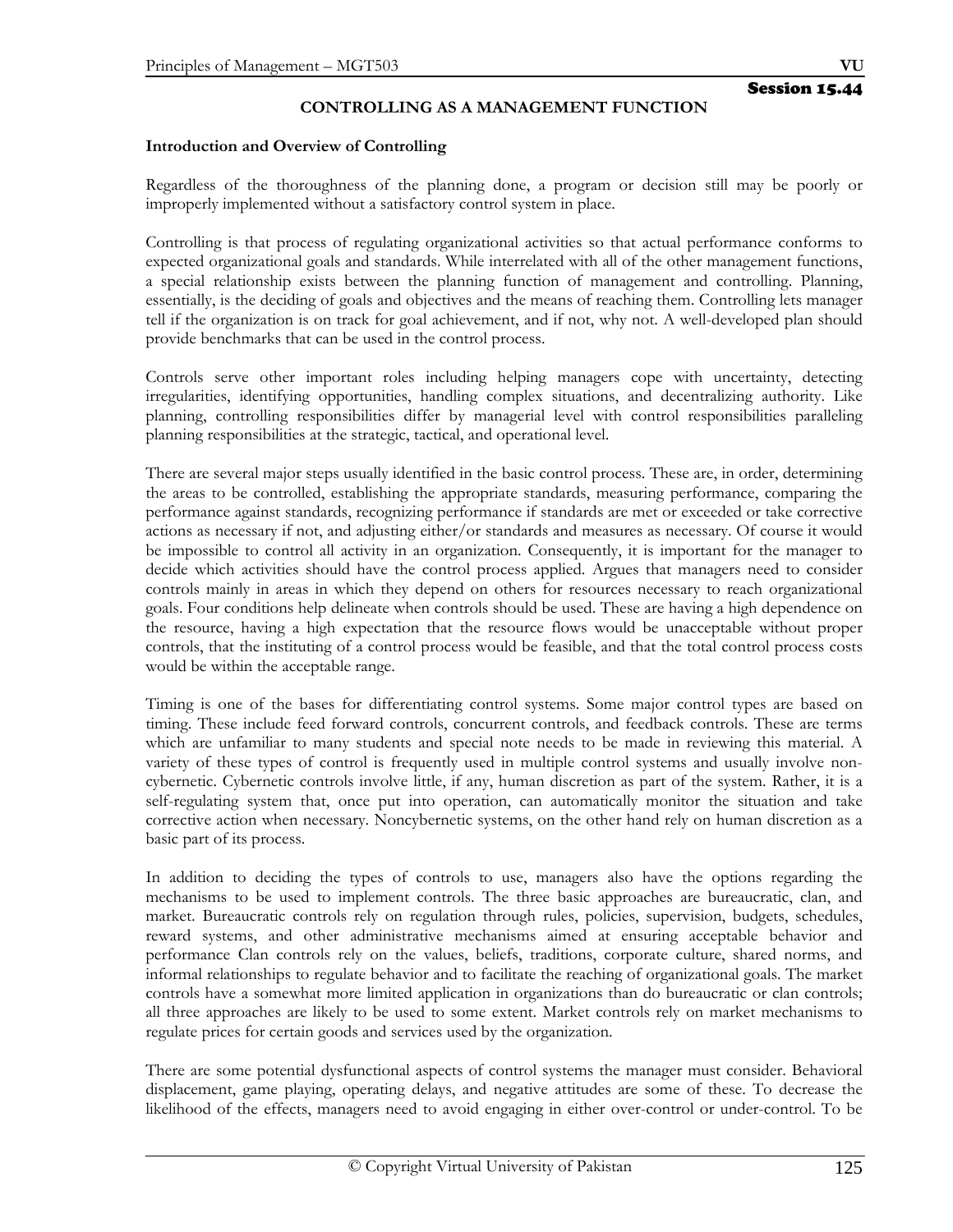### **CONTROLLING AS A MANAGEMENT FUNCTION**

#### **Introduction and Overview of Controlling**

Regardless of the thoroughness of the planning done, a program or decision still may be poorly or improperly implemented without a satisfactory control system in place.

Controlling is that process of regulating organizational activities so that actual performance conforms to expected organizational goals and standards. While interrelated with all of the other management functions, a special relationship exists between the planning function of management and controlling. Planning, essentially, is the deciding of goals and objectives and the means of reaching them. Controlling lets manager tell if the organization is on track for goal achievement, and if not, why not. A well-developed plan should provide benchmarks that can be used in the control process.

Controls serve other important roles including helping managers cope with uncertainty, detecting irregularities, identifying opportunities, handling complex situations, and decentralizing authority. Like planning, controlling responsibilities differ by managerial level with control responsibilities paralleling planning responsibilities at the strategic, tactical, and operational level.

There are several major steps usually identified in the basic control process. These are, in order, determining the areas to be controlled, establishing the appropriate standards, measuring performance, comparing the performance against standards, recognizing performance if standards are met or exceeded or take corrective actions as necessary if not, and adjusting either/or standards and measures as necessary. Of course it would be impossible to control all activity in an organization. Consequently, it is important for the manager to decide which activities should have the control process applied. Argues that managers need to consider controls mainly in areas in which they depend on others for resources necessary to reach organizational goals. Four conditions help delineate when controls should be used. These are having a high dependence on the resource, having a high expectation that the resource flows would be unacceptable without proper controls, that the instituting of a control process would be feasible, and that the total control process costs would be within the acceptable range.

Timing is one of the bases for differentiating control systems. Some major control types are based on timing. These include feed forward controls, concurrent controls, and feedback controls. These are terms which are unfamiliar to many students and special note needs to be made in reviewing this material. A variety of these types of control is frequently used in multiple control systems and usually involve noncybernetic. Cybernetic controls involve little, if any, human discretion as part of the system. Rather, it is a self-regulating system that, once put into operation, can automatically monitor the situation and take corrective action when necessary. Noncybernetic systems, on the other hand rely on human discretion as a basic part of its process.

In addition to deciding the types of controls to use, managers also have the options regarding the mechanisms to be used to implement controls. The three basic approaches are bureaucratic, clan, and market. Bureaucratic controls rely on regulation through rules, policies, supervision, budgets, schedules, reward systems, and other administrative mechanisms aimed at ensuring acceptable behavior and performance Clan controls rely on the values, beliefs, traditions, corporate culture, shared norms, and informal relationships to regulate behavior and to facilitate the reaching of organizational goals. The market controls have a somewhat more limited application in organizations than do bureaucratic or clan controls; all three approaches are likely to be used to some extent. Market controls rely on market mechanisms to regulate prices for certain goods and services used by the organization.

There are some potential dysfunctional aspects of control systems the manager must consider. Behavioral displacement, game playing, operating delays, and negative attitudes are some of these. To decrease the likelihood of the effects, managers need to avoid engaging in either over-control or under-control. To be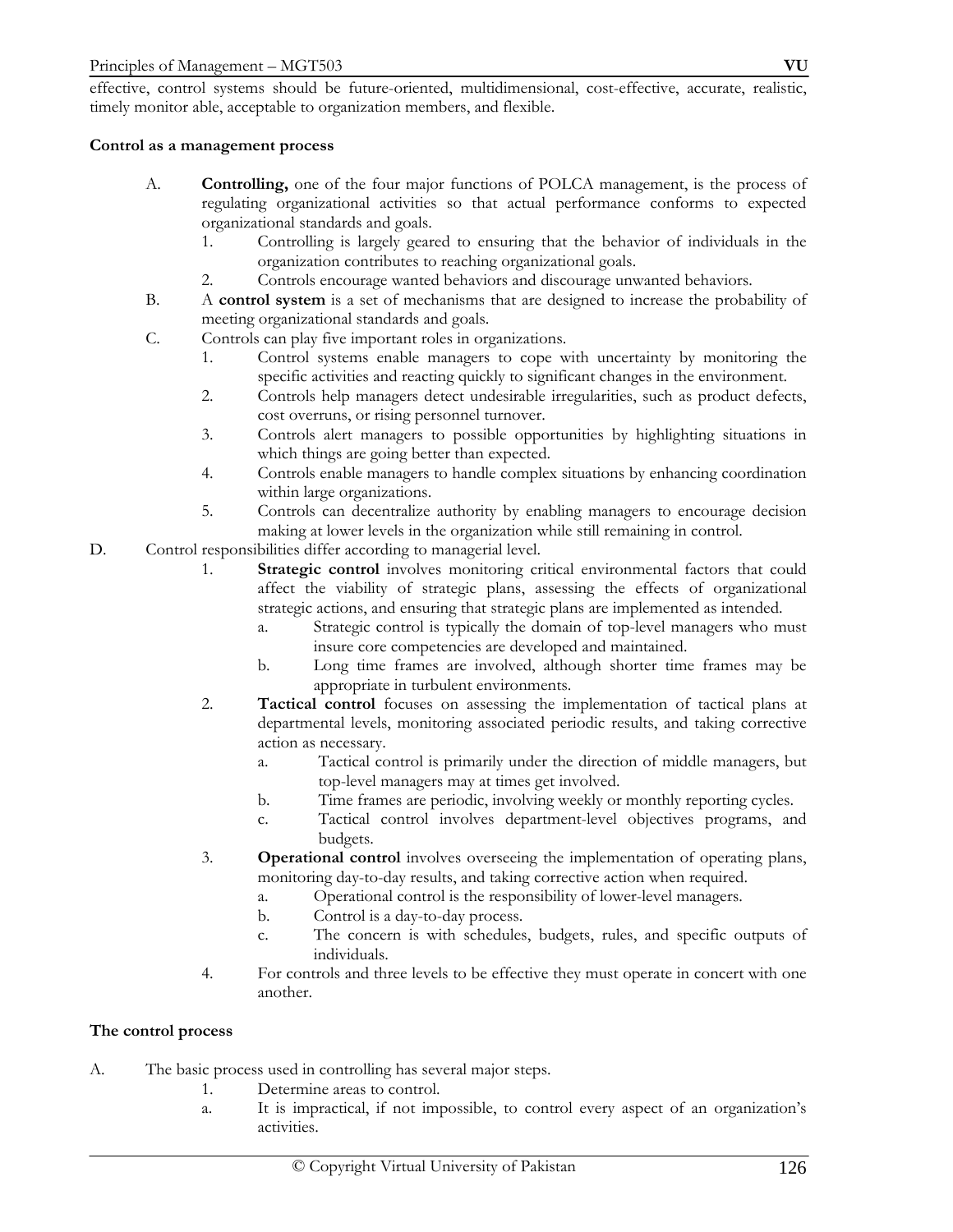effective, control systems should be future-oriented, multidimensional, cost-effective, accurate, realistic, timely monitor able, acceptable to organization members, and flexible.

#### **Control as a management process**

- A. **Controlling,** one of the four major functions of POLCA management, is the process of regulating organizational activities so that actual performance conforms to expected organizational standards and goals.
	- 1. Controlling is largely geared to ensuring that the behavior of individuals in the organization contributes to reaching organizational goals.
	- 2. Controls encourage wanted behaviors and discourage unwanted behaviors.
- B. A **control system** is a set of mechanisms that are designed to increase the probability of meeting organizational standards and goals.
- C. Controls can play five important roles in organizations.
	- 1. Control systems enable managers to cope with uncertainty by monitoring the specific activities and reacting quickly to significant changes in the environment.
	- 2. Controls help managers detect undesirable irregularities, such as product defects, cost overruns, or rising personnel turnover.
	- 3. Controls alert managers to possible opportunities by highlighting situations in which things are going better than expected.
	- 4. Controls enable managers to handle complex situations by enhancing coordination within large organizations.
	- 5. Controls can decentralize authority by enabling managers to encourage decision making at lower levels in the organization while still remaining in control.
- D. Control responsibilities differ according to managerial level.
	- 1. **Strategic control** involves monitoring critical environmental factors that could affect the viability of strategic plans, assessing the effects of organizational strategic actions, and ensuring that strategic plans are implemented as intended.
		- a. Strategic control is typically the domain of top-level managers who must insure core competencies are developed and maintained.
		- b. Long time frames are involved, although shorter time frames may be appropriate in turbulent environments.
	- 2. **Tactical control** focuses on assessing the implementation of tactical plans at departmental levels, monitoring associated periodic results, and taking corrective action as necessary.
		- a. Tactical control is primarily under the direction of middle managers, but top-level managers may at times get involved.
		- b. Time frames are periodic, involving weekly or monthly reporting cycles.
		- c. Tactical control involves department-level objectives programs, and budgets.
	- 3. **Operational control** involves overseeing the implementation of operating plans, monitoring day-to-day results, and taking corrective action when required.
		- a. Operational control is the responsibility of lower-level managers.
		- b. Control is a day-to-day process.
		- c. The concern is with schedules, budgets, rules, and specific outputs of individuals.
	- 4. For controls and three levels to be effective they must operate in concert with one another.

# **The control process**

- A. The basic process used in controlling has several major steps.
	- 1. Determine areas to control.
	- a. It is impractical, if not impossible, to control every aspect of an organization's activities.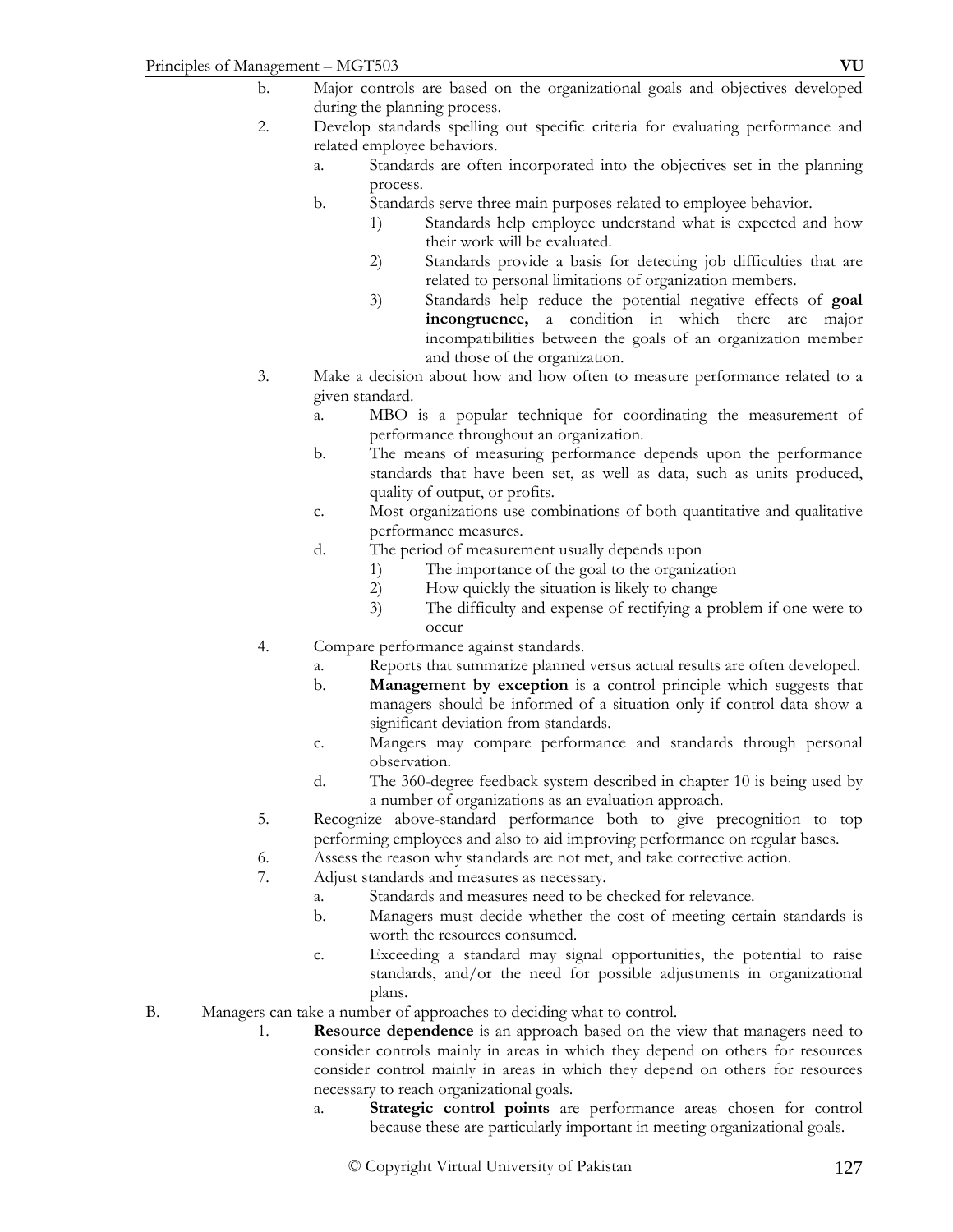- b. Major controls are based on the organizational goals and objectives developed during the planning process.
- 2. Develop standards spelling out specific criteria for evaluating performance and related employee behaviors.
	- a. Standards are often incorporated into the objectives set in the planning process.
	- b. Standards serve three main purposes related to employee behavior.
		- 1) Standards help employee understand what is expected and how their work will be evaluated.
		- 2) Standards provide a basis for detecting job difficulties that are related to personal limitations of organization members.
		- 3) Standards help reduce the potential negative effects of **goal incongruence,** a condition in which there are major incompatibilities between the goals of an organization member and those of the organization.
- 3. Make a decision about how and how often to measure performance related to a given standard.
	- a. MBO is a popular technique for coordinating the measurement of performance throughout an organization.
	- b. The means of measuring performance depends upon the performance standards that have been set, as well as data, such as units produced, quality of output, or profits.
	- c. Most organizations use combinations of both quantitative and qualitative performance measures.
	- d. The period of measurement usually depends upon
		- 1) The importance of the goal to the organization
		- 2) How quickly the situation is likely to change
		- 3) The difficulty and expense of rectifying a problem if one were to occur
- 4. Compare performance against standards.
	- a. Reports that summarize planned versus actual results are often developed.
	- b. **Management by exception** is a control principle which suggests that managers should be informed of a situation only if control data show a significant deviation from standards.
	- c. Mangers may compare performance and standards through personal observation.
	- d. The 360-degree feedback system described in chapter 10 is being used by a number of organizations as an evaluation approach.
- 5. Recognize above-standard performance both to give precognition to top performing employees and also to aid improving performance on regular bases.
- 6. Assess the reason why standards are not met, and take corrective action.
- 7. Adjust standards and measures as necessary.
	- a. Standards and measures need to be checked for relevance.
	- b. Managers must decide whether the cost of meeting certain standards is worth the resources consumed.
	- c. Exceeding a standard may signal opportunities, the potential to raise standards, and/or the need for possible adjustments in organizational plans.
- B. Managers can take a number of approaches to deciding what to control.
	- 1. **Resource dependence** is an approach based on the view that managers need to consider controls mainly in areas in which they depend on others for resources consider control mainly in areas in which they depend on others for resources necessary to reach organizational goals.
		- a. **Strategic control points** are performance areas chosen for control because these are particularly important in meeting organizational goals.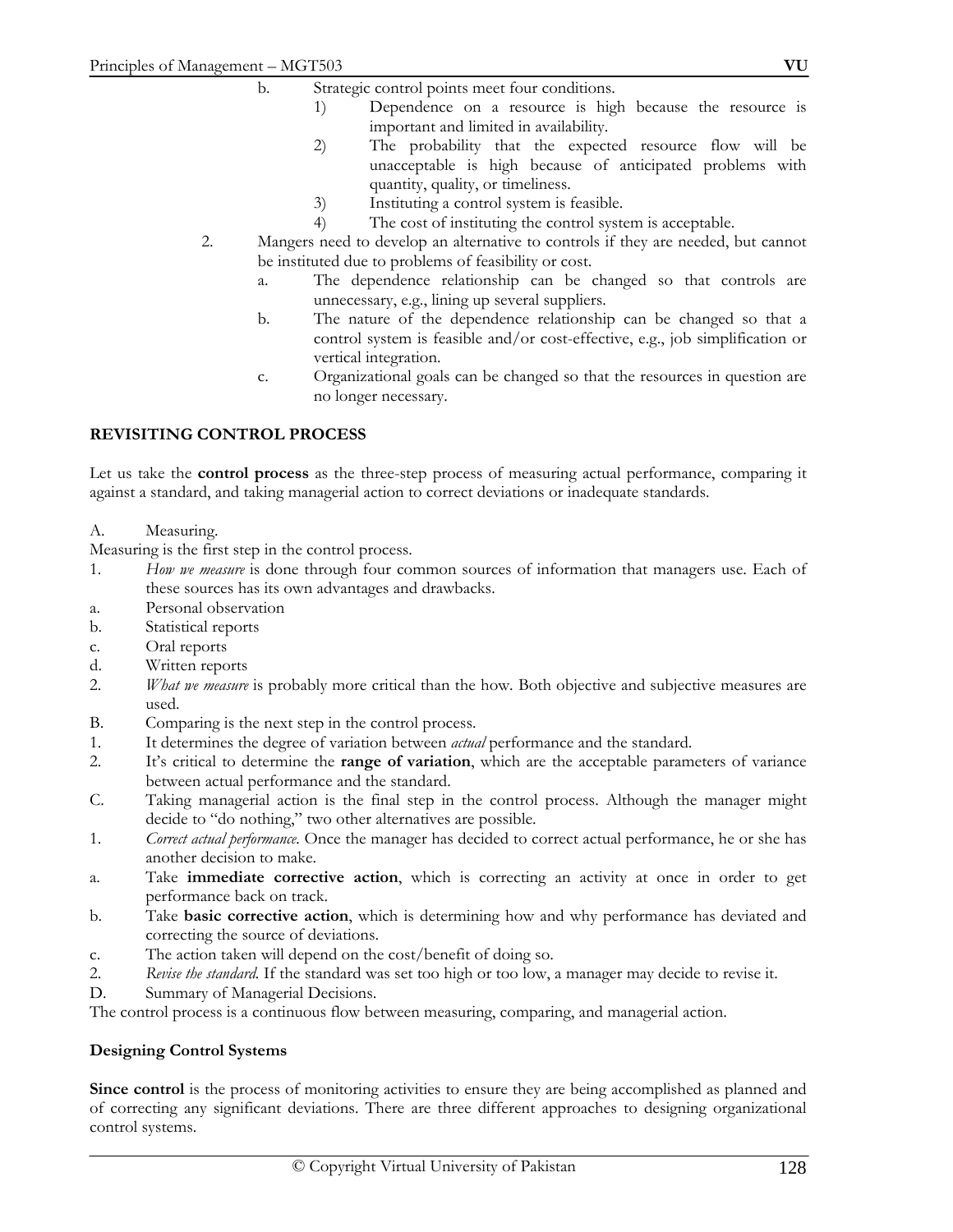- 1) Dependence on a resource is high because the resource is important and limited in availability.
- 2) The probability that the expected resource flow will be unacceptable is high because of anticipated problems with quantity, quality, or timeliness.
- 3) Instituting a control system is feasible.
- 4) The cost of instituting the control system is acceptable.
- 2. Mangers need to develop an alternative to controls if they are needed, but cannot be instituted due to problems of feasibility or cost.
	- a. The dependence relationship can be changed so that controls are unnecessary, e.g., lining up several suppliers.
	- b. The nature of the dependence relationship can be changed so that a control system is feasible and/or cost-effective, e.g., job simplification or vertical integration.
	- c. Organizational goals can be changed so that the resources in question are no longer necessary.

# **REVISITING CONTROL PROCESS**

Let us take the **control process** as the three-step process of measuring actual performance, comparing it against a standard, and taking managerial action to correct deviations or inadequate standards.

A. Measuring.

Measuring is the first step in the control process.

- 1. *How we measure* is done through four common sources of information that managers use. Each of these sources has its own advantages and drawbacks.
- a. Personal observation
- b. Statistical reports
- c. Oral reports
- d. Written reports
- 2. *What we measure* is probably more critical than the how. Both objective and subjective measures are used.
- B. Comparing is the next step in the control process.
- 1. It determines the degree of variation between *actual* performance and the standard.
- 2. It's critical to determine the **range of variation**, which are the acceptable parameters of variance between actual performance and the standard.
- C. Taking managerial action is the final step in the control process. Although the manager might decide to "do nothing," two other alternatives are possible.
- 1. *Correct actual performance.* Once the manager has decided to correct actual performance, he or she has another decision to make.
- a. Take **immediate corrective action**, which is correcting an activity at once in order to get performance back on track.
- b. Take **basic corrective action**, which is determining how and why performance has deviated and correcting the source of deviations.
- c. The action taken will depend on the cost/benefit of doing so.
- 2. *Revise the standard.* If the standard was set too high or too low, a manager may decide to revise it.
- D. Summary of Managerial Decisions.

The control process is a continuous flow between measuring, comparing, and managerial action.

#### **Designing Control Systems**

**Since control** is the process of monitoring activities to ensure they are being accomplished as planned and of correcting any significant deviations. There are three different approaches to designing organizational control systems.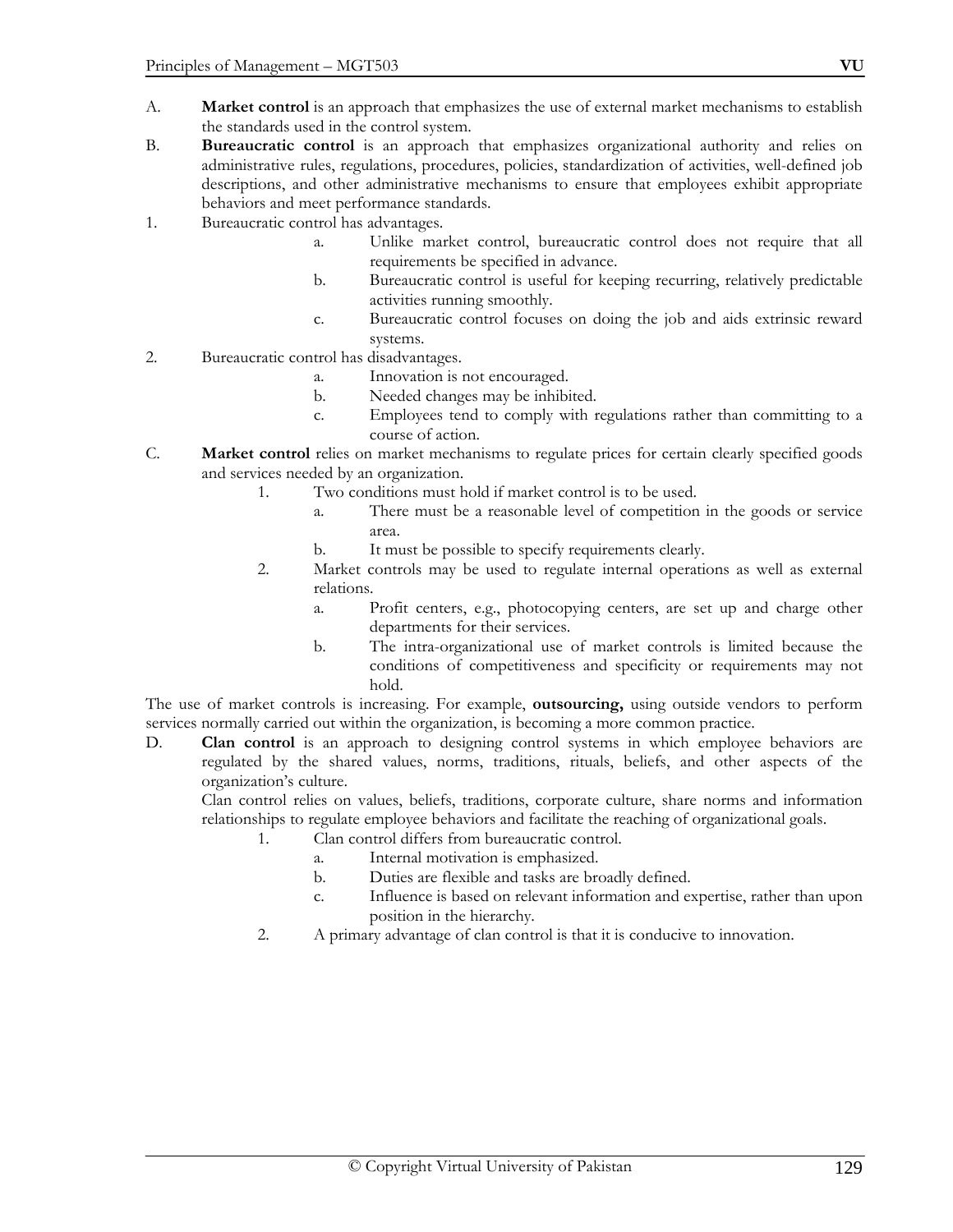- A. **Market control** is an approach that emphasizes the use of external market mechanisms to establish the standards used in the control system.
- B. **Bureaucratic control** is an approach that emphasizes organizational authority and relies on administrative rules, regulations, procedures, policies, standardization of activities, well-defined job descriptions, and other administrative mechanisms to ensure that employees exhibit appropriate behaviors and meet performance standards.
- 1. Bureaucratic control has advantages.
	- a. Unlike market control, bureaucratic control does not require that all requirements be specified in advance.
	- b. Bureaucratic control is useful for keeping recurring, relatively predictable activities running smoothly.
	- c. Bureaucratic control focuses on doing the job and aids extrinsic reward systems.
- 2. Bureaucratic control has disadvantages.
	- a. Innovation is not encouraged.
	- b. Needed changes may be inhibited.
	- c. Employees tend to comply with regulations rather than committing to a course of action.
- C. **Market control** relies on market mechanisms to regulate prices for certain clearly specified goods and services needed by an organization.
	- 1. Two conditions must hold if market control is to be used.
		- a. There must be a reasonable level of competition in the goods or service area.
		- b. It must be possible to specify requirements clearly.
	- 2. Market controls may be used to regulate internal operations as well as external relations.
		- a. Profit centers, e.g., photocopying centers, are set up and charge other departments for their services.
		- b. The intra-organizational use of market controls is limited because the conditions of competitiveness and specificity or requirements may not hold.

The use of market controls is increasing. For example, **outsourcing,** using outside vendors to perform services normally carried out within the organization, is becoming a more common practice.

D. **Clan control** is an approach to designing control systems in which employee behaviors are regulated by the shared values, norms, traditions, rituals, beliefs, and other aspects of the organization's culture.

 Clan control relies on values, beliefs, traditions, corporate culture, share norms and information relationships to regulate employee behaviors and facilitate the reaching of organizational goals.

- 1. Clan control differs from bureaucratic control.
	- a. Internal motivation is emphasized.
	- b. Duties are flexible and tasks are broadly defined.
	- c. Influence is based on relevant information and expertise, rather than upon position in the hierarchy.
- 2. A primary advantage of clan control is that it is conducive to innovation.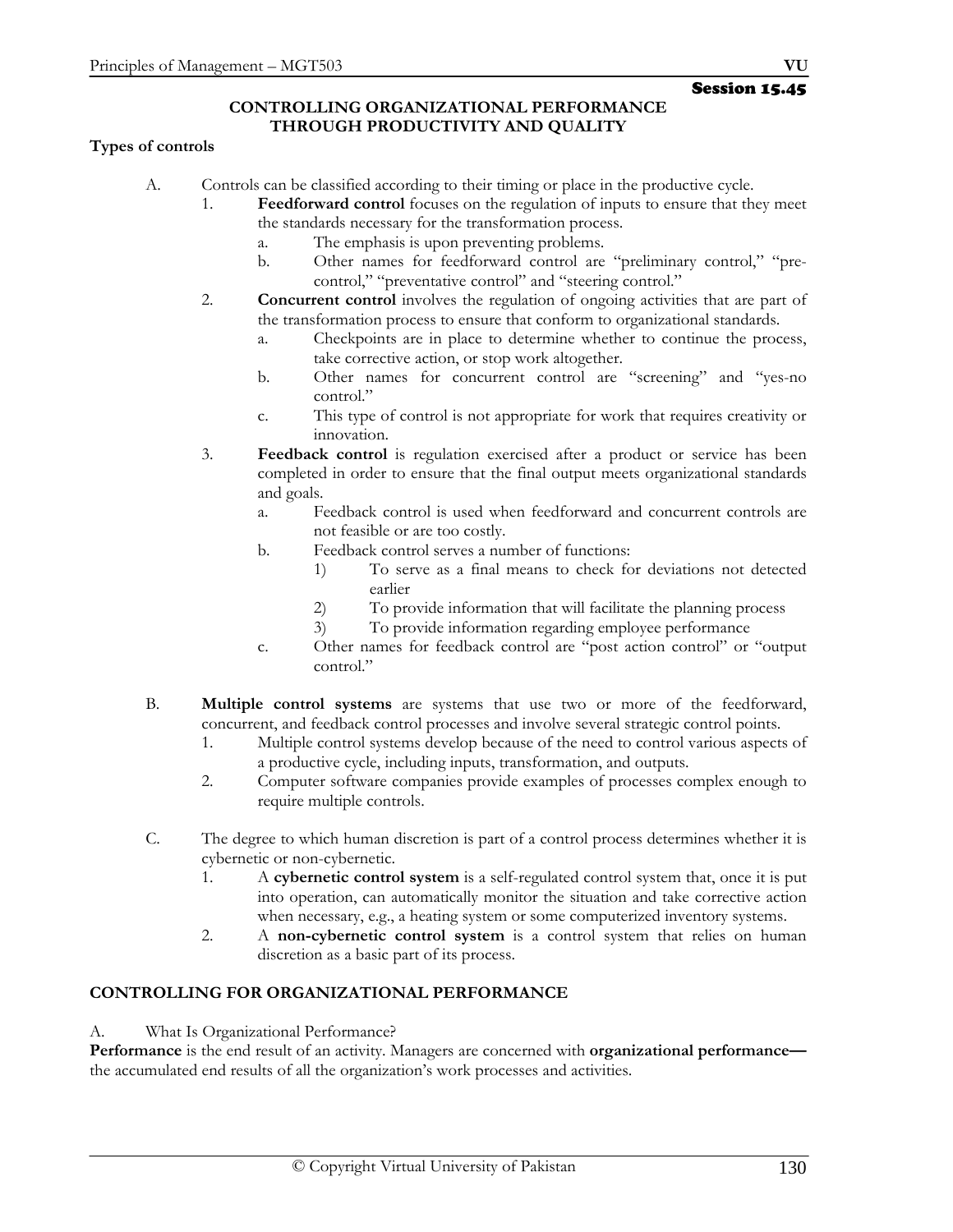### **CONTROLLING ORGANIZATIONAL PERFORMANCE THROUGH PRODUCTIVITY AND QUALITY**

### **Types of controls**

- A. Controls can be classified according to their timing or place in the productive cycle.
	- 1. **Feedforward control** focuses on the regulation of inputs to ensure that they meet the standards necessary for the transformation process.
		- a. The emphasis is upon preventing problems.
		- b. Other names for feedforward control are "preliminary control," "precontrol," "preventative control" and "steering control."
	- 2. **Concurrent control** involves the regulation of ongoing activities that are part of the transformation process to ensure that conform to organizational standards.
		- a. Checkpoints are in place to determine whether to continue the process, take corrective action, or stop work altogether.
		- b. Other names for concurrent control are "screening" and "yes-no control."
		- c. This type of control is not appropriate for work that requires creativity or innovation.
	- 3. **Feedback control** is regulation exercised after a product or service has been completed in order to ensure that the final output meets organizational standards and goals.
		- a. Feedback control is used when feedforward and concurrent controls are not feasible or are too costly.
		- b. Feedback control serves a number of functions:
			- 1) To serve as a final means to check for deviations not detected earlier
			- 2) To provide information that will facilitate the planning process
			- 3) To provide information regarding employee performance
		- c. Other names for feedback control are "post action control" or "output control."
- B. **Multiple control systems** are systems that use two or more of the feedforward, concurrent, and feedback control processes and involve several strategic control points.
	- 1. Multiple control systems develop because of the need to control various aspects of a productive cycle, including inputs, transformation, and outputs.
	- 2. Computer software companies provide examples of processes complex enough to require multiple controls.
- C. The degree to which human discretion is part of a control process determines whether it is cybernetic or non-cybernetic.
	- 1. A **cybernetic control system** is a self-regulated control system that, once it is put into operation, can automatically monitor the situation and take corrective action when necessary, e.g., a heating system or some computerized inventory systems.
	- 2. A **non-cybernetic control system** is a control system that relies on human discretion as a basic part of its process.

# **CONTROLLING FOR ORGANIZATIONAL PERFORMANCE**

A. What Is Organizational Performance?

**Performance** is the end result of an activity. Managers are concerned with **organizational performance** the accumulated end results of all the organization's work processes and activities.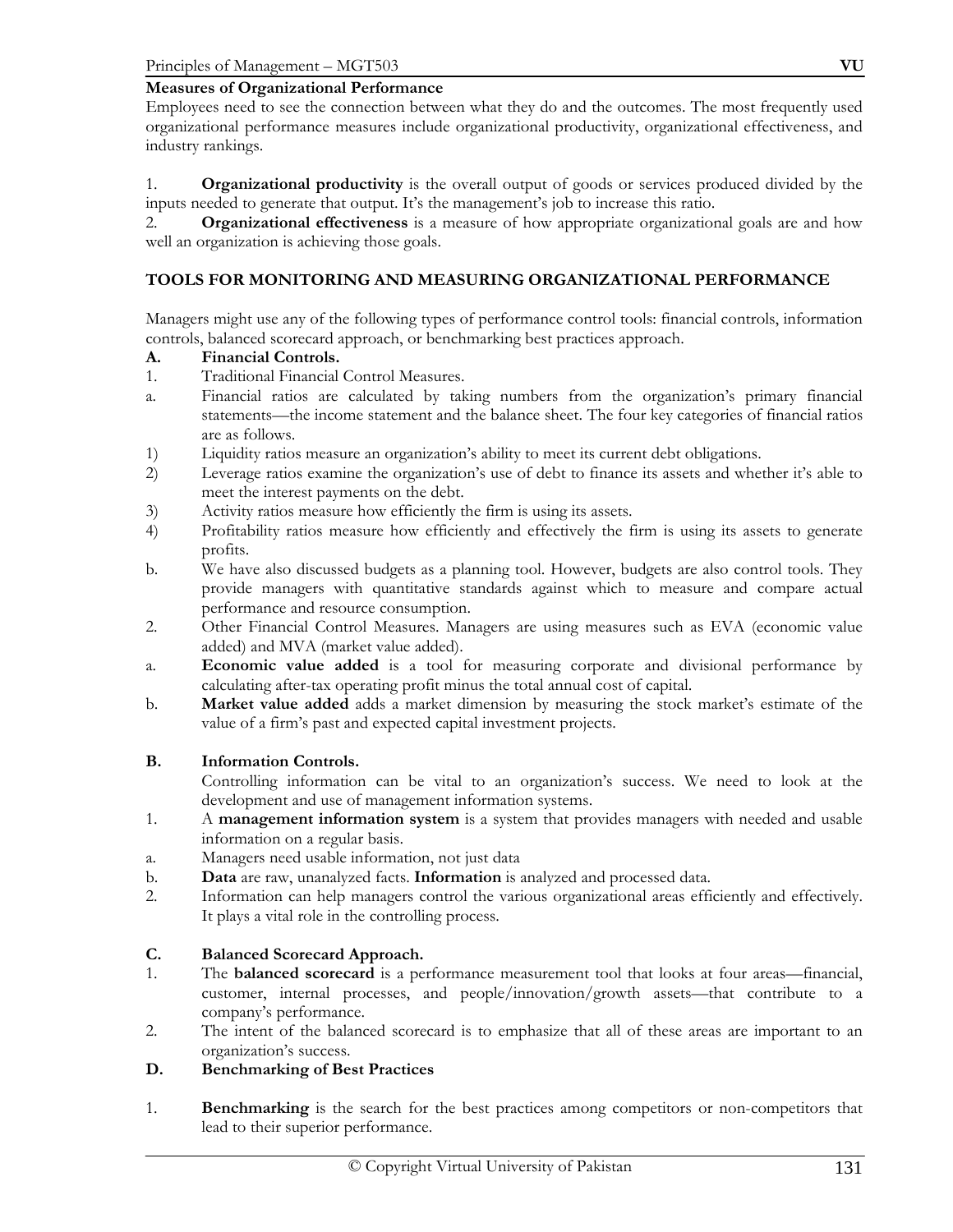#### **Measures of Organizational Performance**

Employees need to see the connection between what they do and the outcomes. The most frequently used organizational performance measures include organizational productivity, organizational effectiveness, and industry rankings.

1. **Organizational productivity** is the overall output of goods or services produced divided by the inputs needed to generate that output. It's the management's job to increase this ratio.

2. **Organizational effectiveness** is a measure of how appropriate organizational goals are and how well an organization is achieving those goals.

### **TOOLS FOR MONITORING AND MEASURING ORGANIZATIONAL PERFORMANCE**

Managers might use any of the following types of performance control tools: financial controls, information controls, balanced scorecard approach, or benchmarking best practices approach.

#### **A. Financial Controls.**

- 1. Traditional Financial Control Measures.
- a. Financial ratios are calculated by taking numbers from the organization's primary financial statements—the income statement and the balance sheet. The four key categories of financial ratios are as follows.
- 1) Liquidity ratios measure an organization's ability to meet its current debt obligations.
- 2) Leverage ratios examine the organization's use of debt to finance its assets and whether it's able to meet the interest payments on the debt.
- 3) Activity ratios measure how efficiently the firm is using its assets.
- 4) Profitability ratios measure how efficiently and effectively the firm is using its assets to generate profits.
- b. We have also discussed budgets as a planning tool. However, budgets are also control tools. They provide managers with quantitative standards against which to measure and compare actual performance and resource consumption.
- 2. Other Financial Control Measures. Managers are using measures such as EVA (economic value added) and MVA (market value added).
- a. **Economic value added** is a tool for measuring corporate and divisional performance by calculating after-tax operating profit minus the total annual cost of capital.
- b. **Market value added** adds a market dimension by measuring the stock market's estimate of the value of a firm's past and expected capital investment projects.

### **B. Information Controls.**

Controlling information can be vital to an organization's success. We need to look at the development and use of management information systems.

- 1. A **management information system** is a system that provides managers with needed and usable information on a regular basis.
- a. Managers need usable information, not just data
- b. **Data** are raw, unanalyzed facts. **Information** is analyzed and processed data.
- 2. Information can help managers control the various organizational areas efficiently and effectively. It plays a vital role in the controlling process.

#### **C. Balanced Scorecard Approach.**

- 1. The **balanced scorecard** is a performance measurement tool that looks at four areas—financial, customer, internal processes, and people/innovation/growth assets—that contribute to a company's performance.
- 2. The intent of the balanced scorecard is to emphasize that all of these areas are important to an organization's success.

# **D. Benchmarking of Best Practices**

1. **Benchmarking** is the search for the best practices among competitors or non-competitors that lead to their superior performance.